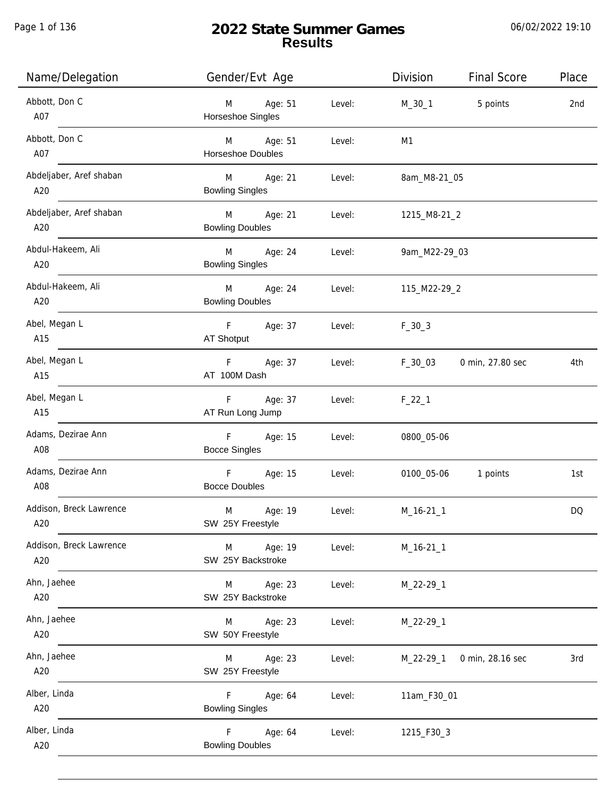Page 1 of 136

# **2022 State Summer Games Results**

| Name/Delegation                | Gender/Evt Age                             |        | Division       | <b>Final Score</b>  | Place     |
|--------------------------------|--------------------------------------------|--------|----------------|---------------------|-----------|
| Abbott, Don C<br>A07           | Age: 51<br>M<br>Horseshoe Singles          | Level: | $M_30_1$       | 5 points            | 2nd       |
| Abbott, Don C<br>A07           | M Age: 51<br><b>Horseshoe Doubles</b>      | Level: | M <sub>1</sub> |                     |           |
| Abdeljaber, Aref shaban<br>A20 | M Age: 21<br><b>Bowling Singles</b>        | Level: | 8am_M8-21_05   |                     |           |
| Abdeljaber, Aref shaban<br>A20 | M Age: 21<br><b>Bowling Doubles</b>        | Level: | 1215_M8-21_2   |                     |           |
| Abdul-Hakeem, Ali<br>A20       | M<br>Age: 24<br><b>Bowling Singles</b>     | Level: | 9am_M22-29_03  |                     |           |
| Abdul-Hakeem, Ali<br>A20       | M<br>Age: 24<br><b>Bowling Doubles</b>     | Level: | 115_M22-29_2   |                     |           |
| Abel, Megan L<br>A15           | F Age: 37<br>AT Shotput                    | Level: | $F_30_3$       |                     |           |
| Abel, Megan L<br>A15           | F <sub>12</sub><br>Age: 37<br>AT 100M Dash | Level: | $F_30_03$      | 0 min, 27.80 sec    | 4th       |
| Abel, Megan L<br>A15           | F Age: 37<br>AT Run Long Jump              | Level: | $F_22_1$       |                     |           |
| Adams, Dezirae Ann<br>A08      | F<br>Age: 15<br><b>Bocce Singles</b>       | Level: | 0800_05-06     |                     |           |
| Adams, Dezirae Ann<br>A08      | F<br>Age: 15<br><b>Bocce Doubles</b>       | Level: |                | 0100_05-06 1 points | 1st       |
| Addison, Breck Lawrence<br>A20 | M<br>Age: 19<br>SW 25Y Freestyle           | Level: | $M_16-21_1$    |                     | <b>DQ</b> |
| Addison, Breck Lawrence<br>A20 | Age: 19<br>M<br>SW 25Y Backstroke          | Level: | $M_16-21_1$    |                     |           |
| Ahn, Jaehee<br>A20             | Age: 23<br>M<br>SW 25Y Backstroke          | Level: | M_22-29_1      |                     |           |
| Ahn, Jaehee<br>A20             | Age: 23<br>M<br>SW 50Y Freestyle           | Level: | $M_22-29-1$    |                     |           |
| Ahn, Jaehee<br>A20             | Age: 23<br>M<br>SW 25Y Freestyle           | Level: | $M_22-29-1$    | 0 min, 28.16 sec    | 3rd       |
| Alber, Linda<br>A20            | F<br>Age: 64<br><b>Bowling Singles</b>     | Level: | 11am_F30_01    |                     |           |
| Alber, Linda<br>A20            | F<br>Age: 64<br><b>Bowling Doubles</b>     | Level: | 1215_F30_3     |                     |           |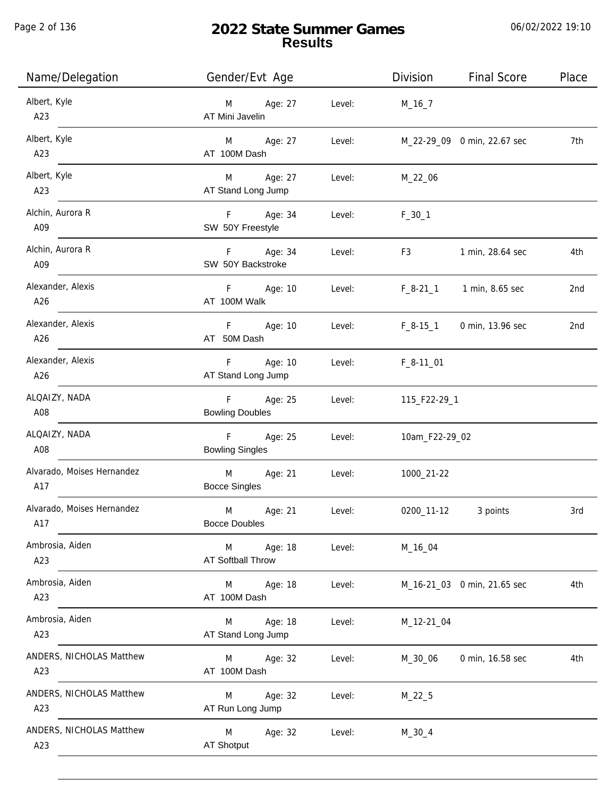Page 2 of 136

j.

# **2022 State Summer Games Results**

| Name/Delegation                   | Gender/Evt Age                          |        | <b>Division</b>        | <b>Final Score</b>          | Place |
|-----------------------------------|-----------------------------------------|--------|------------------------|-----------------------------|-------|
| Albert, Kyle<br>A23               | Age: 27<br>M<br>AT Mini Javelin         | Level: | $M_16_7$               |                             |       |
| Albert, Kyle<br>A23               | Age: 27<br>M<br>AT 100M Dash            | Level: |                        | M_22-29_09 0 min, 22.67 sec | 7th   |
| Albert, Kyle<br>A23               | Age: 27<br>M<br>AT Stand Long Jump      | Level: | M_22_06                |                             |       |
| Alchin, Aurora R<br>A09           | F Age: 34<br>SW 50Y Freestyle           | Level: | $F_30_1$               |                             |       |
| Alchin, Aurora R<br>A09           | F Age: 34<br>SW 50Y Backstroke          | Level: | F3                     | 1 min, 28.64 sec            | 4th   |
| Alexander, Alexis<br>A26          | F<br>Age: 10<br>AT 100M Walk            | Level: | $F_8-21_1$             | 1 min, 8.65 sec             | 2nd   |
| Alexander, Alexis<br>A26          | F.<br>Age: 10<br>AT 50M Dash            | Level: | $F_8-15-1$             | 0 min, 13.96 sec            | 2nd   |
| Alexander, Alexis<br>A26          | Age: 10<br>F.<br>AT Stand Long Jump     | Level: | $F_8-11$ <sup>01</sup> |                             |       |
| ALQAIZY, NADA<br>A08              | Age: 25<br>F.<br><b>Bowling Doubles</b> | Level: | 115_F22-29_1           |                             |       |
| ALQAIZY, NADA<br>A08              | F<br>Age: 25<br><b>Bowling Singles</b>  | Level: | 10am_F22-29_02         |                             |       |
| Alvarado, Moises Hernandez<br>A17 | M<br>Age: 21<br><b>Bocce Singles</b>    | Level: | 1000_21-22             |                             |       |
| Alvarado, Moises Hernandez<br>A17 | M<br>Age: 21<br><b>Bocce Doubles</b>    | Level: | 0200_11-12             | 3 points                    | 3rd   |
| Ambrosia, Aiden<br>A23            | M<br>Age: 18<br>AT Softball Throw       | Level: | M_16_04                |                             |       |
| Ambrosia, Aiden<br>A23            | M<br>Age: 18<br>AT 100M Dash            | Level: |                        | M_16-21_03 0 min, 21.65 sec | 4th   |
| Ambrosia, Aiden<br>A23            | Age: 18<br>M<br>AT Stand Long Jump      | Level: | M_12-21_04             |                             |       |
| ANDERS, NICHOLAS Matthew<br>A23   | Age: 32<br>M<br>AT 100M Dash            | Level: | M_30_06                | 0 min, 16.58 sec            | 4th   |
| ANDERS, NICHOLAS Matthew<br>A23   | Age: 32<br>M<br>AT Run Long Jump        | Level: | $M_22_5$               |                             |       |
| ANDERS, NICHOLAS Matthew<br>A23   | M<br>Age: 32<br><b>AT Shotput</b>       | Level: | $M_30_4$               |                             |       |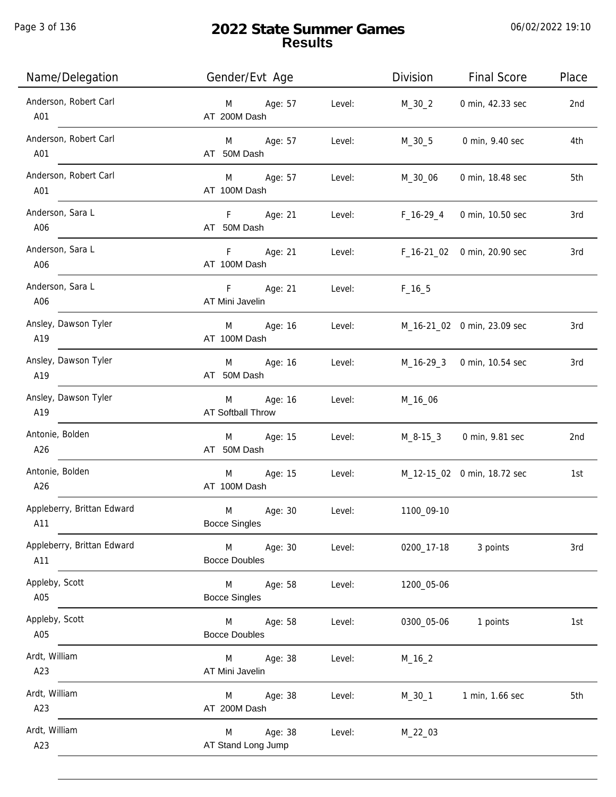Page 3 of 136

| Name/Delegation                   | Gender/Evt Age                                 |        | <b>Division</b> | <b>Final Score</b>          | Place |
|-----------------------------------|------------------------------------------------|--------|-----------------|-----------------------------|-------|
| Anderson, Robert Carl<br>A01      | Age: 57<br>M<br>AT 200M Dash                   | Level: | $M_30_2$        | 0 min, 42.33 sec            | 2nd   |
| Anderson, Robert Carl<br>A01      | M Age: 57<br>AT 50M Dash                       | Level: | $M_30_5$        | 0 min, 9.40 sec             | 4th   |
| Anderson, Robert Carl<br>A01      | M Age: 57<br>AT 100M Dash                      | Level: | M_30_06         | 0 min, 18.48 sec            | 5th   |
| Anderson, Sara L<br>A06           | F Age: 21<br>AT 50M Dash                       | Level: | $F_16-29_4$     | 0 min, 10.50 sec            | 3rd   |
| Anderson, Sara L<br>A06           | F Age: 21<br>AT 100M Dash                      | Level: |                 | F_16-21_02 0 min, 20.90 sec | 3rd   |
| Anderson, Sara L<br>A06           | F<br>Age: 21<br>AT Mini Javelin                | Level: | $F_16_5$        |                             |       |
| Ansley, Dawson Tyler<br>A19       | Age: 16<br>M<br>AT 100M Dash                   | Level: |                 | M_16-21_02 0 min, 23.09 sec | 3rd   |
| Ansley, Dawson Tyler<br>A19       | Age: 16<br>M<br>AT 50M Dash                    | Level: |                 | M_16-29_3 0 min, 10.54 sec  | 3rd   |
| Ansley, Dawson Tyler<br>A19       | Age: 16<br>M<br><b>AT Softball Throw</b>       | Level: | M_16_06         |                             |       |
| Antonie, Bolden<br>A26            | Age: 15<br>M<br>AT 50M Dash                    | Level: |                 | M_8-15_3 0 min, 9.81 sec    | 2nd   |
| Antonie, Bolden<br>A26            | Age: 15<br>M<br>AT 100M Dash                   | Level: |                 | M_12-15_02 0 min, 18.72 sec | 1st   |
| Appleberry, Brittan Edward<br>A11 | Age: 30<br>M<br><b>Bocce Singles</b>           | Level: | 1100_09-10      |                             |       |
| Appleberry, Brittan Edward<br>A11 | Age: 30<br>$M_{\odot}$<br><b>Bocce Doubles</b> | Level: | 0200_17-18      | 3 points                    | 3rd   |
| Appleby, Scott<br>A05             | Age: 58<br>M<br><b>Bocce Singles</b>           | Level: | 1200_05-06      |                             |       |
| Appleby, Scott<br>A05             | M Age: 58<br><b>Bocce Doubles</b>              | Level: | 0300_05-06      | 1 points                    | 1st   |
| Ardt, William<br>A23              | Age: 38<br>M<br>AT Mini Javelin                | Level: | $M_16_2$        |                             |       |
| Ardt, William<br>A23              | Age: 38<br>M<br>AT 200M Dash                   | Level: | M_30_1          | 1 min, 1.66 sec             | 5th   |
| Ardt, William<br>A23              | Age: 38<br>M<br>AT Stand Long Jump             | Level: | $M_22_03$       |                             |       |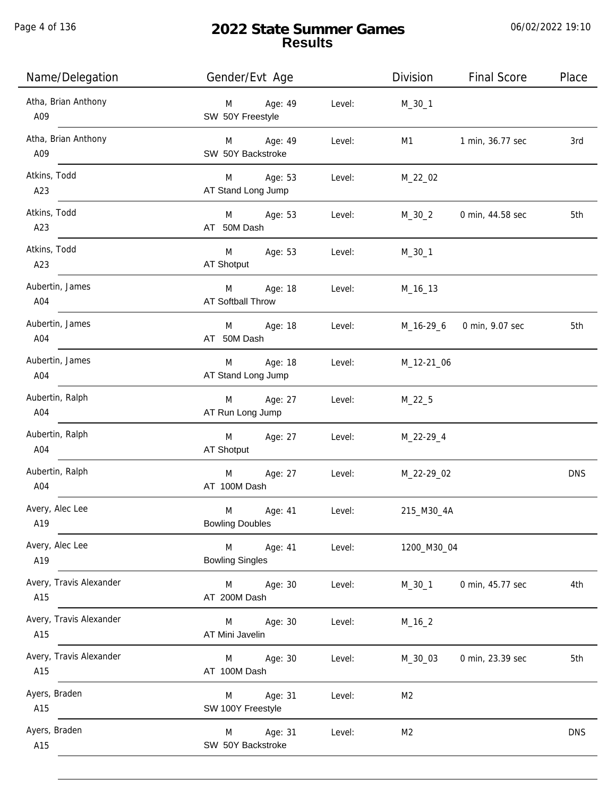Page 4 of 136

# **2022 State Summer Games Results**

| Name/Delegation                | Gender/Evt Age                           |        | <b>Division</b> | <b>Final Score</b> | Place      |
|--------------------------------|------------------------------------------|--------|-----------------|--------------------|------------|
| Atha, Brian Anthony<br>A09     | Age: 49<br>M<br>SW 50Y Freestyle         | Level: | $M_30_1$        |                    |            |
| Atha, Brian Anthony<br>A09     | M Age: 49<br>SW 50Y Backstroke           | Level: | M1              | 1 min, 36.77 sec   | 3rd        |
| Atkins, Todd<br>A23            | M Age: 53<br>AT Stand Long Jump          | Level: | M_22_02         |                    |            |
| Atkins, Todd<br>A23            | M Age: 53<br>AT 50M Dash                 | Level: | M_30_2          | 0 min, 44.58 sec   | 5th        |
| Atkins, Todd<br>A23            | M<br>Age: 53<br>AT Shotput               | Level: | $M_30_1$        |                    |            |
| Aubertin, James<br>A04         | M<br>Age: 18<br><b>AT Softball Throw</b> | Level: | M_16_13         |                    |            |
| Aubertin, James<br>A04         | Age: 18<br>M<br>AT 50M Dash              | Level: | M_16-29_6       | 0 min, 9.07 sec    | 5th        |
| Aubertin, James<br>A04         | Age: 18<br>M<br>AT Stand Long Jump       | Level: | M_12-21_06      |                    |            |
| Aubertin, Ralph<br>A04         | Age: 27<br>M<br>AT Run Long Jump         | Level: | $M_22_5$        |                    |            |
| Aubertin, Ralph<br>A04         | M<br>Age: 27<br>AT Shotput               | Level: | M_22-29_4       |                    |            |
| Aubertin, Ralph<br>A04         | M<br>Age: 27<br>AT 100M Dash             | Level: | M_22-29_02      |                    | <b>DNS</b> |
| Avery, Alec Lee<br>A19         | M<br>Age: 41<br><b>Bowling Doubles</b>   | Level: | 215_M30_4A      |                    |            |
| Avery, Alec Lee<br>A19         | M<br>Age: 41<br><b>Bowling Singles</b>   | Level: | 1200_M30_04     |                    |            |
| Avery, Travis Alexander<br>A15 | M<br>Age: 30<br>AT 200M Dash             | Level: | $M_30_1$        | 0 min, 45.77 sec   | 4th        |
| Avery, Travis Alexander<br>A15 | Age: 30<br>M<br>AT Mini Javelin          | Level: | $M_16_2$        |                    |            |
| Avery, Travis Alexander<br>A15 | Age: 30<br>M<br>AT 100M Dash             | Level: | M_30_03         | 0 min, 23.39 sec   | 5th        |
| Ayers, Braden<br>A15           | Age: 31<br>M<br>SW 100Y Freestyle        | Level: | M <sub>2</sub>  |                    |            |
| Ayers, Braden<br>A15           | Age: 31<br>M<br>SW 50Y Backstroke        | Level: | M <sub>2</sub>  |                    | <b>DNS</b> |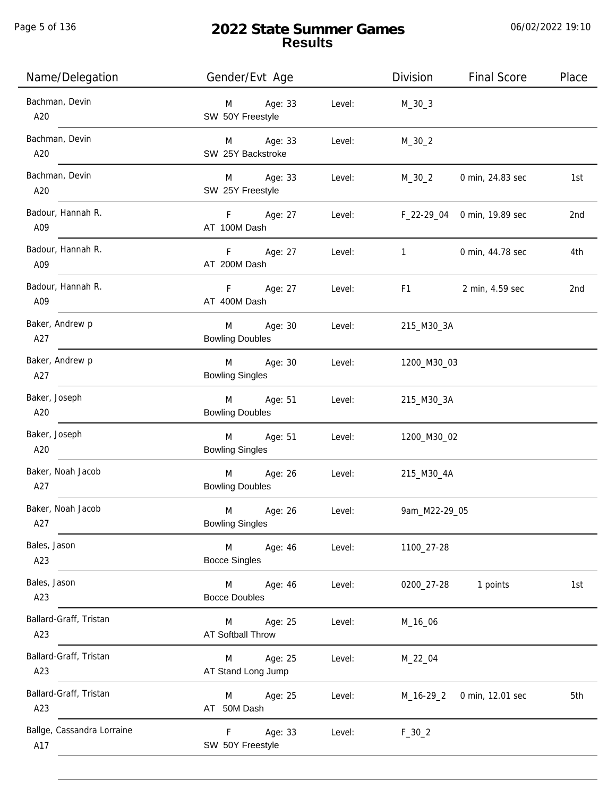Page 5 of 136

# **2022 State Summer Games Results**

| Name/Delegation                   | Gender/Evt Age                         |        | Division                                                                                                                                                                                                                       | <b>Final Score</b>          | Place |
|-----------------------------------|----------------------------------------|--------|--------------------------------------------------------------------------------------------------------------------------------------------------------------------------------------------------------------------------------|-----------------------------|-------|
| Bachman, Devin<br>A20             | Age: 33<br>M<br>SW 50Y Freestyle       | Level: | $M_30_3$                                                                                                                                                                                                                       |                             |       |
| Bachman, Devin<br>A20             | M Age: 33<br>SW 25Y Backstroke         | Level: | $M_30_2$                                                                                                                                                                                                                       |                             |       |
| Bachman, Devin<br>A20             | M Age: 33<br>SW 25Y Freestyle          | Level: | $M_30_2$                                                                                                                                                                                                                       | 0 min, 24.83 sec            | 1st   |
| Badour, Hannah R.<br>A09          | F Age: 27<br>AT 100M Dash              | Level: |                                                                                                                                                                                                                                | F_22-29_04 0 min, 19.89 sec | 2nd   |
| Badour, Hannah R.<br>A09          | F Age: 27<br>AT 200M Dash              | Level: | $\mathbf{1}$                                                                                                                                                                                                                   | 0 min, 44.78 sec            | 4th   |
| Badour, Hannah R.<br>A09          | F Age: 27<br>AT 400M Dash              | Level: | F1 and the state of the state of the state of the state of the state of the state of the state of the state of the state of the state of the state of the state of the state of the state of the state of the state of the sta | 2 min, 4.59 sec             | 2nd   |
| Baker, Andrew p<br>A27            | Age: 30<br>M<br><b>Bowling Doubles</b> | Level: | 215_M30_3A                                                                                                                                                                                                                     |                             |       |
| Baker, Andrew p<br>A27            | Age: 30<br>M<br><b>Bowling Singles</b> | Level: | 1200_M30_03                                                                                                                                                                                                                    |                             |       |
| Baker, Joseph<br>A20              | Age: 51<br>M<br><b>Bowling Doubles</b> | Level: | 215_M30_3A                                                                                                                                                                                                                     |                             |       |
| Baker, Joseph<br>A20              | M<br>Age: 51<br><b>Bowling Singles</b> | Level: | 1200_M30_02                                                                                                                                                                                                                    |                             |       |
| Baker, Noah Jacob<br>A27          | M<br>Age: 26<br><b>Bowling Doubles</b> | Level: | 215_M30_4A                                                                                                                                                                                                                     |                             |       |
| Baker, Noah Jacob<br>A27          | M<br>Age: 26<br><b>Bowling Singles</b> | Level: | 9am_M22-29_05                                                                                                                                                                                                                  |                             |       |
| Bales, Jason<br>A23               | M<br>Age: 46<br><b>Bocce Singles</b>   | Level: | 1100_27-28                                                                                                                                                                                                                     |                             |       |
| Bales, Jason<br>A23               | Age: 46<br>M<br><b>Bocce Doubles</b>   | Level: | 0200_27-28                                                                                                                                                                                                                     | 1 points                    | 1st   |
| Ballard-Graff, Tristan<br>A23     | Age: 25<br>M<br>AT Softball Throw      | Level: | M_16_06                                                                                                                                                                                                                        |                             |       |
| Ballard-Graff, Tristan<br>A23     | Age: 25<br>M<br>AT Stand Long Jump     | Level: | M_22_04                                                                                                                                                                                                                        |                             |       |
| Ballard-Graff, Tristan<br>A23     | Age: 25<br>M<br>AT 50M Dash            | Level: | M_16-29_2                                                                                                                                                                                                                      | 0 min, 12.01 sec            | 5th   |
| Ballge, Cassandra Lorraine<br>A17 | F<br>Age: 33<br>SW 50Y Freestyle       | Level: | $F_30_2$                                                                                                                                                                                                                       |                             |       |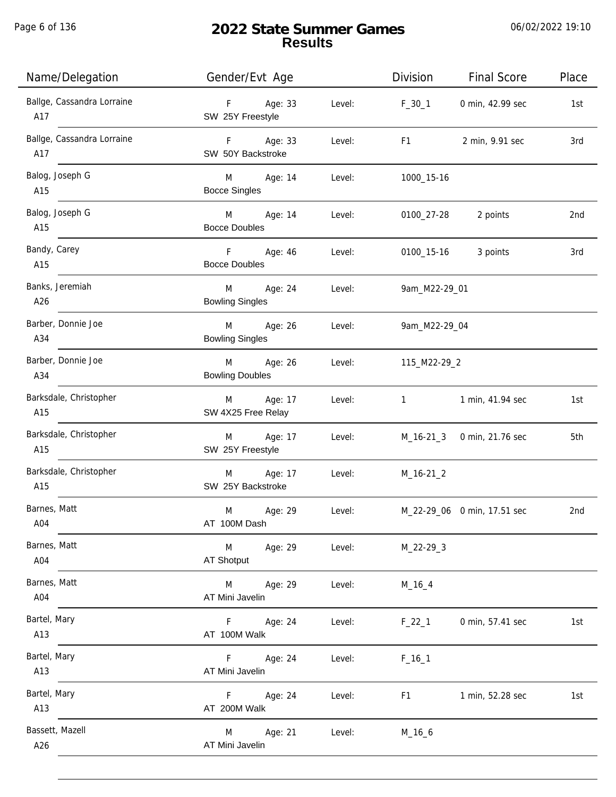Page 6 of 136

j.

| Name/Delegation                   | Gender/Evt Age                      |        | Division                  | <b>Final Score</b>          | Place |
|-----------------------------------|-------------------------------------|--------|---------------------------|-----------------------------|-------|
| Ballge, Cassandra Lorraine<br>A17 | F Age: 33<br>SW 25Y Freestyle       |        | Level: $F_30_1$           | 0 min, 42.99 sec            | 1st   |
| Ballge, Cassandra Lorraine<br>A17 | F Age: 33<br>SW 50Y Backstroke      | Level: | F <sub>1</sub>            | 2 min, 9.91 sec             | 3rd   |
| Balog, Joseph G<br>A15            | M Age: 14<br><b>Bocce Singles</b>   | Level: | 1000_15-16                |                             |       |
| Balog, Joseph G<br>A15            | M Age: 14<br><b>Bocce Doubles</b>   | Level: | 0100_27-28                | 2 points                    | 2nd   |
| Bandy, Carey<br>A15               | F Age: 46<br><b>Bocce Doubles</b>   | Level: | 0100_15-16                | 3 points                    | 3rd   |
| Banks, Jeremiah<br>A26            | M Age: 24<br><b>Bowling Singles</b> | Level: | 9am_M22-29_01             |                             |       |
| Barber, Donnie Joe<br>A34         | M Age: 26<br><b>Bowling Singles</b> | Level: | 9am_M22-29_04             |                             |       |
| Barber, Donnie Joe<br>A34         | M Age: 26<br><b>Bowling Doubles</b> | Level: | 115_M22-29_2              |                             |       |
| Barksdale, Christopher<br>A15     | M Age: 17<br>SW 4X25 Free Relay     | Level: | $1 \quad \text{or} \quad$ | 1 min, 41.94 sec            | 1st   |
| Barksdale, Christopher<br>A15     | M Age: 17<br>SW 25Y Freestyle       | Level: |                           | M_16-21_3 0 min, 21.76 sec  | 5th   |
| Barksdale, Christopher<br>A15     | M Age: 17<br>SW 25Y Backstroke      | Level: | $M_16-21_2$               |                             |       |
| Barnes, Matt<br>A04               | M<br>Age: 29<br>AT 100M Dash        | Level: |                           | M_22-29_06 0 min, 17.51 sec | 2nd   |
| Barnes, Matt<br>A04               | M<br>Age: 29<br>AT Shotput          | Level: | $M_22-29-3$               |                             |       |
| Barnes, Matt<br>A04               | M<br>Age: 29<br>AT Mini Javelin     | Level: | $M_16_4$                  |                             |       |
| Bartel, Mary<br>A13               | Age: 24<br>F.<br>AT 100M Walk       | Level: | $F_22_1$                  | 0 min, 57.41 sec            | 1st   |
| Bartel, Mary<br>A13               | F.<br>Age: 24<br>AT Mini Javelin    | Level: | $F_16_1$                  |                             |       |
| Bartel, Mary<br>A13               | F<br>Age: 24<br>AT 200M Walk        | Level: | F1                        | 1 min, 52.28 sec            | 1st   |
| Bassett, Mazell<br>A26            | Age: 21<br>M<br>AT Mini Javelin     | Level: | $M_16_6$                  |                             |       |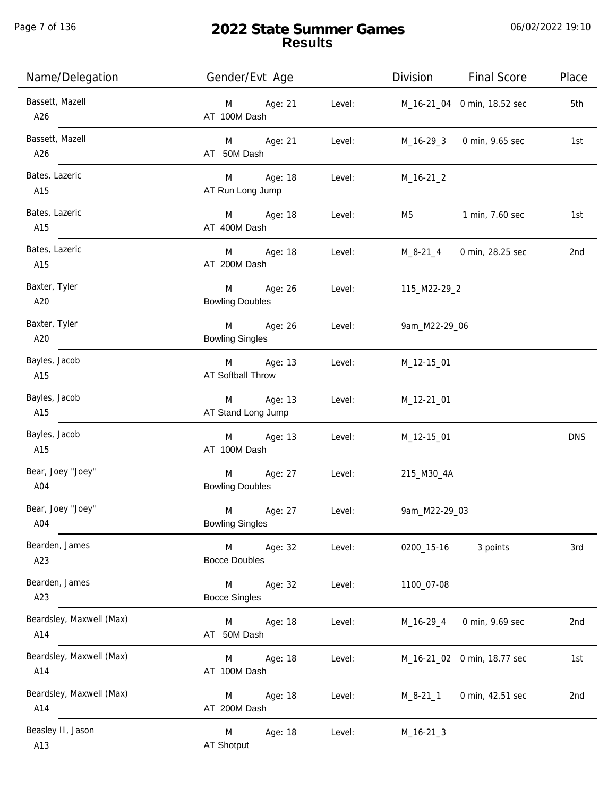Page 7 of 136

| Name/Delegation                 | Gender/Evt Age                           |        | Division       | <b>Final Score</b>          | Place      |
|---------------------------------|------------------------------------------|--------|----------------|-----------------------------|------------|
| Bassett, Mazell<br>A26          | Age: 21<br>M<br>AT 100M Dash             | Level: |                | M_16-21_04 0 min, 18.52 sec | 5th        |
| Bassett, Mazell<br>A26          | Age: 21<br>M<br>AT 50M Dash              | Level: | M_16-29_3      | 0 min, 9.65 sec             | 1st        |
| Bates, Lazeric<br>A15           | Age: 18<br>M<br>AT Run Long Jump         | Level: | $M_16-21_2$    |                             |            |
| Bates, Lazeric<br>A15           | M<br>Age: 18<br>AT 400M Dash             | Level: | M5             | 1 min, 7.60 sec             | 1st        |
| Bates, Lazeric<br>A15           | M<br>Age: 18<br>AT 200M Dash             | Level: | M_8-21_4       | 0 min, 28.25 sec            | 2nd        |
| Baxter, Tyler<br>A20            | M<br>Age: 26<br><b>Bowling Doubles</b>   | Level: | 115_M22-29_2   |                             |            |
| Baxter, Tyler<br>A20            | M<br>Age: 26<br><b>Bowling Singles</b>   | Level: | 9am_M22-29_06  |                             |            |
| Bayles, Jacob<br>A15            | M<br>Age: 13<br><b>AT Softball Throw</b> | Level: | M_12-15_01     |                             |            |
| Bayles, Jacob<br>A15            | Age: 13<br>M<br>AT Stand Long Jump       | Level: | M_12-21_01     |                             |            |
| Bayles, Jacob<br>A15            | Age: 13<br>M<br>AT 100M Dash             | Level: | M_12-15_01     |                             | <b>DNS</b> |
| Bear, Joey "Joey"<br>A04        | Age: 27<br>M<br><b>Bowling Doubles</b>   | Level: | 215_M30_4A     |                             |            |
| Bear, Joey "Joey"<br>A04        | M<br>Age: 27<br><b>Bowling Singles</b>   | Level: | 9am_M22-29_03  |                             |            |
| Bearden, James<br>A23           | M<br>Age: 32<br><b>Bocce Doubles</b>     | Level: | 0200_15-16     | 3 points                    | 3rd        |
| Bearden, James<br>A23           | M<br>Age: 32<br><b>Bocce Singles</b>     | Level: | 1100_07-08     |                             |            |
| Beardsley, Maxwell (Max)<br>A14 | Age: 18<br>M<br>AT 50M Dash              | Level: | $M_16-29_4$    | 0 min, 9.69 sec             | 2nd        |
| Beardsley, Maxwell (Max)<br>A14 | Age: 18<br>M<br>AT 100M Dash             | Level: |                | M_16-21_02 0 min, 18.77 sec | 1st        |
| Beardsley, Maxwell (Max)<br>A14 | Age: 18<br>M<br>AT 200M Dash             | Level: | $M_8 - 21 - 1$ | 0 min, 42.51 sec            | 2nd        |
| Beasley II, Jason<br>A13        | Age: 18<br>M<br>AT Shotput               | Level: | $M_16-21-3$    |                             |            |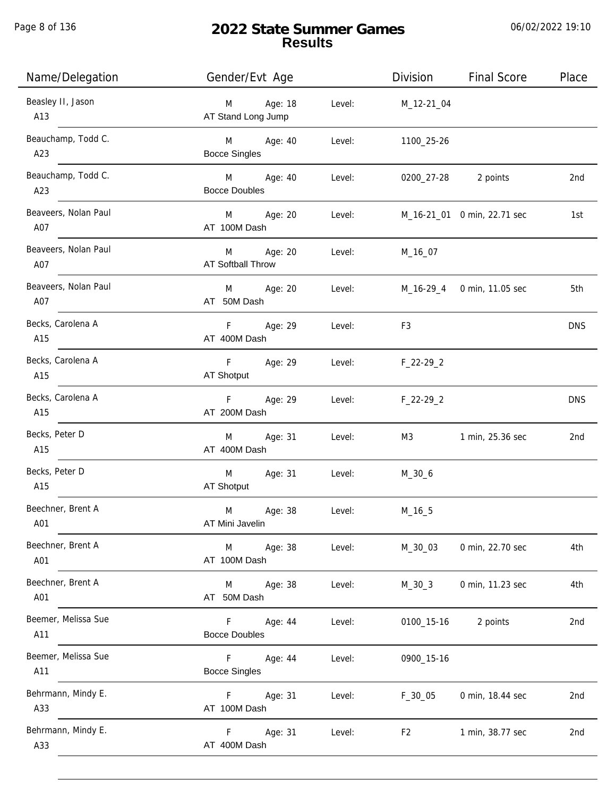Page 8 of 136

# **2022 State Summer Games Results**

| Name/Delegation             | Gender/Evt Age                           |        | Division       | <b>Final Score</b>          | Place      |
|-----------------------------|------------------------------------------|--------|----------------|-----------------------------|------------|
| Beasley II, Jason<br>A13    | Age: 18<br>M<br>AT Stand Long Jump       | Level: | M_12-21_04     |                             |            |
| Beauchamp, Todd C.<br>A23   | M Age: 40<br><b>Bocce Singles</b>        | Level: | 1100_25-26     |                             |            |
| Beauchamp, Todd C.<br>A23   | M<br>Age: 40<br><b>Bocce Doubles</b>     | Level: |                | 0200_27-28 2 points         | 2nd        |
| Beaveers, Nolan Paul<br>A07 | M<br>Age: 20<br>AT 100M Dash             | Level: |                | M_16-21_01 0 min, 22.71 sec | 1st        |
| Beaveers, Nolan Paul<br>A07 | M<br>Age: 20<br><b>AT Softball Throw</b> | Level: | M_16_07        |                             |            |
| Beaveers, Nolan Paul<br>A07 | Age: 20<br>M<br>AT 50M Dash              | Level: |                | M_16-29_4 0 min, 11.05 sec  | 5th        |
| Becks, Carolena A<br>A15    | F.<br>Age: 29<br>AT 400M Dash            | Level: | F <sub>3</sub> |                             | <b>DNS</b> |
| Becks, Carolena A<br>A15    | F<br>Age: 29<br>AT Shotput               | Level: | $F_22-29_2$    |                             |            |
| Becks, Carolena A<br>A15    | Age: 29<br>F<br>AT 200M Dash             | Level: | $F_22-29_2$    |                             | <b>DNS</b> |
| Becks, Peter D<br>A15       | Age: 31<br>M<br>AT 400M Dash             | Level: | M3             | 1 min, 25.36 sec            | 2nd        |
| Becks, Peter D<br>A15       | M<br>Age: 31<br>AT Shotput               | Level: | $M_30_6$       |                             |            |
| Beechner, Brent A<br>A01    | M<br>Age: 38<br>AT Mini Javelin          | Level: | $M_16_5$       |                             |            |
| Beechner, Brent A<br>A01    | Age: 38<br>M<br>AT 100M Dash             | Level: | M_30_03        | 0 min, 22.70 sec            | 4th        |
| Beechner, Brent A<br>A01    | Age: 38<br>M<br>AT 50M Dash              | Level: | $M_30_3$       | 0 min, 11.23 sec            | 4th        |
| Beemer, Melissa Sue<br>A11  | Age: 44<br>F.<br><b>Bocce Doubles</b>    | Level: | 0100_15-16     | 2 points                    | 2nd        |
| Beemer, Melissa Sue<br>A11  | F.<br>Age: 44<br><b>Bocce Singles</b>    | Level: | 0900_15-16     |                             |            |
| Behrmann, Mindy E.<br>A33   | F.<br>Age: 31<br>AT 100M Dash            | Level: | $F_30_05$      | 0 min, 18.44 sec            | 2nd        |
| Behrmann, Mindy E.<br>A33   | F.<br>Age: 31<br>AT 400M Dash            | Level: | F <sub>2</sub> | 1 min, 38.77 sec            | 2nd        |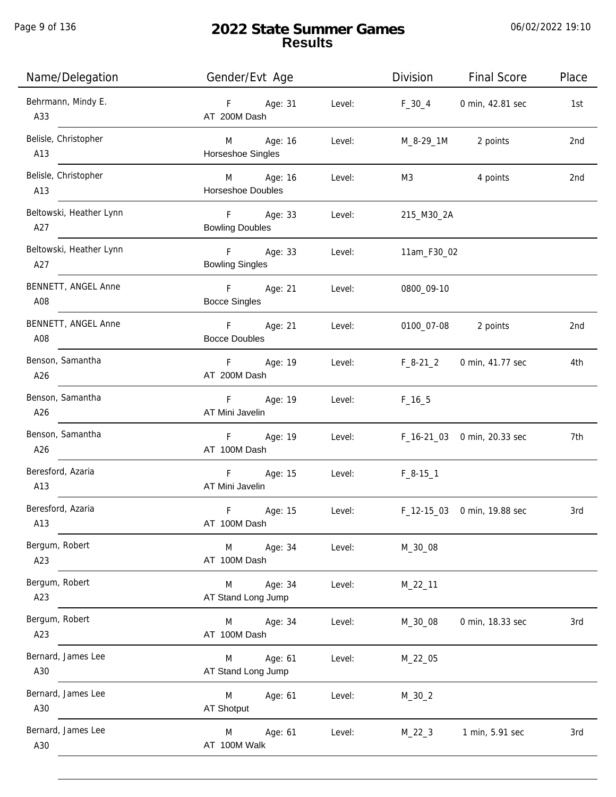Page 9 of 136

j.

| Name/Delegation                | Gender/Evt Age                                   | <b>Final Score</b><br>Division<br>Place |
|--------------------------------|--------------------------------------------------|-----------------------------------------|
| Behrmann, Mindy E.<br>A33      | F Age: 31<br>Level:<br>AT 200M Dash              | 0 min, 42.81 sec<br>$F_30_4$<br>1st     |
| Belisle, Christopher<br>A13    | M Age: 16<br>Level:<br>Horseshoe Singles         | M_8-29_1M 2 points<br>2nd               |
| Belisle, Christopher<br>A13    | M Age: 16<br>Level:<br>Horseshoe Doubles         | 4 points<br>M3<br>2nd                   |
| Beltowski, Heather Lynn<br>A27 | F Age: 33<br>Level:<br><b>Bowling Doubles</b>    | 215_M30_2A                              |
| Beltowski, Heather Lynn<br>A27 | F Age: 33<br>Level:<br><b>Bowling Singles</b>    | 11am_F30_02                             |
| BENNETT, ANGEL Anne<br>A08     | F Age: 21<br>Level:<br><b>Bocce Singles</b>      | 0800_09-10                              |
| BENNETT, ANGEL Anne<br>A08     | F Age: 21<br>Level:<br><b>Bocce Doubles</b>      | 0100_07-08<br>2 points<br>2nd           |
| Benson, Samantha<br>A26        | F Age: 19<br>Level:<br>AT 200M Dash              | $F_8-21_2$<br>0 min, 41.77 sec<br>4th   |
| Benson, Samantha<br>A26        | F Age: 19<br>Level:<br>AT Mini Javelin           | $F_{16-5}$                              |
| Benson, Samantha<br>A26        | F Age: 19<br>Level:<br>AT 100M Dash              | F_16-21_03 0 min, 20.33 sec<br>7th      |
| Beresford, Azaria<br>A13       | F<br>Age: 15<br>Level:<br>AT Mini Javelin        | $F_8-15-1$                              |
| Beresford, Azaria<br>A13       | $\mathsf F$<br>Age: 15<br>Level:<br>AT 100M Dash | F_12-15_03 0 min, 19.88 sec<br>3rd      |
| Bergum, Robert<br>A23          | Age: 34<br>M<br>Level:<br>AT 100M Dash           | M_30_08                                 |
| Bergum, Robert<br>A23          | Age: 34<br>M<br>Level:<br>AT Stand Long Jump     | $M_22_11$                               |
| Bergum, Robert<br>A23          | M<br>Age: 34<br>Level:<br>AT 100M Dash           | 0 min, 18.33 sec<br>M_30_08<br>3rd      |
| Bernard, James Lee<br>A30      | Age: 61<br>Level:<br>M<br>AT Stand Long Jump     | M_22_05                                 |
| Bernard, James Lee<br>A30      | M<br>Age: 61<br>Level:<br>AT Shotput             | $M_30_2$                                |
| Bernard, James Lee<br>A30      | Age: 61<br>Level:<br>M<br>AT 100M Walk           | $M_22_3$<br>1 min, 5.91 sec<br>3rd      |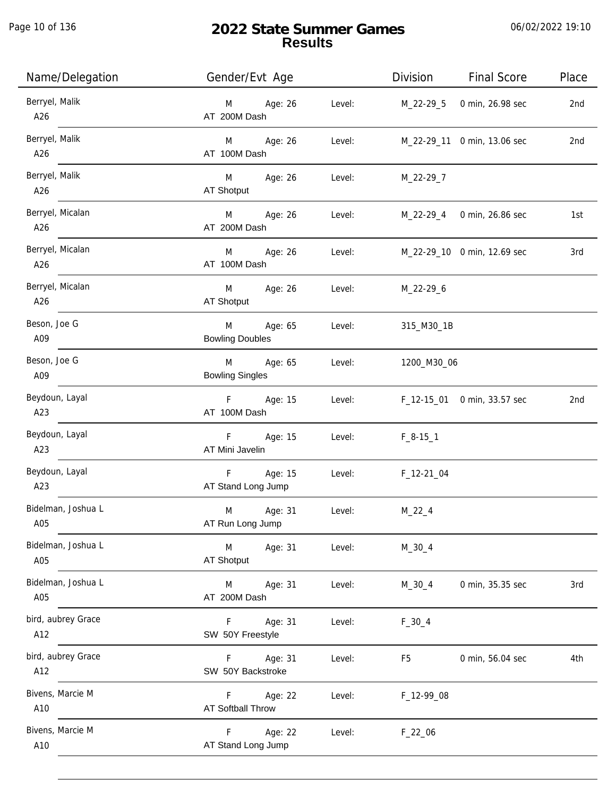Page 10 of 136

| Name/Delegation           | Gender/Evt Age                                 |        | Division                           | <b>Final Score</b>          | Place |
|---------------------------|------------------------------------------------|--------|------------------------------------|-----------------------------|-------|
| Berryel, Malik<br>A26     | M Age: 26<br>AT 200M Dash                      | Level: |                                    | M_22-29_5 0 min, 26.98 sec  | 2nd   |
| Berryel, Malik<br>A26     | M Age: 26<br>AT 100M Dash                      | Level: |                                    | M_22-29_11 0 min, 13.06 sec | 2nd   |
| Berryel, Malik<br>A26     | M Age: 26<br>AT Shotput                        |        | Level: M_22-29_7                   |                             |       |
| Berryel, Micalan<br>A26   | M Age: 26<br>AT 200M Dash                      |        | Level: M_22-29_4 0 min, 26.86 sec  |                             | 1st   |
| Berryel, Micalan<br>A26   | M Age: 26<br>AT 100M Dash                      |        | Level: M_22-29_10 0 min, 12.69 sec |                             | 3rd   |
| Berryel, Micalan<br>A26   | M Age: 26 Level: M_22-29_6<br>AT Shotput       |        |                                    |                             |       |
| Beson, Joe G<br>A09       | M<br>Age: 65<br><b>Bowling Doubles</b>         | Level: | 315_M30_1B                         |                             |       |
| Beson, Joe G<br>A09       | M Age: 65<br><b>Bowling Singles</b>            | Level: | 1200_M30_06                        |                             |       |
| Beydoun, Layal<br>A23     | F Age: 15<br>AT 100M Dash                      | Level: |                                    | F_12-15_01 0 min, 33.57 sec | 2nd   |
| Beydoun, Layal<br>A23     | F Age: 15<br>AT Mini Javelin                   | Level: | $F_8-15-1$                         |                             |       |
| Beydoun, Layal<br>A23     | F Age: 15<br>AT Stand Long Jump                | Level: | F_12-21_04                         |                             |       |
| Bidelman, Joshua L<br>A05 | M<br>Age: 31<br>AT Run Long Jump               | Level: | $M_22_4$                           |                             |       |
| Bidelman, Joshua L<br>A05 | Age: 31<br>M<br>AT Shotput                     | Level: | $M_30_4$                           |                             |       |
| Bidelman, Joshua L<br>A05 | Age: 31<br>M<br>AT 200M Dash                   | Level: | M_30_4                             | 0 min, 35.35 sec            | 3rd   |
| bird, aubrey Grace<br>A12 | Age: 31<br>F <sub>12</sub><br>SW 50Y Freestyle | Level: | $F_30_4$                           |                             |       |
| bird, aubrey Grace<br>A12 | Age: 31<br>F.<br>SW 50Y Backstroke             | Level: | F5                                 | 0 min, 56.04 sec            | 4th   |
| Bivens, Marcie M<br>A10   | Age: 22<br>F.<br>AT Softball Throw             | Level: | F_12-99_08                         |                             |       |
| Bivens, Marcie M<br>A10   | F<br>Age: 22<br>AT Stand Long Jump             | Level: | $F_22_06$                          |                             |       |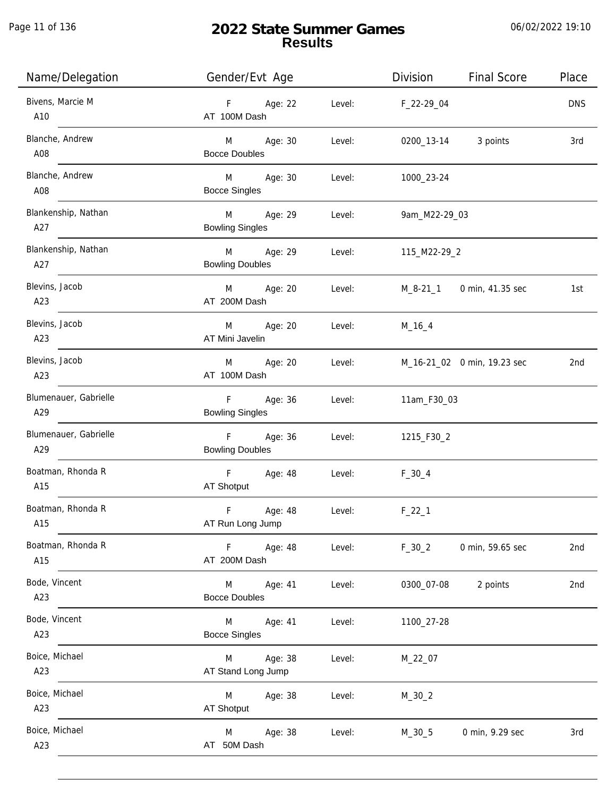| Name/Delegation              | Gender/Evt Age                                      |        | Division            | <b>Final Score</b>          | Place      |
|------------------------------|-----------------------------------------------------|--------|---------------------|-----------------------------|------------|
| Bivens, Marcie M<br>A10      | F Age: 22<br>AT 100M Dash                           | Level: | F_22-29_04          |                             | <b>DNS</b> |
| Blanche, Andrew<br>A08       | M Age: 30<br><b>Bocce Doubles</b>                   | Level: | 0200_13-14 3 points |                             | 3rd        |
| Blanche, Andrew<br>A08       | M Age: 30<br><b>Bocce Singles</b>                   | Level: | 1000_23-24          |                             |            |
| Blankenship, Nathan<br>A27   | M Age: 29<br><b>Bowling Singles</b>                 | Level: | 9am_M22-29_03       |                             |            |
| Blankenship, Nathan<br>A27   | M Age: 29<br><b>Bowling Doubles</b>                 | Level: | 115_M22-29_2        |                             |            |
| Blevins, Jacob<br>A23        | M Age: 20<br>AT 200M Dash                           | Level: |                     | M_8-21_1 0 min, 41.35 sec   | 1st        |
| Blevins, Jacob<br>A23        | Age: 20<br>M<br>AT Mini Javelin                     |        | Level: M_16_4       |                             |            |
| Blevins, Jacob<br>A23        | Age: 20<br>M<br>AT 100M Dash                        | Level: |                     | M_16-21_02 0 min, 19.23 sec | 2nd        |
| Blumenauer, Gabrielle<br>A29 | F <sub>1</sub><br>Age: 36<br><b>Bowling Singles</b> | Level: | 11am_F30_03         |                             |            |
| Blumenauer, Gabrielle<br>A29 | F<br>Age: 36<br><b>Bowling Doubles</b>              | Level: | 1215_F30_2          |                             |            |
| Boatman, Rhonda R<br>A15     | $\mathsf F$<br>Age: 48<br>AT Shotput                | Level: | $F_30_4$            |                             |            |
| Boatman, Rhonda R<br>A15     | $\mathsf F$<br>Age: 48<br>AT Run Long Jump          | Level: | $F_22_1$            |                             |            |
| Boatman, Rhonda R<br>A15     | F Age: 48<br>AT 200M Dash                           | Level: | $F_30_2$            | 0 min, 59.65 sec            | 2nd        |
| Bode, Vincent<br>A23         | M<br>Age: 41<br><b>Bocce Doubles</b>                | Level: | 0300_07-08          | 2 points                    | 2nd        |
| Bode, Vincent<br>A23         | M<br>Age: 41<br><b>Bocce Singles</b>                | Level: | 1100_27-28          |                             |            |
| Boice, Michael<br>A23        | Age: 38<br>M<br>AT Stand Long Jump                  | Level: | M_22_07             |                             |            |
| Boice, Michael<br>A23        | Age: 38<br>M<br>AT Shotput                          | Level: | $M_30_2$            |                             |            |
| Boice, Michael<br>A23        | Age: 38<br>M<br>AT 50M Dash                         | Level: | M_30_5              | 0 min, 9.29 sec             | 3rd        |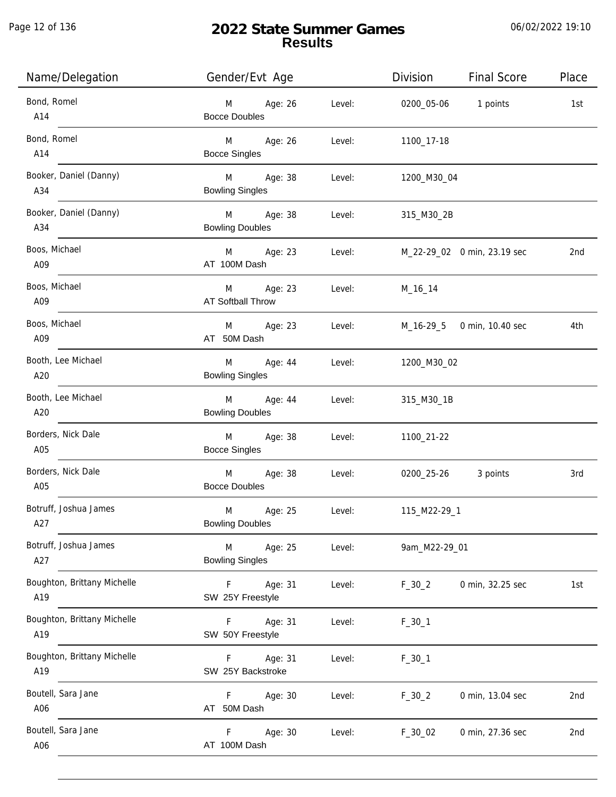j.

| Name/Delegation                    | Gender/Evt Age                                     |        | Division           | <b>Final Score</b>          | Place |
|------------------------------------|----------------------------------------------------|--------|--------------------|-----------------------------|-------|
| Bond, Romel<br>A14                 | M Age: 26<br><b>Bocce Doubles</b>                  | Level: |                    | 0200_05-06 1 points         | 1st   |
| Bond, Romel<br>A14                 | M Age: 26<br><b>Bocce Singles</b>                  | Level: | 1100_17-18         |                             |       |
| Booker, Daniel (Danny)<br>A34      | M Age: 38<br><b>Bowling Singles</b>                | Level: | 1200_M30_04        |                             |       |
| Booker, Daniel (Danny)<br>A34      | M Age: 38<br><b>Bowling Doubles</b>                | Level: | 315_M30_2B         |                             |       |
| Boos, Michael<br>A09               | M Age: 23<br>AT 100M Dash                          | Level: |                    | M_22-29_02 0 min, 23.19 sec | 2nd   |
| Boos, Michael<br>A09               | M Age: 23<br>AT Softball Throw                     | Level: | M_16_14            |                             |       |
| Boos, Michael<br>A09               | M Age: 23<br>AT 50M Dash                           | Level: |                    | M_16-29_5 0 min, 10.40 sec  | 4th   |
| Booth, Lee Michael<br>A20          | M<br>Age: 44<br><b>Bowling Singles</b>             |        | Level: 1200_M30_02 |                             |       |
| Booth, Lee Michael<br>A20          | M Age: 44<br><b>Bowling Doubles</b>                | Level: | 315_M30_1B         |                             |       |
| Borders, Nick Dale<br>A05          | Age: 38<br>M <sub>ar</sub><br><b>Bocce Singles</b> | Level: | 1100_21-22         |                             |       |
| Borders, Nick Dale<br>A05          | M Age: 38<br><b>Bocce Doubles</b>                  | Level: |                    | 0200_25-26 3 points         | 3rd   |
| Botruff, Joshua James<br>A27       | Age: 25<br>M<br><b>Bowling Doubles</b>             | Level: | 115_M22-29_1       |                             |       |
| Botruff, Joshua James<br>A27       | M<br>Age: 25<br><b>Bowling Singles</b>             | Level: | 9am_M22-29_01      |                             |       |
| Boughton, Brittany Michelle<br>A19 | F<br>Age: 31<br>SW 25Y Freestyle                   | Level: | $F_30_2$           | 0 min, 32.25 sec            | 1st   |
| Boughton, Brittany Michelle<br>A19 | F<br>Age: 31<br>SW 50Y Freestyle                   | Level: | $F_30_1$           |                             |       |
| Boughton, Brittany Michelle<br>A19 | Age: 31<br>F.<br>SW 25Y Backstroke                 | Level: | $F_30_1$           |                             |       |
| Boutell, Sara Jane<br>A06          | F.<br>Age: 30<br>AT 50M Dash                       | Level: | $F_30_2$           | 0 min, 13.04 sec            | 2nd   |
| Boutell, Sara Jane<br>A06          | Age: 30<br>F.<br>AT 100M Dash                      | Level: | $F_30_02$          | 0 min, 27.36 sec            | 2nd   |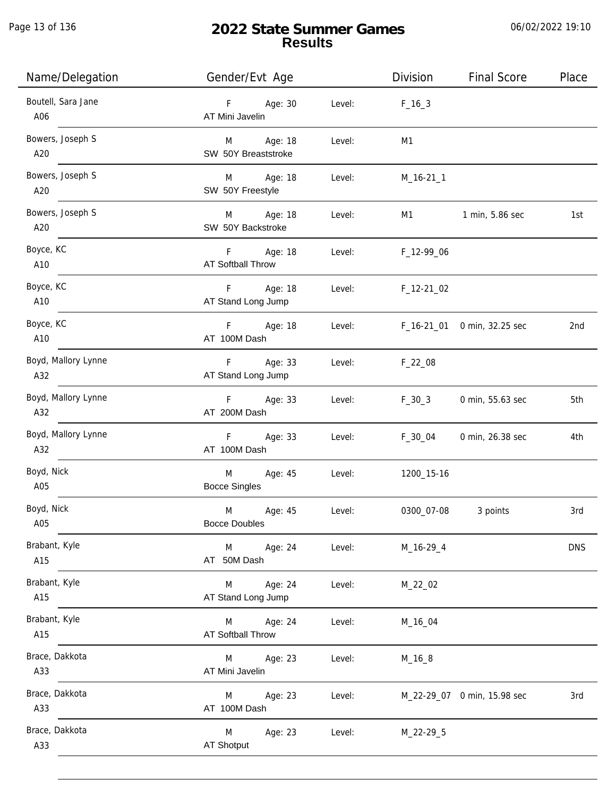Page 13 of 136

j.

# **2022 State Summer Games Results**

| Name/Delegation            | Gender/Evt Age                           |        | Division    | <b>Final Score</b>          | Place      |
|----------------------------|------------------------------------------|--------|-------------|-----------------------------|------------|
| Boutell, Sara Jane<br>A06  | Age: 30<br>F<br>AT Mini Javelin          | Level: | $F_{16-3}$  |                             |            |
| Bowers, Joseph S<br>A20    | M Age: 18<br>SW 50Y Breaststroke         | Level: | M1          |                             |            |
| Bowers, Joseph S<br>A20    | M Age: 18<br>SW 50Y Freestyle            | Level: | $M_16-211$  |                             |            |
| Bowers, Joseph S<br>A20    | M<br>Age: 18<br>SW 50Y Backstroke        | Level: | M1          | 1 min, 5.86 sec             | 1st        |
| Boyce, KC<br>A10           | F.<br>Age: 18<br>AT Softball Throw       | Level: | F_12-99_06  |                             |            |
| Boyce, KC<br>A10           | Age: 18<br>F.<br>AT Stand Long Jump      | Level: | $F_12-2102$ |                             |            |
| Boyce, KC<br>A10           | Age: 18<br>F.<br>AT 100M Dash            | Level: |             | F_16-21_01 0 min, 32.25 sec | 2nd        |
| Boyd, Mallory Lynne<br>A32 | Age: 33<br>F.<br>AT Stand Long Jump      | Level: | $F_22_08$   |                             |            |
| Boyd, Mallory Lynne<br>A32 | Age: 33<br>$F =$<br>AT 200M Dash         | Level: | $F_30_3$    | 0 min, 55.63 sec            | 5th        |
| Boyd, Mallory Lynne<br>A32 | Age: 33<br>F<br>AT 100M Dash             | Level: | F_30_04     | 0 min, 26.38 sec            | 4th        |
| Boyd, Nick<br>A05          | M<br>Age: 45<br><b>Bocce Singles</b>     | Level: | 1200_15-16  |                             |            |
| Boyd, Nick<br>A05          | M<br>Age: 45<br><b>Bocce Doubles</b>     | Level: | 0300_07-08  | 3 points                    | 3rd        |
| Brabant, Kyle<br>A15       | M<br>Age: 24<br>AT 50M Dash              | Level: | M_16-29_4   |                             | <b>DNS</b> |
| Brabant, Kyle<br>A15       | Age: 24<br>M<br>AT Stand Long Jump       | Level: | M_22_02     |                             |            |
| Brabant, Kyle<br>A15       | Age: 24<br>M<br><b>AT Softball Throw</b> | Level: | M_16_04     |                             |            |
| Brace, Dakkota<br>A33      | M<br>Age: 23<br>AT Mini Javelin          | Level: | $M_16_8$    |                             |            |
| Brace, Dakkota<br>A33      | Age: 23<br>M<br>AT 100M Dash             | Level: |             | M_22-29_07 0 min, 15.98 sec | 3rd        |
| Brace, Dakkota<br>A33      | M<br>Age: 23<br><b>AT Shotput</b>        | Level: | M_22-29_5   |                             |            |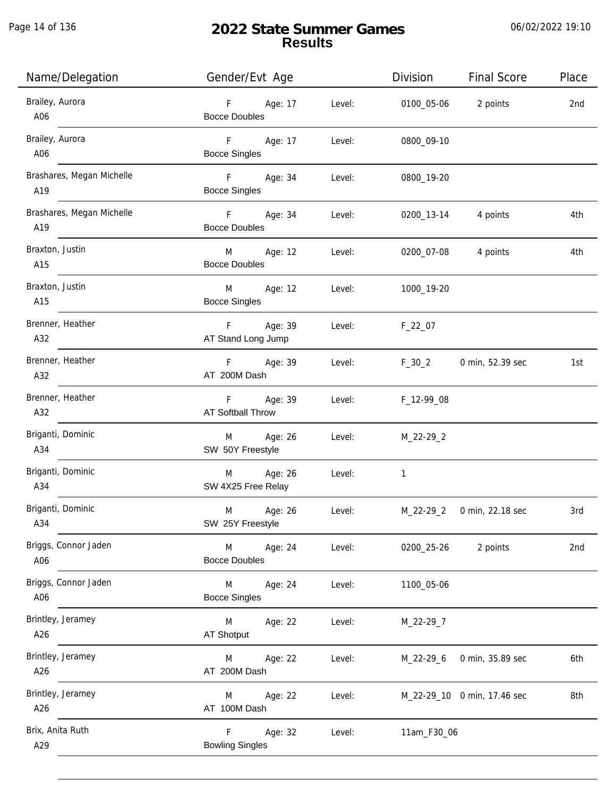| Name/Delegation                  | Gender/Evt Age                                     |        | Division    | Final Score                 | Place |
|----------------------------------|----------------------------------------------------|--------|-------------|-----------------------------|-------|
| Brailey, Aurora<br>A06           | F Age: 17<br><b>Bocce Doubles</b>                  | Level: | 0100_05-06  | 2 points                    | 2nd   |
| Brailey, Aurora<br>A06           | F <sub>11</sub><br>Age: 17<br><b>Bocce Singles</b> | Level: | 0800_09-10  |                             |       |
| Brashares, Megan Michelle<br>A19 | F Age: 34<br><b>Bocce Singles</b>                  | Level: | 0800_19-20  |                             |       |
| Brashares, Megan Michelle<br>A19 | F Age: 34<br><b>Bocce Doubles</b>                  | Level: |             | 0200_13-14 4 points         | 4th   |
| Braxton, Justin<br>A15           | M Age: 12<br><b>Bocce Doubles</b>                  | Level: |             | 0200_07-08 4 points         | 4th   |
| Braxton, Justin<br>A15           | M Age: 12<br><b>Bocce Singles</b>                  | Level: | 1000_19-20  |                             |       |
| Brenner, Heather<br>A32          | F Age: 39<br>AT Stand Long Jump                    | Level: | $F_22_07$   |                             |       |
| Brenner, Heather<br>A32          | F Age: 39<br>AT 200M Dash                          | Level: | $F_30_2$    | 0 min, 52.39 sec            | 1st   |
| Brenner, Heather<br>A32          | F Age: 39<br>AT Softball Throw                     | Level: | F_12-99_08  |                             |       |
| Briganti, Dominic<br>A34         | Age: 26<br>M<br>SW 50Y Freestyle                   | Level: | M_22-29_2   |                             |       |
| Briganti, Dominic<br>A34         | Age: 26<br>M<br>SW 4X25 Free Relay                 | Level: | 1           |                             |       |
| Briganti, Dominic<br>A34         | Age: 26<br>M<br>SW 25Y Freestyle                   | Level: | M_22-29_2   | 0 min, 22.18 sec            | 3rd   |
| Briggs, Connor Jaden<br>A06      | M<br>Age: 24<br><b>Bocce Doubles</b>               | Level: | 0200_25-26  | 2 points                    | 2nd   |
| Briggs, Connor Jaden<br>A06      | Age: 24<br>M<br><b>Bocce Singles</b>               | Level: | 1100_05-06  |                             |       |
| Brintley, Jeramey<br>A26         | M<br>Age: 22<br>AT Shotput                         | Level: | M_22-29_7   |                             |       |
| Brintley, Jeramey<br>A26         | Age: 22<br>M<br>AT 200M Dash                       | Level: | M_22-29_6   | 0 min, 35.89 sec            | 6th   |
| Brintley, Jeramey<br>A26         | Age: 22<br>M<br>AT 100M Dash                       | Level: |             | M_22-29_10 0 min, 17.46 sec | 8th   |
| Brix, Anita Ruth<br>A29          | F.<br>Age: 32<br><b>Bowling Singles</b>            | Level: | 11am_F30_06 |                             |       |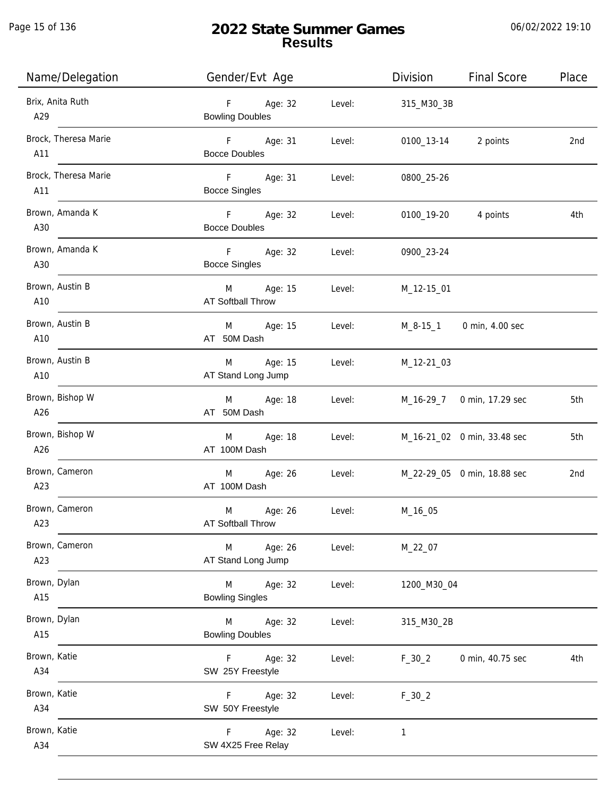Page 15 of 136

j.

# **2022 State Summer Games Results**

| Name/Delegation             | Gender/Evt Age                         |        | Division            | <b>Final Score</b>          | Place |
|-----------------------------|----------------------------------------|--------|---------------------|-----------------------------|-------|
| Brix, Anita Ruth<br>A29     | F Age: 32<br><b>Bowling Doubles</b>    | Level: | 315_M30_3B          |                             |       |
| Brock, Theresa Marie<br>A11 | F Age: 31<br><b>Bocce Doubles</b>      | Level: | 0100_13-14 2 points |                             | 2nd   |
| Brock, Theresa Marie<br>A11 | F Age: 31<br><b>Bocce Singles</b>      | Level: | 0800_25-26          |                             |       |
| Brown, Amanda K<br>A30      | F Age: 32<br><b>Bocce Doubles</b>      | Level: | 0100_19-20 4 points |                             | 4th   |
| Brown, Amanda K<br>A30      | F Age: 32<br><b>Bocce Singles</b>      | Level: | 0900_23-24          |                             |       |
| Brown, Austin B<br>A10      | M Age: 15<br><b>AT Softball Throw</b>  | Level: | M_12-15_01          |                             |       |
| Brown, Austin B<br>A10      | M Age: 15<br>AT 50M Dash               | Level: |                     | M_8-15_1 0 min, 4.00 sec    |       |
| Brown, Austin B<br>A10      | M Age: 15<br>AT Stand Long Jump        | Level: | M_12-21_03          |                             |       |
| Brown, Bishop W<br>A26      | M Age: 18<br>AT 50M Dash               | Level: |                     | M_16-29_7 0 min, 17.29 sec  | 5th   |
| Brown, Bishop W<br>A26      | M Age: 18<br>AT 100M Dash              | Level: |                     | M_16-21_02 0 min, 33.48 sec | 5th   |
| Brown, Cameron<br>A23       | M Age: 26<br>AT 100M Dash              | Level: |                     | M_22-29_05 0 min, 18.88 sec | 2nd   |
| Brown, Cameron<br>A23       | M<br>Age: 26<br>AT Softball Throw      | Level: | M_16_05             |                             |       |
| Brown, Cameron<br>A23       | Age: 26<br>M<br>AT Stand Long Jump     | Level: | M_22_07             |                             |       |
| Brown, Dylan<br>A15         | Age: 32<br>M<br><b>Bowling Singles</b> | Level: | 1200_M30_04         |                             |       |
| Brown, Dylan<br>A15         | M<br>Age: 32<br><b>Bowling Doubles</b> | Level: | 315_M30_2B          |                             |       |
| Brown, Katie<br>A34         | Age: 32<br>F.<br>SW 25Y Freestyle      | Level: | $F_30_2$            | 0 min, 40.75 sec            | 4th   |
| Brown, Katie<br>A34         | Age: 32<br>F.<br>SW 50Y Freestyle      | Level: | $F_30_2$            |                             |       |
| Brown, Katie<br>A34         | Age: 32<br>F.<br>SW 4X25 Free Relay    | Level: | 1                   |                             |       |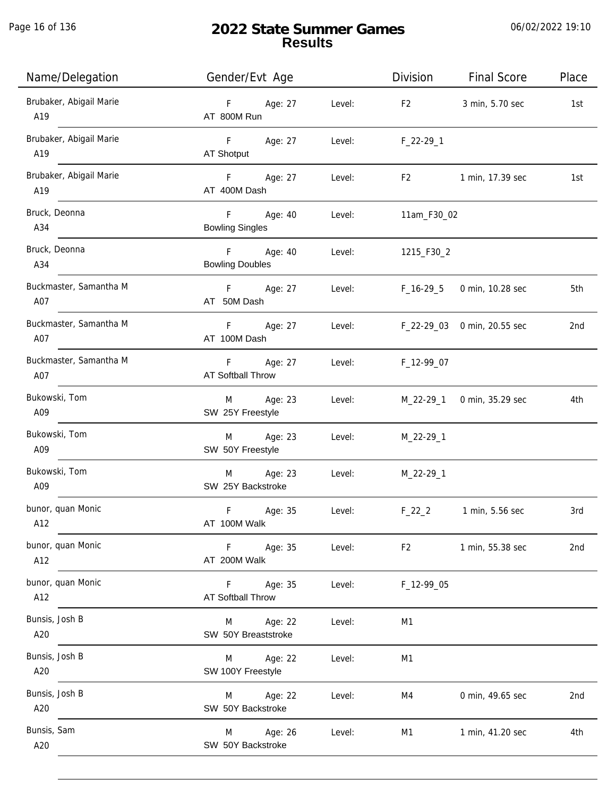| Name/Delegation                | Gender/Evt Age                             |        | Division       | <b>Final Score</b>          | Place |
|--------------------------------|--------------------------------------------|--------|----------------|-----------------------------|-------|
| Brubaker, Abigail Marie<br>A19 | F Age: 27<br>AT 800M Run                   | Level: | F <sub>2</sub> | 3 min, 5.70 sec             | 1st   |
| Brubaker, Abigail Marie<br>A19 | F Age: 27<br>AT Shotput                    | Level: | $F_22-29-1$    |                             |       |
| Brubaker, Abigail Marie<br>A19 | Age: 27<br>F <sub>12</sub><br>AT 400M Dash | Level: | F <sub>2</sub> | 1 min, 17.39 sec            | 1st   |
| Bruck, Deonna<br>A34           | F Age: 40<br><b>Bowling Singles</b>        | Level: | 11am_F30_02    |                             |       |
| Bruck, Deonna<br>A34           | F Age: 40<br><b>Bowling Doubles</b>        | Level: | 1215_F30_2     |                             |       |
| Buckmaster, Samantha M<br>A07  | F<br>Age: 27<br>AT 50M Dash                | Level: | F_16-29_5      | 0 min, 10.28 sec            | 5th   |
| Buckmaster, Samantha M<br>A07  | F<br>Age: 27<br>AT 100M Dash               | Level: |                | F_22-29_03 0 min, 20.55 sec | 2nd   |
| Buckmaster, Samantha M<br>A07  | F<br>Age: 27<br><b>AT Softball Throw</b>   | Level: | F_12-99_07     |                             |       |
| Bukowski, Tom<br>A09           | Age: 23<br>M<br>SW 25Y Freestyle           | Level: | M_22-29_1      | 0 min, 35.29 sec            | 4th   |
| Bukowski, Tom<br>A09           | Age: 23<br>M<br>SW 50Y Freestyle           | Level: | $M_22-29-1$    |                             |       |
| Bukowski, Tom<br>A09           | Age: 23<br>M<br>SW 25Y Backstroke          | Level: | M_22-29_1      |                             |       |
| bunor, quan Monic<br>A12       | F<br>Age: 35<br>AT 100M Walk               | Level: | $F_22_2$       | 1 min, 5.56 sec             | 3rd   |
| bunor, quan Monic<br>A12       | F Age: 35<br>AT 200M Walk                  | Level: | F <sub>2</sub> | 1 min, 55.38 sec            | 2nd   |
| bunor, quan Monic<br>A12       | F Age: 35<br><b>AT Softball Throw</b>      | Level: | F_12-99_05     |                             |       |
| Bunsis, Josh B<br>A20          | M Age: 22<br>SW 50Y Breaststroke           | Level: | M1             |                             |       |
| Bunsis, Josh B<br>A20          | M Age: 22<br>SW 100Y Freestyle             | Level: | M1             |                             |       |
| Bunsis, Josh B<br>A20          | M Age: 22<br>SW 50Y Backstroke             | Level: | M4             | 0 min, 49.65 sec            | 2nd   |
| Bunsis, Sam<br>A20             | M Age: 26<br>SW 50Y Backstroke             | Level: | M1             | 1 min, 41.20 sec            | 4th   |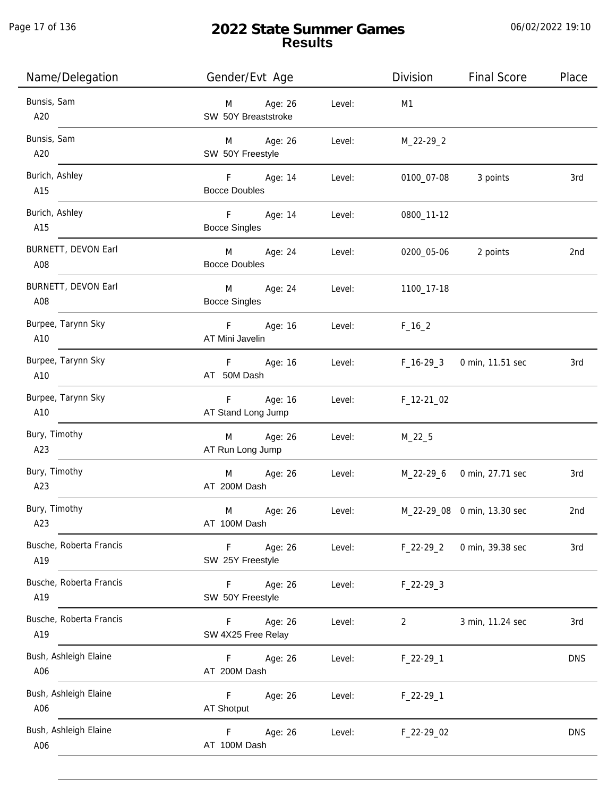| Name/Delegation                | Gender/Evt Age                          |        | Division    | <b>Final Score</b>          | Place      |
|--------------------------------|-----------------------------------------|--------|-------------|-----------------------------|------------|
| Bunsis, Sam<br>A20             | Age: 26<br>M<br>SW 50Y Breaststroke     | Level: | M1          |                             |            |
| Bunsis, Sam<br>A20             | M Age: 26<br>SW 50Y Freestyle           | Level: | M_22-29_2   |                             |            |
| Burich, Ashley<br>A15          | F Age: 14<br><b>Bocce Doubles</b>       | Level: | 0100_07-08  | 3 points                    | 3rd        |
| Burich, Ashley<br>A15          | $-F$<br>Age: 14<br><b>Bocce Singles</b> | Level: | 0800_11-12  |                             |            |
| BURNETT, DEVON Earl<br>A08     | M Age: 24<br><b>Bocce Doubles</b>       | Level: | 0200_05-06  | 2 points                    | 2nd        |
| BURNETT, DEVON Earl<br>A08     | M<br>Age: 24<br><b>Bocce Singles</b>    | Level: | 1100_17-18  |                             |            |
| Burpee, Tarynn Sky<br>A10      | F Age: 16<br>AT Mini Javelin            | Level: | $F_16_2$    |                             |            |
| Burpee, Tarynn Sky<br>A10      | F Age: 16<br>AT 50M Dash                | Level: | $F_16-293$  | 0 min, 11.51 sec            | 3rd        |
| Burpee, Tarynn Sky<br>A10      | F<br>Age: 16<br>AT Stand Long Jump      | Level: | $F_12-2102$ |                             |            |
| Bury, Timothy<br>A23           | Age: 26<br>M<br>AT Run Long Jump        | Level: | $M_22_5$    |                             |            |
| Bury, Timothy<br>A23           | M<br>Age: 26<br>AT 200M Dash            | Level: |             | M_22-29_6 0 min, 27.71 sec  | 3rd        |
| Bury, Timothy<br>A23           | M<br>Age: 26<br>AT 100M Dash            | Level: |             | M_22-29_08 0 min, 13.30 sec | 2nd        |
| Busche, Roberta Francis<br>A19 | F.<br>Age: 26<br>SW 25Y Freestyle       | Level: | $F_22-29_2$ | 0 min, 39.38 sec            | 3rd        |
| Busche, Roberta Francis<br>A19 | Age: 26<br>F.<br>SW 50Y Freestyle       | Level: | $F_22-293$  |                             |            |
| Busche, Roberta Francis<br>A19 | Age: 26<br>F.<br>SW 4X25 Free Relay     | Level: | 2           | 3 min, 11.24 sec            | 3rd        |
| Bush, Ashleigh Elaine<br>A06   | F.<br>Age: 26<br>AT 200M Dash           | Level: | $F_22-29-1$ |                             | <b>DNS</b> |
| Bush, Ashleigh Elaine<br>A06   | F.<br>Age: 26<br><b>AT Shotput</b>      | Level: | $F_22-29-1$ |                             |            |
| Bush, Ashleigh Elaine<br>A06   | F<br>Age: 26<br>AT 100M Dash            | Level: | F_22-29_02  |                             | <b>DNS</b> |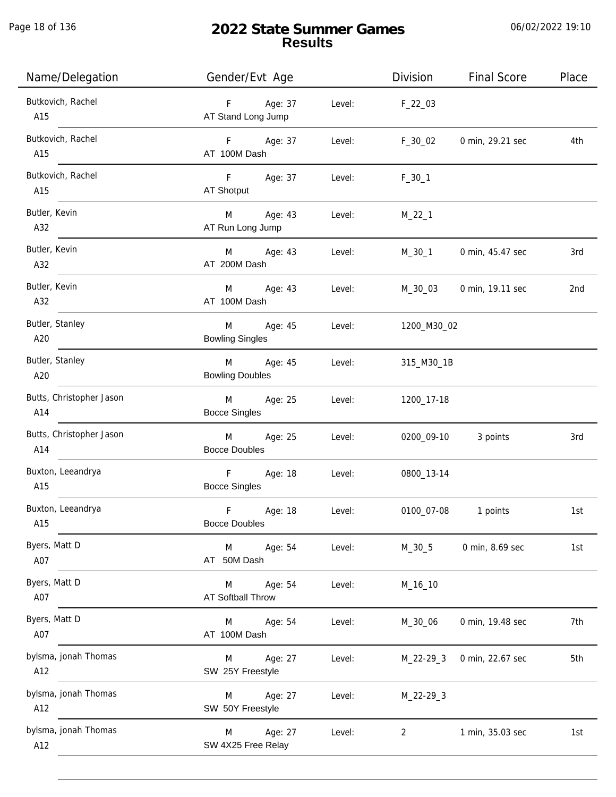Page 18 of 136

# **2022 State Summer Games Results**

| Name/Delegation                 | Gender/Evt Age                                  |        | Division    | <b>Final Score</b> | Place |
|---------------------------------|-------------------------------------------------|--------|-------------|--------------------|-------|
| Butkovich, Rachel<br>A15        | Age: 37<br>F<br>AT Stand Long Jump              | Level: | $F_22_03$   |                    |       |
| Butkovich, Rachel<br>A15        | F Age: 37<br>AT 100M Dash                       | Level: | $F_30_02$   | 0 min, 29.21 sec   | 4th   |
| Butkovich, Rachel<br>A15        | F<br>Age: 37<br>AT Shotput                      | Level: | $F_30_1$    |                    |       |
| Butler, Kevin<br>A32            | M<br>Age: 43<br>AT Run Long Jump                | Level: | $M_22_1$    |                    |       |
| Butler, Kevin<br>A32            | M Age: 43<br>AT 200M Dash                       | Level: | M_30_1      | 0 min, 45.47 sec   | 3rd   |
| Butler, Kevin<br>A32            | Age: 43<br>M<br>AT 100M Dash                    | Level: | M_30_03     | 0 min, 19.11 sec   | 2nd   |
| Butler, Stanley<br>A20          | Age: 45<br>M<br><b>Bowling Singles</b>          | Level: | 1200_M30_02 |                    |       |
| Butler, Stanley<br>A20          | Age: 45<br>M<br><b>Bowling Doubles</b>          | Level: | 315_M30_1B  |                    |       |
| Butts, Christopher Jason<br>A14 | Age: 25<br>M<br><b>Bocce Singles</b>            | Level: | 1200_17-18  |                    |       |
| Butts, Christopher Jason<br>A14 | M<br>Age: 25<br><b>Bocce Doubles</b>            | Level: | 0200_09-10  | 3 points           | 3rd   |
| Buxton, Leeandrya<br>A15        | $\mathsf{F}$<br>Age: 18<br><b>Bocce Singles</b> | Level: | 0800_13-14  |                    |       |
| Buxton, Leeandrya<br>A15        | $\mathsf F$<br>Age: 18<br><b>Bocce Doubles</b>  | Level: | 0100_07-08  | 1 points           | 1st   |
| Byers, Matt D<br>A07            | Age: 54<br>M<br>AT 50M Dash                     | Level: | $M_30_5$    | 0 min, 8.69 sec    | 1st   |
| Byers, Matt D<br>A07            | Age: 54<br>M<br>AT Softball Throw               | Level: | M_16_10     |                    |       |
| Byers, Matt D<br>A07            | Age: 54<br>M<br>AT 100M Dash                    | Level: | M_30_06     | 0 min, 19.48 sec   | 7th   |
| bylsma, jonah Thomas<br>A12     | Age: 27<br>M<br>SW 25Y Freestyle                | Level: | M_22-29_3   | 0 min, 22.67 sec   | 5th   |
| bylsma, jonah Thomas<br>A12     | Age: 27<br>M<br>SW 50Y Freestyle                | Level: | $M_22-29-3$ |                    |       |
| bylsma, jonah Thomas<br>A12     | Age: 27<br>M<br>SW 4X25 Free Relay              | Level: | 2           | 1 min, 35.03 sec   | 1st   |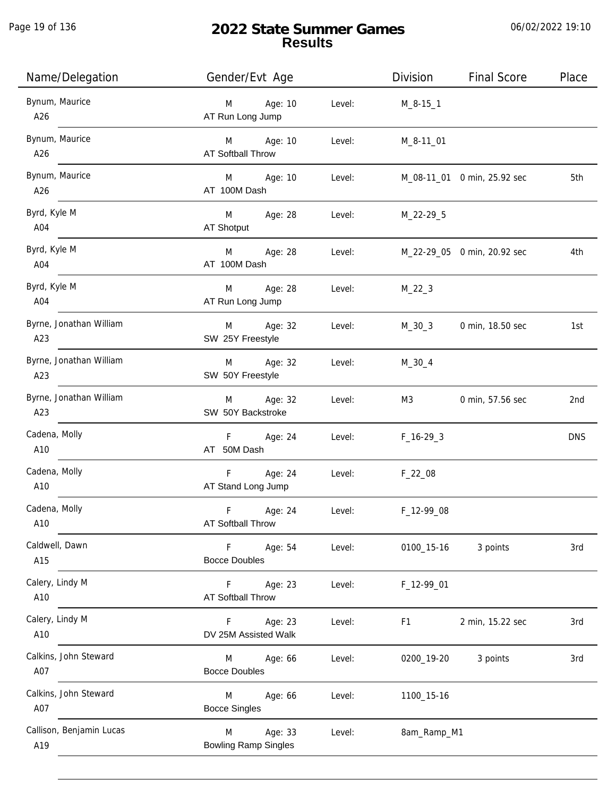Page 19 of 136

j.

# **2022 State Summer Games Results**

| Name/Delegation                 | Gender/Evt Age                              |        | Division    | <b>Final Score</b>          | Place      |
|---------------------------------|---------------------------------------------|--------|-------------|-----------------------------|------------|
| Bynum, Maurice<br>A26           | M<br>Age: 10<br>AT Run Long Jump            | Level: | $M_8-15-1$  |                             |            |
| Bynum, Maurice<br>A26           | M Age: 10<br><b>AT Softball Throw</b>       | Level: | M_8-11_01   |                             |            |
| Bynum, Maurice<br>A26           | M Age: 10<br>AT 100M Dash                   | Level: |             | M_08-11_01 0 min, 25.92 sec | 5th        |
| Byrd, Kyle M<br>A04             | M<br>Age: 28<br>AT Shotput                  | Level: | M_22-29_5   |                             |            |
| Byrd, Kyle M<br>A04             | M<br>Age: 28<br>AT 100M Dash                | Level: |             | M_22-29_05 0 min, 20.92 sec | 4th        |
| Byrd, Kyle M<br>A04             | M Age: 28<br>AT Run Long Jump               | Level: | $M_22_3$    |                             |            |
| Byrne, Jonathan William<br>A23  | M Age: 32<br>SW 25Y Freestyle               | Level: | $M_30_3$    | 0 min, 18.50 sec            | 1st        |
| Byrne, Jonathan William<br>A23  | M Age: 32<br>SW 50Y Freestyle               | Level: | $M_30_4$    |                             |            |
| Byrne, Jonathan William<br>A23  | M Age: 32<br>SW 50Y Backstroke              | Level: | M3          | 0 min, 57.56 sec            | 2nd        |
| Cadena, Molly<br>A10            | F Age: 24<br>AT 50M Dash                    | Level: | $F_16-293$  |                             | <b>DNS</b> |
| Cadena, Molly<br>A10            | Age: 24<br>F<br>AT Stand Long Jump          | Level: | $F_22_08$   |                             |            |
| Cadena, Molly<br>A10            | F<br>Age: 24<br>AT Softball Throw           | Level: | F_12-99_08  |                             |            |
| Caldwell, Dawn<br>A15           | Age: 54<br>F.<br><b>Bocce Doubles</b>       | Level: | 0100_15-16  | 3 points                    | 3rd        |
| Calery, Lindy M<br>A10          | Age: 23<br>F.<br>AT Softball Throw          | Level: | F_12-99_01  |                             |            |
| Calery, Lindy M<br>A10          | Age: 23<br>F.<br>DV 25M Assisted Walk       | Level: | F1          | 2 min, 15.22 sec            | 3rd        |
| Calkins, John Steward<br>A07    | Age: 66<br>M<br><b>Bocce Doubles</b>        | Level: | 0200_19-20  | 3 points                    | 3rd        |
| Calkins, John Steward<br>A07    | Age: 66<br>M<br><b>Bocce Singles</b>        | Level: | 1100_15-16  |                             |            |
| Callison, Benjamin Lucas<br>A19 | Age: 33<br>M<br><b>Bowling Ramp Singles</b> | Level: | 8am_Ramp_M1 |                             |            |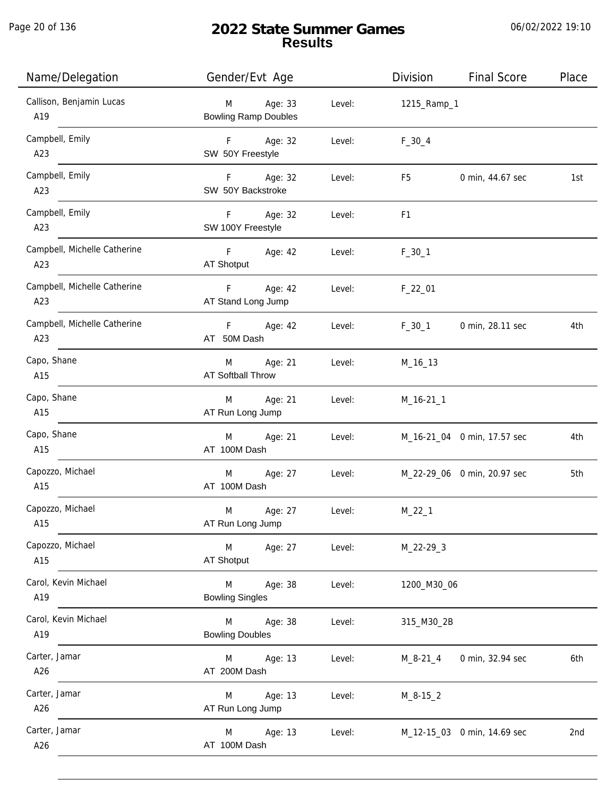| Name/Delegation                     | Gender/Evt Age                              |        | Division       | <b>Final Score</b>          | Place |
|-------------------------------------|---------------------------------------------|--------|----------------|-----------------------------|-------|
| Callison, Benjamin Lucas<br>A19     | Age: 33<br>M<br><b>Bowling Ramp Doubles</b> | Level: | 1215_Ramp_1    |                             |       |
| Campbell, Emily<br>A23              | F Age: 32<br>SW 50Y Freestyle               | Level: | $F_30_4$       |                             |       |
| Campbell, Emily<br>A23              | F Age: 32<br>SW 50Y Backstroke              | Level: | F5             | 0 min, 44.67 sec            | 1st   |
| Campbell, Emily<br>A23              | F Age: 32<br>SW 100Y Freestyle              | Level: | F <sub>1</sub> |                             |       |
| Campbell, Michelle Catherine<br>A23 | F Age: 42<br>AT Shotput                     | Level: | $F_30_1$       |                             |       |
| Campbell, Michelle Catherine<br>A23 | Age: 42<br>F<br>AT Stand Long Jump          | Level: | $F_22_01$      |                             |       |
| Campbell, Michelle Catherine<br>A23 | F<br>Age: 42<br>AT 50M Dash                 | Level: | $F_30_1$       | 0 min, 28.11 sec            | 4th   |
| Capo, Shane<br>A15                  | Age: 21<br>M<br><b>AT Softball Throw</b>    | Level: | M_16_13        |                             |       |
| Capo, Shane<br>A15                  | Age: 21<br>M<br>AT Run Long Jump            | Level: | $M_16-211$     |                             |       |
| Capo, Shane<br>A15                  | Age: 21<br>M<br>AT 100M Dash                | Level: |                | M_16-21_04 0 min, 17.57 sec | 4th   |
| Capozzo, Michael<br>A15             | Age: 27<br>M<br>AT 100M Dash                | Level: |                | M_22-29_06 0 min, 20.97 sec | 5th   |
| Capozzo, Michael<br>A15             | M<br>Age: 27<br>AT Run Long Jump            | Level: | $M_22_1$       |                             |       |
| Capozzo, Michael<br>A15             | Age: 27<br>M<br>AT Shotput                  | Level: | M_22-29_3      |                             |       |
| Carol, Kevin Michael<br>A19         | M<br>Age: 38<br><b>Bowling Singles</b>      | Level: | 1200_M30_06    |                             |       |
| Carol, Kevin Michael<br>A19         | Age: 38<br>M<br><b>Bowling Doubles</b>      | Level: | 315_M30_2B     |                             |       |
| Carter, Jamar<br>A26                | Age: 13<br>M<br>AT 200M Dash                | Level: | $M_8 - 21_4$   | 0 min, 32.94 sec            | 6th   |
| Carter, Jamar<br>A26                | Age: 13<br>M<br>AT Run Long Jump            | Level: | $M_8 - 15_2$   |                             |       |
| Carter, Jamar<br>A26                | Age: 13<br>M<br>AT 100M Dash                | Level: |                | M_12-15_03 0 min, 14.69 sec | 2nd   |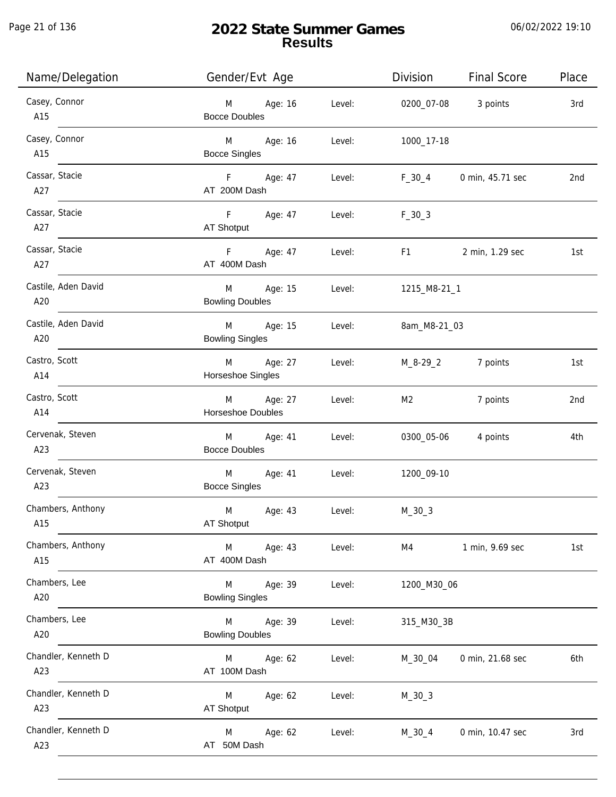Page 21 of 136

j.

# **2022 State Summer Games Results**

| Name/Delegation            | Gender/Evt Age                         |        | Division                                                                                                                                                                                                                       | Final Score         | Place |
|----------------------------|----------------------------------------|--------|--------------------------------------------------------------------------------------------------------------------------------------------------------------------------------------------------------------------------------|---------------------|-------|
| Casey, Connor<br>A15       | M Age: 16<br><b>Bocce Doubles</b>      | Level: |                                                                                                                                                                                                                                | 0200_07-08 3 points | 3rd   |
| Casey, Connor<br>A15       | M Age: 16<br><b>Bocce Singles</b>      | Level: | 1000_17-18                                                                                                                                                                                                                     |                     |       |
| Cassar, Stacie<br>A27      | F Age: 47<br>AT 200M Dash              | Level: | $F_30_4$                                                                                                                                                                                                                       | 0 min, 45.71 sec    | 2nd   |
| Cassar, Stacie<br>A27      | F Age: 47<br>AT Shotput                | Level: | $F_30_3$                                                                                                                                                                                                                       |                     |       |
| Cassar, Stacie<br>A27      | F Age: 47<br>AT 400M Dash              | Level: | F1 and the state of the state of the state of the state of the state of the state of the state of the state of the state of the state of the state of the state of the state of the state of the state of the state of the sta | 2 min, 1.29 sec     | 1st   |
| Castile, Aden David<br>A20 | M Age: 15<br><b>Bowling Doubles</b>    | Level: | 1215_M8-21_1                                                                                                                                                                                                                   |                     |       |
| Castile, Aden David<br>A20 | M Age: 15<br><b>Bowling Singles</b>    | Level: | 8am_M8-21_03                                                                                                                                                                                                                   |                     |       |
| Castro, Scott<br>A14       | M Age: 27<br>Horseshoe Singles         | Level: | M_8-29_2                                                                                                                                                                                                                       | 7 points            | 1st   |
| Castro, Scott<br>A14       | M Age: 27<br>Horseshoe Doubles         | Level: | M <sub>2</sub>                                                                                                                                                                                                                 | 7 points            | 2nd   |
| Cervenak, Steven<br>A23    | M Age: 41<br><b>Bocce Doubles</b>      | Level: |                                                                                                                                                                                                                                | 0300_05-06 4 points | 4th   |
| Cervenak, Steven<br>A23    | M Age: 41<br><b>Bocce Singles</b>      | Level: | 1200_09-10                                                                                                                                                                                                                     |                     |       |
| Chambers, Anthony<br>A15   | M<br>Age: 43<br>AT Shotput             | Level: | $M_30_3$                                                                                                                                                                                                                       |                     |       |
| Chambers, Anthony<br>A15   | M<br>Age: 43<br>AT 400M Dash           | Level: | M4                                                                                                                                                                                                                             | 1 min, 9.69 sec     | 1st   |
| Chambers, Lee<br>A20       | Age: 39<br>M<br><b>Bowling Singles</b> | Level: | 1200_M30_06                                                                                                                                                                                                                    |                     |       |
| Chambers, Lee<br>A20       | M<br>Age: 39<br><b>Bowling Doubles</b> | Level: | 315_M30_3B                                                                                                                                                                                                                     |                     |       |
| Chandler, Kenneth D<br>A23 | Age: 62<br>M<br>AT 100M Dash           | Level: | M_30_04                                                                                                                                                                                                                        | 0 min, 21.68 sec    | 6th   |
| Chandler, Kenneth D<br>A23 | Age: 62<br>M<br>AT Shotput             | Level: | $M_30_3$                                                                                                                                                                                                                       |                     |       |
| Chandler, Kenneth D<br>A23 | Age: 62<br>M<br>AT 50M Dash            | Level: | $M_30_4$                                                                                                                                                                                                                       | 0 min, 10.47 sec    | 3rd   |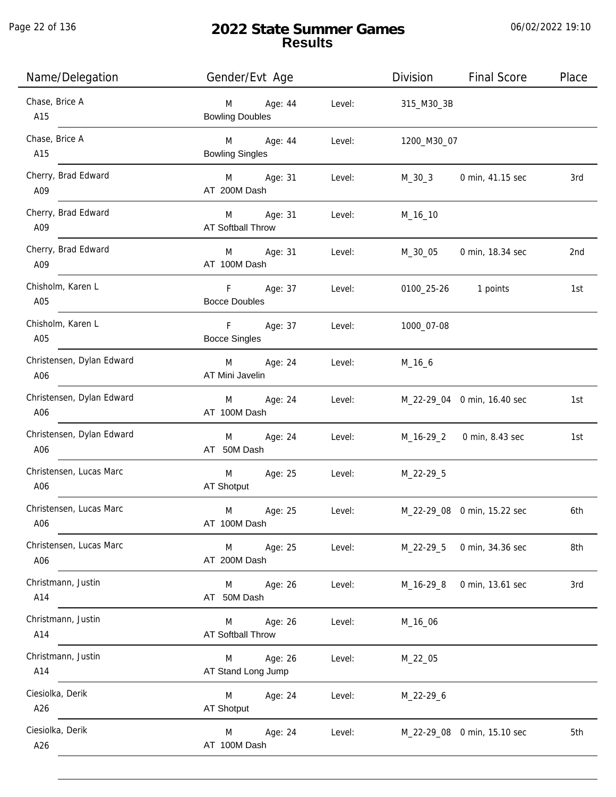Page 22 of 136

j.

# **2022 State Summer Games Results**

| Name/Delegation                  | Gender/Evt Age                                |        | Division    | <b>Final Score</b>          | Place |
|----------------------------------|-----------------------------------------------|--------|-------------|-----------------------------|-------|
| Chase, Brice A<br>A15            | Age: 44<br>M<br><b>Bowling Doubles</b>        | Level: | 315_M30_3B  |                             |       |
| Chase, Brice A<br>A15            | <b>M</b><br>Age: 44<br><b>Bowling Singles</b> | Level: | 1200_M30_07 |                             |       |
| Cherry, Brad Edward<br>A09       | M Age: 31<br>AT 200M Dash                     | Level: | M_30_3      | 0 min, 41.15 sec            | 3rd   |
| Cherry, Brad Edward<br>A09       | M Age: 31<br><b>AT Softball Throw</b>         | Level: | M_16_10     |                             |       |
| Cherry, Brad Edward<br>A09       | M Age: 31<br>AT 100M Dash                     | Level: | M_30_05     | 0 min, 18.34 sec            | 2nd   |
| Chisholm, Karen L<br>A05         | F Age: 37<br><b>Bocce Doubles</b>             | Level: |             | 0100_25-26 1 points         | 1st   |
| Chisholm, Karen L<br>A05         | F Age: 37<br><b>Bocce Singles</b>             | Level: | 1000_07-08  |                             |       |
| Christensen, Dylan Edward<br>A06 | M Age: 24<br>AT Mini Javelin                  | Level: | $M_16_6$    |                             |       |
| Christensen, Dylan Edward<br>A06 | Age: 24<br>M<br>AT 100M Dash                  | Level: |             | M_22-29_04 0 min, 16.40 sec | 1st   |
| Christensen, Dylan Edward<br>A06 | Age: 24<br>M<br>AT 50M Dash                   | Level: | M_16-29_2   | 0 min, 8.43 sec             | 1st   |
| Christensen, Lucas Marc<br>A06   | M<br>Age: 25<br>AT Shotput                    | Level: | M_22-29_5   |                             |       |
| Christensen, Lucas Marc<br>A06   | M<br>Age: 25<br>AT 100M Dash                  | Level: |             | M_22-29_08 0 min, 15.22 sec | 6th   |
| Christensen, Lucas Marc<br>A06   | M <sub>art</sub><br>Age: 25<br>AT 200M Dash   | Level: | M_22-29_5   | 0 min, 34.36 sec            | 8th   |
| Christmann, Justin<br>A14        | M Age: 26<br>AT 50M Dash                      | Level: | M_16-29_8   | 0 min, 13.61 sec            | 3rd   |
| Christmann, Justin<br>A14        | M Age: 26<br><b>AT Softball Throw</b>         | Level: | M_16_06     |                             |       |
| Christmann, Justin<br>A14        | M<br>Age: 26<br>AT Stand Long Jump            | Level: | M_22_05     |                             |       |
| Ciesiolka, Derik<br>A26          | M<br>Age: 24<br>AT Shotput                    | Level: | M_22-29_6   |                             |       |
| Ciesiolka, Derik<br>A26          | Age: 24<br>M<br>AT 100M Dash                  | Level: |             | M_22-29_08 0 min, 15.10 sec | 5th   |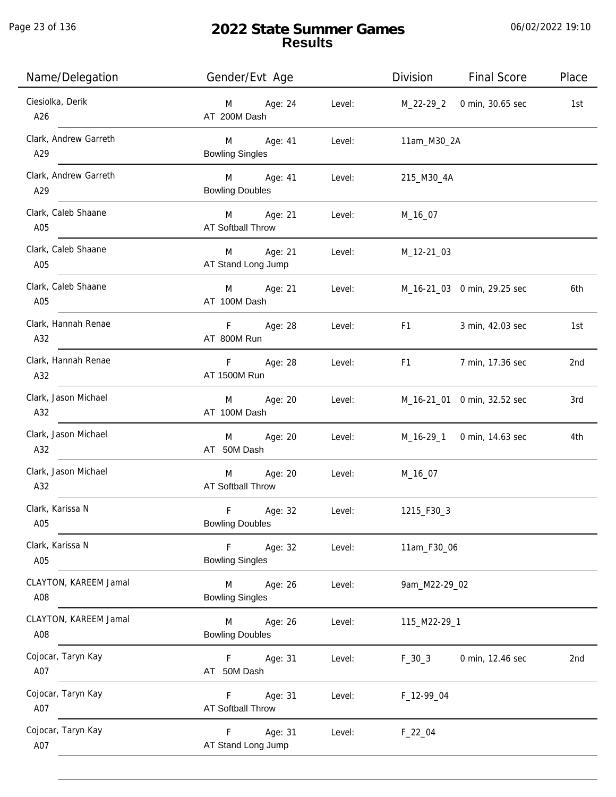| Name/Delegation              | Gender/Evt Age                            |        |                                                                                                                                                                                                                                | Division Final Score               | Place |
|------------------------------|-------------------------------------------|--------|--------------------------------------------------------------------------------------------------------------------------------------------------------------------------------------------------------------------------------|------------------------------------|-------|
| Ciesiolka, Derik<br>A26      | Age: 24<br>M<br>AT 200M Dash              | Level: |                                                                                                                                                                                                                                | M_22-29_2 0 min, 30.65 sec         | 1st   |
| Clark, Andrew Garreth<br>A29 | M Age: 41<br><b>Bowling Singles</b>       | Level: | 11am_M30_2A                                                                                                                                                                                                                    |                                    |       |
| Clark, Andrew Garreth<br>A29 | M Age: 41<br><b>Bowling Doubles</b>       | Level: | 215_M30_4A                                                                                                                                                                                                                     |                                    |       |
| Clark, Caleb Shaane<br>A05   | M Age: 21<br>AT Softball Throw            | Level: | M_16_07                                                                                                                                                                                                                        |                                    |       |
| Clark, Caleb Shaane<br>A05   | M Age: 21<br>AT Stand Long Jump           | Level: | M_12-21_03                                                                                                                                                                                                                     |                                    |       |
| Clark, Caleb Shaane<br>A05   | M Age: 21<br>AT 100M Dash                 |        |                                                                                                                                                                                                                                | Level: M_16-21_03 0 min, 29.25 sec | 6th   |
| Clark, Hannah Renae<br>A32   | F Age: 28<br>AT 800M Run                  | Level: | F1 and the state of the state of the state of the state of the state of the state of the state of the state of the state of the state of the state of the state of the state of the state of the state of the state of the sta | 3 min, 42.03 sec                   | 1st   |
| Clark, Hannah Renae<br>A32   | F Age: 28<br>AT 1500M Run                 |        |                                                                                                                                                                                                                                | Level: F1 7 min, 17.36 sec         | 2nd   |
| Clark, Jason Michael<br>A32  | M Age: 20<br>AT 100M Dash                 | Level: |                                                                                                                                                                                                                                | M_16-21_01 0 min, 32.52 sec        | 3rd   |
| Clark, Jason Michael<br>A32  | M Age: 20<br>AT 50M Dash                  | Level: |                                                                                                                                                                                                                                | M_16-29_1 0 min, 14.63 sec         | 4th   |
| Clark, Jason Michael<br>A32  | Age: 20<br>M<br>AT Softball Throw         | Level: | M_16_07                                                                                                                                                                                                                        |                                    |       |
| Clark, Karissa N<br>A05      | F<br>Age: 32<br><b>Bowling Doubles</b>    | Level: | 1215_F30_3                                                                                                                                                                                                                     |                                    |       |
| Clark, Karissa N<br>A05      | $-F$<br>Age: 32<br><b>Bowling Singles</b> | Level: | 11am_F30_06                                                                                                                                                                                                                    |                                    |       |
| CLAYTON, KAREEM Jamal<br>A08 | M<br>Age: 26<br><b>Bowling Singles</b>    | Level: | 9am_M22-29_02                                                                                                                                                                                                                  |                                    |       |
| CLAYTON, KAREEM Jamal<br>A08 | M<br>Age: 26<br><b>Bowling Doubles</b>    | Level: | 115_M22-29_1                                                                                                                                                                                                                   |                                    |       |
| Cojocar, Taryn Kay<br>A07    | F Age: 31<br>AT 50M Dash                  | Level: | $F_30_3$                                                                                                                                                                                                                       | 0 min, 12.46 sec                   | 2nd   |
| Cojocar, Taryn Kay<br>A07    | F.<br>Age: 31<br><b>AT Softball Throw</b> | Level: | F_12-99_04                                                                                                                                                                                                                     |                                    |       |
| Cojocar, Taryn Kay<br>A07    | Age: 31<br>F.<br>AT Stand Long Jump       | Level: | $F_22_04$                                                                                                                                                                                                                      |                                    |       |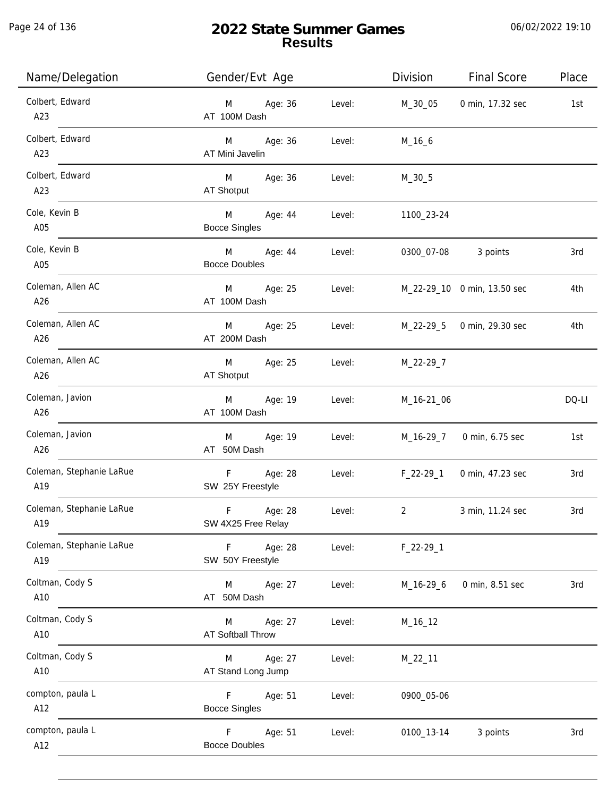| Name/Delegation                 | Gender/Evt Age                                |        | Division       | <b>Final Score</b>          | Place |
|---------------------------------|-----------------------------------------------|--------|----------------|-----------------------------|-------|
| Colbert, Edward<br>A23          | Age: 36<br>M<br>AT 100M Dash                  | Level: | M_30_05        | 0 min, 17.32 sec            | 1st   |
| Colbert, Edward<br>A23          | Age: 36<br>M <sub>ar</sub><br>AT Mini Javelin | Level: | $M_16_6$       |                             |       |
| Colbert, Edward<br>A23          | Age: 36<br>M <sub>ar</sub><br>AT Shotput      | Level: | $M_30_5$       |                             |       |
| Cole, Kevin B<br>A05            | M<br>Age: 44<br><b>Bocce Singles</b>          | Level: | 1100_23-24     |                             |       |
| Cole, Kevin B<br>A05            | M<br>Age: 44<br><b>Bocce Doubles</b>          | Level: |                | 0300_07-08 3 points         | 3rd   |
| Coleman, Allen AC<br>A26        | Age: 25<br>M<br>AT 100M Dash                  | Level: |                | M_22-29_10 0 min, 13.50 sec | 4th   |
| Coleman, Allen AC<br>A26        | Age: 25<br>M<br>AT 200M Dash                  | Level: |                | M_22-29_5 0 min, 29.30 sec  | 4th   |
| Coleman, Allen AC<br>A26        | M<br>Age: 25<br>AT Shotput                    | Level: | M_22-29_7      |                             |       |
| Coleman, Javion<br>A26          | Age: 19<br>M<br>AT 100M Dash                  | Level: | M_16-21_06     |                             | DQ-LI |
| Coleman, Javion<br>A26          | Age: 19<br>M<br>AT 50M Dash                   | Level: | M_16-29_7      | 0 min, 6.75 sec             | 1st   |
| Coleman, Stephanie LaRue<br>A19 | F<br>Age: 28<br>SW 25Y Freestyle              | Level: | $F_22-29-1$    | 0 min, 47.23 sec            | 3rd   |
| Coleman, Stephanie LaRue<br>A19 | $\mathsf F$<br>Age: 28<br>SW 4X25 Free Relay  | Level: | $\overline{2}$ | 3 min, 11.24 sec            | 3rd   |
| Coleman, Stephanie LaRue<br>A19 | Age: 28<br>F<br>SW 50Y Freestyle              | Level: | $F_22-29-1$    |                             |       |
| Coltman, Cody S<br>A10          | Age: 27<br>M<br>AT 50M Dash                   | Level: | M_16-29_6      | 0 min, 8.51 sec             | 3rd   |
| Coltman, Cody S<br>A10          | Age: 27<br>M<br>AT Softball Throw             | Level: | M_16_12        |                             |       |
| Coltman, Cody S<br>A10          | Age: 27<br>M<br>AT Stand Long Jump            | Level: | M_22_11        |                             |       |
| compton, paula L<br>A12         | F.<br>Age: 51<br><b>Bocce Singles</b>         | Level: | 0900_05-06     |                             |       |
| compton, paula L<br>A12         | Age: 51<br>F.<br><b>Bocce Doubles</b>         | Level: | 0100_13-14     | 3 points                    | 3rd   |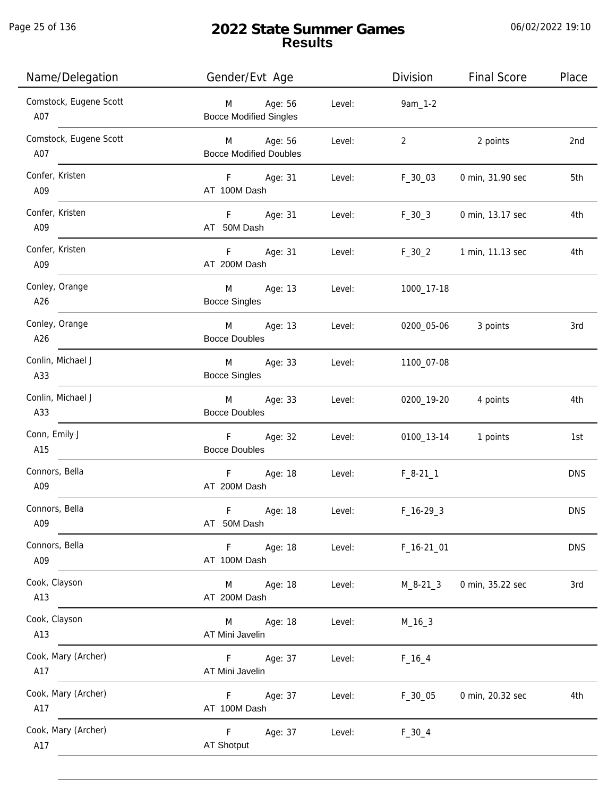Page 25 of 136

j.

# **2022 State Summer Games Results**

| Name/Delegation               | Gender/Evt Age                                         |        | Division       | <b>Final Score</b> | Place      |
|-------------------------------|--------------------------------------------------------|--------|----------------|--------------------|------------|
| Comstock, Eugene Scott<br>A07 | Age: 56<br>M<br><b>Bocce Modified Singles</b>          | Level: | 9am_1-2        |                    |            |
| Comstock, Eugene Scott<br>A07 | Age: 56<br>$M \sim 1$<br><b>Bocce Modified Doubles</b> | Level: | $\overline{2}$ | 2 points           | 2nd        |
| Confer, Kristen<br>A09        | F Age: 31<br>AT 100M Dash                              | Level: | $F_30_03$      | 0 min, 31.90 sec   | 5th        |
| Confer, Kristen<br>A09        | F<br>Age: 31<br>AT 50M Dash                            | Level: | $F_30_3$       | 0 min, 13.17 sec   | 4th        |
| Confer, Kristen<br>A09        | F<br>Age: 31<br>AT 200M Dash                           | Level: | $F_30_2$       | 1 min, 11.13 sec   | 4th        |
| Conley, Orange<br>A26         | M<br>Age: 13<br><b>Bocce Singles</b>                   | Level: | 1000_17-18     |                    |            |
| Conley, Orange<br>A26         | M<br>Age: 13<br><b>Bocce Doubles</b>                   | Level: | 0200_05-06     | 3 points           | 3rd        |
| Conlin, Michael J<br>A33      | Age: 33<br>M<br><b>Bocce Singles</b>                   | Level: | 1100_07-08     |                    |            |
| Conlin, Michael J<br>A33      | M<br>Age: 33<br><b>Bocce Doubles</b>                   | Level: | 0200_19-20     | 4 points           | 4th        |
| Conn, Emily J<br>A15          | F<br>Age: 32<br><b>Bocce Doubles</b>                   | Level: | 0100_13-14     | 1 points           | 1st        |
| Connors, Bella<br>A09         | F<br>Age: 18<br>AT 200M Dash                           | Level: | $F_8-21$ 1     |                    | <b>DNS</b> |
| Connors, Bella<br>A09         | F<br>Age: 18<br>AT 50M Dash                            | Level: | $F_{16-29-3}$  |                    | <b>DNS</b> |
| Connors, Bella<br>A09         | Age: 18<br>F.<br>AT 100M Dash                          | Level: | $F_16-2101$    |                    | <b>DNS</b> |
| Cook, Clayson<br>A13          | M<br>Age: 18<br>AT 200M Dash                           | Level: | $M_8 - 21 - 3$ | 0 min, 35.22 sec   | 3rd        |
| Cook, Clayson<br>A13          | Age: 18<br>M<br>AT Mini Javelin                        | Level: | $M_16_3$       |                    |            |
| Cook, Mary (Archer)<br>A17    | Age: 37<br>F<br>AT Mini Javelin                        | Level: | $F_{16-4}$     |                    |            |
| Cook, Mary (Archer)<br>A17    | Age: 37<br>F.<br>AT 100M Dash                          | Level: | $F_30_05$      | 0 min, 20.32 sec   | 4th        |
| Cook, Mary (Archer)<br>A17    | F<br>Age: 37<br><b>AT Shotput</b>                      | Level: | $F_30_4$       |                    |            |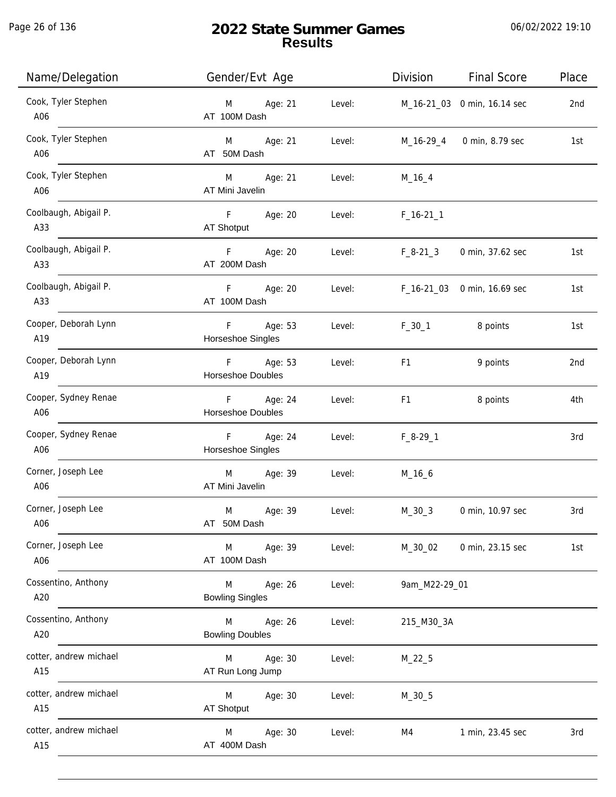Page 26 of 136

| Name/Delegation               | Gender/Evt Age                             | <b>Final Score</b><br>Division           | Place |
|-------------------------------|--------------------------------------------|------------------------------------------|-------|
| Cook, Tyler Stephen<br>A06    | Age: 21<br>M<br>AT 100M Dash               | Level:<br>M_16-21_03 0 min, 16.14 sec    | 2nd   |
| Cook, Tyler Stephen<br>A06    | M Age: 21<br>AT 50M Dash                   | Level:<br>0 min, 8.79 sec<br>M_16-29_4   | 1st   |
| Cook, Tyler Stephen<br>A06    | M Age: 21<br>AT Mini Javelin               | Level:<br>$M_16_4$                       |       |
| Coolbaugh, Abigail P.<br>A33  | F Age: 20<br>AT Shotput                    | Level:<br>$F_16-211$                     |       |
| Coolbaugh, Abigail P.<br>A33  | F <sub>12</sub><br>Age: 20<br>AT 200M Dash | Level:<br>$F_8-21_3$<br>0 min, 37.62 sec | 1st   |
| Coolbaugh, Abigail P.<br>A33  | F<br>Age: 20<br>AT 100M Dash               | Level:<br>F_16-21_03 0 min, 16.69 sec    | 1st   |
| Cooper, Deborah Lynn<br>A19   | F<br>Age: 53<br>Horseshoe Singles          | $F_30_1$<br>8 points<br>Level:           | 1st   |
| Cooper, Deborah Lynn<br>A19   | F Age: 53<br>Horseshoe Doubles             | Level:<br>F1<br>9 points                 | 2nd   |
| Cooper, Sydney Renae<br>A06   | F Age: 24<br>Horseshoe Doubles             | Level:<br>F <sub>1</sub><br>8 points     | 4th   |
| Cooper, Sydney Renae<br>A06   | Age: 24<br>F<br>Horseshoe Singles          | Level:<br>$F_8-29-1$                     | 3rd   |
| Corner, Joseph Lee<br>A06     | Age: 39<br>M<br>AT Mini Javelin            | Level:<br>$M_16_6$                       |       |
| Corner, Joseph Lee<br>A06     | M<br>Age: 39<br>AT 50M Dash                | $M_30_3$<br>Level:<br>0 min, 10.97 sec   | 3rd   |
| Corner, Joseph Lee<br>A06     | M<br>Age: 39<br>AT 100M Dash               | Level:<br>M_30_02<br>0 min, 23.15 sec    | 1st   |
| Cossentino, Anthony<br>A20    | M<br>Age: 26<br><b>Bowling Singles</b>     | Level:<br>9am_M22-29_01                  |       |
| Cossentino, Anthony<br>A20    | M<br>Age: 26<br><b>Bowling Doubles</b>     | Level:<br>215_M30_3A                     |       |
| cotter, andrew michael<br>A15 | Age: 30<br>M<br>AT Run Long Jump           | Level:<br>$M_22_5$                       |       |
| cotter, andrew michael<br>A15 | Age: 30<br>M<br>AT Shotput                 | Level:<br>$M_30_5$                       |       |
| cotter, andrew michael<br>A15 | Age: 30<br>M<br>AT 400M Dash               | Level:<br>M4<br>1 min, 23.45 sec         | 3rd   |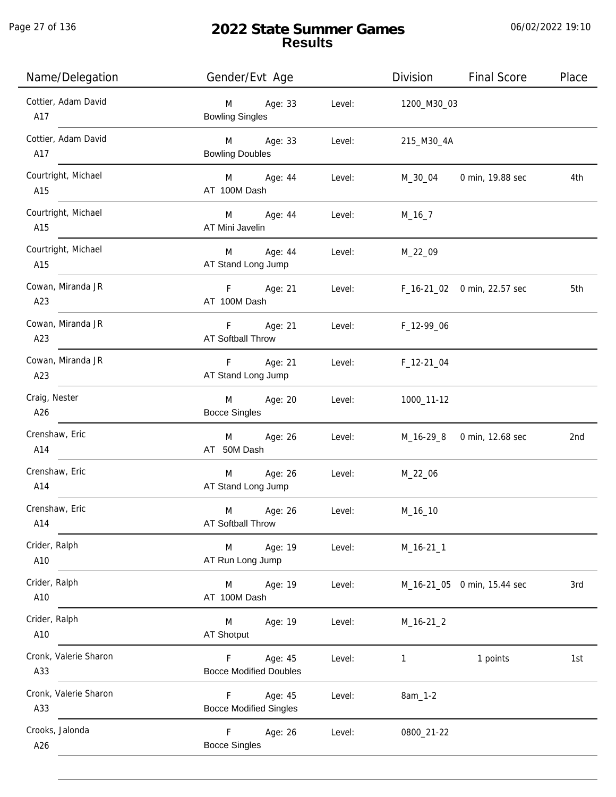Page 27 of 136

j.

# **2022 State Summer Games Results**

| Name/Delegation              | Gender/Evt Age                                 |        | Division     | <b>Final Score</b>          | Place |
|------------------------------|------------------------------------------------|--------|--------------|-----------------------------|-------|
| Cottier, Adam David<br>A17   | M<br>Age: 33<br><b>Bowling Singles</b>         | Level: | 1200_M30_03  |                             |       |
| Cottier, Adam David<br>A17   | Age: 33<br>M<br><b>Bowling Doubles</b>         | Level: | 215_M30_4A   |                             |       |
| Courtright, Michael<br>A15   | M<br>Age: 44<br>AT 100M Dash                   | Level: | M_30_04      | 0 min, 19.88 sec            | 4th   |
| Courtright, Michael<br>A15   | M<br>Age: 44<br>AT Mini Javelin                | Level: | $M_16_7$     |                             |       |
| Courtright, Michael<br>A15   | M<br>Age: 44<br>AT Stand Long Jump             | Level: | M_22_09      |                             |       |
| Cowan, Miranda JR<br>A23     | F<br>Age: 21<br>AT 100M Dash                   | Level: |              | F_16-21_02 0 min, 22.57 sec | 5th   |
| Cowan, Miranda JR<br>A23     | F.<br>Age: 21<br><b>AT Softball Throw</b>      | Level: | F_12-99_06   |                             |       |
| Cowan, Miranda JR<br>A23     | F.<br>Age: 21<br>AT Stand Long Jump            | Level: | $F_12-21_04$ |                             |       |
| Craig, Nester<br>A26         | M<br>Age: 20<br><b>Bocce Singles</b>           | Level: | 1000_11-12   |                             |       |
| Crenshaw, Eric<br>A14        | Age: 26<br>M<br>AT 50M Dash                    | Level: | M_16-29_8    | 0 min, 12.68 sec            | 2nd   |
| Crenshaw, Eric<br>A14        | Age: 26<br>M<br>AT Stand Long Jump             | Level: | M_22_06      |                             |       |
| Crenshaw, Eric<br>A14        | M<br>Age: 26<br>AT Softball Throw              | Level: | M_16_10      |                             |       |
| Crider, Ralph<br>A10         | M<br>Age: 19<br>AT Run Long Jump               | Level: | $M_16-21_1$  |                             |       |
| Crider, Ralph<br>A10         | M<br>Age: 19<br>AT 100M Dash                   | Level: |              | M_16-21_05 0 min, 15.44 sec | 3rd   |
| Crider, Ralph<br>A10         | M<br>Age: 19<br><b>AT Shotput</b>              | Level: | $M_16-21_2$  |                             |       |
| Cronk, Valerie Sharon<br>A33 | Age: 45<br>F<br><b>Bocce Modified Doubles</b>  | Level: | 1            | 1 points                    | 1st   |
| Cronk, Valerie Sharon<br>A33 | F.<br>Age: 45<br><b>Bocce Modified Singles</b> | Level: | 8am_1-2      |                             |       |
| Crooks, Jalonda<br>A26       | F<br>Age: 26<br><b>Bocce Singles</b>           | Level: | 0800_21-22   |                             |       |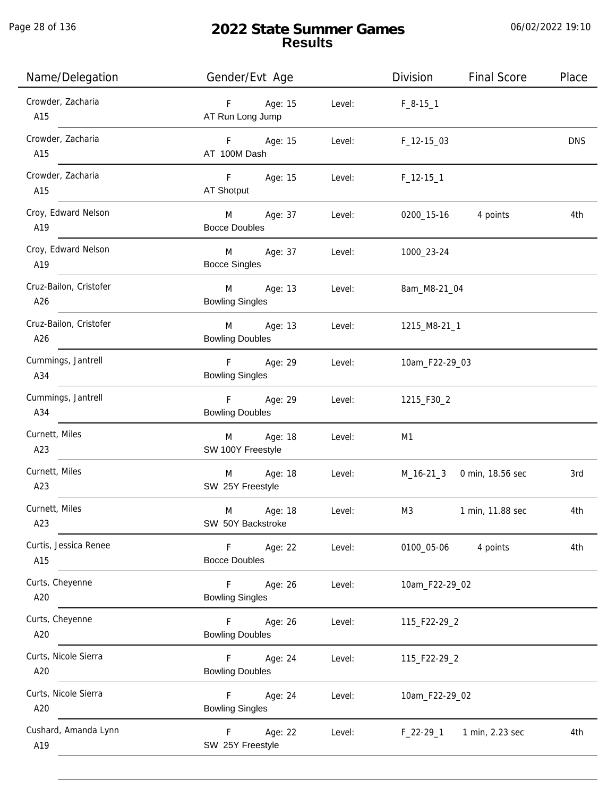| Name/Delegation               | Gender/Evt Age                          |        | Division        | <b>Final Score</b>         | Place      |
|-------------------------------|-----------------------------------------|--------|-----------------|----------------------------|------------|
| Crowder, Zacharia<br>A15      | Age: 15<br>F<br>AT Run Long Jump        | Level: | $F_8-15-1$      |                            |            |
| Crowder, Zacharia<br>A15      | F Age: 15<br>AT 100M Dash               | Level: | $F_12-1503$     |                            | <b>DNS</b> |
| Crowder, Zacharia<br>A15      | F<br>Age: 15<br>AT Shotput              | Level: | $F_1$ 12-15 $1$ |                            |            |
| Croy, Edward Nelson<br>A19    | M<br>Age: 37<br><b>Bocce Doubles</b>    | Level: | 0200_15-16      | 4 points                   | 4th        |
| Croy, Edward Nelson<br>A19    | M<br>Age: 37<br><b>Bocce Singles</b>    | Level: | 1000_23-24      |                            |            |
| Cruz-Bailon, Cristofer<br>A26 | M<br>Age: 13<br><b>Bowling Singles</b>  | Level: | 8am_M8-21_04    |                            |            |
| Cruz-Bailon, Cristofer<br>A26 | M<br>Age: 13<br><b>Bowling Doubles</b>  | Level: | 1215_M8-21_1    |                            |            |
| Cummings, Jantrell<br>A34     | F<br>Age: 29<br><b>Bowling Singles</b>  | Level: | 10am_F22-29_03  |                            |            |
| Cummings, Jantrell<br>A34     | F<br>Age: 29<br><b>Bowling Doubles</b>  | Level: | 1215_F30_2      |                            |            |
| Curnett, Miles<br>A23         | Age: 18<br>M<br>SW 100Y Freestyle       | Level: | M1              |                            |            |
| Curnett, Miles<br>A23         | Age: 18<br>M<br>SW 25Y Freestyle        | Level: |                 | M_16-21_3 0 min, 18.56 sec | 3rd        |
| Curnett, Miles<br>A23         | M<br>Age: 18<br>SW 50Y Backstroke       | Level: | M3              | 1 min, 11.88 sec           | 4th        |
| Curtis, Jessica Renee<br>A15  | F<br>Age: 22<br><b>Bocce Doubles</b>    | Level: | 0100_05-06      | 4 points                   | 4th        |
| Curts, Cheyenne<br>A20        | F<br>Age: 26<br><b>Bowling Singles</b>  | Level: | 10am_F22-29_02  |                            |            |
| Curts, Cheyenne<br>A20        | Age: 26<br>F.<br><b>Bowling Doubles</b> | Level: | 115_F22-29_2    |                            |            |
| Curts, Nicole Sierra<br>A20   | Age: 24<br>F.<br><b>Bowling Doubles</b> | Level: | 115_F22-29_2    |                            |            |
| Curts, Nicole Sierra<br>A20   | F.<br>Age: 24<br><b>Bowling Singles</b> | Level: | 10am_F22-29_02  |                            |            |
| Cushard, Amanda Lynn<br>A19   | Age: 22<br>F<br>SW 25Y Freestyle        | Level: | $F_22-29-1$     | 1 min, 2.23 sec            | 4th        |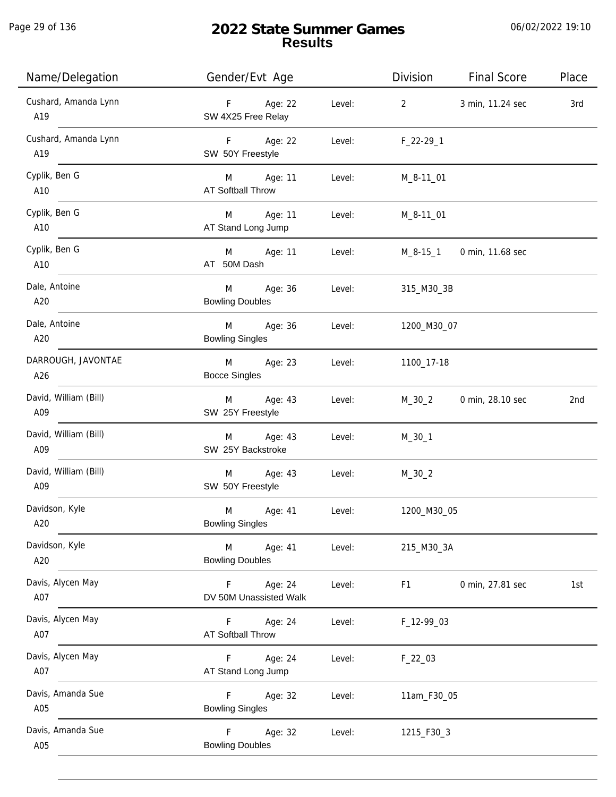Page 29 of 136

| Name/Delegation              | Gender/Evt Age                                   |        | Division       | <b>Final Score</b> | Place |
|------------------------------|--------------------------------------------------|--------|----------------|--------------------|-------|
| Cushard, Amanda Lynn<br>A19  | F Age: 22<br>SW 4X25 Free Relay                  | Level: | $\overline{2}$ | 3 min, 11.24 sec   | 3rd   |
| Cushard, Amanda Lynn<br>A19  | F Age: 22<br>SW 50Y Freestyle                    | Level: | $F_22-29-1$    |                    |       |
| Cyplik, Ben G<br>A10         | M Age: 11<br><b>AT Softball Throw</b>            | Level: | M_8-11_01      |                    |       |
| Cyplik, Ben G<br>A10         | M Age: 11<br>AT Stand Long Jump                  | Level: | M_8-11_01      |                    |       |
| Cyplik, Ben G<br>A10         | M Age: 11<br>AT 50M Dash                         | Level: | M_8-15_1       | 0 min, 11.68 sec   |       |
| Dale, Antoine<br>A20         | M Age: 36<br><b>Bowling Doubles</b>              | Level: | 315_M30_3B     |                    |       |
| Dale, Antoine<br>A20         | M Age: 36<br><b>Bowling Singles</b>              | Level: | 1200_M30_07    |                    |       |
| DARROUGH, JAVONTAE<br>A26    | M Age: 23<br><b>Bocce Singles</b>                | Level: | 1100_17-18     |                    |       |
| David, William (Bill)<br>A09 | Age: 43<br>M<br>SW 25Y Freestyle                 | Level: | $M_30_2$       | 0 min, 28.10 sec   | 2nd   |
| David, William (Bill)<br>A09 | Age: 43<br>M<br>SW 25Y Backstroke                | Level: | $M_30_1$       |                    |       |
| David, William (Bill)<br>A09 | Age: 43<br>M<br>SW 50Y Freestyle                 | Level: | $M_30_2$       |                    |       |
| Davidson, Kyle<br>A20        | M<br>Age: 41<br><b>Bowling Singles</b>           | Level: | 1200_M30_05    |                    |       |
| Davidson, Kyle<br>A20        | M<br>Age: 41<br><b>Bowling Doubles</b>           | Level: | 215_M30_3A     |                    |       |
| Davis, Alycen May<br>A07     | Age: 24<br>$\mathsf F$<br>DV 50M Unassisted Walk | Level: | F1             | 0 min, 27.81 sec   | 1st   |
| Davis, Alycen May<br>A07     | F<br>Age: 24<br><b>AT Softball Throw</b>         | Level: | F_12-99_03     |                    |       |
| Davis, Alycen May<br>A07     | F<br>Age: 24<br>AT Stand Long Jump               | Level: | $F_22_03$      |                    |       |
| Davis, Amanda Sue<br>A05     | F<br>Age: 32<br><b>Bowling Singles</b>           | Level: | 11am_F30_05    |                    |       |
| Davis, Amanda Sue<br>A05     | F.<br>Age: 32<br><b>Bowling Doubles</b>          | Level: | 1215_F30_3     |                    |       |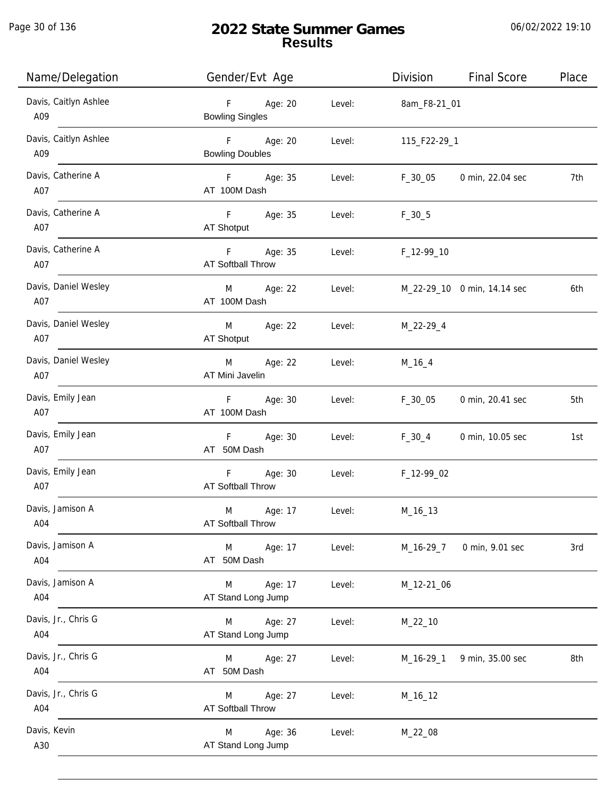Page 30 of 136

j.

# **2022 State Summer Games Results**

| Name/Delegation              | Gender/Evt Age                                 |        | Division     | <b>Final Score</b>          | Place |
|------------------------------|------------------------------------------------|--------|--------------|-----------------------------|-------|
| Davis, Caitlyn Ashlee<br>A09 | $F =$<br>Age: 20<br><b>Bowling Singles</b>     | Level: | 8am_F8-21_01 |                             |       |
| Davis, Caitlyn Ashlee<br>A09 | F Age: 20<br><b>Bowling Doubles</b>            | Level: | 115_F22-29_1 |                             |       |
| Davis, Catherine A<br>A07    | F Age: 35<br>AT 100M Dash                      | Level: | F_30_05      | 0 min, 22.04 sec            | 7th   |
| Davis, Catherine A<br>A07    | F Age: 35<br>AT Shotput                        | Level: | $F_30_5$     |                             |       |
| Davis, Catherine A<br>A07    | $F = 1$<br>Age: 35<br><b>AT Softball Throw</b> | Level: | F_12-99_10   |                             |       |
| Davis, Daniel Wesley<br>A07  | M Age: 22<br>AT 100M Dash                      | Level: |              | M_22-29_10 0 min, 14.14 sec | 6th   |
| Davis, Daniel Wesley<br>A07  | M Age: 22<br>AT Shotput                        | Level: | M_22-29_4    |                             |       |
| Davis, Daniel Wesley<br>A07  | Age: 22<br>M<br>AT Mini Javelin                | Level: | $M_16_4$     |                             |       |
| Davis, Emily Jean<br>A07     | F Age: 30<br>AT 100M Dash                      | Level: | $F_30_05$    | 0 min, 20.41 sec            | 5th   |
| Davis, Emily Jean<br>A07     | F Age: 30<br>AT 50M Dash                       | Level: | $F_30_4$     | 0 min, 10.05 sec            | 1st   |
| Davis, Emily Jean<br>A07     | <b>F</b> Age: 30<br>AT Softball Throw          | Level: | F_12-99_02   |                             |       |
| Davis, Jamison A<br>A04      | M<br>Age: 17<br>AT Softball Throw              | Level: | M_16_13      |                             |       |
| Davis, Jamison A<br>A04      | M<br>Age: 17<br>AT 50M Dash                    | Level: | M_16-29_7    | 0 min, 9.01 sec             | 3rd   |
| Davis, Jamison A<br>A04      | Age: 17<br>M<br>AT Stand Long Jump             | Level: | M_12-21_06   |                             |       |
| Davis, Jr., Chris G<br>A04   | Age: 27<br>M<br>AT Stand Long Jump             | Level: | $M_22_10$    |                             |       |
| Davis, Jr., Chris G<br>A04   | Age: 27<br>M<br>AT 50M Dash                    | Level: | $M_16-29_1$  | 9 min, 35.00 sec            | 8th   |
| Davis, Jr., Chris G<br>A04   | Age: 27<br>M<br><b>AT Softball Throw</b>       | Level: | M_16_12      |                             |       |
| Davis, Kevin<br>A30          | Age: 36<br>M<br>AT Stand Long Jump             | Level: | M_22_08      |                             |       |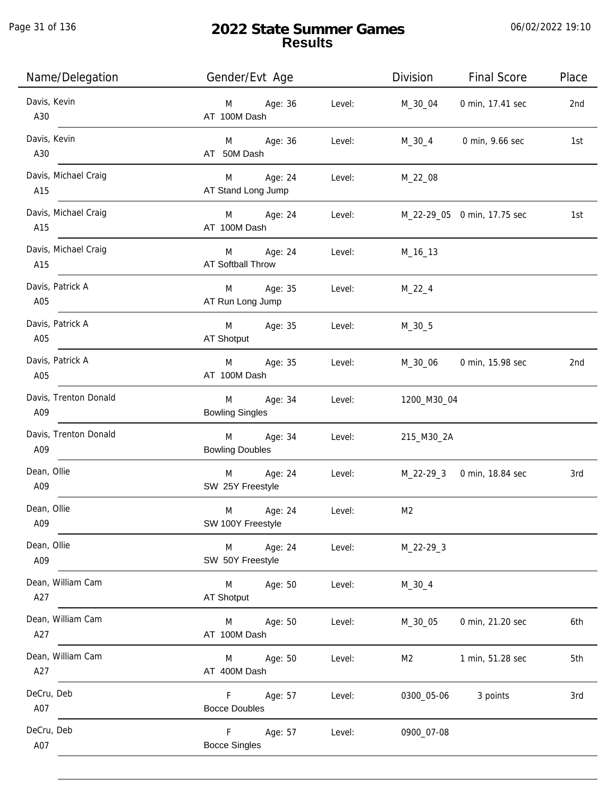Page 31 of 136

| Name/Delegation              | Gender/Evt Age                                   | Division<br><b>Final Score</b>     | Place |
|------------------------------|--------------------------------------------------|------------------------------------|-------|
| Davis, Kevin<br>A30          | Age: 36<br>Level:<br>M<br>AT 100M Dash           | 0 min, 17.41 sec<br>$M_30_04$      | 2nd   |
| Davis, Kevin<br>A30          | M Age: 36<br>Level:<br>AT 50M Dash               | 0 min, 9.66 sec<br>M_30_4          | 1st   |
| Davis, Michael Craig<br>A15  | M Age: 24<br>Level:<br>AT Stand Long Jump        | $M_22_08$                          |       |
| Davis, Michael Craig<br>A15  | M Age: 24<br>AT 100M Dash                        | Level: M_22-29_05 0 min, 17.75 sec | 1st   |
| Davis, Michael Craig<br>A15  | M Age: 24<br>Level:<br>AT Softball Throw         | M_16_13                            |       |
| Davis, Patrick A<br>A05      | M Age: 35<br>AT Run Long Jump                    | Level: M_22_4                      |       |
| Davis, Patrick A<br>A05      | M<br>Age: 35<br>Level:<br>AT Shotput             | $M_30_5$                           |       |
| Davis, Patrick A<br>A05      | M Age: 35<br>Level:<br>AT 100M Dash              | M_30_06 0 min, 15.98 sec           | 2nd   |
| Davis, Trenton Donald<br>A09 | M<br>Age: 34<br>Level:<br><b>Bowling Singles</b> | 1200_M30_04                        |       |
| Davis, Trenton Donald<br>A09 | M<br>Age: 34<br>Level:<br><b>Bowling Doubles</b> | 215_M30_2A                         |       |
| Dean, Ollie<br>A09           | M<br>Age: 24<br>Level:<br>SW 25Y Freestyle       | M_22-29_3 0 min, 18.84 sec         | 3rd   |
| Dean, Ollie<br>A09           | M<br>Age: 24<br>Level:<br>SW 100Y Freestyle      | M <sub>2</sub>                     |       |
| Dean, Ollie<br>A09           | Age: 24<br>Level:<br>M<br>SW 50Y Freestyle       | $M_22-29-3$                        |       |
| Dean, William Cam<br>A27     | M<br>Age: 50<br>Level:<br>AT Shotput             | $M_30_4$                           |       |
| Dean, William Cam<br>A27     | Age: 50<br>Level:<br>M<br>AT 100M Dash           | M_30_05<br>0 min, 21.20 sec        | 6th   |
| Dean, William Cam<br>A27     | Age: 50<br>Level:<br>M<br>AT 400M Dash           | 1 min, 51.28 sec<br>M2             | 5th   |
| DeCru, Deb<br>A07            | F.<br>Age: 57<br>Level:<br><b>Bocce Doubles</b>  | 0300_05-06<br>3 points             | 3rd   |
| DeCru, Deb<br>A07            | F<br>Age: 57<br>Level:<br><b>Bocce Singles</b>   | 0900_07-08                         |       |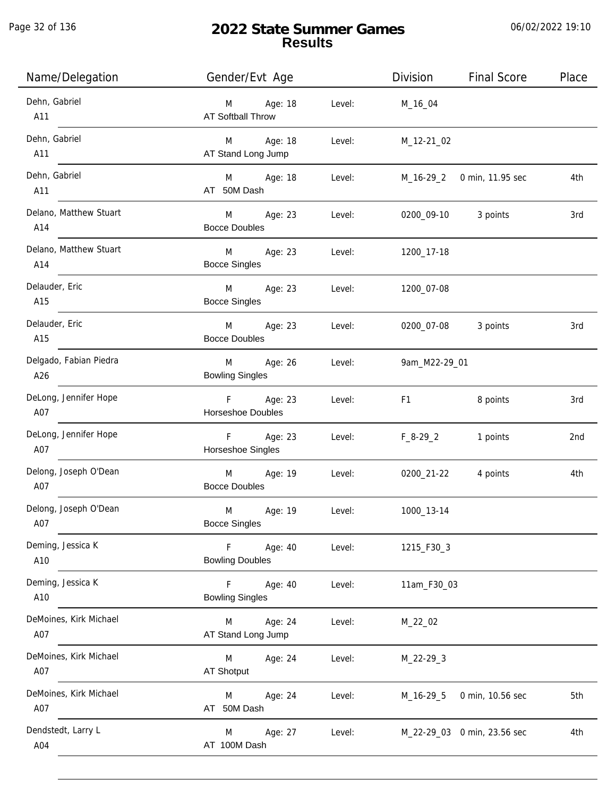j.

# **2022 State Summer Games Results**

| Name/Delegation               | Gender/Evt Age                                               | Division            | <b>Final Score</b>          | Place |
|-------------------------------|--------------------------------------------------------------|---------------------|-----------------------------|-------|
| Dehn, Gabriel<br>A11          | Age: 18<br>Level:<br>M<br><b>AT Softball Throw</b>           | M_16_04             |                             |       |
| Dehn, Gabriel<br>A11          | M Age: 18<br>Level:<br>AT Stand Long Jump                    | M_12-21_02          |                             |       |
| Dehn, Gabriel<br>A11          | M Age: 18<br>Level:<br>AT 50M Dash                           |                     | M_16-29_2 0 min, 11.95 sec  | 4th   |
| Delano, Matthew Stuart<br>A14 | M <sub>ar</sub><br>Age: 23<br>Level:<br><b>Bocce Doubles</b> | 0200_09-10 3 points |                             | 3rd   |
| Delano, Matthew Stuart<br>A14 | M <sub>ar</sub><br>Age: 23<br>Level:<br><b>Bocce Singles</b> | 1200_17-18          |                             |       |
| Delauder, Eric<br>A15         | M <sub>ar</sub><br>Age: 23<br>Level:<br><b>Bocce Singles</b> | 1200_07-08          |                             |       |
| Delauder, Eric<br>A15         | M<br>Age: 23<br>Level:<br><b>Bocce Doubles</b>               | 0200_07-08          | 3 points                    | 3rd   |
| Delgado, Fabian Piedra<br>A26 | Age: 26<br>M<br>Level:<br><b>Bowling Singles</b>             | 9am_M22-29_01       |                             |       |
| DeLong, Jennifer Hope<br>A07  | F Age: 23<br>Level:<br>Horseshoe Doubles                     | F1                  | 8 points                    | 3rd   |
| DeLong, Jennifer Hope<br>A07  | F Age: 23<br>Level:<br>Horseshoe Singles                     | $F_8-29_2$          | 1 points                    | 2nd   |
| Delong, Joseph O'Dean<br>A07  | M Age: 19<br>Level:<br><b>Bocce Doubles</b>                  | 0200_21-22          | 4 points                    | 4th   |
| Delong, Joseph O'Dean<br>A07  | M<br>Age: 19<br>Level:<br><b>Bocce Singles</b>               | 1000_13-14          |                             |       |
| Deming, Jessica K<br>A10      | Age: 40<br>F<br>Level:<br><b>Bowling Doubles</b>             | 1215_F30_3          |                             |       |
| Deming, Jessica K<br>A10      | F<br>Age: 40<br>Level:<br><b>Bowling Singles</b>             | 11am_F30_03         |                             |       |
| DeMoines, Kirk Michael<br>A07 | Age: 24<br>Level:<br>M<br>AT Stand Long Jump                 | M_22_02             |                             |       |
| DeMoines, Kirk Michael<br>A07 | M<br>Age: 24<br>Level:<br><b>AT Shotput</b>                  | $M_22-29-3$         |                             |       |
| DeMoines, Kirk Michael<br>A07 | Age: 24<br>Level:<br>M<br>AT 50M Dash                        | $M_16-29-5$         | 0 min, 10.56 sec            | 5th   |
| Dendstedt, Larry L<br>A04     | Age: 27<br>M<br>Level:<br>AT 100M Dash                       |                     | M_22-29_03 0 min, 23.56 sec | 4th   |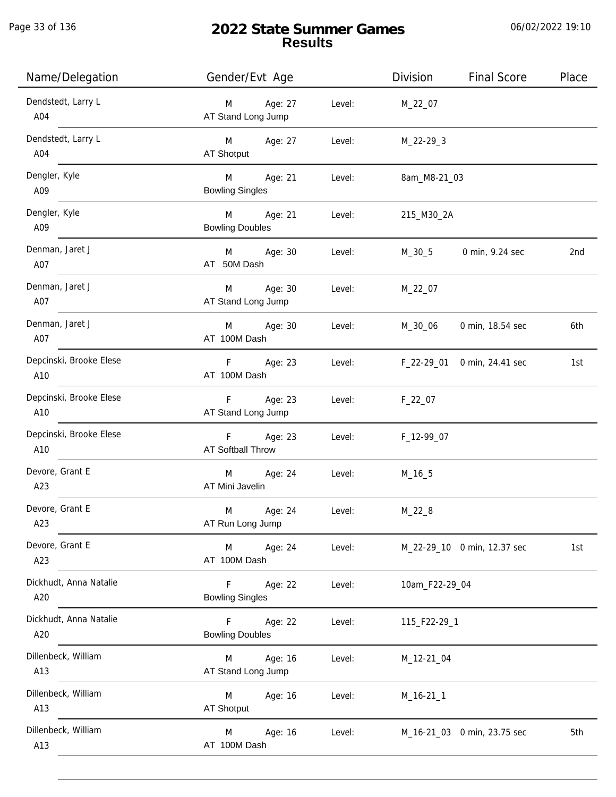j.

# **2022 State Summer Games Results**

| Name/Delegation                | Gender/Evt Age                          |        | Division       | <b>Final Score</b>          | Place |
|--------------------------------|-----------------------------------------|--------|----------------|-----------------------------|-------|
| Dendstedt, Larry L<br>A04      | Age: 27<br>M<br>AT Stand Long Jump      | Level: | M_22_07        |                             |       |
| Dendstedt, Larry L<br>A04      | Age: 27<br>M<br>AT Shotput              | Level: | M_22-29_3      |                             |       |
| Dengler, Kyle<br>A09           | M<br>Age: 21<br><b>Bowling Singles</b>  | Level: | 8am_M8-21_03   |                             |       |
| Dengler, Kyle<br>A09           | M<br>Age: 21<br><b>Bowling Doubles</b>  | Level: | 215_M30_2A     |                             |       |
| Denman, Jaret J<br>A07         | M<br>Age: 30<br>AT 50M Dash             | Level: | M_30_5         | 0 min, 9.24 sec             | 2nd   |
| Denman, Jaret J<br>A07         | Age: 30<br>M<br>AT Stand Long Jump      | Level: | M_22_07        |                             |       |
| Denman, Jaret J<br>A07         | Age: 30<br>M<br>AT 100M Dash            | Level: | M_30_06        | 0 min, 18.54 sec            | 6th   |
| Depcinski, Brooke Elese<br>A10 | Age: 23<br>F<br>AT 100M Dash            | Level: | F_22-29_01     | 0 min, 24.41 sec            | 1st   |
| Depcinski, Brooke Elese<br>A10 | Age: 23<br>F.<br>AT Stand Long Jump     | Level: | $F_22_07$      |                             |       |
| Depcinski, Brooke Elese<br>A10 | Age: 23<br>F<br>AT Softball Throw       | Level: | F_12-99_07     |                             |       |
| Devore, Grant E<br>A23         | M<br>Age: 24<br>AT Mini Javelin         | Level: | M_16_5         |                             |       |
| Devore, Grant E<br>A23         | M<br>Age: 24<br>AT Run Long Jump        | Level: | $M_22_8$       |                             |       |
| Devore, Grant E<br>A23         | M<br>Age: 24<br>AT 100M Dash            | Level: |                | M_22-29_10 0 min, 12.37 sec | 1st   |
| Dickhudt, Anna Natalie<br>A20  | Age: 22<br>F.<br><b>Bowling Singles</b> | Level: | 10am_F22-29_04 |                             |       |
| Dickhudt, Anna Natalie<br>A20  | Age: 22<br>F.<br><b>Bowling Doubles</b> | Level: | 115_F22-29_1   |                             |       |
| Dillenbeck, William<br>A13     | Age: 16<br>M<br>AT Stand Long Jump      | Level: | M_12-21_04     |                             |       |
| Dillenbeck, William<br>A13     | M<br>Age: 16<br><b>AT Shotput</b>       | Level: | $M_16-21_1$    |                             |       |
| Dillenbeck, William<br>A13     | Age: 16<br>M<br>AT 100M Dash            | Level: |                | M_16-21_03 0 min, 23.75 sec | 5th   |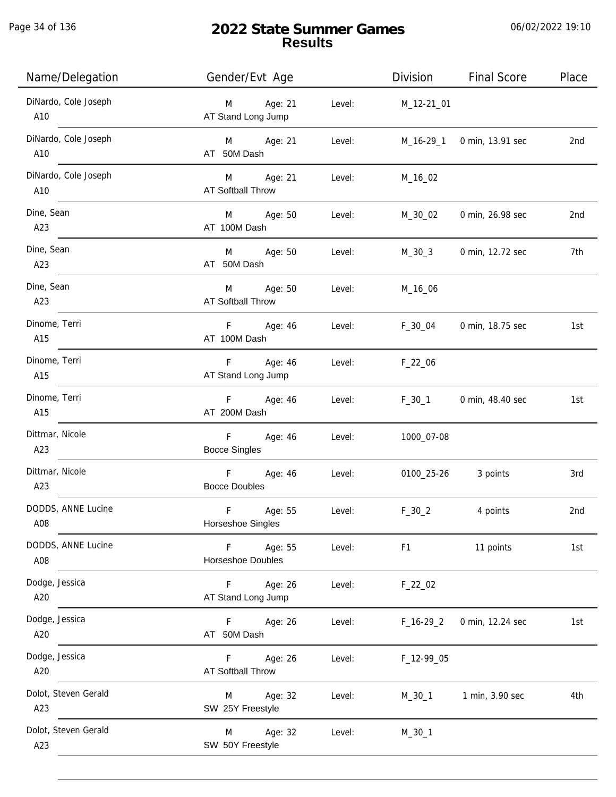Page 34 of 136

# **2022 State Summer Games Results**

| Name/Delegation             | Gender/Evt Age                                 |        | Division       | <b>Final Score</b> | Place |
|-----------------------------|------------------------------------------------|--------|----------------|--------------------|-------|
| DiNardo, Cole Joseph<br>A10 | Age: 21<br>M<br>AT Stand Long Jump             | Level: | M_12-21_01     |                    |       |
| DiNardo, Cole Joseph<br>A10 | Age: 21<br>M<br>AT 50M Dash                    | Level: | M_16-29_1      | 0 min, 13.91 sec   | 2nd   |
| DiNardo, Cole Joseph<br>A10 | Age: 21<br>M<br>AT Softball Throw              | Level: | M_16_02        |                    |       |
| Dine, Sean<br>A23           | Age: 50<br>M<br>AT 100M Dash                   | Level: | M_30_02        | 0 min, 26.98 sec   | 2nd   |
| Dine, Sean<br>A23           | M<br>Age: 50<br>AT 50M Dash                    | Level: | $M_30_3$       | 0 min, 12.72 sec   | 7th   |
| Dine, Sean<br>A23           | Age: 50<br>M<br>AT Softball Throw              | Level: | M_16_06        |                    |       |
| Dinome, Terri<br>A15        | F.<br>Age: 46<br>AT 100M Dash                  | Level: | F_30_04        | 0 min, 18.75 sec   | 1st   |
| Dinome, Terri<br>A15        | Age: 46<br>F.<br>AT Stand Long Jump            | Level: | $F_22_06$      |                    |       |
| Dinome, Terri<br>A15        | Age: 46<br>F<br>AT 200M Dash                   | Level: | $F_30_1$       | 0 min, 48.40 sec   | 1st   |
| Dittmar, Nicole<br>A23      | F<br>Age: 46<br><b>Bocce Singles</b>           | Level: | 1000_07-08     |                    |       |
| Dittmar, Nicole<br>A23      | $\mathsf F$<br>Age: 46<br><b>Bocce Doubles</b> | Level: | 0100_25-26     | 3 points           | 3rd   |
| DODDS, ANNE Lucine<br>A08   | $\mathsf F$<br>Age: 55<br>Horseshoe Singles    | Level: | $F_30_2$       | 4 points           | 2nd   |
| DODDS, ANNE Lucine<br>A08   | F<br>Age: 55<br>Horseshoe Doubles              | Level: | F <sub>1</sub> | 11 points          | 1st   |
| Dodge, Jessica<br>A20       | $\mathsf F$<br>Age: 26<br>AT Stand Long Jump   | Level: | $F_22_02$      |                    |       |
| Dodge, Jessica<br>A20       | F<br>Age: 26<br>AT 50M Dash                    | Level: | $F_16-29_2$    | 0 min, 12.24 sec   | 1st   |
| Dodge, Jessica<br>A20       | Age: 26<br>F.<br><b>AT Softball Throw</b>      | Level: | F_12-99_05     |                    |       |
| Dolot, Steven Gerald<br>A23 | Age: 32<br>M<br>SW 25Y Freestyle               | Level: | $M_30_1$       | 1 min, 3.90 sec    | 4th   |
| Dolot, Steven Gerald<br>A23 | Age: 32<br>M<br>SW 50Y Freestyle               | Level: | $M_30_1$       |                    |       |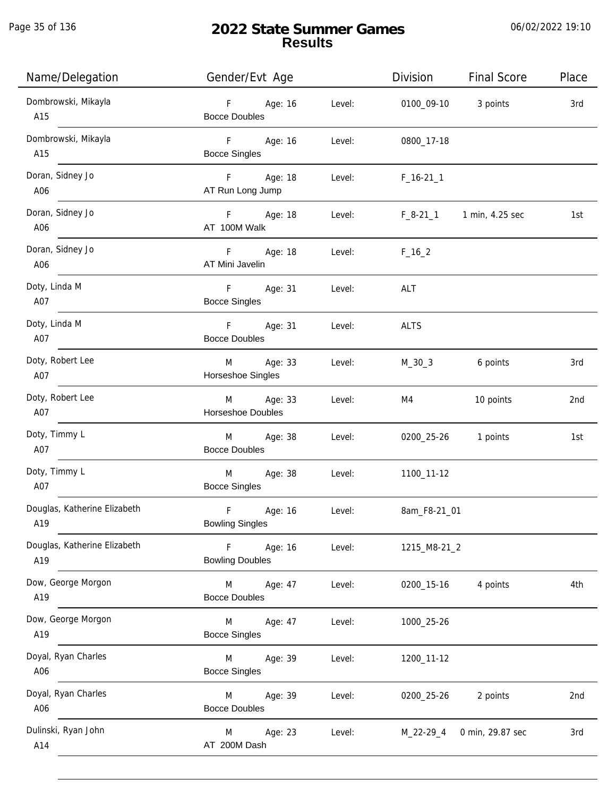Page 35 of 136

j.

# **2022 State Summer Games Results**

| Name/Delegation                     | Gender/Evt Age                                   | Division<br><b>Final Score</b><br>Place   |
|-------------------------------------|--------------------------------------------------|-------------------------------------------|
| Dombrowski, Mikayla<br>A15          | F Age: 16<br>Level:<br><b>Bocce Doubles</b>      | 0100_09-10 3 points<br>3rd                |
| Dombrowski, Mikayla<br>A15          | F Age: 16<br>Level:<br><b>Bocce Singles</b>      | 0800_17-18                                |
| Doran, Sidney Jo<br>A06             | F Age: 18<br>AT Run Long Jump                    | Level:<br>$F_16-211$                      |
| Doran, Sidney Jo<br>A06             | F Age: 18<br>AT 100M Walk                        | F_8-21_1 1 min, 4.25 sec<br>Level:<br>1st |
| Doran, Sidney Jo<br>A06             | F Age: 18<br>AT Mini Javelin                     | Level:<br>$F_16_2$                        |
| Doty, Linda M<br>A07                | F Age: 31<br><b>Bocce Singles</b>                | Level:<br>ALT                             |
| Doty, Linda M<br>A07                | F Age: 31<br><b>Bocce Doubles</b>                | Level:<br>ALTS                            |
| Doty, Robert Lee<br>A07             | M Age: 33<br>Horseshoe Singles                   | Level:<br>M_30_3<br>6 points<br>3rd       |
| Doty, Robert Lee<br>A07             | M Age: 33<br>Level:<br>Horseshoe Doubles         | 10 points<br>2nd<br>M4                    |
| Doty, Timmy L<br>A07 and the A07    | M Age: 38<br>Level:<br><b>Bocce Doubles</b>      | 0200_25-26 1 points<br>1st                |
| Doty, Timmy L<br>A07                | M Age: 38<br><b>Bocce Singles</b>                | Level:<br>1100_11-12                      |
| Douglas, Katherine Elizabeth<br>A19 | F<br>Age: 16<br>Level:<br><b>Bowling Singles</b> | 8am_F8-21_01                              |
| Douglas, Katherine Elizabeth<br>A19 | F<br>Age: 16<br>Level:<br><b>Bowling Doubles</b> | 1215_M8-21_2                              |
| Dow, George Morgon<br>A19           | M<br>Age: 47<br>Level:<br><b>Bocce Doubles</b>   | 4 points<br>4th<br>0200_15-16             |
| Dow, George Morgon<br>A19           | M<br>Age: 47<br>Level:<br><b>Bocce Singles</b>   | 1000_25-26                                |
| Doyal, Ryan Charles<br>A06          | Age: 39<br>M<br>Level:<br><b>Bocce Singles</b>   | 1200_11-12                                |
| Doyal, Ryan Charles<br>A06          | Age: 39<br>Level:<br>M<br><b>Bocce Doubles</b>   | 0200_25-26<br>2 points<br>2nd             |
| Dulinski, Ryan John<br>A14          | Age: 23<br>M<br>Level:<br>AT 200M Dash           | 0 min, 29.87 sec<br>3rd<br>M_22-29_4      |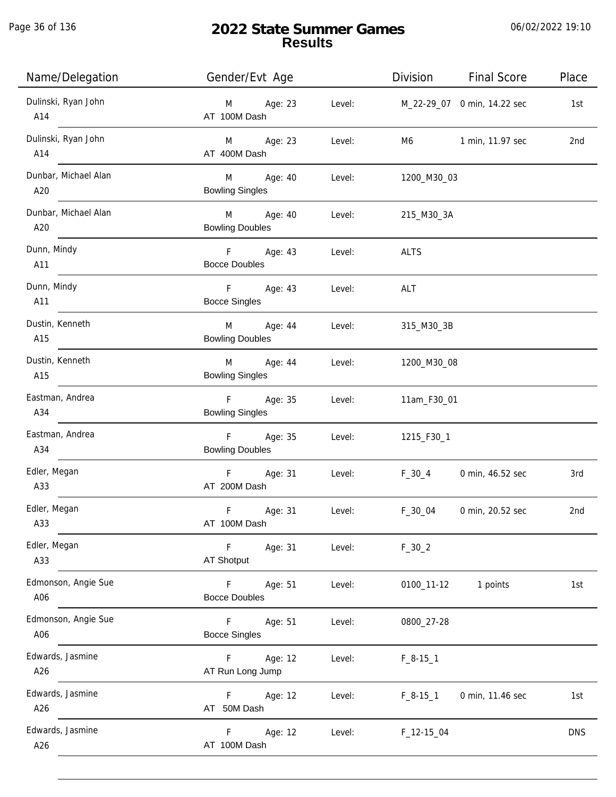Page 36 of 136

| Name/Delegation                 | Gender/Evt Age                             |        |                             | Division Final Score    | Place      |
|---------------------------------|--------------------------------------------|--------|-----------------------------|-------------------------|------------|
| Dulinski, Ryan John<br>A14      | M Age: 23<br>AT 100M Dash                  | Level: | M_22-29_07 0 min, 14.22 sec |                         | 1st        |
| Dulinski, Ryan John<br>A14      | M Age: 23<br>AT 400M Dash                  | Level: |                             | M6 1 min, 11.97 sec     | 2nd        |
| Dunbar, Michael Alan<br>A20     | M Age: 40<br><b>Bowling Singles</b>        | Level: | 1200_M30_03                 |                         |            |
| Dunbar, Michael Alan<br>A20     | M Age: 40<br><b>Bowling Doubles</b>        | Level: | 215_M30_3A                  |                         |            |
| Dunn, Mindy<br>$\overline{A11}$ | F Age: 43<br><b>Bocce Doubles</b>          | Level: | <b>ALTS</b>                 |                         |            |
| Dunn, Mindy<br>A11              | F Age: 43<br><b>Bocce Singles</b>          | Level: | ALT                         |                         |            |
| Dustin, Kenneth<br>A15          | M Age: 44 Level:<br><b>Bowling Doubles</b> |        | 315_M30_3B                  |                         |            |
| Dustin, Kenneth<br>A15          | M Age: 44<br><b>Bowling Singles</b>        | Level: | 1200_M30_08                 |                         |            |
| Eastman, Andrea<br>A34          | F Age: 35<br><b>Bowling Singles</b>        | Level: | 11am_F30_01                 |                         |            |
| Eastman, Andrea<br>A34          | F Age: 35<br><b>Bowling Doubles</b>        | Level: | 1215_F30_1                  |                         |            |
| Edler, Megan<br>A33             | F Age: 31<br>AT 200M Dash                  | Level: |                             | F_30_4 0 min, 46.52 sec | 3rd        |
| Edler, Megan<br>A33             | $\mathsf F$<br>Age: 31<br>AT 100M Dash     | Level: | $F_30_04$                   | 0 min, 20.52 sec        | 2nd        |
| Edler, Megan<br>A33             | $-F$<br>Age: 31<br>AT Shotput              | Level: | $F_30_2$                    |                         |            |
| Edmonson, Angie Sue<br>A06      | $-F$<br>Age: 51<br><b>Bocce Doubles</b>    | Level: | 0100_11-12                  | 1 points                | 1st        |
| Edmonson, Angie Sue<br>A06      | $F = 1$<br>Age: 51<br><b>Bocce Singles</b> | Level: | 0800_27-28                  |                         |            |
| Edwards, Jasmine<br>A26         | Age: 12<br>$F =$<br>AT Run Long Jump       | Level: | $F_8-15-1$                  |                         |            |
| Edwards, Jasmine<br>A26         | Age: 12<br>F <sub>11</sub><br>AT 50M Dash  | Level: | $F_8 - 15 - 1$              | 0 min, 11.46 sec        | 1st        |
| Edwards, Jasmine<br>A26         | Age: 12<br>F.<br>AT 100M Dash              | Level: | $F_12-15_04$                |                         | <b>DNS</b> |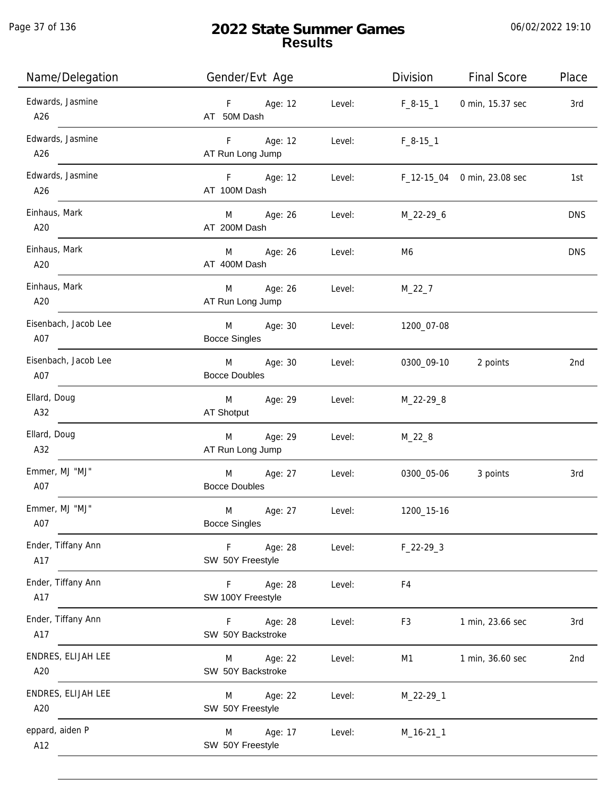Page 37 of 136

j.

# **2022 State Summer Games Results**

| Name/Delegation             | Gender/Evt Age                                 |        | Division       | <b>Final Score</b>          | Place      |
|-----------------------------|------------------------------------------------|--------|----------------|-----------------------------|------------|
| Edwards, Jasmine<br>A26     | F<br>Age: 12<br>AT 50M Dash                    | Level: | $F_8-15-1$     | 0 min, 15.37 sec            | 3rd        |
| Edwards, Jasmine<br>A26     | F <sub>12</sub><br>Age: 12<br>AT Run Long Jump | Level: | $F_8-15-1$     |                             |            |
| Edwards, Jasmine<br>A26     | F Age: 12<br>AT 100M Dash                      | Level: |                | F_12-15_04 0 min, 23.08 sec | 1st        |
| Einhaus, Mark<br>A20        | M Age: 26<br>AT 200M Dash                      | Level: | M_22-29_6      |                             | <b>DNS</b> |
| Einhaus, Mark<br>A20        | M<br>Age: 26<br>AT 400M Dash                   | Level: | M6             |                             | <b>DNS</b> |
| Einhaus, Mark<br>A20        | M<br>Age: 26<br>AT Run Long Jump               | Level: | $M_22_7$       |                             |            |
| Eisenbach, Jacob Lee<br>A07 | M<br>Age: 30<br><b>Bocce Singles</b>           | Level: | 1200_07-08     |                             |            |
| Eisenbach, Jacob Lee<br>A07 | M<br>Age: 30<br><b>Bocce Doubles</b>           | Level: | 0300_09-10     | 2 points                    | 2nd        |
| Ellard, Doug<br>A32         | M<br>Age: 29<br>AT Shotput                     | Level: | M_22-29_8      |                             |            |
| Ellard, Doug<br>A32         | Age: 29<br>M<br>AT Run Long Jump               | Level: | $M_22_8$       |                             |            |
| Emmer, MJ "MJ"<br>A07       | Age: 27<br>M<br><b>Bocce Doubles</b>           | Level: | 0300_05-06     | 3 points                    | 3rd        |
| Emmer, MJ "MJ"<br>A07       | M<br>Age: 27<br><b>Bocce Singles</b>           | Level: | 1200_15-16     |                             |            |
| Ender, Tiffany Ann<br>A17   | Age: 28<br>F.<br>SW 50Y Freestyle              | Level: | $F_22-293$     |                             |            |
| Ender, Tiffany Ann<br>A17   | Age: 28<br>F.<br>SW 100Y Freestyle             | Level: | F4             |                             |            |
| Ender, Tiffany Ann<br>A17   | Age: 28<br>F.<br>SW 50Y Backstroke             | Level: | F <sub>3</sub> | 1 min, 23.66 sec            | 3rd        |
| ENDRES, ELIJAH LEE<br>A20   | Age: 22<br>M<br>SW 50Y Backstroke              | Level: | M1             | 1 min, 36.60 sec            | 2nd        |
| ENDRES, ELIJAH LEE<br>A20   | Age: 22<br>M<br>SW 50Y Freestyle               | Level: | M_22-29_1      |                             |            |
| eppard, aiden P<br>A12      | Age: 17<br>M<br>SW 50Y Freestyle               | Level: | $M_16-21_1$    |                             |            |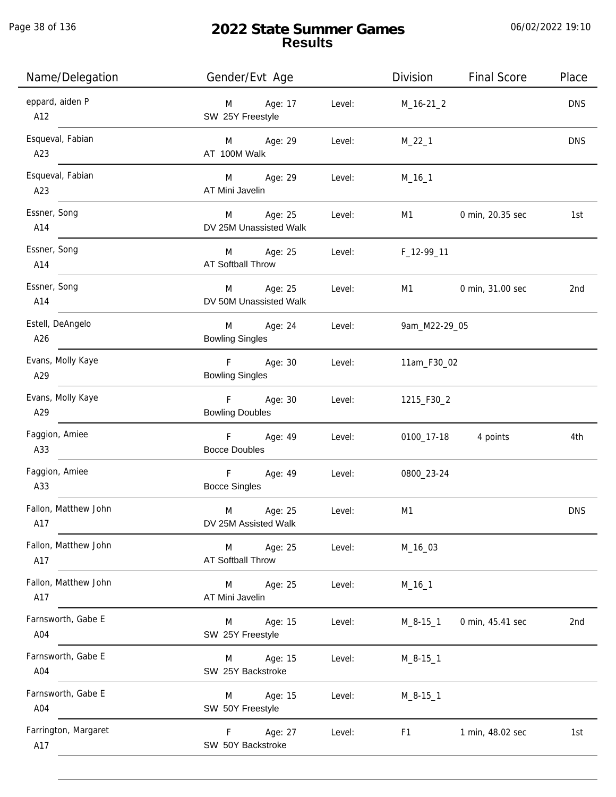Page 38 of 136

| Name/Delegation             | Gender/Evt Age                                    | Division<br><b>Final Score</b><br>Place |
|-----------------------------|---------------------------------------------------|-----------------------------------------|
| eppard, aiden P<br>A12      | Age: 17<br>Level:<br>M<br>SW 25Y Freestyle        | <b>DNS</b><br>$M_16-21_2$               |
| Esqueval, Fabian<br>A23     | M Age: 29<br>Level:<br>AT 100M Walk               | <b>DNS</b><br>$M_22_1$                  |
| Esqueval, Fabian<br>A23     | M Age: 29<br>Level:<br>AT Mini Javelin            | $M_16_1$                                |
| Essner, Song<br>A14         | M Age: 25<br>Level:<br>DV 25M Unassisted Walk     | 0 min, 20.35 sec<br>M1<br>1st           |
| Essner, Song<br>A14         | M Age: 25<br>Level:<br>AT Softball Throw          | F_12-99_11                              |
| Essner, Song<br>A14         | Age: 25<br>M<br>Level:<br>DV 50M Unassisted Walk  | M1<br>0 min, 31.00 sec<br>2nd           |
| Estell, DeAngelo<br>A26     | Age: 24<br>Level:<br>M<br><b>Bowling Singles</b>  | 9am_M22-29_05                           |
| Evans, Molly Kaye<br>A29    | F Age: 30<br>Level:<br><b>Bowling Singles</b>     | 11am_F30_02                             |
| Evans, Molly Kaye<br>A29    | F<br>Age: 30<br>Level:<br><b>Bowling Doubles</b>  | 1215_F30_2                              |
| Faggion, Amiee<br>A33       | F Age: 49<br>Level:<br><b>Bocce Doubles</b>       | 4 points<br>0100_17-18<br>4th           |
| Faggion, Amiee<br>A33       | $-F$<br>Age: 49<br>Level:<br><b>Bocce Singles</b> | 0800_23-24                              |
| Fallon, Matthew John<br>A17 | M<br>Age: 25<br>Level:<br>DV 25M Assisted Walk    | <b>DNS</b><br>M1                        |
| Fallon, Matthew John<br>A17 | Age: 25<br>Level:<br>M<br>AT Softball Throw       | M_16_03                                 |
| Fallon, Matthew John<br>A17 | Age: 25<br>Level:<br>M<br>AT Mini Javelin         | $M_16_1$                                |
| Farnsworth, Gabe E<br>A04   | Age: 15<br>Level:<br>M<br>SW 25Y Freestyle        | 0 min, 45.41 sec<br>$M_8 - 15_1$<br>2nd |
| Farnsworth, Gabe E<br>A04   | Age: 15<br>Level:<br>M<br>SW 25Y Backstroke       | $M_8 - 15 - 1$                          |
| Farnsworth, Gabe E<br>A04   | Age: 15<br>Level:<br>M<br>SW 50Y Freestyle        | $M_8 - 15 - 1$                          |
| Farrington, Margaret<br>A17 | Age: 27<br>F.<br>Level:<br>SW 50Y Backstroke      | 1 min, 48.02 sec<br>F1<br>1st           |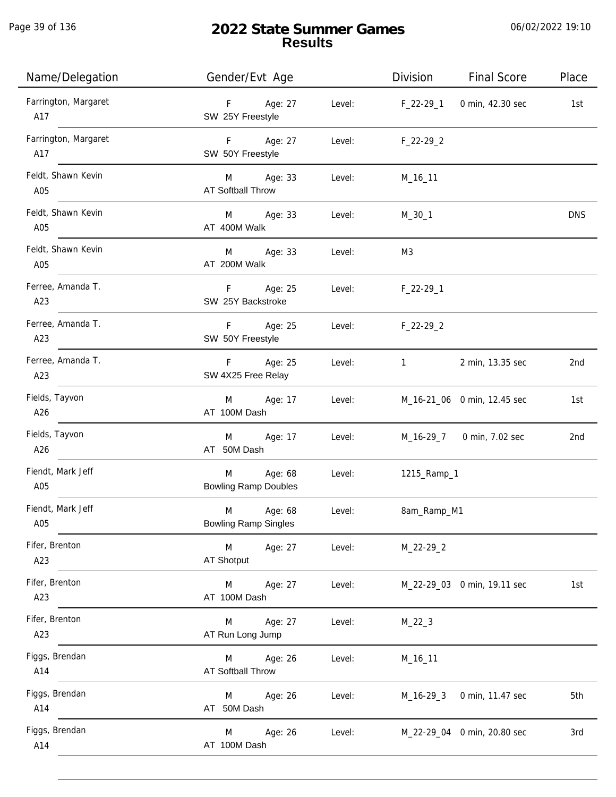Page 39 of 136

| Name/Delegation             | Gender/Evt Age                              |        | Division          | <b>Final Score</b>          | Place      |
|-----------------------------|---------------------------------------------|--------|-------------------|-----------------------------|------------|
| Farrington, Margaret<br>A17 | F Age: 27<br>SW 25Y Freestyle               | Level: | F_22-29_1         | 0 min, 42.30 sec            | 1st        |
| Farrington, Margaret<br>A17 | F Age: 27<br>SW 50Y Freestyle               | Level: | $F_22-29_2$       |                             |            |
| Feldt, Shawn Kevin<br>A05   | M Age: 33<br>AT Softball Throw              | Level: | M_16_11           |                             |            |
| Feldt, Shawn Kevin<br>A05   | M Age: 33<br>AT 400M Walk                   | Level: | $M_30_1$          |                             | <b>DNS</b> |
| Feldt, Shawn Kevin<br>A05   | M Age: 33<br>AT 200M Walk                   | Level: | M3                |                             |            |
| Ferree, Amanda T.<br>A23    | F Age: 25<br>SW 25Y Backstroke              | Level: | $F_22-29-1$       |                             |            |
| Ferree, Amanda T.<br>A23    | F Age: 25<br>SW 50Y Freestyle               | Level: | $F_22-29_2$       |                             |            |
| Ferree, Amanda T.<br>A23    | F Age: 25<br>SW 4X25 Free Relay             | Level: | $1 \qquad \qquad$ | 2 min, 13.35 sec            | 2nd        |
| Fields, Tayvon<br>A26       | M Age: 17<br>AT 100M Dash                   | Level: |                   | M_16-21_06 0 min, 12.45 sec | 1st        |
| Fields, Tayvon<br>A26       | Age: 17<br>M<br>AT 50M Dash                 | Level: |                   | M_16-29_7 0 min, 7.02 sec   | 2nd        |
| Fiendt, Mark Jeff<br>A05    | M Age: 68<br><b>Bowling Ramp Doubles</b>    | Level: | 1215_Ramp_1       |                             |            |
| Fiendt, Mark Jeff<br>A05    | M<br>Age: 68<br><b>Bowling Ramp Singles</b> | Level: | 8am_Ramp_M1       |                             |            |
| Fifer, Brenton<br>A23       | Age: 27<br>M<br>AT Shotput                  | Level: | M_22-29_2         |                             |            |
| Fifer, Brenton<br>A23       | M<br>Age: 27<br>AT 100M Dash                | Level: |                   | M_22-29_03 0 min, 19.11 sec | 1st        |
| Fifer, Brenton<br>A23       | Age: 27<br>M<br>AT Run Long Jump            | Level: | $M_22_3$          |                             |            |
| Figgs, Brendan<br>A14       | Age: 26<br>M<br><b>AT Softball Throw</b>    | Level: | M_16_11           |                             |            |
| Figgs, Brendan<br>A14       | Age: 26<br>M<br>AT 50M Dash                 | Level: | M_16-29_3         | 0 min, 11.47 sec            | 5th        |
| Figgs, Brendan<br>A14       | Age: 26<br>M<br>AT 100M Dash                | Level: |                   | M_22-29_04 0 min, 20.80 sec | 3rd        |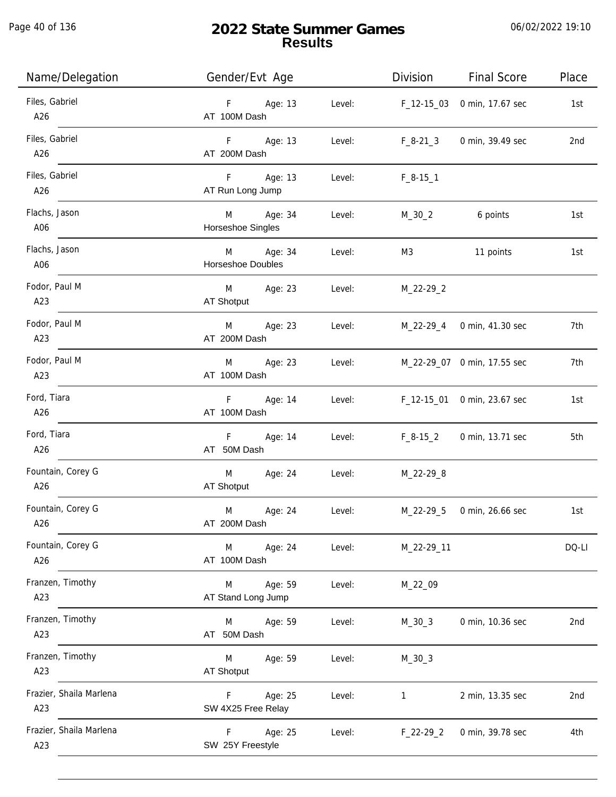Page 40 of 136

| Name/Delegation                | Gender/Evt Age                     |        | Division     | <b>Final Score</b>          | Place           |
|--------------------------------|------------------------------------|--------|--------------|-----------------------------|-----------------|
| Files, Gabriel<br>A26          | Age: 13<br>F<br>AT 100M Dash       | Level: |              | F_12-15_03 0 min, 17.67 sec | 1st             |
| Files, Gabriel<br>A26          | F Age: 13<br>AT 200M Dash          | Level: | $F_8-21_3$   | 0 min, 39.49 sec            | 2nd             |
| Files, Gabriel<br>A26          | F<br>Age: 13<br>AT Run Long Jump   | Level: | $F_8-15-1$   |                             |                 |
| Flachs, Jason<br>A06           | Age: 34<br>M<br>Horseshoe Singles  | Level: | M_30_2       | 6 points                    | 1st             |
| Flachs, Jason<br>A06           | Age: 34<br>M<br>Horseshoe Doubles  | Level: | M3           | 11 points                   | 1st             |
| Fodor, Paul M<br>A23           | Age: 23<br>M<br>AT Shotput         | Level: | $M_22-29_2$  |                             |                 |
| Fodor, Paul M<br>A23           | Age: 23<br>M<br>AT 200M Dash       | Level: |              | M_22-29_4 0 min, 41.30 sec  | 7th             |
| Fodor, Paul M<br>A23           | Age: 23<br>M<br>AT 100M Dash       | Level: |              | M_22-29_07 0 min, 17.55 sec | 7th             |
| Ford, Tiara<br>A26             | F Age: 14<br>AT 100M Dash          | Level: |              | F_12-15_01 0 min, 23.67 sec | 1st             |
| Ford, Tiara<br>A26             | F<br>Age: 14<br>AT 50M Dash        | Level: | F_8-15_2     | 0 min, 13.71 sec            | 5th             |
| Fountain, Corey G<br>A26       | M<br>Age: 24<br>AT Shotput         | Level: | M_22-29_8    |                             |                 |
| Fountain, Corey G<br>A26       | M<br>Age: 24<br>AT 200M Dash       | Level: | M_22-29_5    | 0 min, 26.66 sec            | 1st             |
| Fountain, Corey G<br>A26       | Age: 24<br>M<br>AT 100M Dash       | Level: | M_22-29_11   |                             | DQ-LI           |
| Franzen, Timothy<br>A23        | Age: 59<br>M<br>AT Stand Long Jump | Level: | M_22_09      |                             |                 |
| Franzen, Timothy<br>A23        | Age: 59<br>M<br>AT 50M Dash        | Level: | $M_30_3$     | 0 min, 10.36 sec            | 2nd             |
| Franzen, Timothy<br>A23        | Age: 59<br>M<br><b>AT Shotput</b>  | Level: | $M_30_3$     |                             |                 |
| Frazier, Shaila Marlena<br>A23 | Age: 25<br>F<br>SW 4X25 Free Relay | Level: | $\mathbf{1}$ | 2 min, 13.35 sec            | 2 <sub>nd</sub> |
| Frazier, Shaila Marlena<br>A23 | F<br>Age: 25<br>SW 25Y Freestyle   | Level: | $F_22-29_2$  | 0 min, 39.78 sec            | 4th             |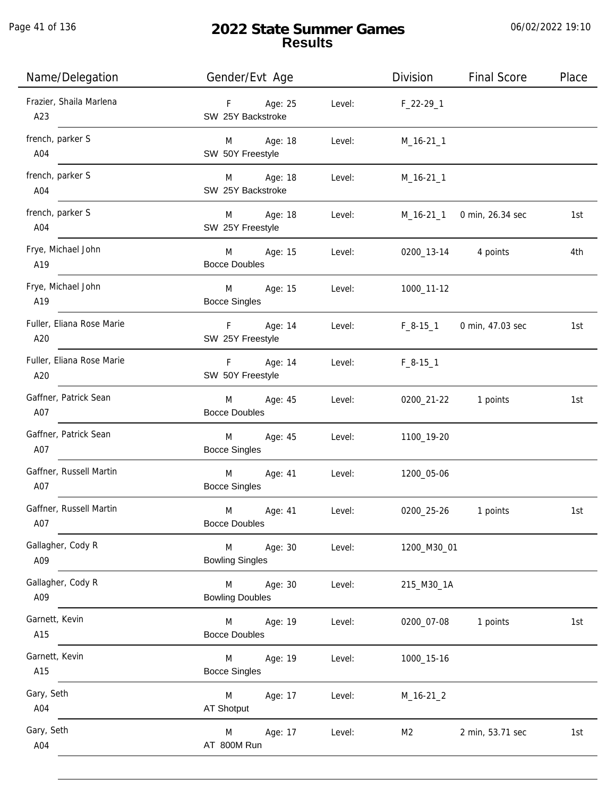| Name/Delegation                  | Gender/Evt Age                              | Division                                | <b>Final Score</b><br>Place       |
|----------------------------------|---------------------------------------------|-----------------------------------------|-----------------------------------|
| Frazier, Shaila Marlena<br>A23   | F Age: 25<br>SW 25Y Backstroke              | Level: F_22-29_1                        |                                   |
| french, parker S<br>A04          | M Age: 18<br>SW 50Y Freestyle               | Level:<br>$M_16-21_1$                   |                                   |
| french, parker S<br>A04          | M Age: 18<br>SW 25Y Backstroke              | Level: <b>Example 2019</b><br>M_16-21_1 |                                   |
| french, parker S<br>A04          | M Age: 18<br>SW 25Y Freestyle               | Level:                                  | M_16-21_1 0 min, 26.34 sec<br>1st |
| Frye, Michael John<br>A19        | M Age: 15<br><b>Bocce Doubles</b>           | 0200_13-14 4 points<br>Level:           | 4th                               |
| Frye, Michael John<br>A19        | M Age: 15<br>Level:<br><b>Bocce Singles</b> | 1000_11-12                              |                                   |
| Fuller, Eliana Rose Marie<br>A20 | F Age: 14<br>SW 25Y Freestyle               | Level:<br>F_8-15_1 0 min, 47.03 sec     | 1st                               |
| Fuller, Eliana Rose Marie<br>A20 | F Age: 14<br>SW 50Y Freestyle               | Level:<br>$F_8-15-1$                    |                                   |
| Gaffner, Patrick Sean<br>A07     | Age: 45<br>M<br><b>Bocce Doubles</b>        | Level:<br>0200_21-22 1 points           | 1st                               |
| Gaffner, Patrick Sean<br>A07     | M<br>Age: 45<br><b>Bocce Singles</b>        | Level:<br>1100_19-20                    |                                   |
| Gaffner, Russell Martin<br>A07   | M<br>Age: 41<br><b>Bocce Singles</b>        | Level:<br>1200_05-06                    |                                   |
| Gaffner, Russell Martin<br>A07   | M<br>Age: 41<br><b>Bocce Doubles</b>        | 0200_25-26<br>Level:                    | 1 points<br>1st                   |
| Gallagher, Cody R<br>A09         | M Age: 30<br><b>Bowling Singles</b>         | Level:<br>1200_M30_01                   |                                   |
| Gallagher, Cody R<br>A09         | M Age: 30<br><b>Bowling Doubles</b>         | Level:<br>215_M30_1A                    |                                   |
| Garnett, Kevin<br>A15            | M Age: 19<br><b>Bocce Doubles</b>           | Level:<br>0200_07-08 1 points           | 1st                               |
| Garnett, Kevin<br>A15            | M<br>Age: 19<br><b>Bocce Singles</b>        | Level:<br>1000_15-16                    |                                   |
| Gary, Seth<br>A04                | M<br>Age: 17<br>AT Shotput                  | Level:<br>$M_16-21_2$                   |                                   |
| Gary, Seth<br>A04                | Age: 17<br>M<br>AT 800M Run                 | Level:<br>M <sub>2</sub>                | 2 min, 53.71 sec<br>1st           |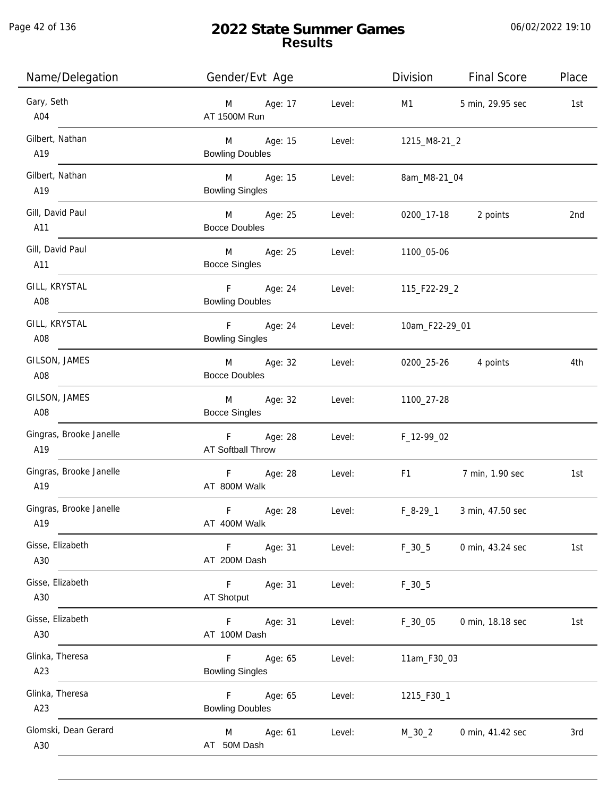Page 42 of 136

# **2022 State Summer Games Results**

| Name/Delegation                | Gender/Evt Age                              | Division<br><b>Final Score</b><br>Place                                                                                                                                                                                                                            |
|--------------------------------|---------------------------------------------|--------------------------------------------------------------------------------------------------------------------------------------------------------------------------------------------------------------------------------------------------------------------|
| Gary, Seth<br>A04              | M Age: 17<br>AT 1500M Run                   | Level:<br>M1<br>5 min, 29.95 sec<br>1st                                                                                                                                                                                                                            |
| Gilbert, Nathan<br>A19         | M Age: 15<br><b>Bowling Doubles</b>         | Level:<br>1215_M8-21_2                                                                                                                                                                                                                                             |
| Gilbert, Nathan<br>A19         | M Age: 15<br><b>Bowling Singles</b>         | Level:<br>8am_M8-21_04                                                                                                                                                                                                                                             |
| Gill, David Paul<br>A11        | M Age: 25<br><b>Bocce Doubles</b>           | 0200_17-18 2 points<br>Level:<br>2nd                                                                                                                                                                                                                               |
| Gill, David Paul<br>A11        | M Age: 25<br>Level:<br><b>Bocce Singles</b> | 1100_05-06                                                                                                                                                                                                                                                         |
| GILL, KRYSTAL<br>A08           | F Age: 24<br><b>Bowling Doubles</b>         | Level: 115_F22-29_2                                                                                                                                                                                                                                                |
| GILL, KRYSTAL<br>A08           | F Age: 24<br><b>Bowling Singles</b>         | Level:<br>10am_F22-29_01                                                                                                                                                                                                                                           |
| GILSON, JAMES<br>A08           | M Age: 32<br><b>Bocce Doubles</b>           | Level:<br>0200_25-26 4 points<br>4th                                                                                                                                                                                                                               |
| GILSON, JAMES<br>A08           | Age: 32<br>M<br><b>Bocce Singles</b>        | Level:<br>1100_27-28                                                                                                                                                                                                                                               |
| Gingras, Brooke Janelle<br>A19 | F Age: 28<br>AT Softball Throw              | Level:<br>F_12-99_02                                                                                                                                                                                                                                               |
| Gingras, Brooke Janelle<br>A19 | F Age: 28<br>AT 800M Walk                   | Level:<br>F1 and the state of the state of the state of the state of the state of the state of the state of the state of the state of the state of the state of the state of the state of the state of the state of the state of the sta<br>7 min, 1.90 sec<br>1st |
| Gingras, Brooke Janelle<br>A19 | $\mathsf F$<br>Age: 28<br>AT 400M Walk      | $F_8-29-1$<br>3 min, 47.50 sec<br>Level:                                                                                                                                                                                                                           |
| Gisse, Elizabeth<br>A30        | F<br>Age: 31<br>AT 200M Dash                | Level:<br>$F_30_5$<br>0 min, 43.24 sec<br>1st                                                                                                                                                                                                                      |
| Gisse, Elizabeth<br>A30        | F<br>Age: 31<br>AT Shotput                  | Level:<br>$F_30_5$                                                                                                                                                                                                                                                 |
| Gisse, Elizabeth<br>A30        | Age: 31<br>F.<br>AT 100M Dash               | Level:<br>0 min, 18.18 sec<br>F_30_05<br>1st                                                                                                                                                                                                                       |
| Glinka, Theresa<br>A23         | F.<br>Age: 65<br><b>Bowling Singles</b>     | Level:<br>11am_F30_03                                                                                                                                                                                                                                              |
| Glinka, Theresa<br>A23         | Age: 65<br>F<br><b>Bowling Doubles</b>      | Level:<br>1215_F30_1                                                                                                                                                                                                                                               |
| Glomski, Dean Gerard<br>A30    | Age: 61<br>M<br>AT 50M Dash                 | Level:<br>0 min, 41.42 sec<br>M_30_2<br>3rd                                                                                                                                                                                                                        |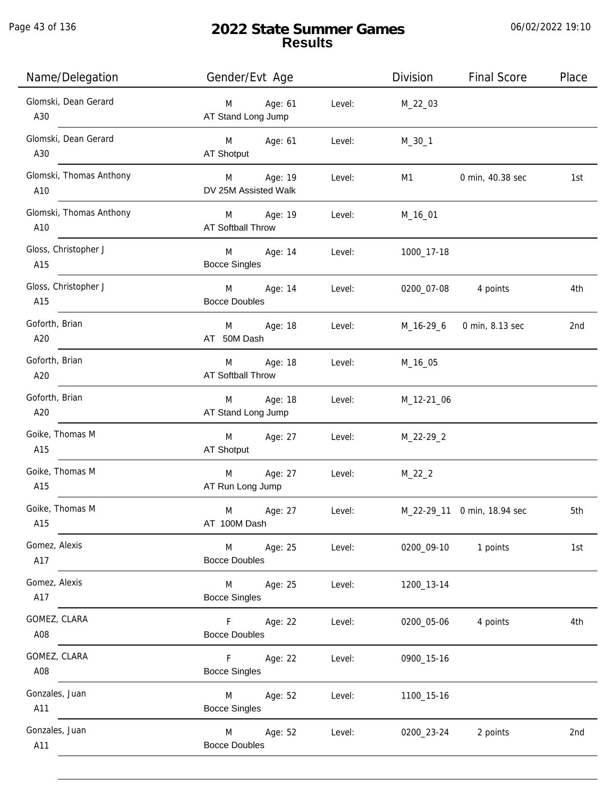Page 43 of 136

j.

# **2022 State Summer Games Results**

| Name/Delegation                | Gender/Evt Age                                               | Division   | <b>Final Score</b>          | Place |
|--------------------------------|--------------------------------------------------------------|------------|-----------------------------|-------|
| Glomski, Dean Gerard<br>A30    | Age: 61<br>M<br>Level:<br>AT Stand Long Jump                 | M_22_03    |                             |       |
| Glomski, Dean Gerard<br>A30    | Age: 61<br>Level:<br>M <sub>ar</sub><br>AT Shotput           | $M_30_1$   |                             |       |
| Glomski, Thomas Anthony<br>A10 | Age: 19<br>M <sub>1</sub><br>Level:<br>DV 25M Assisted Walk  | M1         | 0 min, 40.38 sec            | 1st   |
| Glomski, Thomas Anthony<br>A10 | M Age: 19<br>Level:<br><b>AT Softball Throw</b>              | M_16_01    |                             |       |
| Gloss, Christopher J<br>A15    | M <sub>ar</sub><br>Age: 14<br>Level:<br><b>Bocce Singles</b> | 1000_17-18 |                             |       |
| Gloss, Christopher J<br>A15    | M<br>Age: 14<br>Level:<br><b>Bocce Doubles</b>               | 0200_07-08 | 4 points                    | 4th   |
| Goforth, Brian<br>A20          | M<br>Age: 18<br>Level:<br>AT 50M Dash                        | M_16-29_6  | 0 min, 8.13 sec             | 2nd   |
| Goforth, Brian<br>A20          | Age: 18<br>M<br>Level:<br><b>AT Softball Throw</b>           | M_16_05    |                             |       |
| Goforth, Brian<br>A20          | Age: 18<br>M<br>Level:<br>AT Stand Long Jump                 | M_12-21_06 |                             |       |
| Goike, Thomas M<br>A15         | M<br>Age: 27<br>Level:<br>AT Shotput                         | M_22-29_2  |                             |       |
| Goike, Thomas M<br>A15         | Age: 27<br>M<br>Level:<br>AT Run Long Jump                   | $M_22_2$   |                             |       |
| Goike, Thomas M<br>A15         | M<br>Age: 27<br>Level:<br>AT 100M Dash                       |            | M_22-29_11 0 min, 18.94 sec | 5th   |
| Gomez, Alexis<br>A17           | M<br>Age: 25<br>Level:<br><b>Bocce Doubles</b>               | 0200_09-10 | 1 points                    | 1st   |
| Gomez, Alexis<br>A17           | M<br>Age: 25<br>Level:<br><b>Bocce Singles</b>               | 1200_13-14 |                             |       |
| GOMEZ, CLARA<br>A08            | F<br>Age: 22<br>Level:<br><b>Bocce Doubles</b>               | 0200_05-06 | 4 points                    | 4th   |
| GOMEZ, CLARA<br>A08            | F.<br>Age: 22<br>Level:<br><b>Bocce Singles</b>              | 0900_15-16 |                             |       |
| Gonzales, Juan<br>A11          | Age: 52<br>M<br>Level:<br><b>Bocce Singles</b>               | 1100_15-16 |                             |       |
| Gonzales, Juan<br>A11          | M<br>Age: 52<br>Level:<br><b>Bocce Doubles</b>               | 0200_23-24 | 2 points                    | 2nd   |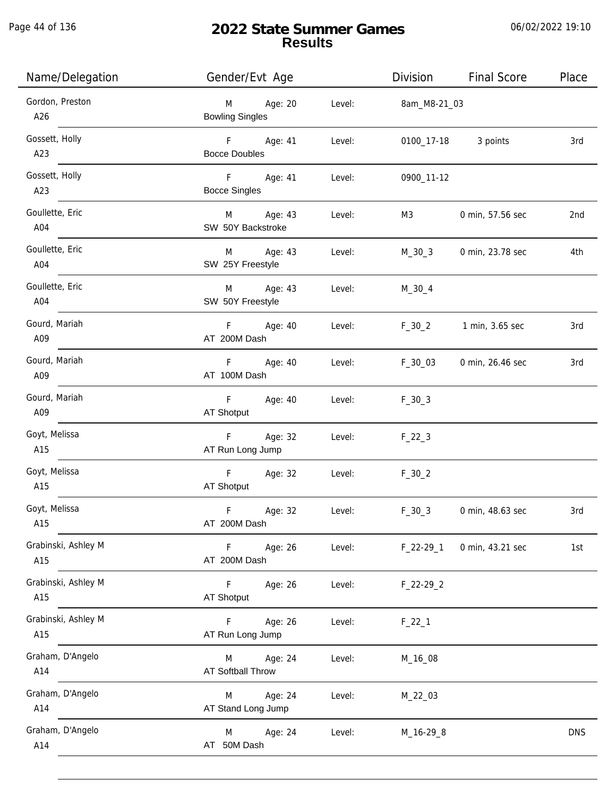Page 44 of 136

# **2022 State Summer Games Results**

| Name/Delegation            | Gender/Evt Age                           |        | Division     | <b>Final Score</b> | Place      |
|----------------------------|------------------------------------------|--------|--------------|--------------------|------------|
| Gordon, Preston<br>A26     | Age: 20<br>M<br><b>Bowling Singles</b>   | Level: | 8am_M8-21_03 |                    |            |
| Gossett, Holly<br>A23      | F Age: 41<br><b>Bocce Doubles</b>        | Level: | 0100_17-18   | 3 points           | 3rd        |
| Gossett, Holly<br>A23      | F Age: 41<br><b>Bocce Singles</b>        | Level: | 0900_11-12   |                    |            |
| Goullette, Eric<br>A04     | M<br>Age: 43<br>SW 50Y Backstroke        | Level: | M3           | 0 min, 57.56 sec   | 2nd        |
| Goullette, Eric<br>A04     | Age: 43<br>M<br>SW 25Y Freestyle         | Level: | M_30_3       | 0 min, 23.78 sec   | 4th        |
| Goullette, Eric<br>A04     | Age: 43<br>M<br>SW 50Y Freestyle         | Level: | $M_30_4$     |                    |            |
| Gourd, Mariah<br>A09       | F Age: 40<br>AT 200M Dash                | Level: | $F_30_2$     | 1 min, 3.65 sec    | 3rd        |
| Gourd, Mariah<br>A09       | F<br>Age: 40<br>AT 100M Dash             | Level: | $F_30_03$    | 0 min, 26.46 sec   | 3rd        |
| Gourd, Mariah<br>A09       | Age: 40<br>F.<br>AT Shotput              | Level: | $F_30_3$     |                    |            |
| Goyt, Melissa<br>A15       | Age: 32<br>F<br>AT Run Long Jump         | Level: | $F_22_3$     |                    |            |
| Goyt, Melissa<br>A15       | $\mathsf F$<br>Age: 32<br>AT Shotput     | Level: | $F_30_2$     |                    |            |
| Goyt, Melissa<br>A15       | $\mathsf F$<br>Age: 32<br>AT 200M Dash   | Level: | $F_30_3$     | 0 min, 48.63 sec   | 3rd        |
| Grabinski, Ashley M<br>A15 | $\mathsf F$<br>Age: 26<br>AT 200M Dash   | Level: | $F_22-29-1$  | 0 min, 43.21 sec   | 1st        |
| Grabinski, Ashley M<br>A15 | F<br>Age: 26<br>AT Shotput               | Level: | $F_22-29_2$  |                    |            |
| Grabinski, Ashley M<br>A15 | Age: 26<br>F.<br>AT Run Long Jump        | Level: | $F_22_1$     |                    |            |
| Graham, D'Angelo<br>A14    | Age: 24<br>M<br><b>AT Softball Throw</b> | Level: | M_16_08      |                    |            |
| Graham, D'Angelo<br>A14    | Age: 24<br>M<br>AT Stand Long Jump       | Level: | M_22_03      |                    |            |
| Graham, D'Angelo<br>A14    | Age: 24<br>M<br>AT 50M Dash              | Level: | M_16-29_8    |                    | <b>DNS</b> |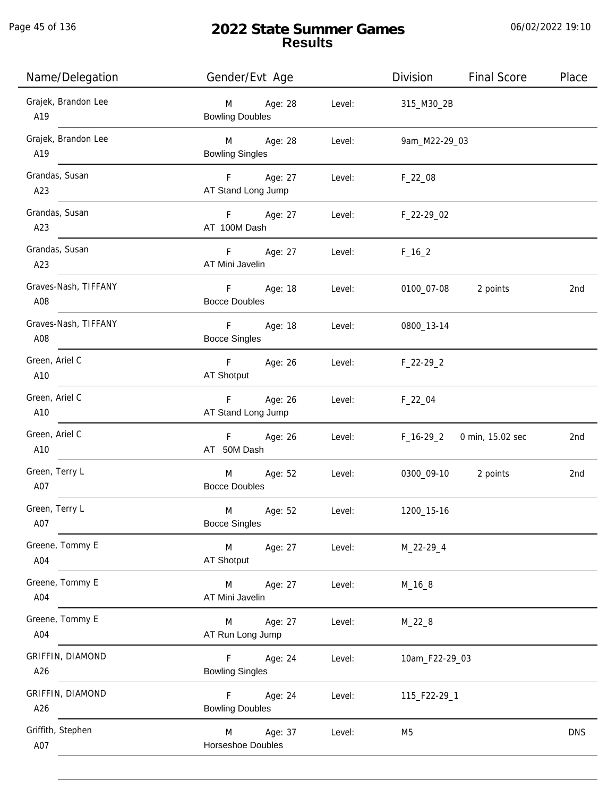Page 45 of 136

j.

# **2022 State Summer Games Results**

| Name/Delegation             | Gender/Evt Age                                    | Division               | <b>Final Score</b><br>Place |
|-----------------------------|---------------------------------------------------|------------------------|-----------------------------|
| Grajek, Brandon Lee<br>A19  | Age: 28<br>M<br><b>Bowling Doubles</b>            | Level:<br>315_M30_2B   |                             |
| Grajek, Brandon Lee<br>A19  | M Age: 28<br>Level:<br><b>Bowling Singles</b>     | 9am_M22-29_03          |                             |
| Grandas, Susan<br>A23       | F Age: 27<br>AT Stand Long Jump                   | Level: F_22_08         |                             |
| Grandas, Susan<br>A23       | F Age: 27<br>AT 100M Dash                         | Level: F_22-29_02      |                             |
| Grandas, Susan<br>A23       | F Age: 27<br>AT Mini Javelin                      | Level: $F_16_2$        |                             |
| Graves-Nash, TIFFANY<br>A08 | F Age: 18<br><b>Bocce Doubles</b>                 | Level:<br>0100_07-08   | 2 points<br>2nd             |
| Graves-Nash, TIFFANY<br>A08 | F<br>Age: 18<br><b>Bocce Singles</b>              | Level:<br>0800_13-14   |                             |
| Green, Ariel C<br>A10       | F Age: 26<br>AT Shotput                           | Level:<br>$F_22-29_2$  |                             |
| Green, Ariel C<br>A10       | Age: 26<br>F<br>AT Stand Long Jump                | Level:<br>$F_{22}$ _04 |                             |
| Green, Ariel C<br>A10       | F Age: 26<br>AT 50M Dash                          | Level:<br>F_16-29_2    | 0 min, 15.02 sec<br>2nd     |
| Green, Terry L<br>A07       | M Age: 52<br>Level:<br><b>Bocce Doubles</b>       | 0300_09-10 2 points    | 2nd                         |
| Green, Terry L<br>A07       | Age: 52<br>Level:<br>M<br><b>Bocce Singles</b>    | 1200_15-16             |                             |
| Greene, Tommy E<br>A04      | M<br>Level:<br>Age: 27<br>AT Shotput              | M_22-29_4              |                             |
| Greene, Tommy E<br>A04      | Age: 27<br>M<br>Level:<br>AT Mini Javelin         | $M_16_8$               |                             |
| Greene, Tommy E<br>A04      | Age: 27<br>M<br>Level:<br>AT Run Long Jump        | $M_22_8$               |                             |
| GRIFFIN, DIAMOND<br>A26     | F<br>Age: 24<br>Level:<br><b>Bowling Singles</b>  | 10am_F22-29_03         |                             |
| GRIFFIN, DIAMOND<br>A26     | Age: 24<br>F.<br>Level:<br><b>Bowling Doubles</b> | 115_F22-29_1           |                             |
| Griffith, Stephen<br>A07    | Age: 37<br>M<br>Level:<br>Horseshoe Doubles       | M <sub>5</sub>         | <b>DNS</b>                  |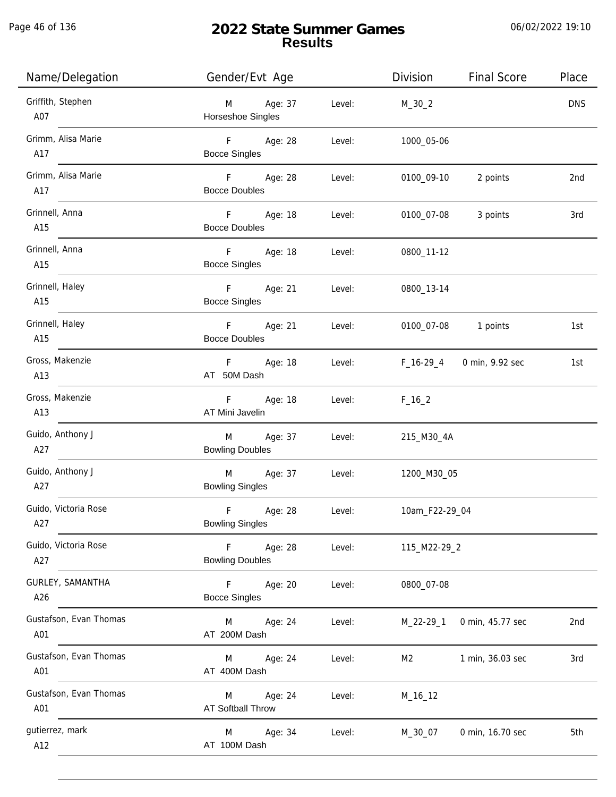Page 46 of 136

j.

| Name/Delegation               | Gender/Evt Age                         |        | Division       | <b>Final Score</b>        | Place           |
|-------------------------------|----------------------------------------|--------|----------------|---------------------------|-----------------|
| Griffith, Stephen<br>A07      | M Age: 37<br>Horseshoe Singles         | Level: | $M_30_2$       |                           | <b>DNS</b>      |
| Grimm, Alisa Marie<br>A17     | F Age: 28<br><b>Bocce Singles</b>      | Level: | 1000_05-06     |                           |                 |
| Grimm, Alisa Marie<br>A17     | F Age: 28<br><b>Bocce Doubles</b>      | Level: | 0100_09-10     | 2 points                  | 2nd             |
| Grinnell, Anna<br>A15         | F Age: 18<br><b>Bocce Doubles</b>      | Level: |                | 0100_07-08 3 points       | 3rd             |
| Grinnell, Anna<br>A15         | F Age: 18<br><b>Bocce Singles</b>      | Level: | 0800_11-12     |                           |                 |
| Grinnell, Haley<br>A15        | F Age: 21<br><b>Bocce Singles</b>      | Level: | 0800_13-14     |                           |                 |
| Grinnell, Haley<br>A15        | F Age: 21<br><b>Bocce Doubles</b>      | Level: |                | 0100_07-08 1 points       | 1st             |
| Gross, Makenzie<br>A13        | F Age: 18<br>AT 50M Dash               | Level: |                | F_16-29_4 0 min, 9.92 sec | 1st             |
| Gross, Makenzie<br>A13        | F<br>Age: 18<br>AT Mini Javelin        | Level: | $F_16_2$       |                           |                 |
| Guido, Anthony J<br>A27       | M Age: 37<br><b>Bowling Doubles</b>    | Level: | 215_M30_4A     |                           |                 |
| Guido, Anthony J<br>A27       | M Age: 37<br><b>Bowling Singles</b>    | Level: | 1200_M30_05    |                           |                 |
| Guido, Victoria Rose<br>A27   | F<br>Age: 28<br><b>Bowling Singles</b> | Level: | 10am_F22-29_04 |                           |                 |
| Guido, Victoria Rose<br>A27   | F<br>Age: 28<br><b>Bowling Doubles</b> | Level: | 115_M22-29_2   |                           |                 |
| GURLEY, SAMANTHA<br>A26       | F<br>Age: 20<br><b>Bocce Singles</b>   | Level: | 0800_07-08     |                           |                 |
| Gustafson, Evan Thomas<br>A01 | M<br>Age: 24<br>AT 200M Dash           | Level: | $M_22-29_1$    | 0 min, 45.77 sec          | 2 <sub>nd</sub> |
| Gustafson, Evan Thomas<br>A01 | M<br>Age: 24<br>AT 400M Dash           | Level: | M2             | 1 min, 36.03 sec          | 3rd             |
| Gustafson, Evan Thomas<br>A01 | Age: 24<br>M<br>AT Softball Throw      | Level: | M_16_12        |                           |                 |
| gutierrez, mark<br>A12        | Age: 34<br>M<br>AT 100M Dash           | Level: | M_30_07        | 0 min, 16.70 sec          | 5th             |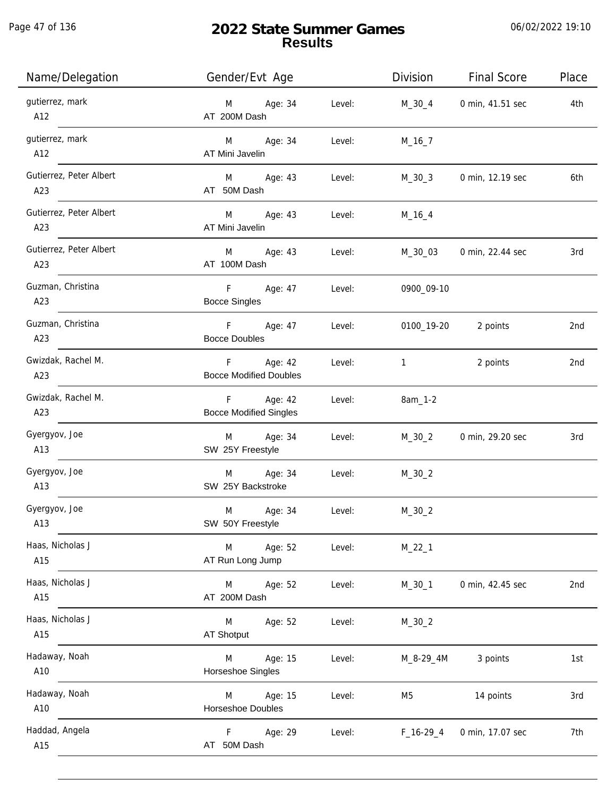| Name/Delegation                | Gender/Evt Age                              |        | Division     | <b>Final Score</b>  | Place |
|--------------------------------|---------------------------------------------|--------|--------------|---------------------|-------|
| gutierrez, mark<br>A12         | M Age: 34<br>AT 200M Dash                   | Level: | M_30_4       | 0 min, 41.51 sec    | 4th   |
| gutierrez, mark<br>A12         | M Age: 34<br>AT Mini Javelin                | Level: | $M_16_7$     |                     |       |
| Gutierrez, Peter Albert<br>A23 | M Age: 43<br>AT 50M Dash                    | Level: | M_30_3       | 0 min, 12.19 sec    | 6th   |
| Gutierrez, Peter Albert<br>A23 | M Age: 43<br>AT Mini Javelin                | Level: | $M_16_4$     |                     |       |
| Gutierrez, Peter Albert<br>A23 | M Age: 43<br>AT 100M Dash                   | Level: | M_30_03      | 0 min, 22.44 sec    | 3rd   |
| Guzman, Christina<br>A23       | F Age: 47<br>Level:<br><b>Bocce Singles</b> |        | 0900_09-10   |                     |       |
| Guzman, Christina<br>A23       | F Age: 47 Level:<br><b>Bocce Doubles</b>    |        |              | 0100_19-20 2 points | 2nd   |
| Gwizdak, Rachel M.<br>A23      | F Age: 42<br><b>Bocce Modified Doubles</b>  | Level: | $\mathbf{1}$ | 2 points            | 2nd   |
| Gwizdak, Rachel M.<br>A23      | F Age: 42<br><b>Bocce Modified Singles</b>  | Level: | 8am_1-2      |                     |       |
| Gyergyov, Joe<br>A13           | Age: 34<br>M<br>SW 25Y Freestyle            | Level: | $M_30_2$     | 0 min, 29.20 sec    | 3rd   |
| Gyergyov, Joe<br>A13           | M Age: 34<br>SW 25Y Backstroke              | Level: | $M_30_2$     |                     |       |
| Gyergyov, Joe<br>A13           | M<br>Age: 34<br>SW 50Y Freestyle            | Level: | $M_30_2$     |                     |       |
| Haas, Nicholas J<br>A15        | Age: 52<br>M<br>AT Run Long Jump            | Level: | $M_22_1$     |                     |       |
| Haas, Nicholas J<br>A15        | M Age: 52<br>AT 200M Dash                   | Level: | $M_30_1$     | 0 min, 42.45 sec    | 2nd   |
| Haas, Nicholas J<br>A15        | M<br>Age: 52<br>AT Shotput                  | Level: | $M_30_2$     |                     |       |
| Hadaway, Noah<br>A10           | Age: 15<br>M<br>Horseshoe Singles           | Level: | M_8-29_4M    | 3 points            | 1st   |
| Hadaway, Noah<br>A10           | Age: 15<br>M<br>Horseshoe Doubles           | Level: | M5           | 14 points           | 3rd   |
| Haddad, Angela<br>A15          | Age: 29<br>F<br>AT 50M Dash                 | Level: | $F_16-29_4$  | 0 min, 17.07 sec    | 7th   |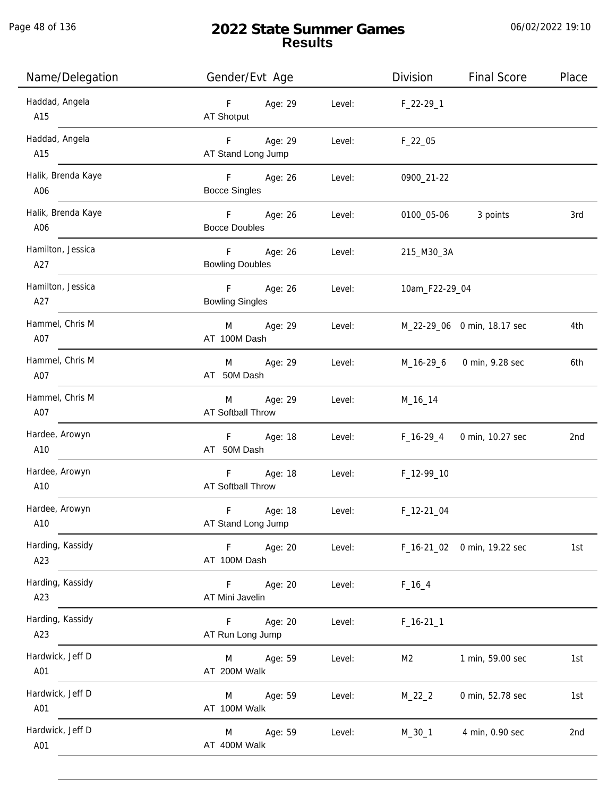| Name/Delegation           | Gender/Evt Age                        |        | Division            | <b>Final Score</b>          | Place |
|---------------------------|---------------------------------------|--------|---------------------|-----------------------------|-------|
| Haddad, Angela<br>A15     | F Age: 29<br>AT Shotput               | Level: | F_22-29_1           |                             |       |
| Haddad, Angela<br>A15     | F Age: 29<br>AT Stand Long Jump       | Level: | $F_22_05$           |                             |       |
| Halik, Brenda Kaye<br>A06 | F Age: 26<br><b>Bocce Singles</b>     | Level: | 0900_21-22          |                             |       |
| Halik, Brenda Kaye<br>A06 | F Age: 26<br><b>Bocce Doubles</b>     | Level: | 0100_05-06 3 points |                             | 3rd   |
| Hamilton, Jessica<br>A27  | F Age: 26<br><b>Bowling Doubles</b>   | Level: | 215_M30_3A          |                             |       |
| Hamilton, Jessica<br>A27  | F Age: 26<br><b>Bowling Singles</b>   | Level: | 10am_F22-29_04      |                             |       |
| Hammel, Chris M<br>A07    | M Age: 29<br>AT 100M Dash             | Level: |                     | M_22-29_06 0 min, 18.17 sec | 4th   |
| Hammel, Chris M<br>A07    | Age: 29<br>M<br>AT 50M Dash           | Level: |                     | M_16-29_6 0 min, 9.28 sec   | 6th   |
| Hammel, Chris M<br>A07    | Age: 29<br>M<br>AT Softball Throw     | Level: | M_16_14             |                             |       |
| Hardee, Arowyn<br>A10     | F Age: 18<br>AT 50M Dash              | Level: |                     | F_16-29_4 0 min, 10.27 sec  | 2nd   |
| Hardee, Arowyn<br>A10     | F Age: 18<br><b>AT Softball Throw</b> | Level: | F_12-99_10          |                             |       |
| Hardee, Arowyn<br>A10     | F<br>Age: 18<br>AT Stand Long Jump    | Level: | $F_12-21_04$        |                             |       |
| Harding, Kassidy<br>A23   | Age: 20<br>F<br>AT 100M Dash          | Level: |                     | F_16-21_02 0 min, 19.22 sec | 1st   |
| Harding, Kassidy<br>A23   | F.<br>Age: 20<br>AT Mini Javelin      | Level: | $F_16_4$            |                             |       |
| Harding, Kassidy<br>A23   | Age: 20<br>F<br>AT Run Long Jump      | Level: | $F_16-211$          |                             |       |
| Hardwick, Jeff D<br>A01   | Age: 59<br>M<br>AT 200M Walk          | Level: | M <sub>2</sub>      | 1 min, 59.00 sec            | 1st   |
| Hardwick, Jeff D<br>A01   | Age: 59<br>M<br>AT 100M Walk          | Level: | $M_22_2$            | 0 min, 52.78 sec            | 1st   |
| Hardwick, Jeff D<br>A01   | Age: 59<br>M<br>AT 400M Walk          | Level: | $M_30_1$            | 4 min, 0.90 sec             | 2nd   |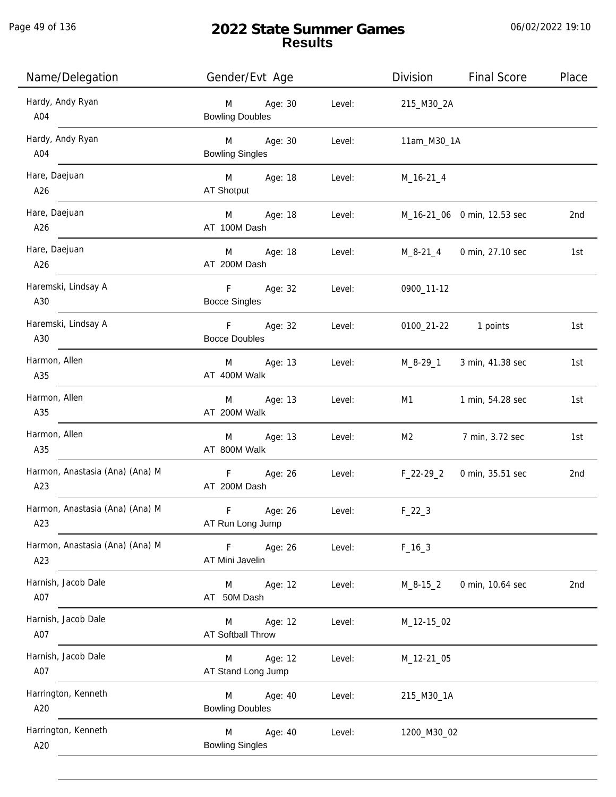| Name/Delegation                        | Gender/Evt Age                           |        | Division                         | <b>Final Score</b>          | Place |
|----------------------------------------|------------------------------------------|--------|----------------------------------|-----------------------------|-------|
| Hardy, Andy Ryan<br>$\overline{A04}$   | Age: 30<br>M<br><b>Bowling Doubles</b>   | Level: | 215_M30_2A                       |                             |       |
| Hardy, Andy Ryan<br>$\overline{A04}$   | M Age: 30<br><b>Bowling Singles</b>      | Level: | 11am_M30_1A                      |                             |       |
| Hare, Daejuan<br>A26                   | M Age: 18<br>AT Shotput                  | Level: | M_16-21_4                        |                             |       |
| Hare, Daejuan<br>A26                   | M Age: 18<br>AT 100M Dash                | Level: |                                  | M_16-21_06 0 min, 12.53 sec | 2nd   |
| Hare, Daejuan<br>A26                   | M Age: 18<br>AT 200M Dash                | Level: |                                  | M_8-21_4 0 min, 27.10 sec   | 1st   |
| Haremski, Lindsay A<br>A30             | F Age: 32<br><b>Bocce Singles</b>        | Level: | 0900_11-12                       |                             |       |
| Haremski, Lindsay A<br>A30             | F Age: 32<br><b>Bocce Doubles</b>        | Level: |                                  | 0100_21-22 1 points         | 1st   |
| Harmon, Allen<br>A35                   | M Age: 13<br>AT 400M Walk                |        | Level: M_8-29_1 3 min, 41.38 sec |                             | 1st   |
| Harmon, Allen<br>A35                   | Age: 13<br>M<br>AT 200M Walk             | Level: |                                  | M1 1 min, 54.28 sec         | 1st   |
| Harmon, Allen<br>A35                   | Age: 13<br>M<br>AT 800M Walk             | Level: | M2                               | 7 min, 3.72 sec             | 1st   |
| Harmon, Anastasia (Ana) (Ana) M<br>A23 | F Age: 26<br>AT 200M Dash                | Level: | F_22-29_2                        | 0 min, 35.51 sec            | 2nd   |
| Harmon, Anastasia (Ana) (Ana) M<br>A23 | F<br>Age: 26<br>AT Run Long Jump         | Level: | $F_22_3$                         |                             |       |
| Harmon, Anastasia (Ana) (Ana) M<br>A23 | Fig. 1<br>Age: 26<br>AT Mini Javelin     | Level: | $F_16_3$                         |                             |       |
| Harnish, Jacob Dale<br>A07             | M Age: 12<br>AT 50M Dash                 | Level: | $M_8 - 15_2$                     | 0 min, 10.64 sec            | 2nd   |
| Harnish, Jacob Dale<br>A07             | Age: 12<br>M<br><b>AT Softball Throw</b> | Level: | M_12-15_02                       |                             |       |
| Harnish, Jacob Dale<br>A07             | Age: 12<br>M<br>AT Stand Long Jump       | Level: | M_12-21_05                       |                             |       |
| Harrington, Kenneth<br>A20             | Age: 40<br>M<br><b>Bowling Doubles</b>   | Level: | 215_M30_1A                       |                             |       |
| Harrington, Kenneth<br>A20             | M<br>Age: 40<br><b>Bowling Singles</b>   | Level: | 1200_M30_02                      |                             |       |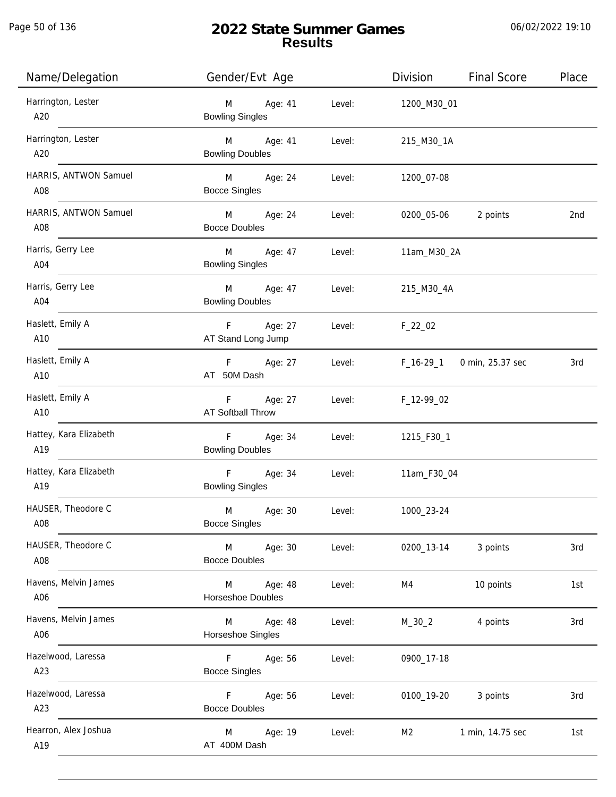j.

# **2022 State Summer Games Results**

| Name/Delegation               | Gender/Evt Age                              |                | Division       | <b>Final Score</b>           | Place |
|-------------------------------|---------------------------------------------|----------------|----------------|------------------------------|-------|
| Harrington, Lester<br>A20     | M<br>Age: 41<br><b>Bowling Singles</b>      | Level:         | 1200_M30_01    |                              |       |
| Harrington, Lester<br>A20     | M Age: 41<br><b>Bowling Doubles</b>         | Level:         | 215_M30_1A     |                              |       |
| HARRIS, ANTWON Samuel<br>A08  | M Age: 24<br><b>Bocce Singles</b>           | Level:         | 1200_07-08     |                              |       |
| HARRIS, ANTWON Samuel<br>A08  | M Age: 24<br><b>Bocce Doubles</b>           | Level:         |                | 0200_05-06 2 points          | 2nd   |
| Harris, Gerry Lee<br>A04      | M Age: 47<br><b>Bowling Singles</b>         | Level:         | 11am_M30_2A    |                              |       |
| Harris, Gerry Lee<br>A04      | M Age: 47<br><b>Bowling Doubles</b>         | Level:         | 215_M30_4A     |                              |       |
| Haslett, Emily A<br>A10       | F Age: 27<br>AT Stand Long Jump             | Level: F_22_02 |                |                              |       |
| Haslett, Emily A<br>A10       | F Age: 27<br>AT 50M Dash                    | Level:         |                | $F_16-29-1$ 0 min, 25.37 sec | 3rd   |
| Haslett, Emily A<br>A10       | F Age: 27<br>AT Softball Throw              | Level:         | F_12-99_02     |                              |       |
| Hattey, Kara Elizabeth<br>A19 | F Age: 34<br><b>Bowling Doubles</b>         | Level:         | 1215_F30_1     |                              |       |
| Hattey, Kara Elizabeth<br>A19 | F Age: 34<br><b>Bowling Singles</b>         | Level:         | 11am_F30_04    |                              |       |
| HAUSER, Theodore C<br>A08     | Age: 30<br>M<br><b>Bocce Singles</b>        | Level:         | 1000_23-24     |                              |       |
| HAUSER, Theodore C<br>A08     | <b>M</b><br>Age: 30<br><b>Bocce Doubles</b> | Level:         | 0200_13-14     | 3 points                     | 3rd   |
| Havens, Melvin James<br>A06   | M<br>Age: 48<br>Horseshoe Doubles           | Level:         | M4             | 10 points                    | 1st   |
| Havens, Melvin James<br>A06   | M<br>Age: 48<br>Horseshoe Singles           | Level:         | $M_30_2$       | 4 points                     | 3rd   |
| Hazelwood, Laressa<br>A23     | $F -$<br>Age: 56<br><b>Bocce Singles</b>    | Level:         | 0900_17-18     |                              |       |
| Hazelwood, Laressa<br>A23     | F.<br>Age: 56<br><b>Bocce Doubles</b>       | Level:         | 0100_19-20     | 3 points                     | 3rd   |
| Hearron, Alex Joshua<br>A19   | Age: 19<br>M<br>AT 400M Dash                | Level:         | M <sub>2</sub> | 1 min, 14.75 sec             | 1st   |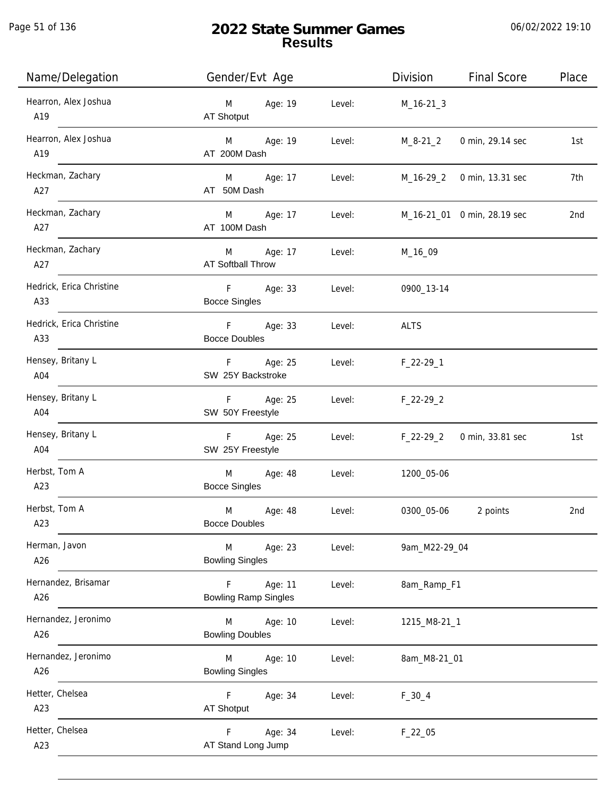Page 51 of 136

# **2022 State Summer Games Results**

| Name/Delegation                 | Gender/Evt Age                                        | Division<br><b>Final Score</b><br>Place |
|---------------------------------|-------------------------------------------------------|-----------------------------------------|
| Hearron, Alex Joshua<br>A19     | Age: 19<br>Level:<br>M<br>AT Shotput                  | $M_16-21-3$                             |
| Hearron, Alex Joshua<br>A19     | Age: 19<br>M <sub>ar</sub><br>Level:<br>AT 200M Dash  | M_8-21_2<br>0 min, 29.14 sec<br>1st     |
| Heckman, Zachary<br>A27         | M Age: 17<br>Level:<br>AT 50M Dash                    | 7th<br>M_16-29_2 0 min, 13.31 sec       |
| Heckman, Zachary<br>A27         | Age: 17<br>M<br>Level:<br>AT 100M Dash                | M_16-21_01 0 min, 28.19 sec<br>2nd      |
| Heckman, Zachary<br>A27         | Age: 17<br>M<br>Level:<br>AT Softball Throw           | M_16_09                                 |
| Hedrick, Erica Christine<br>A33 | F Age: 33<br>Level:<br><b>Bocce Singles</b>           | 0900_13-14                              |
| Hedrick, Erica Christine<br>A33 | F Age: 33<br>Level:<br><b>Bocce Doubles</b>           | <b>ALTS</b>                             |
| Hensey, Britany L<br>A04        | F Age: 25<br>Level:<br>SW 25Y Backstroke              | $F_22-29-1$                             |
| Hensey, Britany L<br>A04        | Age: 25<br>F<br>Level:<br>SW 50Y Freestyle            | $F_22-29_2$                             |
| Hensey, Britany L<br>A04        | F<br>Age: 25<br>Level:<br>SW 25Y Freestyle            | 0 min, 33.81 sec<br>$F_22-29_2$<br>1st  |
| Herbst, Tom A<br>A23            | M<br>Age: 48<br>Level:<br><b>Bocce Singles</b>        | 1200_05-06                              |
| Herbst, Tom A<br>A23            | M<br>Age: 48<br>Level:<br><b>Bocce Doubles</b>        | 0300_05-06<br>2 points<br>2nd           |
| Herman, Javon<br>A26            | M<br>Age: 23<br>Level:<br><b>Bowling Singles</b>      | 9am_M22-29_04                           |
| Hernandez, Brisamar<br>A26      | Age: 11<br>F<br>Level:<br><b>Bowling Ramp Singles</b> | 8am_Ramp_F1                             |
| Hernandez, Jeronimo<br>A26      | Age: 10<br>M<br>Level:<br><b>Bowling Doubles</b>      | 1215_M8-21_1                            |
| Hernandez, Jeronimo<br>A26      | Age: 10<br>Level:<br>M<br><b>Bowling Singles</b>      | 8am_M8-21_01                            |
| Hetter, Chelsea<br>A23          | Age: 34<br>F.<br>Level:<br>AT Shotput                 | $F_30_4$                                |
| Hetter, Chelsea<br>A23          | Age: 34<br>F.<br>Level:<br>AT Stand Long Jump         | $F_22_05$                               |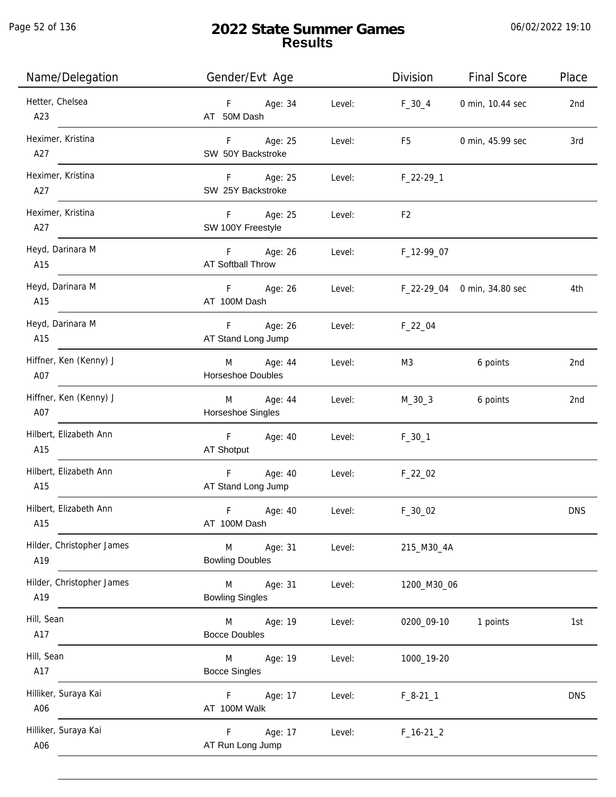j.

| Name/Delegation                  | Gender/Evt Age                         |        | Division       | <b>Final Score</b>          | Place      |
|----------------------------------|----------------------------------------|--------|----------------|-----------------------------|------------|
| Hetter, Chelsea<br>A23           | F Age: 34<br>AT 50M Dash               | Level: | $F_30_4$       | 0 min, 10.44 sec            | 2nd        |
| Heximer, Kristina<br>A27         | F Age: 25<br>SW 50Y Backstroke         | Level: | F5             | 0 min, 45.99 sec            | 3rd        |
| Heximer, Kristina<br>A27         | F Age: 25<br>SW 25Y Backstroke         | Level: | $F_22-29-1$    |                             |            |
| Heximer, Kristina<br>A27         | F Age: 25<br>SW 100Y Freestyle         | Level: | F <sub>2</sub> |                             |            |
| Heyd, Darinara M<br>A15          | F Age: 26<br>AT Softball Throw         | Level: | F_12-99_07     |                             |            |
| Heyd, Darinara M<br>A15          | F Age: 26<br>AT 100M Dash              | Level: |                | F_22-29_04 0 min, 34.80 sec | 4th        |
| Heyd, Darinara M<br>A15          | F Age: 26<br>AT Stand Long Jump        | Level: | $F_22_04$      |                             |            |
| Hiffner, Ken (Kenny) J<br>A07    | M Age: 44<br>Horseshoe Doubles         | Level: | M3             | 6 points                    | 2nd        |
| Hiffner, Ken (Kenny) J<br>A07    | M Age: 44<br>Horseshoe Singles         | Level: | $M_30_3$       | 6 points                    | 2nd        |
| Hilbert, Elizabeth Ann<br>A15    | F Age: 40<br>AT Shotput                | Level: | $F_30_1$       |                             |            |
| Hilbert, Elizabeth Ann<br>A15    | F Age: 40<br>AT Stand Long Jump        | Level: | $F_22_02$      |                             |            |
| Hilbert, Elizabeth Ann<br>A15    | $\mathsf F$<br>Age: 40<br>AT 100M Dash | Level: | $F_30_02$      |                             | <b>DNS</b> |
| Hilder, Christopher James<br>A19 | M<br>Age: 31<br><b>Bowling Doubles</b> | Level: | 215_M30_4A     |                             |            |
| Hilder, Christopher James<br>A19 | M<br>Age: 31<br><b>Bowling Singles</b> | Level: | 1200_M30_06    |                             |            |
| Hill, Sean<br>A17                | M<br>Age: 19<br><b>Bocce Doubles</b>   | Level: | 0200_09-10     | 1 points                    | 1st        |
| Hill, Sean<br>A17                | Age: 19<br>M<br><b>Bocce Singles</b>   | Level: | 1000_19-20     |                             |            |
| Hilliker, Suraya Kai<br>A06      | F<br>Age: 17<br>AT 100M Walk           | Level: | $F_8-21_1$     |                             | <b>DNS</b> |
| Hilliker, Suraya Kai<br>A06      | Age: 17<br>F.<br>AT Run Long Jump      | Level: | $F_16-21_2$    |                             |            |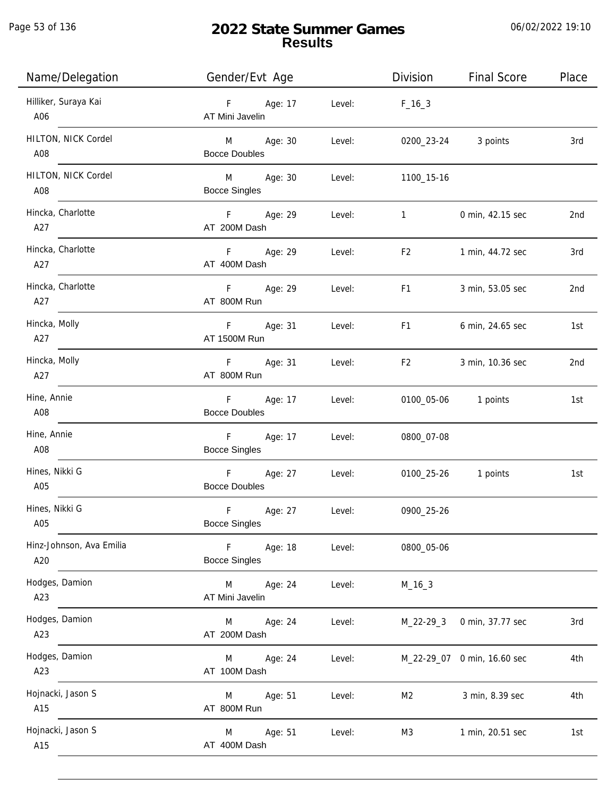Page 53 of 136

j.

# **2022 State Summer Games Results**

| Name/Delegation                 | Gender/Evt Age                                     |        | Division       | <b>Final Score</b>          | Place |
|---------------------------------|----------------------------------------------------|--------|----------------|-----------------------------|-------|
| Hilliker, Suraya Kai<br>A06     | F<br>Age: 17<br>AT Mini Javelin                    | Level: | $F_{16-3}$     |                             |       |
| HILTON, NICK Cordel<br>A08      | M <sub>2</sub><br>Age: 30<br><b>Bocce Doubles</b>  | Level: | 0200_23-24     | 3 points                    | 3rd   |
| HILTON, NICK Cordel<br>A08      | M <sub>ar</sub><br>Age: 30<br><b>Bocce Singles</b> | Level: | 1100_15-16     |                             |       |
| Hincka, Charlotte<br>A27        | Fig. 1<br>Age: 29<br>AT 200M Dash                  | Level: | $\mathbf{1}$   | 0 min, 42.15 sec            | 2nd   |
| Hincka, Charlotte<br>A27        | $F -$<br>Age: 29<br>AT 400M Dash                   | Level: | F <sub>2</sub> | 1 min, 44.72 sec            | 3rd   |
| Hincka, Charlotte<br>A27        | F<br>Age: 29<br>AT 800M Run                        | Level: | F1             | 3 min, 53.05 sec            | 2nd   |
| Hincka, Molly<br>A27            | F<br>Age: 31<br>AT 1500M Run                       | Level: | F <sub>1</sub> | 6 min, 24.65 sec            | 1st   |
| Hincka, Molly<br>A27            | Age: 31<br>F<br>AT 800M Run                        | Level: | F <sub>2</sub> | 3 min, 10.36 sec            | 2nd   |
| Hine, Annie<br>A08              | $F =$<br>Age: 17<br><b>Bocce Doubles</b>           | Level: | 0100_05-06     | 1 points                    | 1st   |
| Hine, Annie<br>A08              | F<br>Age: 17<br><b>Bocce Singles</b>               | Level: | 0800_07-08     |                             |       |
| Hines, Nikki G<br>A05           | F<br>Age: 27<br><b>Bocce Doubles</b>               | Level: | 0100_25-26     | 1 points                    | 1st   |
| Hines, Nikki G<br>A05           | $\mathsf F$<br>Age: 27<br><b>Bocce Singles</b>     | Level: | 0900_25-26     |                             |       |
| Hinz-Johnson, Ava Emilia<br>A20 | $\mathsf F$<br>Age: 18<br><b>Bocce Singles</b>     | Level: | 0800_05-06     |                             |       |
| Hodges, Damion<br>A23           | M<br>Age: 24<br>AT Mini Javelin                    | Level: | $M_16_3$       |                             |       |
| Hodges, Damion<br>A23           | Age: 24<br>M<br>AT 200M Dash                       | Level: | $M_22-29-3$    | 0 min, 37.77 sec            | 3rd   |
| Hodges, Damion<br>A23           | Age: 24<br>M<br>AT 100M Dash                       | Level: |                | M_22-29_07 0 min, 16.60 sec | 4th   |
| Hojnacki, Jason S<br>A15        | Age: 51<br>M<br>AT 800M Run                        | Level: | M <sub>2</sub> | 3 min, 8.39 sec             | 4th   |
| Hojnacki, Jason S<br>A15        | Age: 51<br>M<br>AT 400M Dash                       | Level: | M3             | 1 min, 20.51 sec            | 1st   |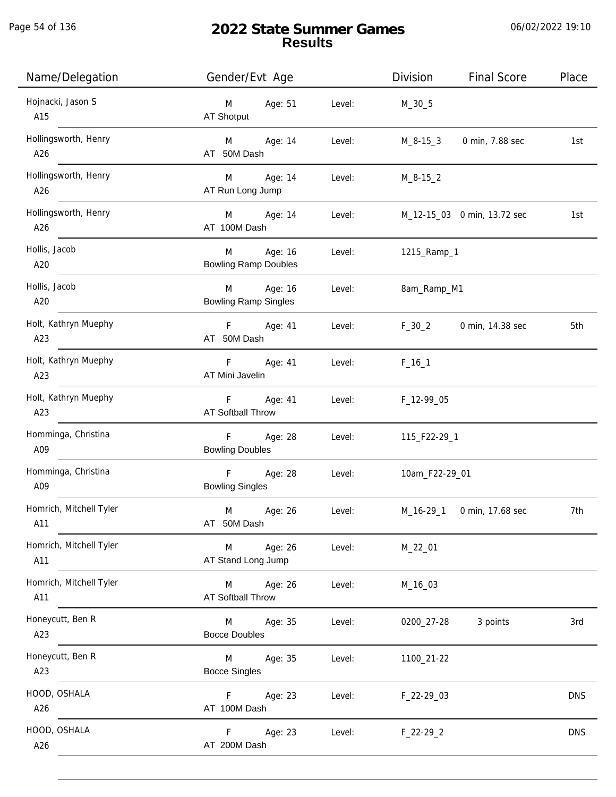Page 54 of 136

j.

# **2022 State Summer Games Results**

| Name/Delegation                | Gender/Evt Age                              |        | Division       | <b>Final Score</b>          | Place      |
|--------------------------------|---------------------------------------------|--------|----------------|-----------------------------|------------|
| Hojnacki, Jason S<br>A15       | M<br>Age: 51<br>AT Shotput                  | Level: | $M_30_5$       |                             |            |
| Hollingsworth, Henry<br>A26    | M<br>Age: 14<br>AT 50M Dash                 | Level: | M_8-15_3       | 0 min, 7.88 sec             | 1st        |
| Hollingsworth, Henry<br>A26    | M<br>Age: 14<br>AT Run Long Jump            | Level: | $M_8 - 15 - 2$ |                             |            |
| Hollingsworth, Henry<br>A26    | M<br>Age: 14<br>AT 100M Dash                | Level: |                | M_12-15_03 0 min, 13.72 sec | 1st        |
| Hollis, Jacob<br>A20           | Age: 16<br>M<br><b>Bowling Ramp Doubles</b> | Level: | 1215_Ramp_1    |                             |            |
| Hollis, Jacob<br>A20           | M<br>Age: 16<br><b>Bowling Ramp Singles</b> | Level: | 8am_Ramp_M1    |                             |            |
| Holt, Kathryn Muephy<br>A23    | Age: 41<br>F.<br>AT 50M Dash                | Level: | $F_30_2$       | 0 min, 14.38 sec            | 5th        |
| Holt, Kathryn Muephy<br>A23    | F.<br>Age: 41<br>AT Mini Javelin            | Level: | $F_{16}$ 1     |                             |            |
| Holt, Kathryn Muephy<br>A23    | F<br>Age: 41<br>AT Softball Throw           | Level: | F_12-99_05     |                             |            |
| Homminga, Christina<br>A09     | F<br>Age: 28<br><b>Bowling Doubles</b>      | Level: | 115_F22-29_1   |                             |            |
| Homminga, Christina<br>A09     | F<br>Age: 28<br><b>Bowling Singles</b>      | Level: | 10am_F22-29_01 |                             |            |
| Homrich, Mitchell Tyler<br>A11 | M<br>Age: 26<br>AT 50M Dash                 | Level: | M_16-29_1      | 0 min, 17.68 sec            | 7th        |
| Homrich, Mitchell Tyler<br>A11 | Age: 26<br>M<br>AT Stand Long Jump          | Level: | M_22_01        |                             |            |
| Homrich, Mitchell Tyler<br>A11 | M<br>Age: 26<br>AT Softball Throw           | Level: | M_16_03        |                             |            |
| Honeycutt, Ben R<br>A23        | Age: 35<br>M<br><b>Bocce Doubles</b>        | Level: | 0200_27-28     | 3 points                    | 3rd        |
| Honeycutt, Ben R<br>A23        | Age: 35<br>M<br><b>Bocce Singles</b>        | Level: | 1100_21-22     |                             |            |
| HOOD, OSHALA<br>A26            | Age: 23<br>F.<br>AT 100M Dash               | Level: | F_22-29_03     |                             | <b>DNS</b> |
| HOOD, OSHALA<br>A26            | F.<br>Age: 23<br>AT 200M Dash               | Level: | $F_22-29_2$    |                             | <b>DNS</b> |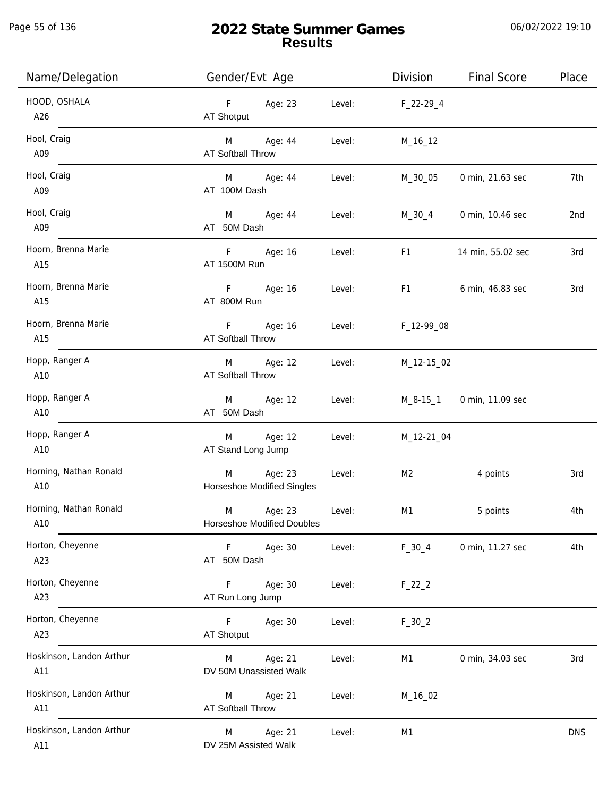Page 55 of 136

j.

# **2022 State Summer Games Results**

| Name/Delegation                 | Gender/Evt Age                                    |        | Division                                                                                                                                                                                                                       | <b>Final Score</b> | Place      |
|---------------------------------|---------------------------------------------------|--------|--------------------------------------------------------------------------------------------------------------------------------------------------------------------------------------------------------------------------------|--------------------|------------|
| HOOD, OSHALA<br>A26             | Age: 23<br>$F = 1$<br>AT Shotput                  | Level: | $F_22-29_4$                                                                                                                                                                                                                    |                    |            |
| Hool, Craig<br>A09              | Age: 44<br>M<br><b>AT Softball Throw</b>          | Level: | M_16_12                                                                                                                                                                                                                        |                    |            |
| Hool, Craig<br>A09              | M Age: 44<br>AT 100M Dash                         | Level: | M_30_05                                                                                                                                                                                                                        | 0 min, 21.63 sec   | 7th        |
| Hool, Craig<br>A09              | M <sub>ar</sub><br>Age: 44<br>AT 50M Dash         | Level: | M_30_4                                                                                                                                                                                                                         | 0 min, 10.46 sec   | 2nd        |
| Hoorn, Brenna Marie<br>A15      | F <sub>11</sub><br>Age: 16<br>AT 1500M Run        | Level: | F1                                                                                                                                                                                                                             | 14 min, 55.02 sec  | 3rd        |
| Hoorn, Brenna Marie<br>A15      | F Age: 16<br>AT 800M Run                          | Level: | F1 and the state of the state of the state of the state of the state of the state of the state of the state of the state of the state of the state of the state of the state of the state of the state of the state of the sta | 6 min, 46.83 sec   | 3rd        |
| Hoorn, Brenna Marie<br>A15      | F<br>Age: 16<br><b>AT Softball Throw</b>          | Level: | F_12-99_08                                                                                                                                                                                                                     |                    |            |
| Hopp, Ranger A<br>A10           | M<br>Age: 12<br><b>AT Softball Throw</b>          | Level: | M_12-15_02                                                                                                                                                                                                                     |                    |            |
| Hopp, Ranger A<br>A10           | Age: 12<br>M<br>AT 50M Dash                       | Level: | M_8-15_1                                                                                                                                                                                                                       | 0 min, 11.09 sec   |            |
| Hopp, Ranger A<br>A10           | Age: 12<br>M<br>AT Stand Long Jump                | Level: | M_12-21_04                                                                                                                                                                                                                     |                    |            |
| Horning, Nathan Ronald<br>A10   | Age: 23<br>M<br>Horseshoe Modified Singles        | Level: | M <sub>2</sub>                                                                                                                                                                                                                 | 4 points           | 3rd        |
| Horning, Nathan Ronald<br>A10   | M<br>Age: 23<br><b>Horseshoe Modified Doubles</b> | Level: | M1                                                                                                                                                                                                                             | 5 points           | 4th        |
| Horton, Cheyenne<br>A23         | F<br>Age: 30<br>AT 50M Dash                       | Level: | $F_30_4$                                                                                                                                                                                                                       | 0 min, 11.27 sec   | 4th        |
| Horton, Cheyenne<br>A23         | F<br>Age: 30<br>AT Run Long Jump                  | Level: | $F_22_2$                                                                                                                                                                                                                       |                    |            |
| Horton, Cheyenne<br>A23         | F<br>Age: 30<br><b>AT Shotput</b>                 | Level: | $F_30_2$                                                                                                                                                                                                                       |                    |            |
| Hoskinson, Landon Arthur<br>A11 | Age: 21<br>M<br>DV 50M Unassisted Walk            | Level: | M1                                                                                                                                                                                                                             | 0 min, 34.03 sec   | 3rd        |
| Hoskinson, Landon Arthur<br>A11 | Age: 21<br>M<br>AT Softball Throw                 | Level: | M_16_02                                                                                                                                                                                                                        |                    |            |
| Hoskinson, Landon Arthur<br>A11 | Age: 21<br>M<br>DV 25M Assisted Walk              | Level: | M <sub>1</sub>                                                                                                                                                                                                                 |                    | <b>DNS</b> |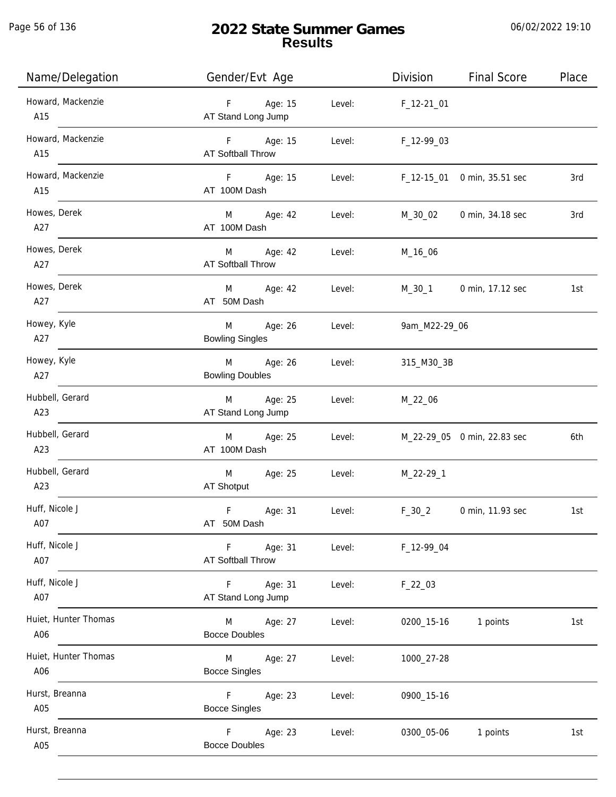Page 56 of 136

j.

# **2022 State Summer Games Results**

| Name/Delegation             | Gender/Evt Age                           |        | Division      | <b>Final Score</b>          | Place |
|-----------------------------|------------------------------------------|--------|---------------|-----------------------------|-------|
| Howard, Mackenzie<br>A15    | Age: 15<br>F<br>AT Stand Long Jump       | Level: | $F_12-2101$   |                             |       |
| Howard, Mackenzie<br>A15    | F Age: 15<br>AT Softball Throw           | Level: | F_12-99_03    |                             |       |
| Howard, Mackenzie<br>A15    | F Age: 15<br>AT 100M Dash                | Level: |               | F_12-15_01 0 min, 35.51 sec | 3rd   |
| Howes, Derek<br>A27         | M Age: 42<br>AT 100M Dash                | Level: | M_30_02       | 0 min, 34.18 sec            | 3rd   |
| Howes, Derek<br>A27         | M<br>Age: 42<br><b>AT Softball Throw</b> | Level: | M_16_06       |                             |       |
| Howes, Derek<br>A27         | M<br>Age: 42<br>AT 50M Dash              | Level: | M_30_1        | 0 min, 17.12 sec            | 1st   |
| Howey, Kyle<br>A27          | Age: 26<br>M<br><b>Bowling Singles</b>   | Level: | 9am_M22-29_06 |                             |       |
| Howey, Kyle<br>A27          | Age: 26<br>M<br><b>Bowling Doubles</b>   | Level: | 315_M30_3B    |                             |       |
| Hubbell, Gerard<br>A23      | Age: 25<br>M<br>AT Stand Long Jump       | Level: | M_22_06       |                             |       |
| Hubbell, Gerard<br>A23      | Age: 25<br>M<br>AT 100M Dash             | Level: |               | M_22-29_05 0 min, 22.83 sec | 6th   |
| Hubbell, Gerard<br>A23      | M<br>Age: 25<br>AT Shotput               | Level: | M_22-29_1     |                             |       |
| Huff, Nicole J<br>A07       | F<br>Age: 31<br>AT 50M Dash              | Level: | $F_30_2$      | 0 min, 11.93 sec            | 1st   |
| Huff, Nicole J<br>A07       | Age: 31<br>F.<br>AT Softball Throw       | Level: | F_12-99_04    |                             |       |
| Huff, Nicole J<br>A07       | Age: 31<br>F.<br>AT Stand Long Jump      | Level: | $F_22_03$     |                             |       |
| Huiet, Hunter Thomas<br>A06 | Age: 27<br>M<br><b>Bocce Doubles</b>     | Level: | 0200_15-16    | 1 points                    | 1st   |
| Huiet, Hunter Thomas<br>A06 | Age: 27<br>M<br><b>Bocce Singles</b>     | Level: | 1000_27-28    |                             |       |
| Hurst, Breanna<br>A05       | F.<br>Age: 23<br><b>Bocce Singles</b>    | Level: | 0900_15-16    |                             |       |
| Hurst, Breanna<br>A05       | Age: 23<br>F.<br><b>Bocce Doubles</b>    | Level: | 0300_05-06    | 1 points                    | 1st   |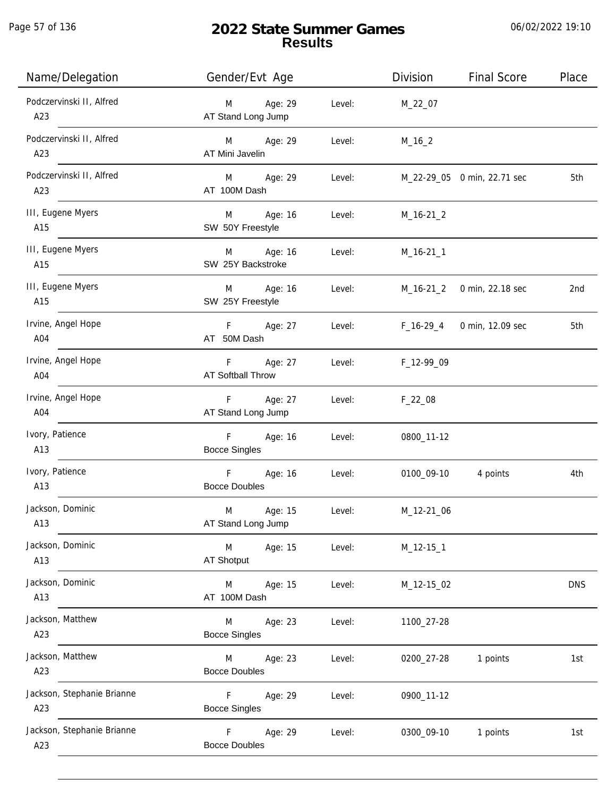Page 57 of 136

# **2022 State Summer Games Results**

| Name/Delegation                   | Gender/Evt Age                                 |        | <b>Division</b> | <b>Final Score</b>          | Place      |
|-----------------------------------|------------------------------------------------|--------|-----------------|-----------------------------|------------|
| Podczervinski II, Alfred<br>A23   | Age: 29<br>M<br>AT Stand Long Jump             | Level: | M_22_07         |                             |            |
| Podczervinski II, Alfred<br>A23   | Age: 29<br>M<br>AT Mini Javelin                | Level: | $M_16_2$        |                             |            |
| Podczervinski II, Alfred<br>A23   | Age: 29<br>M<br>AT 100M Dash                   | Level: |                 | M_22-29_05 0 min, 22.71 sec | 5th        |
| III, Eugene Myers<br>A15          | Age: 16<br>M<br>SW 50Y Freestyle               | Level: | $M_16-21_2$     |                             |            |
| III, Eugene Myers<br>A15          | Age: 16<br>M<br>SW 25Y Backstroke              | Level: | $M_16-21_1$     |                             |            |
| III, Eugene Myers<br>A15          | Age: 16<br>M<br>SW 25Y Freestyle               | Level: | M_16-21_2       | 0 min, 22.18 sec            | 2nd        |
| Irvine, Angel Hope<br>A04         | Age: 27<br>F.<br>AT 50M Dash                   | Level: | $F_16-29_4$     | 0 min, 12.09 sec            | 5th        |
| Irvine, Angel Hope<br>A04         | F.<br>Age: 27<br><b>AT Softball Throw</b>      | Level: | F_12-99_09      |                             |            |
| Irvine, Angel Hope<br>A04         | Age: 27<br>F.<br>AT Stand Long Jump            | Level: | $F_22_08$       |                             |            |
| Ivory, Patience<br>A13            | F<br>Age: 16<br><b>Bocce Singles</b>           | Level: | 0800_11-12      |                             |            |
| Ivory, Patience<br>A13            | $\mathsf F$<br>Age: 16<br><b>Bocce Doubles</b> | Level: | 0100_09-10      | 4 points                    | 4th        |
| Jackson, Dominic<br>A13           | M<br>Age: 15<br>AT Stand Long Jump             | Level: | M_12-21_06      |                             |            |
| Jackson, Dominic<br>A13           | M<br>Age: 15<br><b>AT Shotput</b>              | Level: | $M_12-151$      |                             |            |
| Jackson, Dominic<br>A13           | M<br>Age: 15<br>AT 100M Dash                   | Level: | M_12-15_02      |                             | <b>DNS</b> |
| Jackson, Matthew<br>A23           | Age: 23<br>M<br><b>Bocce Singles</b>           | Level: | 1100_27-28      |                             |            |
| Jackson, Matthew<br>A23           | Age: 23<br>M<br><b>Bocce Doubles</b>           | Level: | 0200_27-28      | 1 points                    | 1st        |
| Jackson, Stephanie Brianne<br>A23 | F.<br>Age: 29<br><b>Bocce Singles</b>          | Level: | 0900_11-12      |                             |            |
| Jackson, Stephanie Brianne<br>A23 | Age: 29<br>F.<br><b>Bocce Doubles</b>          | Level: | 0300_09-10      | 1 points                    | 1st        |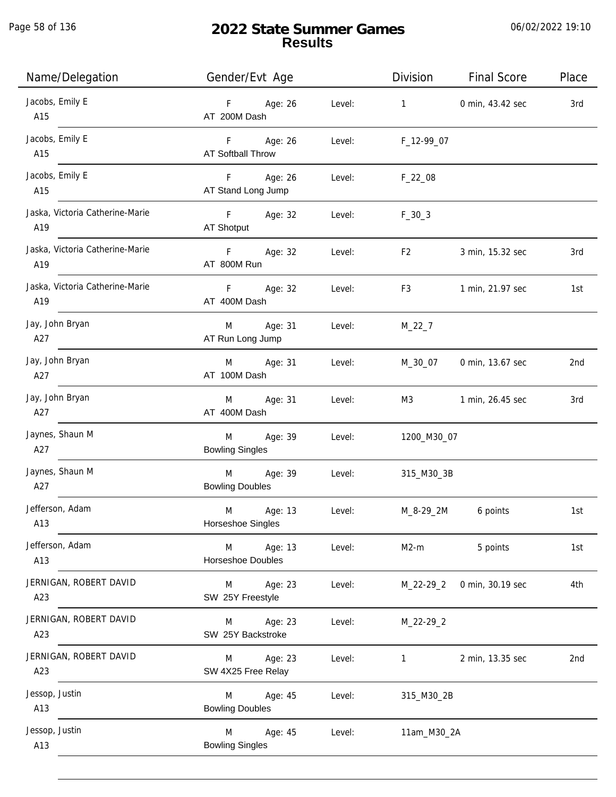Page 58 of 136

j.

# **2022 State Summer Games Results**

| Name/Delegation                        | Gender/Evt Age                         |        | Division                                                                                                                                                                                                                       | <b>Final Score</b> | Place |
|----------------------------------------|----------------------------------------|--------|--------------------------------------------------------------------------------------------------------------------------------------------------------------------------------------------------------------------------------|--------------------|-------|
| Jacobs, Emily E<br>A15                 | F Age: 26<br>AT 200M Dash              | Level: | $1 \quad \cdots$                                                                                                                                                                                                               | 0 min, 43.42 sec   | 3rd   |
| Jacobs, Emily E<br>A15                 | F Age: 26<br><b>AT Softball Throw</b>  | Level: | F_12-99_07                                                                                                                                                                                                                     |                    |       |
| Jacobs, Emily E<br>A15                 | F Age: 26<br>AT Stand Long Jump        | Level: | $F_{22}$ _08                                                                                                                                                                                                                   |                    |       |
| Jaska, Victoria Catherine-Marie<br>A19 | F Age: 32<br>AT Shotput                | Level: | $F_30_3$                                                                                                                                                                                                                       |                    |       |
| Jaska, Victoria Catherine-Marie<br>A19 | F Age: 32<br>AT 800M Run               | Level: | F <sub>2</sub>                                                                                                                                                                                                                 | 3 min, 15.32 sec   | 3rd   |
| Jaska, Victoria Catherine-Marie<br>A19 | F Age: 32<br>AT 400M Dash              | Level: | F3 and the state of the state of the state of the state of the state of the state of the state of the state of the state of the state of the state of the state of the state of the state of the state of the state of the sta | 1 min, 21.97 sec   | 1st   |
| Jay, John Bryan<br>A27                 | M Age: 31<br>AT Run Long Jump          | Level: | $M_22_7$                                                                                                                                                                                                                       |                    |       |
| Jay, John Bryan<br>A27                 | M Age: 31<br>AT 100M Dash              | Level: | M_30_07                                                                                                                                                                                                                        | 0 min, 13.67 sec   | 2nd   |
| Jay, John Bryan<br>A27                 | M Age: 31<br>AT 400M Dash              | Level: | M3                                                                                                                                                                                                                             | 1 min, 26.45 sec   | 3rd   |
| Jaynes, Shaun M<br>A27                 | M Age: 39<br><b>Bowling Singles</b>    | Level: | 1200_M30_07                                                                                                                                                                                                                    |                    |       |
| Jaynes, Shaun M<br>A27                 | M Age: 39<br><b>Bowling Doubles</b>    | Level: | 315_M30_3B                                                                                                                                                                                                                     |                    |       |
| Jefferson, Adam<br>A13                 | M<br>Age: 13<br>Horseshoe Singles      | Level: | M_8-29_2M                                                                                                                                                                                                                      | 6 points           | 1st   |
| Jefferson, Adam<br>A13                 | Age: 13<br>M<br>Horseshoe Doubles      | Level: | $M2-m$                                                                                                                                                                                                                         | 5 points           | 1st   |
| JERNIGAN, ROBERT DAVID<br>A23          | M<br>Age: 23<br>SW 25Y Freestyle       | Level: | M_22-29_2                                                                                                                                                                                                                      | 0 min, 30.19 sec   | 4th   |
| JERNIGAN, ROBERT DAVID<br>A23          | Age: 23<br>M<br>SW 25Y Backstroke      | Level: | M_22-29_2                                                                                                                                                                                                                      |                    |       |
| JERNIGAN, ROBERT DAVID<br>A23          | Age: 23<br>M<br>SW 4X25 Free Relay     | Level: | 1                                                                                                                                                                                                                              | 2 min, 13.35 sec   | 2nd   |
| Jessop, Justin<br>A13                  | Age: 45<br>M<br><b>Bowling Doubles</b> | Level: | 315_M30_2B                                                                                                                                                                                                                     |                    |       |
| Jessop, Justin<br>A13                  | M<br>Age: 45<br><b>Bowling Singles</b> | Level: | 11am_M30_2A                                                                                                                                                                                                                    |                    |       |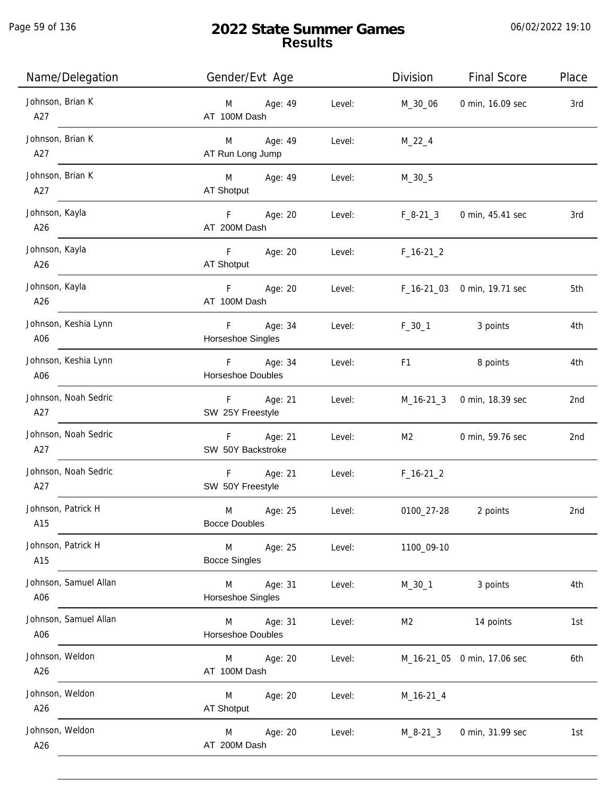| Name/Delegation              | Gender/Evt Age                           | Division                                                                                                                                                                                                                                 | <b>Final Score</b>          | Place           |
|------------------------------|------------------------------------------|------------------------------------------------------------------------------------------------------------------------------------------------------------------------------------------------------------------------------------------|-----------------------------|-----------------|
| Johnson, Brian K<br>A27      | Age: 49<br>M<br>AT 100M Dash             | Level:<br>M_30_06                                                                                                                                                                                                                        | 0 min, 16.09 sec            | 3rd             |
| Johnson, Brian K<br>A27      | M Age: 49<br>AT Run Long Jump            | Level:<br>$M_22_4$                                                                                                                                                                                                                       |                             |                 |
| Johnson, Brian K<br>A27      | M Age: 49<br>AT Shotput                  | Level:<br>$M_30_5$                                                                                                                                                                                                                       |                             |                 |
| Johnson, Kayla<br>A26        | F Age: 20<br>AT 200M Dash                | Level: F_8-21_3                                                                                                                                                                                                                          | 0 min, 45.41 sec            | 3rd             |
| Johnson, Kayla<br>A26        | F Age: 20<br>AT Shotput                  | Level: F_16-21_2                                                                                                                                                                                                                         |                             |                 |
| Johnson, Kayla<br>A26        | F Age: 20<br>AT 100M Dash                | Level: F_16-21_03 0 min, 19.71 sec                                                                                                                                                                                                       |                             | 5th             |
| Johnson, Keshia Lynn<br>A06  | F Age: 34<br>Horseshoe Singles           | Level:                                                                                                                                                                                                                                   | F_30_1 3 points             | 4th             |
| Johnson, Keshia Lynn<br>A06  | F Age: 34<br><b>Horseshoe Doubles</b>    | F1 and the state of the state of the state of the state of the state of the state of the state of the state of the state of the state of the state of the state of the state of the state of the state of the state of the sta<br>Level: | 8 points                    | 4th             |
| Johnson, Noah Sedric<br>A27  | F Age: 21<br>SW 25Y Freestyle            | Level:                                                                                                                                                                                                                                   | M_16-21_3 0 min, 18.39 sec  | 2nd             |
| Johnson, Noah Sedric<br>A27  | F Age: 21<br>SW 50Y Backstroke           | Level:<br>M2                                                                                                                                                                                                                             | 0 min, 59.76 sec            | 2nd             |
| Johnson, Noah Sedric<br>A27  | F Age: 21<br>SW 50Y Freestyle            | Level: F_16-21_2                                                                                                                                                                                                                         |                             |                 |
| Johnson, Patrick H<br>A15    | M<br>Age: 25<br><b>Bocce Doubles</b>     | Level:<br>0100_27-28                                                                                                                                                                                                                     | 2 points                    | 2 <sub>nd</sub> |
| Johnson, Patrick H<br>A15    | M<br>Age: 25<br><b>Bocce Singles</b>     | Level:<br>1100_09-10                                                                                                                                                                                                                     |                             |                 |
| Johnson, Samuel Allan<br>A06 | Age: 31<br>M<br>Horseshoe Singles        | Level:<br>$M_30_1$                                                                                                                                                                                                                       | 3 points                    | 4th             |
| Johnson, Samuel Allan<br>A06 | Age: 31<br>M<br><b>Horseshoe Doubles</b> | Level:<br>M2                                                                                                                                                                                                                             | 14 points                   | 1st             |
| Johnson, Weldon<br>A26       | Age: 20<br>M<br>AT 100M Dash             | Level:                                                                                                                                                                                                                                   | M_16-21_05 0 min, 17.06 sec | 6th             |
| Johnson, Weldon<br>A26       | Age: 20<br>M<br>AT Shotput               | Level:<br>$M_16-21_4$                                                                                                                                                                                                                    |                             |                 |
| Johnson, Weldon<br>A26       | Age: 20<br>M<br>AT 200M Dash             | Level:<br>$M_8 - 21_3$                                                                                                                                                                                                                   | 0 min, 31.99 sec            | 1st             |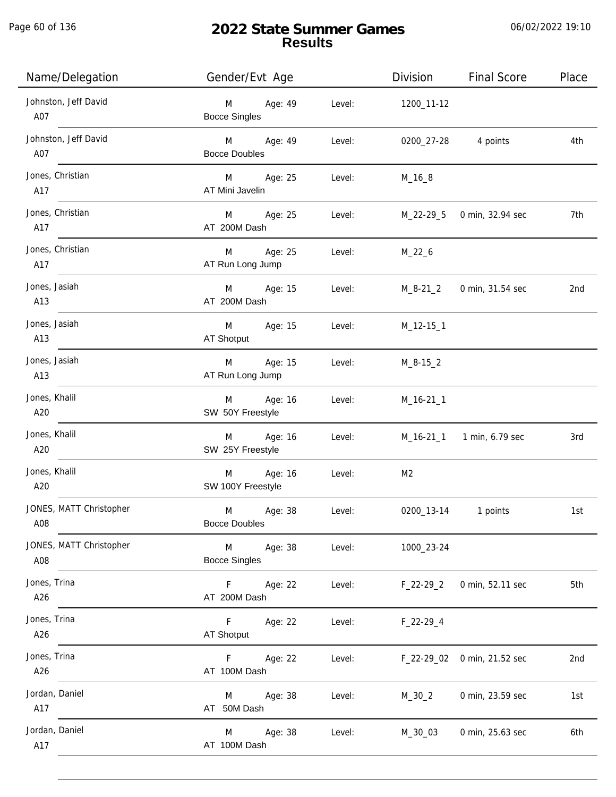Page 60 of 136

# **2022 State Summer Games Results**

| Name/Delegation                | Gender/Evt Age                       |        | Division       | <b>Final Score</b>          | Place |
|--------------------------------|--------------------------------------|--------|----------------|-----------------------------|-------|
| Johnston, Jeff David<br>A07    | M Age: 49<br><b>Bocce Singles</b>    | Level: | 1200_11-12     |                             |       |
| Johnston, Jeff David<br>A07    | M Age: 49<br><b>Bocce Doubles</b>    | Level: | 0200_27-28     | 4 points                    | 4th   |
| Jones, Christian<br>A17        | M Age: 25<br>AT Mini Javelin         | Level: | $M_16_8$       |                             |       |
| Jones, Christian<br>A17        | M Age: 25<br>AT 200M Dash            | Level: |                | M_22-29_5 0 min, 32.94 sec  | 7th   |
| Jones, Christian<br>A17        | M Age: 25<br>AT Run Long Jump        | Level: | $M_22_6$       |                             |       |
| Jones, Jasiah<br>A13           | Age: 15<br>M<br>AT 200M Dash         | Level: | M_8-21_2       | 0 min, 31.54 sec            | 2nd   |
| Jones, Jasiah<br>A13           | Age: 15<br>M<br>AT Shotput           | Level: | M_12-15_1      |                             |       |
| Jones, Jasiah<br>A13           | Age: 15<br>M<br>AT Run Long Jump     | Level: | $M_8 - 15_2$   |                             |       |
| Jones, Khalil<br>A20           | Age: 16<br>M<br>SW 50Y Freestyle     | Level: | M_16-21_1      |                             |       |
| Jones, Khalil<br>A20           | Age: 16<br>M<br>SW 25Y Freestyle     | Level: |                | M_16-21_1 1 min, 6.79 sec   | 3rd   |
| Jones, Khalil<br>A20           | Age: 16<br>M<br>SW 100Y Freestyle    | Level: | M <sub>2</sub> |                             |       |
| JONES, MATT Christopher<br>A08 | M<br>Age: 38<br><b>Bocce Doubles</b> | Level: | 0200_13-14     | 1 points                    | 1st   |
| JONES, MATT Christopher<br>A08 | Age: 38<br>M<br><b>Bocce Singles</b> | Level: | 1000_23-24     |                             |       |
| Jones, Trina<br>A26            | F.<br>Age: 22<br>AT 200M Dash        | Level: | $F_22-29_2$    | 0 min, 52.11 sec            | 5th   |
| Jones, Trina<br>A26            | F.<br>Age: 22<br><b>AT Shotput</b>   | Level: | $F_22-29-4$    |                             |       |
| Jones, Trina<br>A26            | Age: 22<br>F.<br>AT 100M Dash        | Level: |                | F_22-29_02 0 min, 21.52 sec | 2nd   |
| Jordan, Daniel<br>A17          | Age: 38<br>M<br>AT 50M Dash          | Level: | $M_30_2$       | 0 min, 23.59 sec            | 1st   |
| Jordan, Daniel<br>A17          | Age: 38<br>M<br>AT 100M Dash         | Level: | M_30_03        | 0 min, 25.63 sec            | 6th   |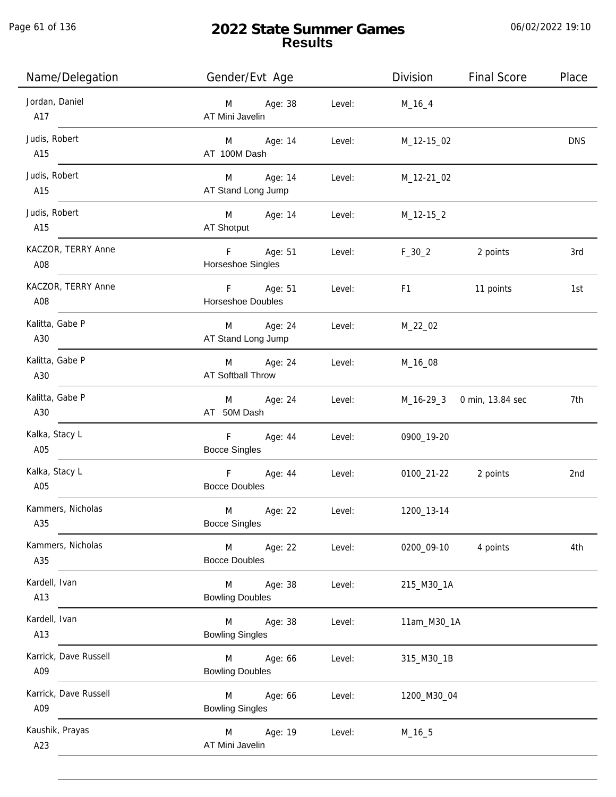Page 61 of 136

j.

# **2022 State Summer Games Results**

| Name/Delegation              | Gender/Evt Age                                            | Division<br><b>Final Score</b> | Place      |
|------------------------------|-----------------------------------------------------------|--------------------------------|------------|
| Jordan, Daniel<br>A17        | Age: 38<br>Level:<br>M<br>AT Mini Javelin                 | $M_16_4$                       |            |
| Judis, Robert<br>A15         | Level:<br>M <sub>ar</sub><br>Age: 14<br>AT 100M Dash      | M_12-15_02                     | <b>DNS</b> |
| Judis, Robert<br>A15         | M Age: 14<br>Level:<br>AT Stand Long Jump                 | M_12-21_02                     |            |
| Judis, Robert<br>A15         | M Age: 14<br>Level:<br>AT Shotput                         | $M_12-15_2$                    |            |
| KACZOR, TERRY Anne<br>A08    | F <sub>11</sub><br>Age: 51<br>Level:<br>Horseshoe Singles | $F_{-}30_{-}2$<br>2 points     | 3rd        |
| KACZOR, TERRY Anne<br>A08    | F<br>Age: 51<br>Level:<br>Horseshoe Doubles               | F1<br>11 points                | 1st        |
| Kalitta, Gabe P<br>A30       | M Age: 24<br>Level:<br>AT Stand Long Jump                 | M_22_02                        |            |
| Kalitta, Gabe P<br>A30       | Age: 24<br>M<br>Level:<br><b>AT Softball Throw</b>        | M_16_08                        |            |
| Kalitta, Gabe P<br>A30       | Age: 24<br>M <sub>ar</sub><br>Level:<br>AT 50M Dash       | M_16-29_3 0 min, 13.84 sec     | 7th        |
| Kalka, Stacy L<br>A05        | F<br>Age: 44<br>Level:<br><b>Bocce Singles</b>            | 0900_19-20                     |            |
| Kalka, Stacy L<br>A05        | $-$ F $-$<br>Age: 44<br>Level:<br><b>Bocce Doubles</b>    | 0100_21-22 2 points            | 2nd        |
| Kammers, Nicholas<br>A35     | M<br>Age: 22<br>Level:<br><b>Bocce Singles</b>            | 1200_13-14                     |            |
| Kammers, Nicholas<br>A35     | Age: 22<br>M<br>Level:<br><b>Bocce Doubles</b>            | 0200_09-10<br>4 points         | 4th        |
| Kardell, Ivan<br>A13         | Age: 38<br>Level:<br>M<br><b>Bowling Doubles</b>          | 215_M30_1A                     |            |
| Kardell, Ivan<br>A13         | Age: 38<br>Level:<br>M<br><b>Bowling Singles</b>          | 11am_M30_1A                    |            |
| Karrick, Dave Russell<br>A09 | Age: 66<br>Level:<br>M<br><b>Bowling Doubles</b>          | 315_M30_1B                     |            |
| Karrick, Dave Russell<br>A09 | Age: 66<br>M<br>Level:<br><b>Bowling Singles</b>          | 1200_M30_04                    |            |
| Kaushik, Prayas<br>A23       | M<br>Age: 19<br>Level:<br>AT Mini Javelin                 | $M_16_5$                       |            |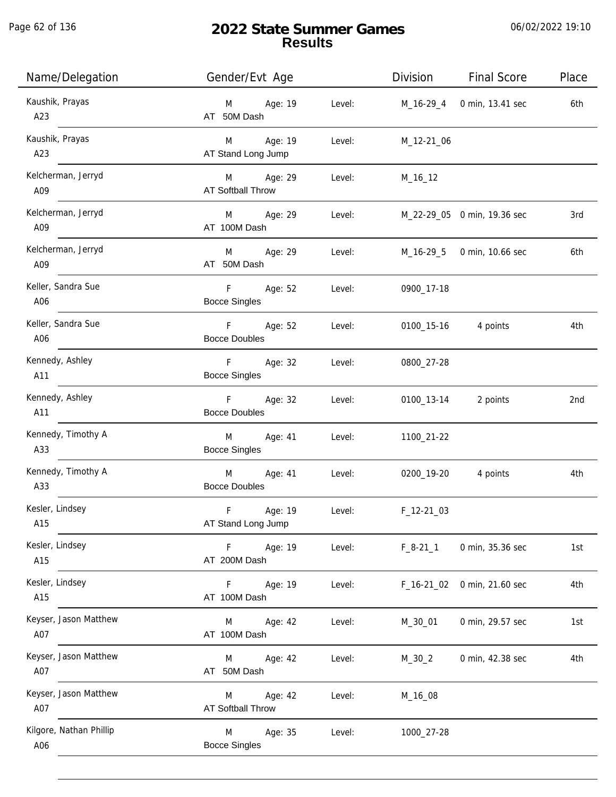Page 62 of 136

| Name/Delegation                | Gender/Evt Age                                 | Division<br><b>Final Score</b> | Place |
|--------------------------------|------------------------------------------------|--------------------------------|-------|
| Kaushik, Prayas<br>A23         | Age: 19<br>Level:<br>M<br>AT 50M Dash          | M_16-29_4<br>0 min, 13.41 sec  | 6th   |
| Kaushik, Prayas<br>A23         | M Age: 19<br>Level:<br>AT Stand Long Jump      | M_12-21_06                     |       |
| Kelcherman, Jerryd<br>A09      | M Age: 29<br>Level:<br>AT Softball Throw       | M_16_12                        |       |
| Kelcherman, Jerryd<br>A09      | M Age: 29<br>Level:<br>AT 100M Dash            | M_22-29_05 0 min, 19.36 sec    | 3rd   |
| Kelcherman, Jerryd<br>A09      | Age: 29<br>M<br>Level:<br>AT 50M Dash          | M_16-29_5 0 min, 10.66 sec     | 6th   |
| Keller, Sandra Sue<br>A06      | F Age: 52<br>Level:<br><b>Bocce Singles</b>    | 0900_17-18                     |       |
| Keller, Sandra Sue<br>A06      | F Age: 52<br>Level:<br><b>Bocce Doubles</b>    | 0100_15-16 4 points            | 4th   |
| Kennedy, Ashley<br>A11         | F Age: 32<br>Level:<br><b>Bocce Singles</b>    | 0800_27-28                     |       |
| Kennedy, Ashley<br>A11         | F<br>Age: 32<br>Level:<br><b>Bocce Doubles</b> | 0100_13-14 2 points            | 2nd   |
| Kennedy, Timothy A<br>A33      | M<br>Age: 41<br>Level:<br><b>Bocce Singles</b> | 1100_21-22                     |       |
| Kennedy, Timothy A<br>A33      | M<br>Age: 41<br>Level:<br><b>Bocce Doubles</b> | 0200_19-20 4 points            | 4th   |
| Kesler, Lindsey<br>A15         | F<br>Age: 19<br>Level:<br>AT Stand Long Jump   | $F_12-2103$                    |       |
| Kesler, Lindsey<br>A15         | Age: 19<br>F<br>Level:<br>AT 200M Dash         | $F_8-21_1$<br>0 min, 35.36 sec | 1st   |
| Kesler, Lindsey<br>A15         | Age: 19<br>Level:<br>F.<br>AT 100M Dash        | 0 min, 21.60 sec<br>F_16-21_02 | 4th   |
| Keyser, Jason Matthew<br>A07   | Age: 42<br>Level:<br>M<br>AT 100M Dash         | M_30_01<br>0 min, 29.57 sec    | 1st   |
| Keyser, Jason Matthew<br>A07   | Age: 42<br>Level:<br>M<br>AT 50M Dash          | $M_30_2$<br>0 min, 42.38 sec   | 4th   |
| Keyser, Jason Matthew<br>A07   | Age: 42<br>Level:<br>M<br>AT Softball Throw    | M_16_08                        |       |
| Kilgore, Nathan Phillip<br>A06 | Age: 35<br>M<br>Level:<br><b>Bocce Singles</b> | 1000_27-28                     |       |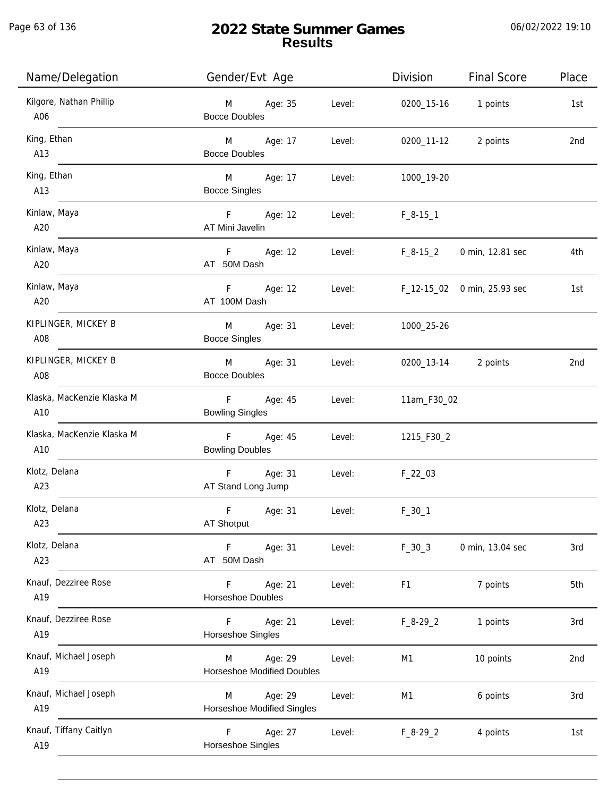Page 63 of 136

| Name/Delegation                   | Gender/Evt Age                                     |        | Division       | <b>Final Score</b>          | Place           |
|-----------------------------------|----------------------------------------------------|--------|----------------|-----------------------------|-----------------|
| Kilgore, Nathan Phillip<br>A06    | Age: 35<br>M<br><b>Bocce Doubles</b>               | Level: |                | 0200_15-16 1 points         | 1st             |
| King, Ethan<br>A13                | M Age: 17<br><b>Bocce Doubles</b>                  | Level: | 0200_11-12     | 2 points                    | 2nd             |
| King, Ethan<br>A13                | Age: 17<br>M <sub>ar</sub><br><b>Bocce Singles</b> | Level: | 1000_19-20     |                             |                 |
| Kinlaw, Maya<br>A20               | F Age: 12<br>AT Mini Javelin                       | Level: | $F_8-15-1$     |                             |                 |
| Kinlaw, Maya<br>A20               | F Age: 12<br>AT 50M Dash                           | Level: | F_8-15_2       | 0 min, 12.81 sec            | 4th             |
| Kinlaw, Maya<br>A20               | F Age: 12<br>AT 100M Dash                          | Level: |                | F_12-15_02 0 min, 25.93 sec | 1st             |
| KIPLINGER, MICKEY B<br>A08        | M<br>Age: 31<br><b>Bocce Singles</b>               | Level: | 1000_25-26     |                             |                 |
| KIPLINGER, MICKEY B<br>A08        | M<br>Age: 31<br><b>Bocce Doubles</b>               | Level: |                | 0200_13-14 2 points         | 2nd             |
| Klaska, MacKenzie Klaska M<br>A10 | F<br>Age: 45<br><b>Bowling Singles</b>             | Level: | 11am_F30_02    |                             |                 |
| Klaska, MacKenzie Klaska M<br>A10 | F Age: 45<br><b>Bowling Doubles</b>                | Level: | 1215_F30_2     |                             |                 |
| Klotz, Delana<br>A23              | Age: 31<br>F.<br>AT Stand Long Jump                | Level: | $F_22_03$      |                             |                 |
| Klotz, Delana<br>A23              | F<br>Age: 31<br>AT Shotput                         | Level: | $F_30_1$       |                             |                 |
| Klotz, Delana<br>A23              | F<br>Age: 31<br>AT 50M Dash                        | Level: | $F_30_3$       | 0 min, 13.04 sec            | 3rd             |
| Knauf, Dezziree Rose<br>A19       | F<br>Age: 21<br>Horseshoe Doubles                  | Level: | F <sub>1</sub> | 7 points                    | 5th             |
| Knauf, Dezziree Rose<br>A19       | F<br>Age: 21<br>Horseshoe Singles                  | Level: | $F_8-29_2$     | 1 points                    | 3rd             |
| Knauf, Michael Joseph<br>A19      | Age: 29<br>M<br><b>Horseshoe Modified Doubles</b>  | Level: | M1             | 10 points                   | 2 <sub>nd</sub> |
| Knauf, Michael Joseph<br>A19      | Age: 29<br>M<br><b>Horseshoe Modified Singles</b>  | Level: | M1             | 6 points                    | 3rd             |
| Knauf, Tiffany Caitlyn<br>A19     | Age: 27<br>F.<br>Horseshoe Singles                 | Level: | $F_8-29_2$     | 4 points                    | 1st             |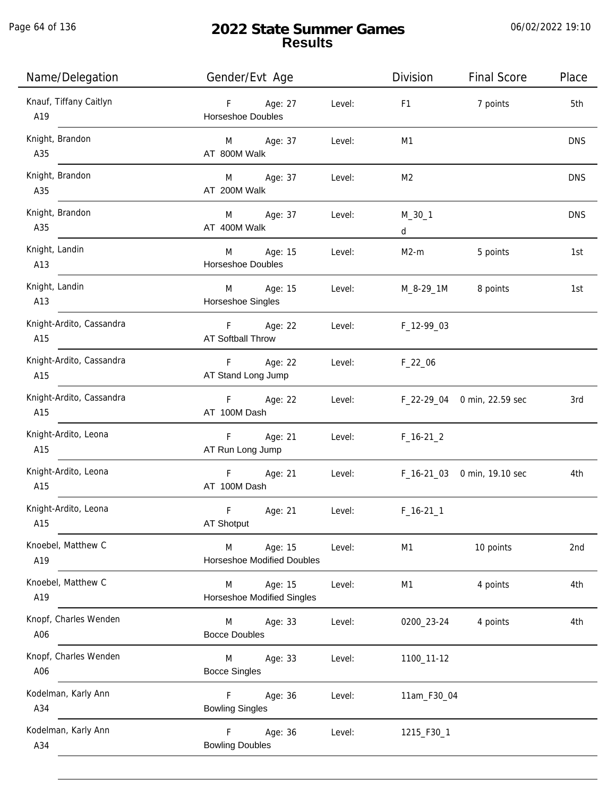Page 64 of 136

| Name/Delegation                 | Gender/Evt Age                                    |                            | Division             | <b>Final Score</b>          | Place           |
|---------------------------------|---------------------------------------------------|----------------------------|----------------------|-----------------------------|-----------------|
| Knauf, Tiffany Caitlyn<br>A19   | F Age: 27<br>Horseshoe Doubles                    | Level:                     | F <sub>1</sub>       | 7 points                    | 5th             |
| Knight, Brandon<br>A35          | M Age: 37<br>AT 800M Walk                         | Level:                     | M <sub>1</sub>       |                             | <b>DNS</b>      |
| Knight, Brandon<br>A35          | M Age: 37<br>AT 200M Walk                         | Level:                     | M <sub>2</sub>       |                             | <b>DNS</b>      |
| Knight, Brandon<br>A35          | M Age: 37<br>AT 400M Walk                         | Level:                     | $M_30_1$<br>$d \sim$ |                             | <b>DNS</b>      |
| Knight, Landin<br>A13           | M Age: 15<br>Horseshoe Doubles                    | Level:                     | $M2-m$               | 5 points                    | 1st             |
| Knight, Landin<br>A13           | M Age: 15<br>Horseshoe Singles                    | Level:                     |                      | M_8-29_1M 8 points          | 1st             |
| Knight-Ardito, Cassandra<br>A15 | F Age: 22<br>AT Softball Throw                    | Level:                     | F_12-99_03           |                             |                 |
| Knight-Ardito, Cassandra<br>A15 | F<br>Age: 22<br>AT Stand Long Jump                | Level: <b>Example 2019</b> | $F_22_06$            |                             |                 |
| Knight-Ardito, Cassandra<br>A15 | F Age: 22<br>AT 100M Dash                         | Level:                     |                      | F_22-29_04 0 min, 22.59 sec | 3rd             |
| Knight-Ardito, Leona<br>A15     | F <sub>11</sub><br>Age: 21<br>AT Run Long Jump    | Level:                     | $F_16-21_2$          |                             |                 |
| Knight-Ardito, Leona<br>A15     | F Age: 21<br>AT 100M Dash                         | Level:                     |                      | F_16-21_03 0 min, 19.10 sec | 4th             |
| Knight-Ardito, Leona<br>A15     | F<br>Age: 21<br>AT Shotput                        | Level:                     | $F_16-211$           |                             |                 |
| Knoebel, Matthew C<br>A19       | Age: 15<br>M<br><b>Horseshoe Modified Doubles</b> | Level:                     | M <sub>1</sub>       | 10 points                   | 2 <sub>nd</sub> |
| Knoebel, Matthew C<br>A19       | M<br>Age: 15<br><b>Horseshoe Modified Singles</b> | Level:                     | M1                   | 4 points                    | 4th             |
| Knopf, Charles Wenden<br>A06    | M<br>Age: 33<br><b>Bocce Doubles</b>              | Level:                     | 0200_23-24           | 4 points                    | 4th             |
| Knopf, Charles Wenden<br>A06    | M<br>Age: 33<br><b>Bocce Singles</b>              | Level:                     | 1100_11-12           |                             |                 |
| Kodelman, Karly Ann<br>A34      | $\mathsf F$<br>Age: 36<br><b>Bowling Singles</b>  | Level:                     | 11am_F30_04          |                             |                 |
| Kodelman, Karly Ann<br>A34      | $\mathsf{F}$<br>Age: 36<br><b>Bowling Doubles</b> | Level:                     | 1215_F30_1           |                             |                 |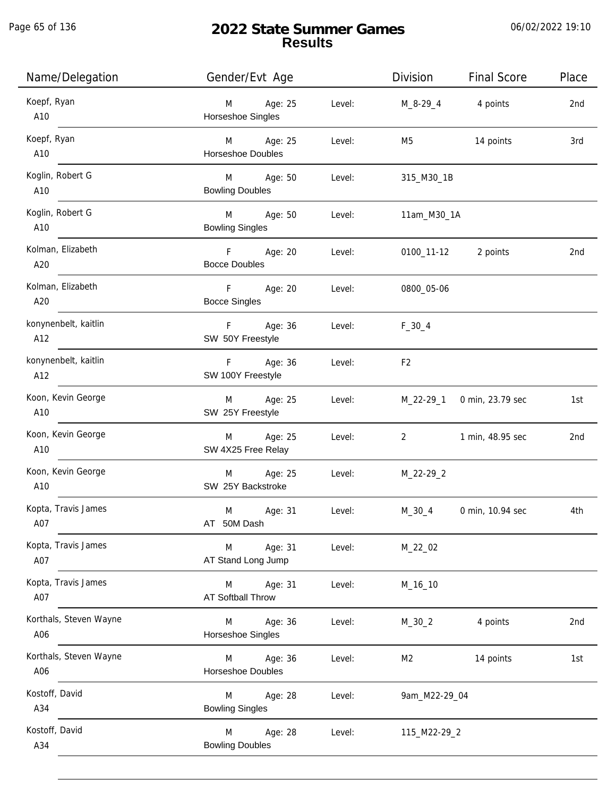| Name/Delegation               | Gender/Evt Age                           |        | Division                       | <b>Final Score</b>         | Place |
|-------------------------------|------------------------------------------|--------|--------------------------------|----------------------------|-------|
| Koepf, Ryan<br>A10            | M Age: 25<br>Horseshoe Singles           | Level: | $M_8 - 29_4$ 4 points          |                            | 2nd   |
| Koepf, Ryan<br>A10            | M Age: 25<br>Horseshoe Doubles           | Level: |                                | M5 14 points               | 3rd   |
| Koglin, Robert G<br>A10       | M Age: 50<br><b>Bowling Doubles</b>      | Level: | 315_M30_1B                     |                            |       |
| Koglin, Robert G<br>A10       | M Age: 50<br><b>Bowling Singles</b>      | Level: | 11am_M30_1A                    |                            |       |
| Kolman, Elizabeth<br>A20      | F Age: 20<br><b>Bocce Doubles</b>        | Level: |                                | 0100_11-12 2 points        | 2nd   |
| Kolman, Elizabeth<br>A20      | F Age: 20<br><b>Bocce Singles</b>        | Level: | 0800_05-06                     |                            |       |
| konynenbelt, kaitlin<br>A12   | F Age: 36<br>SW 50Y Freestyle            | Level: | $F_30_4$                       |                            |       |
| konynenbelt, kaitlin<br>A12   | F Age: 36<br>SW 100Y Freestyle           | Level: | F <sub>2</sub>                 |                            |       |
| Koon, Kevin George<br>A10     | M Age: 25<br>SW 25Y Freestyle            | Level: |                                | M_22-29_1 0 min, 23.79 sec | 1st   |
| Koon, Kevin George<br>A10     | M Age: 25<br>SW 4X25 Free Relay          | Level: | $2 \left( \frac{1}{2} \right)$ | 1 min, 48.95 sec           | 2nd   |
| Koon, Kevin George<br>A10     | M Age: 25<br>SW 25Y Backstroke           | Level: | M_22-29_2                      |                            |       |
| Kopta, Travis James<br>A07    | Age: 31<br>M<br>AT 50M Dash              | Level: | M_30_4                         | 0 min, 10.94 sec           | 4th   |
| Kopta, Travis James<br>A07    | Age: 31<br>M<br>AT Stand Long Jump       | Level: | M_22_02                        |                            |       |
| Kopta, Travis James<br>A07    | Age: 31<br>M<br><b>AT Softball Throw</b> | Level: | M_16_10                        |                            |       |
| Korthals, Steven Wayne<br>A06 | Age: 36<br>M<br>Horseshoe Singles        | Level: | $M_30_2$                       | 4 points                   | 2nd   |
| Korthals, Steven Wayne<br>A06 | Age: 36<br>M<br>Horseshoe Doubles        | Level: | M2                             | 14 points                  | 1st   |
| Kostoff, David<br>A34         | Age: 28<br>M<br><b>Bowling Singles</b>   | Level: | 9am_M22-29_04                  |                            |       |
| Kostoff, David<br>A34         | Age: 28<br>M<br><b>Bowling Doubles</b>   | Level: | 115_M22-29_2                   |                            |       |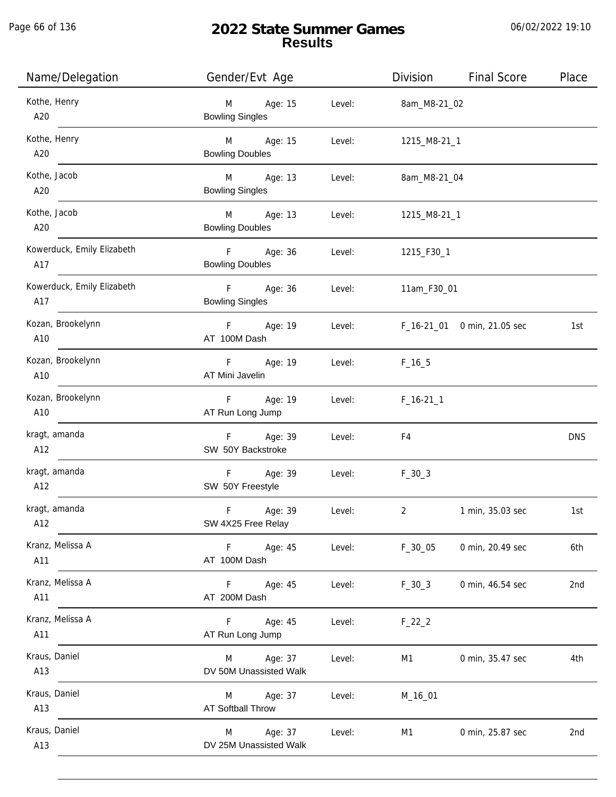j.

| Name/Delegation                                                         | Gender/Evt Age                                      |        | Division            | <b>Final Score</b>          | Place      |
|-------------------------------------------------------------------------|-----------------------------------------------------|--------|---------------------|-----------------------------|------------|
| Kothe, Henry<br>$\begin{array}{c}\n  \  \, 420 \\ \hline\n \end{array}$ | M Age: 15<br><b>Bowling Singles</b>                 |        | Level: 8am_M8-21_02 |                             |            |
| Kothe, Henry<br>A20                                                     | M Age: 15<br><b>Bowling Doubles</b>                 | Level: | 1215_M8-21_1        |                             |            |
| Kothe, Jacob<br>A20                                                     | M Age: 13<br><b>Bowling Singles</b>                 | Level: | 8am_M8-21_04        |                             |            |
| Kothe, Jacob<br>A20                                                     | M Age: 13<br><b>Bowling Doubles</b>                 | Level: | 1215_M8-21_1        |                             |            |
| Kowerduck, Emily Elizabeth<br>A17                                       | F Age: 36<br><b>Bowling Doubles</b>                 |        | Level: 1215_F30_1   |                             |            |
| Kowerduck, Emily Elizabeth<br>A17                                       | F Age: 36<br><b>Bowling Singles</b>                 | Level: | 11am_F30_01         |                             |            |
| Kozan, Brookelynn<br>A10                                                | F Age: 19<br>AT 100M Dash                           | Level: |                     | F_16-21_01 0 min, 21.05 sec | 1st        |
| Kozan, Brookelynn<br>A10                                                | F Age: 19<br>AT Mini Javelin                        | Level: | $F_16_5$            |                             |            |
| Kozan, Brookelynn<br>A10                                                | F Age: 19<br>AT Run Long Jump                       | Level: | $F_16-211$          |                             |            |
| kragt, amanda<br>A12                                                    | F Age: 39<br>SW 50Y Backstroke                      | Level: | F4                  |                             | <b>DNS</b> |
| kragt, amanda<br>A12                                                    | F Age: 39<br>SW 50Y Freestyle                       | Level: | $F_30_3$            |                             |            |
| kragt, amanda<br>A12                                                    | F.<br>Age: 39<br>SW 4X25 Free Relay                 | Level: | 2                   | 1 min, 35.03 sec            | 1st        |
| Kranz, Melissa A<br>A11                                                 | F Age: 45<br>AT 100M Dash                           | Level: | $F_30_05$           | 0 min, 20.49 sec            | 6th        |
| Kranz, Melissa A<br>A11                                                 | F Age: 45<br>AT 200M Dash                           | Level: | $F_30_3$            | 0 min, 46.54 sec            | 2nd        |
| Kranz, Melissa A<br>A11                                                 | F Age: 45<br>AT Run Long Jump                       | Level: | $F_22_2$            |                             |            |
| Kraus, Daniel<br>A13                                                    | Age: 37<br>M<br>DV 50M Unassisted Walk              | Level: | M1                  | 0 min, 35.47 sec            | 4th        |
| Kraus, Daniel<br>A13                                                    | Age: 37<br>M<br>AT Softball Throw                   | Level: | M_16_01             |                             |            |
| Kraus, Daniel<br>A13                                                    | Age: 37<br>M <sub>a</sub><br>DV 25M Unassisted Walk | Level: | M1                  | 0 min, 25.87 sec            | 2nd        |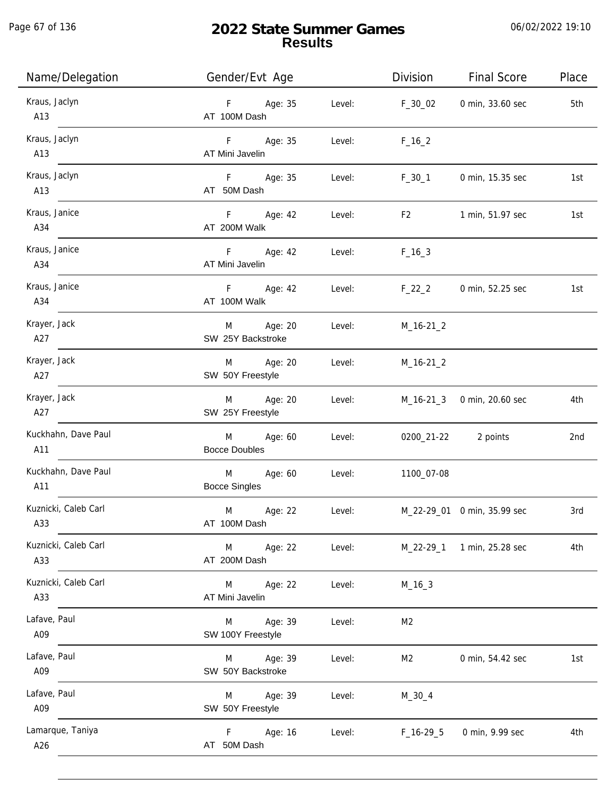Page 67 of 136

j.

# **2022 State Summer Games Results**

| Name/Delegation             | Gender/Evt Age                              |        | Division       | <b>Final Score</b>          | Place |
|-----------------------------|---------------------------------------------|--------|----------------|-----------------------------|-------|
| Kraus, Jaclyn<br>A13        | F Age: 35<br>AT 100M Dash                   | Level: | F_30_02        | 0 min, 33.60 sec            | 5th   |
| Kraus, Jaclyn<br>A13        | F Age: 35<br>AT Mini Javelin                | Level: | $F_{16}$ $2$   |                             |       |
| Kraus, Jaclyn<br>A13        | F Age: 35<br>AT 50M Dash                    | Level: | $F_30_1$       | 0 min, 15.35 sec            | 1st   |
| Kraus, Janice<br>A34        | F Age: 42<br>AT 200M Walk                   | Level: | F2             | 1 min, 51.97 sec            | 1st   |
| Kraus, Janice<br>A34        | F Age: 42<br>AT Mini Javelin                | Level: | $F_{16-3}$     |                             |       |
| Kraus, Janice<br>A34        | F Age: 42<br>AT 100M Walk                   | Level: | $F_22_2$       | 0 min, 52.25 sec            | 1st   |
| Krayer, Jack<br>A27         | M Age: 20<br>SW 25Y Backstroke              | Level: | $M_16-21_2$    |                             |       |
| Krayer, Jack<br>A27         | M Age: 20<br>SW 50Y Freestyle               | Level: | $M_16-21_2$    |                             |       |
| Krayer, Jack<br>A27         | M Age: 20<br>SW 25Y Freestyle               | Level: |                | M_16-21_3 0 min, 20.60 sec  | 4th   |
| Kuckhahn, Dave Paul<br>A11  | M Age: 60<br><b>Bocce Doubles</b>           | Level: |                | 0200_21-22 2 points         | 2nd   |
| Kuckhahn, Dave Paul<br>A11  | Age: 60<br><b>M</b><br><b>Bocce Singles</b> | Level: | 1100_07-08     |                             |       |
| Kuznicki, Caleb Carl<br>A33 | M<br>Age: 22<br>AT 100M Dash                | Level: |                | M_22-29_01 0 min, 35.99 sec | 3rd   |
| Kuznicki, Caleb Carl<br>A33 | M<br>Age: 22<br>AT 200M Dash                | Level: | $M_22-29_1$    | 1 min, 25.28 sec            | 4th   |
| Kuznicki, Caleb Carl<br>A33 | M<br>Age: 22<br>AT Mini Javelin             | Level: | $M_16_3$       |                             |       |
| Lafave, Paul<br>A09         | Age: 39<br>M<br>SW 100Y Freestyle           | Level: | M <sub>2</sub> |                             |       |
| Lafave, Paul<br>A09         | Age: 39<br>M<br>SW 50Y Backstroke           | Level: | M <sub>2</sub> | 0 min, 54.42 sec            | 1st   |
| Lafave, Paul<br>A09         | Age: 39<br>M<br>SW 50Y Freestyle            | Level: | $M_30_4$       |                             |       |
| Lamarque, Taniya<br>A26     | F.<br>Age: 16<br>AT 50M Dash                | Level: | $F_16-29-5$    | 0 min, 9.99 sec             | 4th   |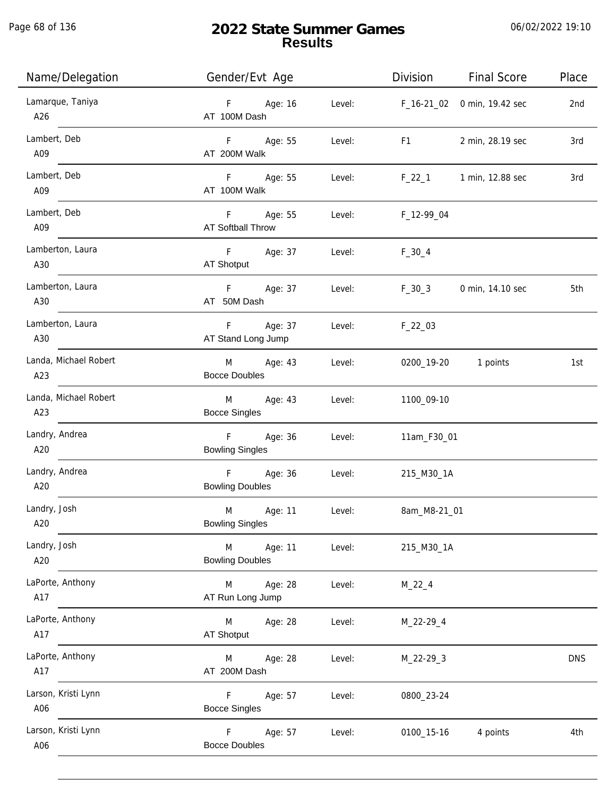Page 68 of 136

j.

| Name/Delegation              | Gender/Evt Age                                      |        | Division                                                                                                                                                                                                                       | <b>Final Score</b>      | Place      |
|------------------------------|-----------------------------------------------------|--------|--------------------------------------------------------------------------------------------------------------------------------------------------------------------------------------------------------------------------------|-------------------------|------------|
| Lamarque, Taniya<br>A26      | F Age: 16<br>AT 100M Dash                           |        | Level: F_16-21_02 0 min, 19.42 sec                                                                                                                                                                                             |                         | 2nd        |
| Lambert, Deb<br>A09          | F Age: 55<br>AT 200M Walk                           | Level: | F1 and the state of the state of the state of the state of the state of the state of the state of the state of the state of the state of the state of the state of the state of the state of the state of the state of the sta | 2 min, 28.19 sec        | 3rd        |
| Lambert, Deb<br>A09          | F Age: 55<br>AT 100M Walk                           | Level: |                                                                                                                                                                                                                                | F_22_1 1 min, 12.88 sec | 3rd        |
| Lambert, Deb<br>A09          | F Age: 55<br>AT Softball Throw                      | Level: | F_12-99_04                                                                                                                                                                                                                     |                         |            |
| Lamberton, Laura<br>A30      | F Age: 37<br>AT Shotput                             | Level: | $F_30_4$                                                                                                                                                                                                                       |                         |            |
| Lamberton, Laura<br>A30      | F Age: 37<br>AT 50M Dash                            | Level: | $F_{30}$ – 30                                                                                                                                                                                                                  | 0 min, 14.10 sec        | 5th        |
| Lamberton, Laura<br>A30      | F Age: 37<br>AT Stand Long Jump                     | Level: | $F_22_03$                                                                                                                                                                                                                      |                         |            |
| Landa, Michael Robert<br>A23 | M Age: 43<br><b>Bocce Doubles</b>                   | Level: |                                                                                                                                                                                                                                | 0200_19-20 1 points     | 1st        |
| Landa, Michael Robert<br>A23 | M <sub>2</sub><br>Age: 43<br><b>Bocce Singles</b>   | Level: | 1100_09-10                                                                                                                                                                                                                     |                         |            |
| Landry, Andrea<br>A20        | F <sub>1</sub><br>Age: 36<br><b>Bowling Singles</b> | Level: | 11am_F30_01                                                                                                                                                                                                                    |                         |            |
| Landry, Andrea<br>A20        | F Age: 36<br><b>Bowling Doubles</b>                 | Level: | 215_M30_1A                                                                                                                                                                                                                     |                         |            |
| Landry, Josh<br>A20          | M Age: 11<br><b>Bowling Singles</b>                 | Level: | 8am_M8-21_01                                                                                                                                                                                                                   |                         |            |
| Landry, Josh<br>A20          | M<br>Age: 11<br><b>Bowling Doubles</b>              | Level: | 215_M30_1A                                                                                                                                                                                                                     |                         |            |
| LaPorte, Anthony<br>A17      | M<br>Age: 28<br>AT Run Long Jump                    | Level: | $M_22_4$                                                                                                                                                                                                                       |                         |            |
| LaPorte, Anthony<br>A17      | M<br>Age: 28<br>AT Shotput                          | Level: | M_22-29_4                                                                                                                                                                                                                      |                         |            |
| LaPorte, Anthony<br>A17      | Age: 28<br>M<br>AT 200M Dash                        | Level: | $M_22-29-3$                                                                                                                                                                                                                    |                         | <b>DNS</b> |
| Larson, Kristi Lynn<br>A06   | F.<br>Age: 57<br><b>Bocce Singles</b>               | Level: | 0800_23-24                                                                                                                                                                                                                     |                         |            |
| Larson, Kristi Lynn<br>A06   | Age: 57<br>F.<br><b>Bocce Doubles</b>               | Level: | 0100_15-16                                                                                                                                                                                                                     | 4 points                | 4th        |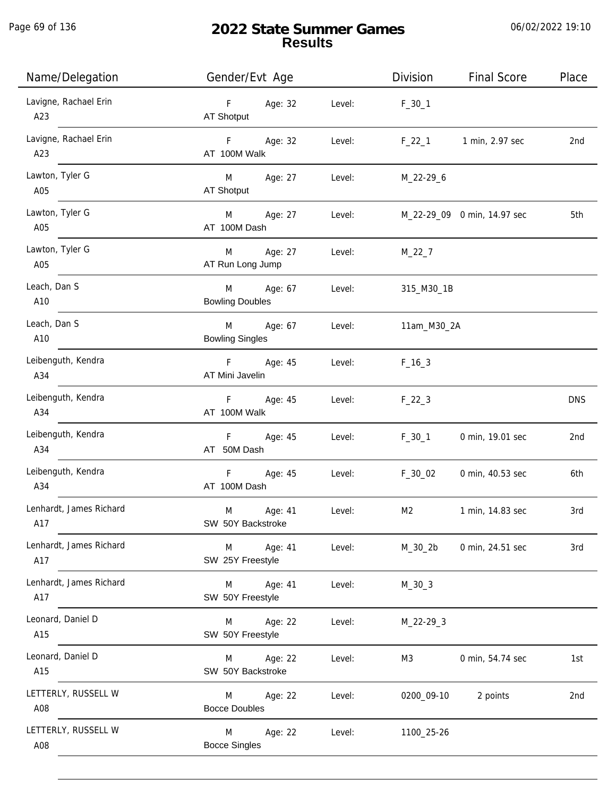Page 69 of 136

# **2022 State Summer Games Results**

| Name/Delegation                | Gender/Evt Age                         |        | Division    | <b>Final Score</b>          | Place           |
|--------------------------------|----------------------------------------|--------|-------------|-----------------------------|-----------------|
| Lavigne, Rachael Erin<br>A23   | Age: 32<br>F<br>AT Shotput             | Level: | $F_30_1$    |                             |                 |
| Lavigne, Rachael Erin<br>A23   | $\mathsf F$<br>Age: 32<br>AT 100M Walk | Level: | $F_22_1$    | 1 min, 2.97 sec             | 2 <sub>nd</sub> |
| Lawton, Tyler G<br>A05         | M<br>Age: 27<br>AT Shotput             | Level: | M_22-29_6   |                             |                 |
| Lawton, Tyler G<br>A05         | M<br>Age: 27<br>AT 100M Dash           | Level: |             | M_22-29_09 0 min, 14.97 sec | 5th             |
| Lawton, Tyler G<br>A05         | Age: 27<br>M<br>AT Run Long Jump       | Level: | $M_22_7$    |                             |                 |
| Leach, Dan S<br>A10            | Age: 67<br>M<br><b>Bowling Doubles</b> | Level: | 315_M30_1B  |                             |                 |
| Leach, Dan S<br>A10            | M<br>Age: 67<br><b>Bowling Singles</b> | Level: | 11am_M30_2A |                             |                 |
| Leibenguth, Kendra<br>A34      | F<br>Age: 45<br>AT Mini Javelin        | Level: | $F_16_3$    |                             |                 |
| Leibenguth, Kendra<br>A34      | $\mathsf F$<br>Age: 45<br>AT 100M Walk | Level: | $F_22_3$    |                             | <b>DNS</b>      |
| Leibenguth, Kendra<br>A34      | $\mathsf F$<br>Age: 45<br>AT 50M Dash  | Level: | $F_30_1$    | 0 min, 19.01 sec            | 2nd             |
| Leibenguth, Kendra<br>A34      | $\mathsf F$<br>Age: 45<br>AT 100M Dash | Level: | $F_30_02$   | 0 min, 40.53 sec            | 6th             |
| Lenhardt, James Richard<br>A17 | M<br>Age: 41<br>SW 50Y Backstroke      | Level: | M2          | 1 min, 14.83 sec            | 3rd             |
| Lenhardt, James Richard<br>A17 | Age: 41<br>M<br>SW 25Y Freestyle       | Level: | M_30_2b     | 0 min, 24.51 sec            | 3rd             |
| Lenhardt, James Richard<br>A17 | Age: 41<br>M<br>SW 50Y Freestyle       | Level: | $M_30_3$    |                             |                 |
| Leonard, Daniel D<br>A15       | Age: 22<br>M<br>SW 50Y Freestyle       | Level: | $M_22-29-3$ |                             |                 |
| Leonard, Daniel D<br>A15       | Age: 22<br>M<br>SW 50Y Backstroke      | Level: | M3          | 0 min, 54.74 sec            | 1st             |
| LETTERLY, RUSSELL W<br>A08     | Age: 22<br>M<br><b>Bocce Doubles</b>   | Level: | 0200_09-10  | 2 points                    | 2nd             |
| LETTERLY, RUSSELL W<br>A08     | Age: 22<br>M<br><b>Bocce Singles</b>   | Level: | 1100_25-26  |                             |                 |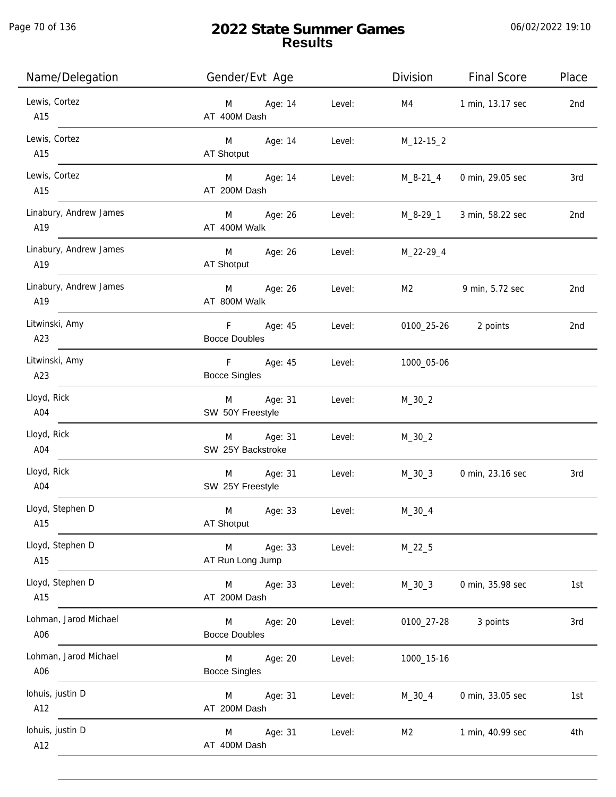Page 70 of 136

j.

| Name/Delegation               | Gender/Evt Age                             | Division                 | <b>Final Score</b>  | Place |
|-------------------------------|--------------------------------------------|--------------------------|---------------------|-------|
| Lewis, Cortez<br>A15          | Age: 14<br>M <sub>ar</sub><br>AT 400M Dash | Level:<br>M4             | 1 min, 13.17 sec    | 2nd   |
| Lewis, Cortez<br>A15          | M Age: 14<br>AT Shotput                    | Level:<br>$M_12-15_2$    |                     |       |
| Lewis, Cortez<br>A15          | Age: 14<br>M <sub>ar</sub><br>AT 200M Dash | M_8-21_4<br>Level:       | 0 min, 29.05 sec    | 3rd   |
| Linabury, Andrew James<br>A19 | Age: 26<br>M<br>AT 400M Walk               | M_8-29_1<br>Level:       | 3 min, 58.22 sec    | 2nd   |
| Linabury, Andrew James<br>A19 | M<br>Age: 26<br>AT Shotput                 | Level:<br>M_22-29_4      |                     |       |
| Linabury, Andrew James<br>A19 | M<br>Age: 26<br>AT 800M Walk               | Level:<br>M2             | 9 min, 5.72 sec     | 2nd   |
| Litwinski, Amy<br>A23         | F<br>Age: 45<br><b>Bocce Doubles</b>       | Level:                   | 0100_25-26 2 points | 2nd   |
| Litwinski, Amy<br>A23         | F.<br>Age: 45<br><b>Bocce Singles</b>      | Level:<br>1000_05-06     |                     |       |
| Lloyd, Rick<br>A04            | Age: 31<br>M<br>SW 50Y Freestyle           | Level:<br>$M_30_2$       |                     |       |
| Lloyd, Rick<br>A04            | Age: 31<br>M<br>SW 25Y Backstroke          | Level:<br>$M_30_2$       |                     |       |
| Lloyd, Rick<br>A04            | Age: 31<br>M<br>SW 25Y Freestyle           | Level:<br>$M_30_3$       | 0 min, 23.16 sec    | 3rd   |
| Lloyd, Stephen D<br>A15       | Age: 33<br>M<br>AT Shotput                 | $M_30_4$<br>Level:       |                     |       |
| Lloyd, Stephen D<br>A15       | M<br>Age: 33<br>AT Run Long Jump           | Level:<br>$M_22_5$       |                     |       |
| Lloyd, Stephen D<br>A15       | M<br>Age: 33<br>AT 200M Dash               | Level:<br>$M_30_3$       | 0 min, 35.98 sec    | 1st   |
| Lohman, Jarod Michael<br>A06  | Age: 20<br>M<br><b>Bocce Doubles</b>       | Level:<br>0100_27-28     | 3 points            | 3rd   |
| Lohman, Jarod Michael<br>A06  | M<br>Age: 20<br><b>Bocce Singles</b>       | Level:<br>1000_15-16     |                     |       |
| lohuis, justin D<br>A12       | Age: 31<br>M<br>AT 200M Dash               | Level:<br>$M_30_4$       | 0 min, 33.05 sec    | 1st   |
| Iohuis, justin D<br>A12       | Age: 31<br>M<br>AT 400M Dash               | Level:<br>M <sub>2</sub> | 1 min, 40.99 sec    | 4th   |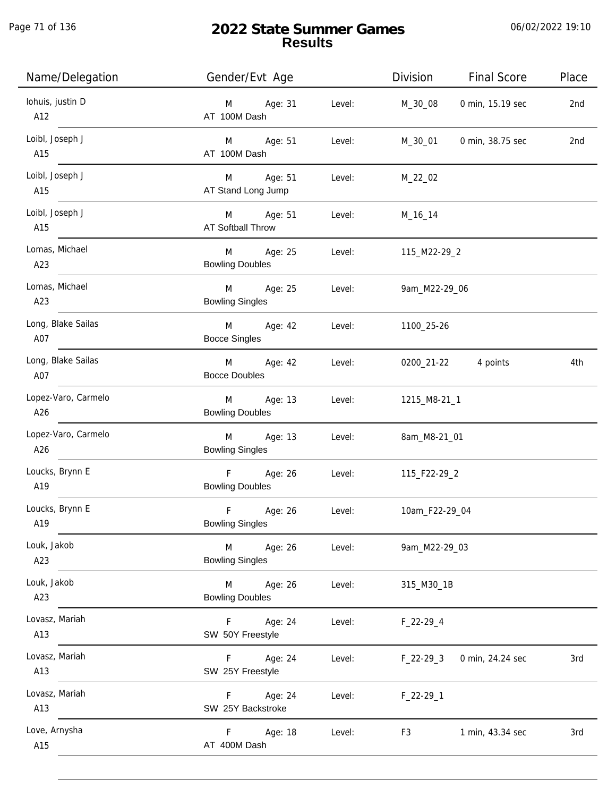Page 71 of 136

| Name/Delegation            | Gender/Evt Age                                   |        | Division       | <b>Final Score</b> | Place |
|----------------------------|--------------------------------------------------|--------|----------------|--------------------|-------|
| Iohuis, justin D<br>A12    | Age: 31<br>M<br>AT 100M Dash                     | Level: | M_30_08        | 0 min, 15.19 sec   | 2nd   |
| Loibl, Joseph J<br>A15     | M Age: 51<br>AT 100M Dash                        | Level: | M_30_01        | 0 min, 38.75 sec   | 2nd   |
| Loibl, Joseph J<br>A15     | M Age: 51<br>AT Stand Long Jump                  | Level: | $M_22_02$      |                    |       |
| Loibl, Joseph J<br>A15     | M Age: 51<br>AT Softball Throw                   | Level: | M_16_14        |                    |       |
| Lomas, Michael<br>A23      | M<br>Age: 25<br><b>Bowling Doubles</b>           | Level: | 115_M22-29_2   |                    |       |
| Lomas, Michael<br>A23      | M<br>Age: 25<br><b>Bowling Singles</b>           | Level: | 9am_M22-29_06  |                    |       |
| Long, Blake Sailas<br>A07  | M Age: 42<br><b>Bocce Singles</b>                | Level: | 1100_25-26     |                    |       |
| Long, Blake Sailas<br>A07  | M<br>Age: 42<br><b>Bocce Doubles</b>             | Level: | 0200_21-22     | 4 points           | 4th   |
| Lopez-Varo, Carmelo<br>A26 | Age: 13<br>M<br><b>Bowling Doubles</b>           | Level: | 1215_M8-21_1   |                    |       |
| Lopez-Varo, Carmelo<br>A26 | M<br>Age: 13<br><b>Bowling Singles</b>           | Level: | 8am_M8-21_01   |                    |       |
| Loucks, Brynn E<br>A19     | F<br>Age: 26<br><b>Bowling Doubles</b>           | Level: | 115_F22-29_2   |                    |       |
| Loucks, Brynn E<br>A19     | $\mathsf F$<br>Age: 26<br><b>Bowling Singles</b> | Level: | 10am_F22-29_04 |                    |       |
| Louk, Jakob<br>A23         | M<br>Age: 26<br><b>Bowling Singles</b>           | Level: | 9am_M22-29_03  |                    |       |
| Louk, Jakob<br>A23         | Age: 26<br>M<br><b>Bowling Doubles</b>           | Level: | 315_M30_1B     |                    |       |
| Lovasz, Mariah<br>A13      | Age: 24<br>F.<br>SW 50Y Freestyle                | Level: | $F_22-29-4$    |                    |       |
| Lovasz, Mariah<br>A13      | Age: 24<br>F.<br>SW 25Y Freestyle                | Level: | F_22-29_3      | 0 min, 24.24 sec   | 3rd   |
| Lovasz, Mariah<br>A13      | Age: 24<br>F.<br>SW 25Y Backstroke               | Level: | $F_22-29-1$    |                    |       |
| Love, Arnysha<br>A15       | Age: 18<br>F.<br>AT 400M Dash                    | Level: | F <sub>3</sub> | 1 min, 43.34 sec   | 3rd   |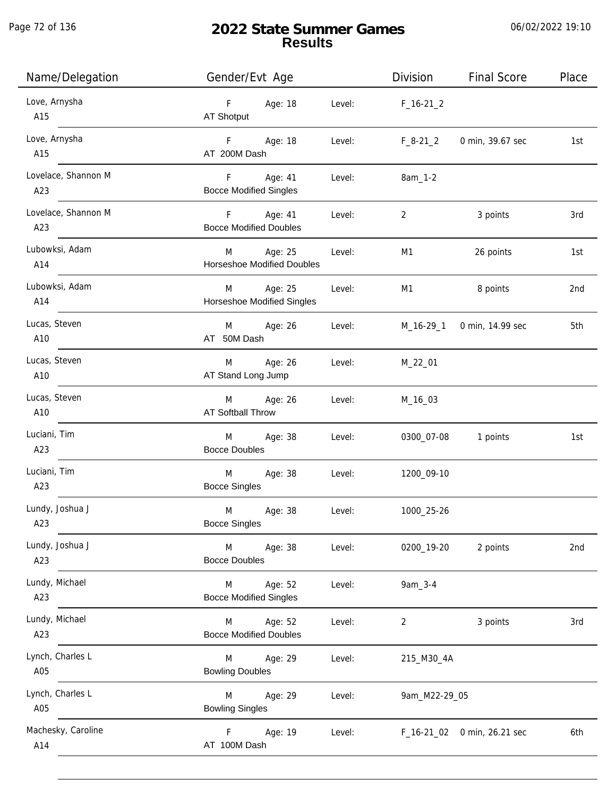Page 72 of 136

j.

# **2022 State Summer Games Results**

| Name/Delegation            | Gender/Evt Age                                    |        | Division       | <b>Final Score</b>          | Place           |
|----------------------------|---------------------------------------------------|--------|----------------|-----------------------------|-----------------|
| Love, Arnysha<br>A15       | F Age: 18<br>AT Shotput                           | Level: | $F_16-21_2$    |                             |                 |
| Love, Arnysha<br>A15       | Age: 18<br>F <sub>12</sub><br>AT 200M Dash        | Level: | $F_8-21_2$     | 0 min, 39.67 sec            | 1st             |
| Lovelace, Shannon M<br>A23 | F Age: 41<br><b>Bocce Modified Singles</b>        | Level: | 8am_1-2        |                             |                 |
| Lovelace, Shannon M<br>A23 | F Age: 41<br><b>Bocce Modified Doubles</b>        | Level: | $\overline{2}$ | 3 points                    | 3rd             |
| Lubowksi, Adam<br>A14      | M<br>Age: 25<br><b>Horseshoe Modified Doubles</b> | Level: | M1             | 26 points                   | 1st             |
| Lubowksi, Adam<br>A14      | Age: 25<br>M<br><b>Horseshoe Modified Singles</b> | Level: | M1             | 8 points                    | 2 <sub>nd</sub> |
| Lucas, Steven<br>A10       | Age: 26<br>M<br>AT 50M Dash                       | Level: | M_16-29_1      | 0 min, 14.99 sec            | 5th             |
| Lucas, Steven<br>A10       | Age: 26<br>M<br>AT Stand Long Jump                | Level: | M_22_01        |                             |                 |
| Lucas, Steven<br>A10       | Age: 26<br>M<br><b>AT Softball Throw</b>          | Level: | M_16_03        |                             |                 |
| Luciani, Tim<br>A23        | Age: 38<br>M<br><b>Bocce Doubles</b>              | Level: | 0300_07-08     | 1 points                    | 1st             |
| Luciani, Tim<br>A23        | M<br>Age: 38<br><b>Bocce Singles</b>              | Level: | 1200_09-10     |                             |                 |
| Lundy, Joshua J<br>A23     | M<br>Age: 38<br><b>Bocce Singles</b>              | Level: | 1000_25-26     |                             |                 |
| Lundy, Joshua J<br>A23     | Age: 38<br>M<br><b>Bocce Doubles</b>              | Level: | 0200_19-20     | 2 points                    | 2nd             |
| Lundy, Michael<br>A23      | Age: 52<br>M<br><b>Bocce Modified Singles</b>     | Level: | 9am_3-4        |                             |                 |
| Lundy, Michael<br>A23      | Age: 52<br>M<br><b>Bocce Modified Doubles</b>     | Level: | 2              | 3 points                    | 3rd             |
| Lynch, Charles L<br>A05    | Age: 29<br>M<br><b>Bowling Doubles</b>            | Level: | 215_M30_4A     |                             |                 |
| Lynch, Charles L<br>A05    | M<br>Age: 29<br><b>Bowling Singles</b>            | Level: | 9am_M22-29_05  |                             |                 |
| Machesky, Caroline<br>A14  | Age: 19<br>F.<br>AT 100M Dash                     | Level: |                | F_16-21_02 0 min, 26.21 sec | 6th             |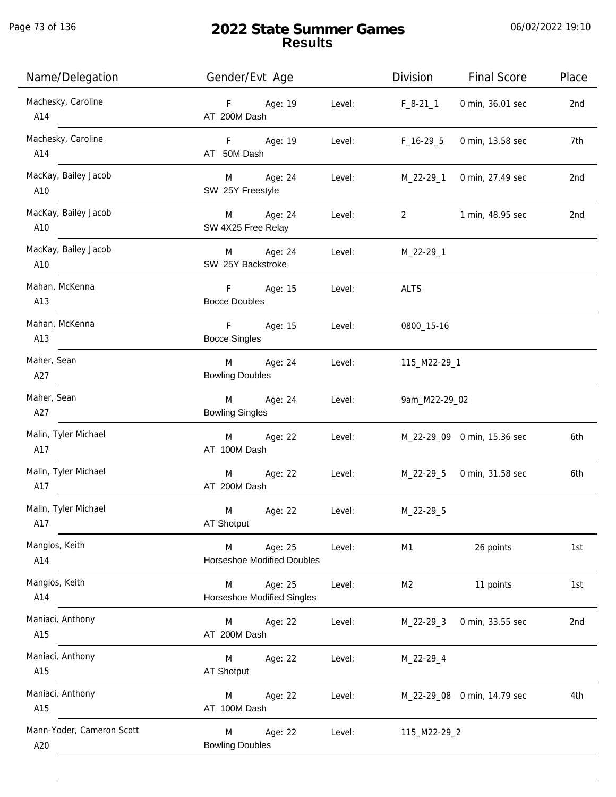| Name/Delegation                  | Gender/Evt Age                                              | Division<br><b>Final Score</b>                     | Place           |
|----------------------------------|-------------------------------------------------------------|----------------------------------------------------|-----------------|
| Machesky, Caroline<br>A14        | Age: 19<br>F<br>Level:<br>AT 200M Dash                      | $F_8-21_1$<br>0 min, 36.01 sec                     | 2nd             |
| Machesky, Caroline<br>A14        | F Age: 19<br>Level:<br>AT 50M Dash                          | $F_16-29.5$<br>0 min, 13.58 sec                    | 7th             |
| MacKay, Bailey Jacob<br>A10      | M Age: 24<br>Level:<br>SW 25Y Freestyle                     | M_22-29_1<br>0 min, 27.49 sec                      | 2nd             |
| MacKay, Bailey Jacob<br>A10      | M Age: 24<br>Level:<br>SW 4X25 Free Relay                   | $2 \left( \frac{1}{2} \right)$<br>1 min, 48.95 sec | 2 <sub>nd</sub> |
| MacKay, Bailey Jacob<br>A10      | M Age: 24<br>Level:<br>SW 25Y Backstroke                    | M_22-29_1                                          |                 |
| Mahan, McKenna<br>A13            | F<br>Age: 15<br>Level:<br><b>Bocce Doubles</b>              | <b>ALTS</b>                                        |                 |
| Mahan, McKenna<br>A13            | $-F$<br>Age: 15<br>Level:<br><b>Bocce Singles</b>           | 0800_15-16                                         |                 |
| Maher, Sean<br>A27               | M<br>Age: 24<br>Level:<br><b>Bowling Doubles</b>            | 115_M22-29_1                                       |                 |
| Maher, Sean<br>A27               | M<br>Age: 24<br>Level:<br><b>Bowling Singles</b>            | 9am_M22-29_02                                      |                 |
| Malin, Tyler Michael<br>A17      | Age: 22<br>Level:<br>M<br>AT 100M Dash                      | M_22-29_09 0 min, 15.36 sec                        | 6th             |
| Malin, Tyler Michael<br>A17      | M<br>Age: 22<br>Level:<br>AT 200M Dash                      | M_22-29_5 0 min, 31.58 sec                         | 6th             |
| Malin, Tyler Michael<br>A17      | M<br>Age: 22<br>Level:<br>AT Shotput                        | M_22-29_5                                          |                 |
| Manglos, Keith<br>A14            | Age: 25<br>M<br>Level:<br><b>Horseshoe Modified Doubles</b> | M1<br>26 points                                    | 1st             |
| Manglos, Keith<br>A14            | Age: 25<br>M<br>Level:<br><b>Horseshoe Modified Singles</b> | 11 points<br>M2                                    | 1st             |
| Maniaci, Anthony<br>A15          | Age: 22<br>M<br>Level:<br>AT 200M Dash                      | $M_22-29_3$<br>0 min, 33.55 sec                    | 2nd             |
| Maniaci, Anthony<br>A15          | Level:<br>M<br>Age: 22<br>AT Shotput                        | M_22-29_4                                          |                 |
| Maniaci, Anthony<br>A15          | Age: 22<br>M<br>Level:<br>AT 100M Dash                      | M_22-29_08 0 min, 14.79 sec                        | 4th             |
| Mann-Yoder, Cameron Scott<br>A20 | Age: 22<br>Level:<br>M<br><b>Bowling Doubles</b>            | 115_M22-29_2                                       |                 |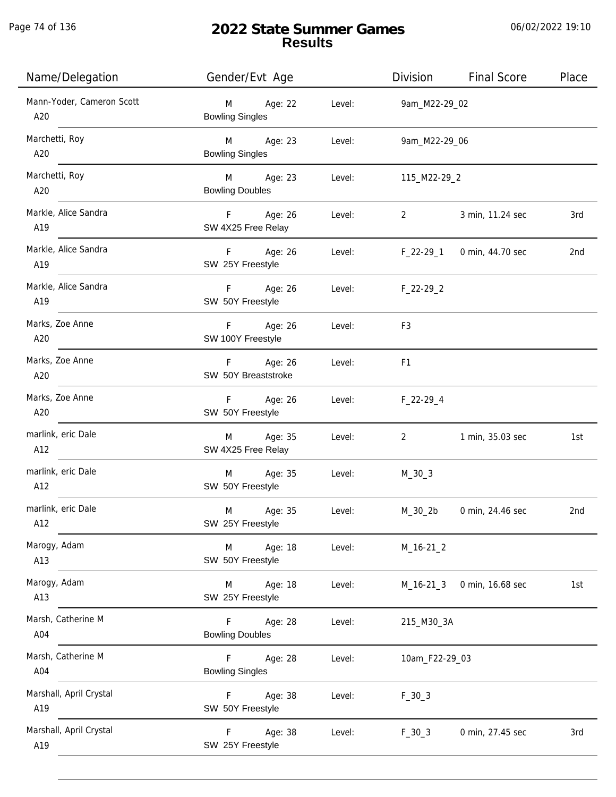Page 74 of 136

j.

# **2022 State Summer Games Results**

| Name/Delegation                  | Gender/Evt Age                          |        | Division       | <b>Final Score</b>         | Place |
|----------------------------------|-----------------------------------------|--------|----------------|----------------------------|-------|
| Mann-Yoder, Cameron Scott<br>A20 | M<br>Age: 22<br><b>Bowling Singles</b>  | Level: | 9am_M22-29_02  |                            |       |
| Marchetti, Roy<br>A20            | M Age: 23<br><b>Bowling Singles</b>     | Level: | 9am_M22-29_06  |                            |       |
| Marchetti, Roy<br>A20            | M Age: 23<br><b>Bowling Doubles</b>     | Level: | 115_M22-29_2   |                            |       |
| Markle, Alice Sandra<br>A19      | F Age: 26<br>SW 4X25 Free Relay         | Level: | $\overline{2}$ | 3 min, 11.24 sec           | 3rd   |
| Markle, Alice Sandra<br>A19      | F Age: 26<br>SW 25Y Freestyle           | Level: |                | F_22-29_1 0 min, 44.70 sec | 2nd   |
| Markle, Alice Sandra<br>A19      | F Age: 26<br>SW 50Y Freestyle           | Level: | $F_22-29_2$    |                            |       |
| Marks, Zoe Anne<br>A20           | F Age: 26<br>SW 100Y Freestyle          | Level: | F3             |                            |       |
| Marks, Zoe Anne<br>A20           | F Age: 26<br>SW 50Y Breaststroke        | Level: | F <sub>1</sub> |                            |       |
| Marks, Zoe Anne<br>A20           | F Age: 26<br>SW 50Y Freestyle           | Level: | $F_22-29-4$    |                            |       |
| marlink, eric Dale<br>A12        | M Age: 35<br>SW 4X25 Free Relay         | Level: | 2              | 1 min, 35.03 sec           | 1st   |
| marlink, eric Dale<br>A12        | Age: 35<br>M<br>SW 50Y Freestyle        | Level: | $M_30_3$       |                            |       |
| marlink, eric Dale<br>A12        | M<br>Age: 35<br>SW 25Y Freestyle        | Level: | $M_30_2$ b     | 0 min, 24.46 sec           | 2nd   |
| Marogy, Adam<br>A13              | Age: 18<br>M<br>SW 50Y Freestyle        | Level: | $M_16-21_2$    |                            |       |
| Marogy, Adam<br>A13              | Age: 18<br>M<br>SW 25Y Freestyle        | Level: | $M_16-21_3$    | 0 min, 16.68 sec           | 1st   |
| Marsh, Catherine M<br>A04        | Age: 28<br>F.<br><b>Bowling Doubles</b> | Level: | 215_M30_3A     |                            |       |
| Marsh, Catherine M<br>A04        | Age: 28<br>F.<br><b>Bowling Singles</b> | Level: | 10am_F22-29_03 |                            |       |
| Marshall, April Crystal<br>A19   | Age: 38<br>F.<br>SW 50Y Freestyle       | Level: | $F_30_3$       |                            |       |
| Marshall, April Crystal<br>A19   | Age: 38<br>F<br>SW 25Y Freestyle        | Level: | $F_30_3$       | 0 min, 27.45 sec           | 3rd   |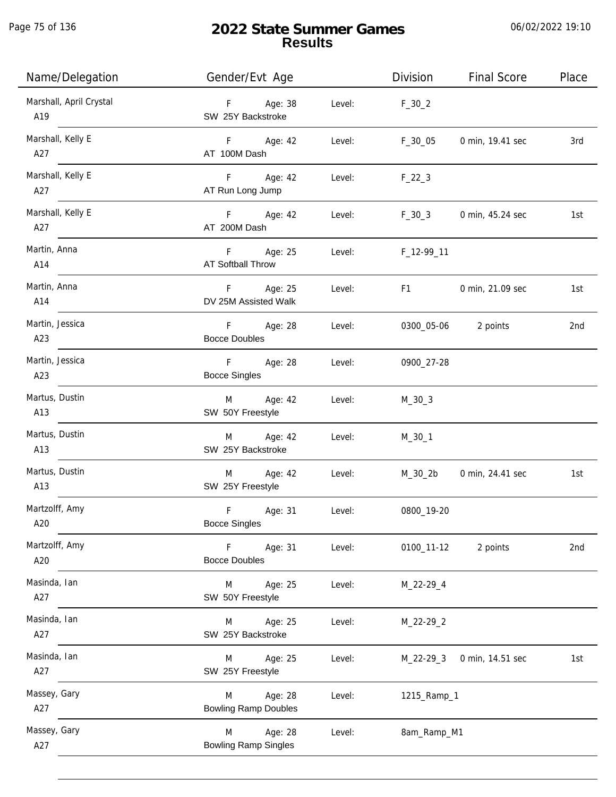Page 75 of 136

j.

# **2022 State Summer Games Results**

| Name/Delegation                | Gender/Evt Age                              |        | Division       | <b>Final Score</b> | Place |
|--------------------------------|---------------------------------------------|--------|----------------|--------------------|-------|
| Marshall, April Crystal<br>A19 | F Age: 38<br>SW 25Y Backstroke              | Level: | $F_30_2$       |                    |       |
| Marshall, Kelly E<br>A27       | F Age: 42<br>AT 100M Dash                   | Level: | $F_30_05$      | 0 min, 19.41 sec   | 3rd   |
| Marshall, Kelly E<br>A27       | F Age: 42<br>AT Run Long Jump               | Level: | $F_22_3$       |                    |       |
| Marshall, Kelly E<br>A27       | F Age: 42<br>AT 200M Dash                   | Level: | $F_30_3$       | 0 min, 45.24 sec   | 1st   |
| Martin, Anna<br>A14            | Age: 25<br>F.<br><b>AT Softball Throw</b>   | Level: | F_12-99_11     |                    |       |
| Martin, Anna<br>A14            | Age: 25<br>F.<br>DV 25M Assisted Walk       | Level: | F <sub>1</sub> | 0 min, 21.09 sec   | 1st   |
| Martin, Jessica<br>A23         | Age: 28<br>F<br><b>Bocce Doubles</b>        | Level: | 0300_05-06     | 2 points           | 2nd   |
| Martin, Jessica<br>A23         | $F =$<br>Age: 28<br><b>Bocce Singles</b>    | Level: | 0900_27-28     |                    |       |
| Martus, Dustin<br>A13          | Age: 42<br>M<br>SW 50Y Freestyle            | Level: | $M_30_3$       |                    |       |
| Martus, Dustin<br>A13          | M Age: 42<br>SW 25Y Backstroke              | Level: | $M_30_1$       |                    |       |
| Martus, Dustin<br>A13          | Age: 42<br>M<br>SW 25Y Freestyle            | Level: | M_30_2b        | 0 min, 24.41 sec   | 1st   |
| Martzolff, Amy<br>A20          | F<br>Age: 31<br><b>Bocce Singles</b>        | Level: | 0800_19-20     |                    |       |
| Martzolff, Amy<br>A20          | Age: 31<br>F.<br><b>Bocce Doubles</b>       | Level: | 0100_11-12     | 2 points           | 2nd   |
| Masinda, Ian<br>A27            | Age: 25<br>M<br>SW 50Y Freestyle            | Level: | M_22-29_4      |                    |       |
| Masinda, Ian<br>A27            | Age: 25<br>M<br>SW 25Y Backstroke           | Level: | $M_22-29_2$    |                    |       |
| Masinda, Ian<br>A27            | Age: 25<br>M<br>SW 25Y Freestyle            | Level: | $M_22-29-3$    | 0 min, 14.51 sec   | 1st   |
| Massey, Gary<br>A27            | Age: 28<br>M<br><b>Bowling Ramp Doubles</b> | Level: | 1215_Ramp_1    |                    |       |
| Massey, Gary<br>A27            | Age: 28<br>M<br><b>Bowling Ramp Singles</b> | Level: | 8am_Ramp_M1    |                    |       |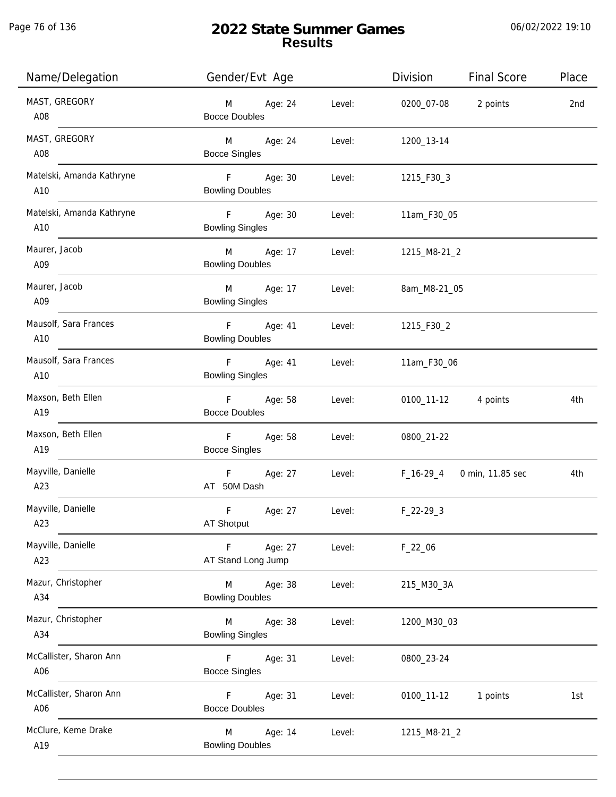j.

| Name/Delegation                  | Gender/Evt Age                                               | Division<br><b>Final Score</b><br>Place |
|----------------------------------|--------------------------------------------------------------|-----------------------------------------|
| MAST, GREGORY<br>A08             | M Age: 24<br>Level:<br><b>Bocce Doubles</b>                  | 0200_07-08 2 points<br>2nd              |
| MAST, GREGORY<br>A08             | M Age: 24<br>Level:<br><b>Bocce Singles</b>                  | 1200_13-14                              |
| Matelski, Amanda Kathryne<br>A10 | F Age: 30<br><b>Bowling Doubles</b>                          | Level:<br>1215_F30_3                    |
| Matelski, Amanda Kathryne<br>A10 | F Age: 30<br><b>Bowling Singles</b>                          | Level:<br>11am_F30_05                   |
| Maurer, Jacob<br>A09             | M Age: 17<br><b>Bowling Doubles</b>                          | Level: 1215_M8-21_2                     |
| Maurer, Jacob<br>A09             | M Age: 17<br><b>Bowling Singles</b>                          | Level:<br>8am_M8-21_05                  |
| Mausolf, Sara Frances<br>A10     | F Age: 41<br><b>Bowling Doubles</b>                          | Level:<br>1215_F30_2                    |
| Mausolf, Sara Frances<br>A10     | F Age: 41<br><b>Bowling Singles</b>                          | Level:<br>11am_F30_06                   |
| Maxson, Beth Ellen<br>A19        | F Age: 58<br>Level:<br><b>Bocce Doubles</b>                  | 0100_11-12 4 points<br>4th              |
| Maxson, Beth Ellen<br>A19        | F <sub>11</sub><br>Age: 58<br>Level:<br><b>Bocce Singles</b> | 0800_21-22                              |
| Mayville, Danielle<br>A23        | F Age: 27<br>Level:<br>AT 50M Dash                           | F_16-29_4 0 min, 11.85 sec<br>4th       |
| Mayville, Danielle<br>A23        | F.<br>Age: 27<br>Level:<br>AT Shotput                        | $F_22-293$                              |
| Mayville, Danielle<br>A23        | F<br>Age: 27<br>Level:<br>AT Stand Long Jump                 | $F_22_06$                               |
| Mazur, Christopher<br>A34        | M<br>Age: 38<br>Level:<br><b>Bowling Doubles</b>             | 215_M30_3A                              |
| Mazur, Christopher<br>A34        | M<br>Age: 38<br>Level:<br><b>Bowling Singles</b>             | 1200_M30_03                             |
| McCallister, Sharon Ann<br>A06   | F.<br>Age: 31<br>Level:<br><b>Bocce Singles</b>              | 0800_23-24                              |
| McCallister, Sharon Ann<br>A06   | F<br>Age: 31<br>Level:<br><b>Bocce Doubles</b>               | 0100_11-12<br>1 points<br>1st           |
| McClure, Keme Drake<br>A19       | M<br>Age: 14<br>Level:<br><b>Bowling Doubles</b>             | 1215_M8-21_2                            |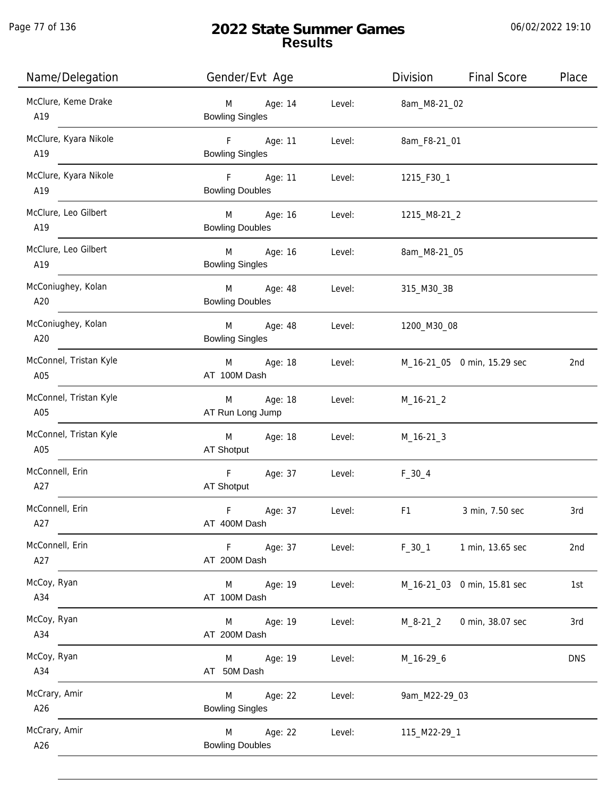| Name/Delegation               | Gender/Evt Age                         |        | Division            | <b>Final Score</b>          | Place      |
|-------------------------------|----------------------------------------|--------|---------------------|-----------------------------|------------|
| McClure, Keme Drake<br>A19    | Age: 14<br>M<br><b>Bowling Singles</b> | Level: | 8am_M8-21_02        |                             |            |
| McClure, Kyara Nikole<br>A19  | F Age: 11<br><b>Bowling Singles</b>    | Level: | 8am_F8-21_01        |                             |            |
| McClure, Kyara Nikole<br>A19  | F Age: 11<br><b>Bowling Doubles</b>    | Level: | 1215_F30_1          |                             |            |
| McClure, Leo Gilbert<br>A19   | M Age: 16<br><b>Bowling Doubles</b>    |        | Level: 1215_M8-21_2 |                             |            |
| McClure, Leo Gilbert<br>A19   | M Age: 16<br><b>Bowling Singles</b>    | Level: | 8am_M8-21_05        |                             |            |
| McConiughey, Kolan<br>A20     | M Age: 48<br><b>Bowling Doubles</b>    | Level: | 315_M30_3B          |                             |            |
| McConiughey, Kolan<br>A20     | M Age: 48<br><b>Bowling Singles</b>    |        | Level: 1200_M30_08  |                             |            |
| McConnel, Tristan Kyle<br>A05 | M Age: 18<br>AT 100M Dash              | Level: |                     | M_16-21_05 0 min, 15.29 sec | 2nd        |
| McConnel, Tristan Kyle<br>A05 | M Age: 18<br>AT Run Long Jump          | Level: | $M_16-21_2$         |                             |            |
| McConnel, Tristan Kyle<br>A05 | M<br>Age: 18<br>AT Shotput             | Level: | $M_16-21-3$         |                             |            |
| McConnell, Erin<br>A27        | $\mathsf F$<br>Age: 37<br>AT Shotput   | Level: | $F_30_4$            |                             |            |
| McConnell, Erin<br>A27        | $\mathsf F$<br>Age: 37<br>AT 400M Dash | Level: | F <sub>1</sub>      | 3 min, 7.50 sec             | 3rd        |
| McConnell, Erin<br>A27        | F Age: 37<br>AT 200M Dash              | Level: | $F_30_1$            | 1 min, 13.65 sec            | 2nd        |
| McCoy, Ryan<br>A34            | Age: 19<br>M<br>AT 100M Dash           | Level: |                     | M_16-21_03 0 min, 15.81 sec | 1st        |
| McCoy, Ryan<br>A34            | M Age: 19<br>AT 200M Dash              | Level: | M_8-21_2            | 0 min, 38.07 sec            | 3rd        |
| McCoy, Ryan<br>A34            | Age: 19<br>M<br>AT 50M Dash            | Level: | M_16-29_6           |                             | <b>DNS</b> |
| McCrary, Amir<br>A26          | Age: 22<br>M<br><b>Bowling Singles</b> | Level: | 9am_M22-29_03       |                             |            |
| McCrary, Amir<br>A26          | Age: 22<br>M<br><b>Bowling Doubles</b> | Level: | 115_M22-29_1        |                             |            |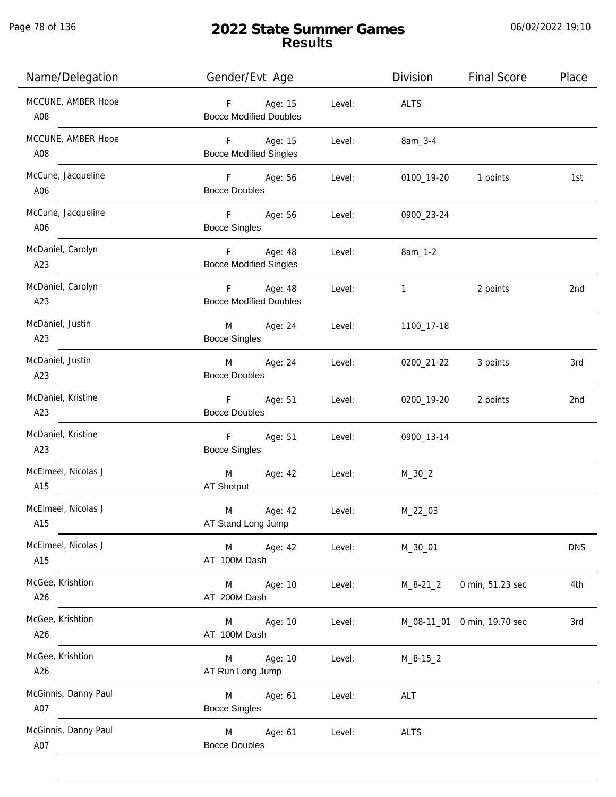j.

# **2022 State Summer Games Results**

| Name/Delegation             | Gender/Evt Age                                 |        | Division     | <b>Final Score</b>          | Place      |
|-----------------------------|------------------------------------------------|--------|--------------|-----------------------------|------------|
| MCCUNE, AMBER Hope<br>A08   | Age: 15<br>F<br><b>Bocce Modified Doubles</b>  | Level: | <b>ALTS</b>  |                             |            |
| MCCUNE, AMBER Hope<br>A08   | F Age: 15<br><b>Bocce Modified Singles</b>     | Level: | 8am_3-4      |                             |            |
| McCune, Jacqueline<br>A06   | $F -$<br>Age: 56<br><b>Bocce Doubles</b>       | Level: | 0100_19-20   | 1 points                    | 1st        |
| McCune, Jacqueline<br>A06   | F<br>Age: 56<br><b>Bocce Singles</b>           | Level: | 0900_23-24   |                             |            |
| McDaniel, Carolyn<br>A23    | F.<br>Age: 48<br><b>Bocce Modified Singles</b> | Level: | 8am_1-2      |                             |            |
| McDaniel, Carolyn<br>A23    | F<br>Age: 48<br><b>Bocce Modified Doubles</b>  | Level: | 1            | 2 points                    | 2nd        |
| McDaniel, Justin<br>A23     | Age: 24<br>M<br><b>Bocce Singles</b>           | Level: | 1100_17-18   |                             |            |
| McDaniel, Justin<br>A23     | Age: 24<br>M<br><b>Bocce Doubles</b>           | Level: | 0200_21-22   | 3 points                    | 3rd        |
| McDaniel, Kristine<br>A23   | F.<br>Age: 51<br><b>Bocce Doubles</b>          | Level: | 0200_19-20   | 2 points                    | 2nd        |
| McDaniel, Kristine<br>A23   | F<br>Age: 51<br><b>Bocce Singles</b>           | Level: | 0900_13-14   |                             |            |
| McElmeel, Nicolas J<br>A15  | M<br>Age: 42<br>AT Shotput                     | Level: | $M_30_2$     |                             |            |
| McElmeel, Nicolas J<br>A15  | M<br>Age: 42<br>AT Stand Long Jump             | Level: | $M_22_03$    |                             |            |
| McElmeel, Nicolas J<br>A15  | M<br>Age: 42<br>AT 100M Dash                   | Level: | M_30_01      |                             | <b>DNS</b> |
| McGee, Krishtion<br>A26     | Age: 10<br>M<br>AT 200M Dash                   | Level: | $M_8 - 21_2$ | 0 min, 51.23 sec            | 4th        |
| McGee, Krishtion<br>A26     | Age: 10<br>M<br>AT 100M Dash                   | Level: |              | M_08-11_01 0 min, 19.70 sec | 3rd        |
| McGee, Krishtion<br>A26     | Age: 10<br>M<br>AT Run Long Jump               | Level: | $M_8 - 15_2$ |                             |            |
| McGinnis, Danny Paul<br>A07 | Age: 61<br>M<br><b>Bocce Singles</b>           | Level: | ALT          |                             |            |
| McGinnis, Danny Paul<br>A07 | M<br>Age: 61<br><b>Bocce Doubles</b>           | Level: | <b>ALTS</b>  |                             |            |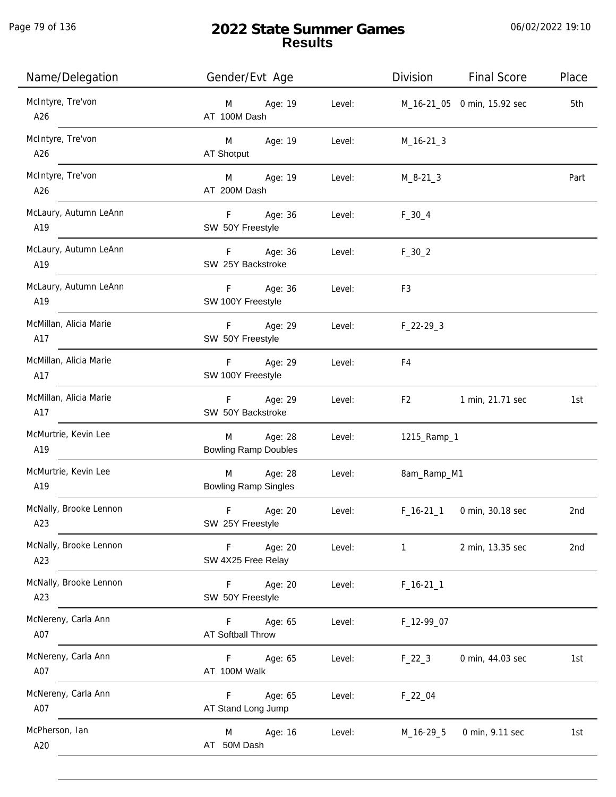| Name/Delegation               | Gender/Evt Age                                        | Division<br><b>Final Score</b><br>Place   |
|-------------------------------|-------------------------------------------------------|-------------------------------------------|
| McIntyre, Tre'von<br>A26      | Age: 19<br>Level:<br>M<br>AT 100M Dash                | M_16-21_05 0 min, 15.92 sec<br>5th        |
| McIntyre, Tre'von<br>A26      | Age: 19<br>Level:<br>M <sub>ar</sub><br>AT Shotput    | $M_16-21-3$                               |
| McIntyre, Tre'von<br>A26      | M Age: 19<br>AT 200M Dash                             | Level:<br>$M_8 - 21 - 3$<br>Part          |
| McLaury, Autumn LeAnn<br>A19  | F Age: 36<br>Level:<br>SW 50Y Freestyle               | $F_30_4$                                  |
| McLaury, Autumn LeAnn<br>A19  | F Age: 36<br>Level:<br>SW 25Y Backstroke              | $F_30_2$                                  |
| McLaury, Autumn LeAnn<br>A19  | Age: 36<br>F<br>Level:<br>SW 100Y Freestyle           | F <sub>3</sub>                            |
| McMillan, Alicia Marie<br>A17 | F<br>Age: 29<br>Level:<br>SW 50Y Freestyle            | $F_22-293$                                |
| McMillan, Alicia Marie<br>A17 | Age: 29<br>F.<br>Level:<br>SW 100Y Freestyle          | F4                                        |
| McMillan, Alicia Marie<br>A17 | Age: 29<br>F.<br>Level:<br>SW 50Y Backstroke          | 1 min, 21.71 sec<br>F <sub>2</sub><br>1st |
| McMurtrie, Kevin Lee<br>A19   | Age: 28<br>M<br>Level:<br><b>Bowling Ramp Doubles</b> | 1215_Ramp_1                               |
| McMurtrie, Kevin Lee<br>A19   | Age: 28<br>M<br>Level:<br><b>Bowling Ramp Singles</b> | 8am_Ramp_M1                               |
| McNally, Brooke Lennon<br>A23 | $\mathsf F$<br>Age: 20<br>Level:<br>SW 25Y Freestyle  | 0 min, 30.18 sec<br>$F_16-211$<br>2nd     |
| McNally, Brooke Lennon<br>A23 | Age: 20<br>Level:<br>F.<br>SW 4X25 Free Relay         | 2 min, 13.35 sec<br>$\mathbf{1}$<br>2nd   |
| McNally, Brooke Lennon<br>A23 | Age: 20<br>F<br>Level:<br>SW 50Y Freestyle            | $F_16-211$                                |
| McNereny, Carla Ann<br>A07    | F.<br>Age: 65<br>Level:<br><b>AT Softball Throw</b>   | F_12-99_07                                |
| McNereny, Carla Ann<br>A07    | Age: 65<br>Level:<br>F.<br>AT 100M Walk               | 0 min, 44.03 sec<br>$F_22_3$<br>1st       |
| McNereny, Carla Ann<br>A07    | Age: 65<br>F<br>Level:<br>AT Stand Long Jump          | $F_22_04$                                 |
| McPherson, Ian<br>A20         | Age: 16<br>Level:<br>M<br>AT 50M Dash                 | M_16-29_5<br>0 min, 9.11 sec<br>1st       |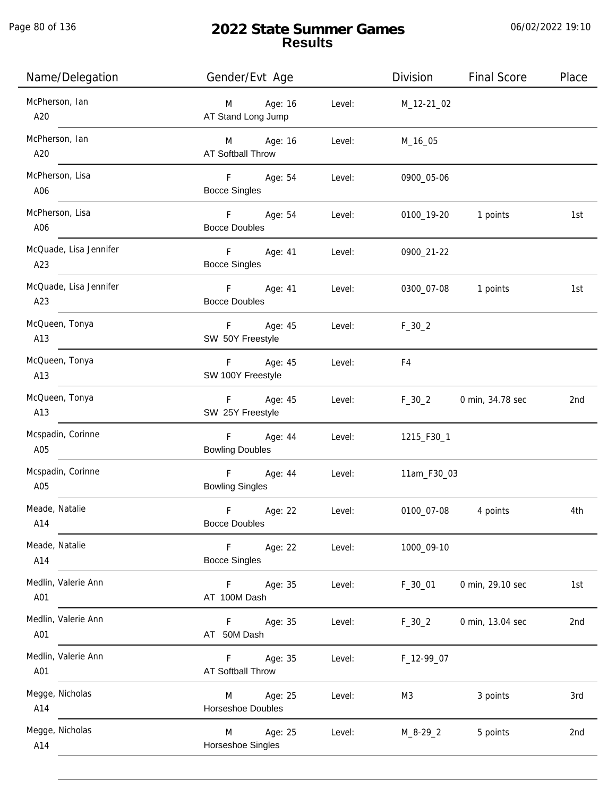j.

| Name/Delegation               | Gender/Evt Age                                       | Division                 | <b>Final Score</b>  | Place |
|-------------------------------|------------------------------------------------------|--------------------------|---------------------|-------|
| McPherson, Ian<br>A20         | M Age: 16<br>AT Stand Long Jump                      | Level: M_12-21_02        |                     |       |
| McPherson, Ian<br>A20         | M Age: 16<br>Level:<br><b>AT Softball Throw</b>      | M_16_05                  |                     |       |
| McPherson, Lisa<br>A06        | F Age: 54<br>Level:<br><b>Bocce Singles</b>          | 0900_05-06               |                     |       |
| McPherson, Lisa<br>A06        | F Age: 54<br><b>Bocce Doubles</b>                    | Level:                   | 0100_19-20 1 points | 1st   |
| McQuade, Lisa Jennifer<br>A23 | F Age: 41<br><b>Bocce Singles</b>                    | Level:<br>0900_21-22     |                     |       |
| McQuade, Lisa Jennifer<br>A23 | F Age: 41<br><b>Bocce Doubles</b>                    | Level:                   | 0300_07-08 1 points | 1st   |
| McQueen, Tonya<br>A13         | F Age: 45<br>SW 50Y Freestyle                        | Level:<br>$F_{-}30_{-}2$ |                     |       |
| McQueen, Tonya<br>A13         | F Age: 45<br>Level:<br>SW 100Y Freestyle             | F4                       |                     |       |
| McQueen, Tonya<br>A13         | F Age: 45<br>Level:<br>SW 25Y Freestyle              | $F_30_2$                 | 0 min, 34.78 sec    | 2nd   |
| Mcspadin, Corinne<br>A05      | F Age: 44<br>Level:<br><b>Bowling Doubles</b>        | 1215_F30_1               |                     |       |
| Mcspadin, Corinne<br>A05      | F Age: 44<br>Level:<br><b>Bowling Singles</b>        | 11am_F30_03              |                     |       |
| Meade, Natalie<br>A14         | F<br>Age: 22<br>Level:<br><b>Bocce Doubles</b>       |                          | 0100_07-08 4 points | 4th   |
| Meade, Natalie<br>A14         | F Age: 22<br>Level:<br><b>Bocce Singles</b>          | 1000_09-10               |                     |       |
| Medlin, Valerie Ann<br>A01    | F <sub>12</sub><br>Age: 35<br>Level:<br>AT 100M Dash | $F_30_01$                | 0 min, 29.10 sec    | 1st   |
| Medlin, Valerie Ann<br>A01    | $F =$<br>Age: 35<br>Level:<br>AT 50M Dash            | $F_30_2$                 | 0 min, 13.04 sec    | 2nd   |
| Medlin, Valerie Ann<br>A01    | F.<br>Age: 35<br>Level:<br>AT Softball Throw         | F_12-99_07               |                     |       |
| Megge, Nicholas<br>A14        | Age: 25<br>M<br>Level:<br>Horseshoe Doubles          | M3                       | 3 points            | 3rd   |
| Megge, Nicholas<br>A14        | M Age: 25<br>Level:<br>Horseshoe Singles             | M_8-29_2                 | 5 points            | 2nd   |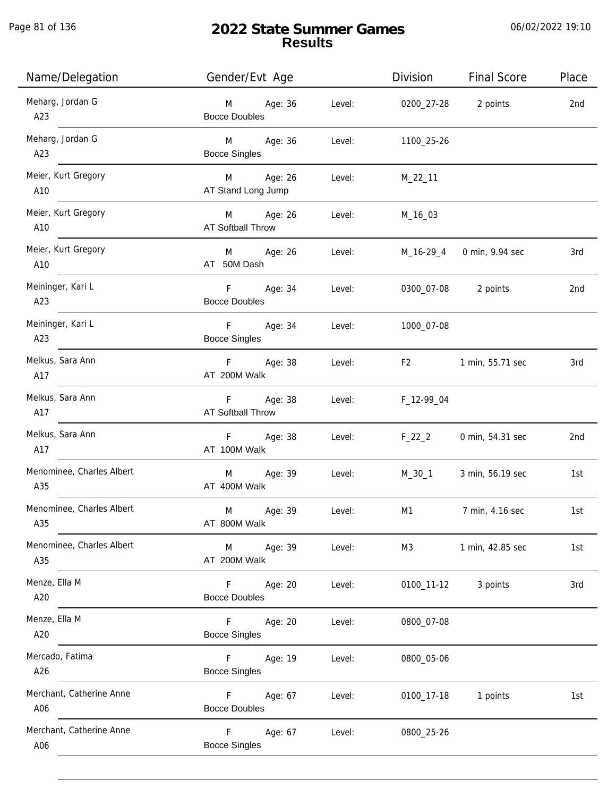Page 81 of 136

j.

# **2022 State Summer Games Results**

| Name/Delegation                  | Gender/Evt Age                                     |        | Division       | <b>Final Score</b> | Place |
|----------------------------------|----------------------------------------------------|--------|----------------|--------------------|-------|
| Meharg, Jordan G<br>A23          | Age: 36<br>M<br><b>Bocce Doubles</b>               | Level: | 0200_27-28     | 2 points           | 2nd   |
| Meharg, Jordan G<br>A23          | Age: 36<br>M <sub>ar</sub><br><b>Bocce Singles</b> | Level: | 1100_25-26     |                    |       |
| Meier, Kurt Gregory<br>A10       | M Age: 26<br>AT Stand Long Jump                    | Level: | $M_22_11$      |                    |       |
| Meier, Kurt Gregory<br>A10       | M Age: 26<br>AT Softball Throw                     | Level: | M_16_03        |                    |       |
| Meier, Kurt Gregory<br>A10       | M<br>Age: 26<br>AT 50M Dash                        | Level: | M_16-29_4      | 0 min, 9.94 sec    | 3rd   |
| Meininger, Kari L<br>A23         | F<br>Age: 34<br><b>Bocce Doubles</b>               | Level: | 0300_07-08     | 2 points           | 2nd   |
| Meininger, Kari L<br>A23         | F<br>Age: 34<br><b>Bocce Singles</b>               | Level: | 1000_07-08     |                    |       |
| Melkus, Sara Ann<br>A17          | F.<br>Age: 38<br>AT 200M Walk                      | Level: | F <sub>2</sub> | 1 min, 55.71 sec   | 3rd   |
| Melkus, Sara Ann<br>A17          | Age: 38<br>F<br>AT Softball Throw                  | Level: | F_12-99_04     |                    |       |
| Melkus, Sara Ann<br>A17          | F Age: 38<br>AT 100M Walk                          | Level: | $F_22_2$       | 0 min, 54.31 sec   | 2nd   |
| Menominee, Charles Albert<br>A35 | Age: 39<br>M<br>AT 400M Walk                       | Level: | M_30_1         | 3 min, 56.19 sec   | 1st   |
| Menominee, Charles Albert<br>A35 | M<br>Age: 39<br>AT 800M Walk                       | Level: | M1             | 7 min, 4.16 sec    | 1st   |
| Menominee, Charles Albert<br>A35 | M<br>Age: 39<br>AT 200M Walk                       | Level: | M3             | 1 min, 42.85 sec   | 1st   |
| Menze, Ella M<br>A20             | Age: 20<br>F.<br><b>Bocce Doubles</b>              | Level: | 0100_11-12     | 3 points           | 3rd   |
| Menze, Ella M<br>A20             | F.<br>Age: 20<br><b>Bocce Singles</b>              | Level: | 0800_07-08     |                    |       |
| Mercado, Fatima<br>A26           | Age: 19<br>F.<br><b>Bocce Singles</b>              | Level: | 0800_05-06     |                    |       |
| Merchant, Catherine Anne<br>A06  | F.<br>Age: 67<br><b>Bocce Doubles</b>              | Level: | 0100_17-18     | 1 points           | 1st   |
| Merchant, Catherine Anne<br>A06  | F.<br>Age: 67<br><b>Bocce Singles</b>              | Level: | 0800_25-26     |                    |       |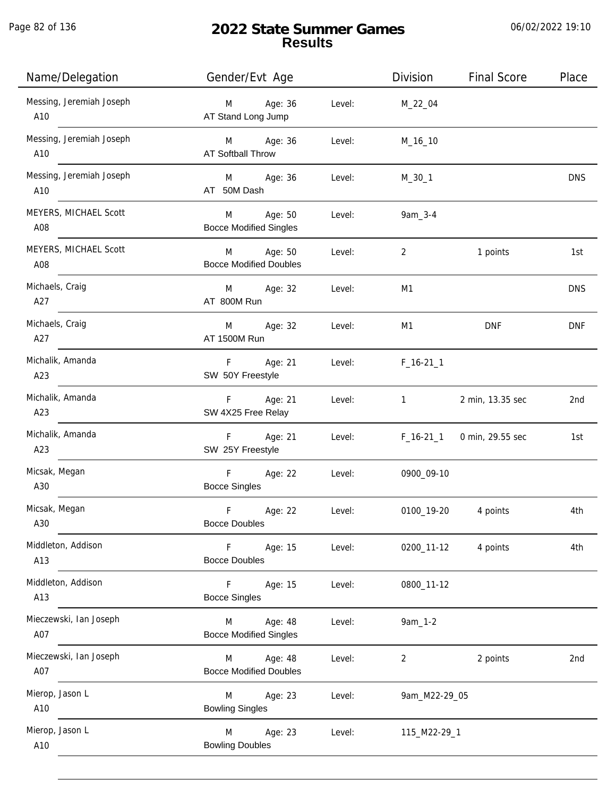j.

# **2022 State Summer Games Results**

| Name/Delegation                 | Gender/Evt Age                                |        | Division                  | <b>Final Score</b> | Place           |
|---------------------------------|-----------------------------------------------|--------|---------------------------|--------------------|-----------------|
| Messing, Jeremiah Joseph<br>A10 | Age: 36<br>M<br>AT Stand Long Jump            | Level: | M_22_04                   |                    |                 |
| Messing, Jeremiah Joseph<br>A10 | M Age: 36<br>AT Softball Throw                | Level: | M_16_10                   |                    |                 |
| Messing, Jeremiah Joseph<br>A10 | M Age: 36<br>AT 50M Dash                      | Level: | $M_30_1$                  |                    | <b>DNS</b>      |
| MEYERS, MICHAEL Scott<br>A08    | M<br>Age: 50<br><b>Bocce Modified Singles</b> | Level: | 9am_3-4                   |                    |                 |
| MEYERS, MICHAEL Scott<br>A08    | M<br>Age: 50<br><b>Bocce Modified Doubles</b> | Level: | $\overline{2}$            | 1 points           | 1st             |
| Michaels, Craig<br>A27          | Age: 32<br>M<br>AT 800M Run                   | Level: | M1                        |                    | <b>DNS</b>      |
| Michaels, Craig<br>A27          | Age: 32<br>M<br>AT 1500M Run                  | Level: | M1                        | <b>DNF</b>         | <b>DNF</b>      |
| Michalik, Amanda<br>A23         | Age: 21<br>$F =$<br>SW 50Y Freestyle          | Level: | $F_16-211$                |                    |                 |
| Michalik, Amanda<br>A23         | Age: 21<br>$F =$<br>SW 4X25 Free Relay        | Level: | $1 \quad \text{or} \quad$ | 2 min, 13.35 sec   | 2 <sub>nd</sub> |
| Michalik, Amanda<br>A23         | $F -$<br>Age: 21<br>SW 25Y Freestyle          | Level: | $F_16-21_1$               | 0 min, 29.55 sec   | 1st             |
| Micsak, Megan<br>A30            | F<br>Age: 22<br><b>Bocce Singles</b>          | Level: | 0900_09-10                |                    |                 |
| Micsak, Megan<br>A30            | F<br>Age: 22<br><b>Bocce Doubles</b>          | Level: | 0100_19-20                | 4 points           | 4th             |
| Middleton, Addison<br>A13       | F.<br>Age: 15<br><b>Bocce Doubles</b>         | Level: | 0200_11-12                | 4 points           | 4th             |
| Middleton, Addison<br>A13       | Age: 15<br>F.<br><b>Bocce Singles</b>         | Level: | 0800_11-12                |                    |                 |
| Mieczewski, Ian Joseph<br>A07   | Age: 48<br>M<br><b>Bocce Modified Singles</b> | Level: | 9am_1-2                   |                    |                 |
| Mieczewski, Ian Joseph<br>A07   | Age: 48<br>M<br><b>Bocce Modified Doubles</b> | Level: | 2                         | 2 points           | 2nd             |
| Mierop, Jason L<br>A10          | Age: 23<br>M<br><b>Bowling Singles</b>        | Level: | 9am_M22-29_05             |                    |                 |
| Mierop, Jason L<br>A10          | M<br>Age: 23<br><b>Bowling Doubles</b>        | Level: | 115_M22-29_1              |                    |                 |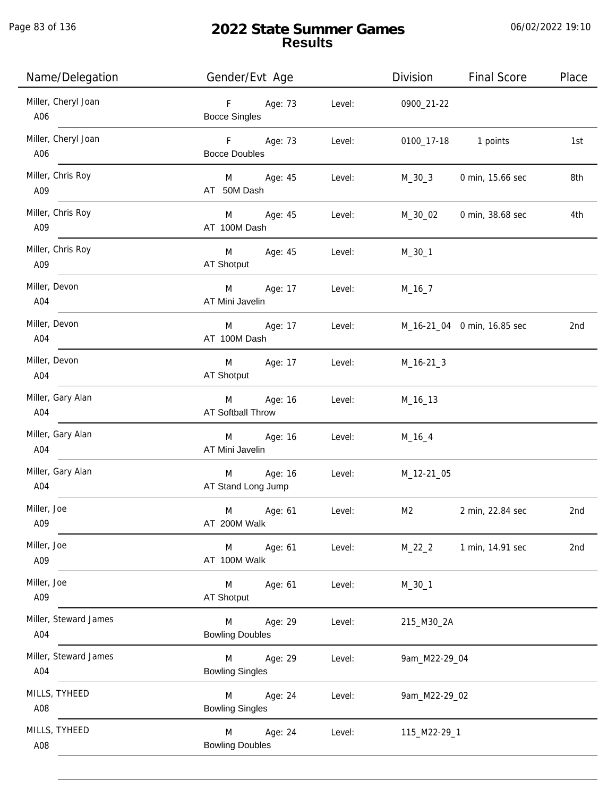Page 83 of 136

# **2022 State Summer Games Results**

| Name/Delegation              | Gender/Evt Age                                   | <b>Final Score</b><br>Place<br>Division   |
|------------------------------|--------------------------------------------------|-------------------------------------------|
| Miller, Cheryl Joan<br>A06   | F<br>Age: 73<br>Level:<br><b>Bocce Singles</b>   | 0900_21-22                                |
| Miller, Cheryl Joan<br>A06   | F<br>Age: 73<br>Level:<br><b>Bocce Doubles</b>   | 0100_17-18 1 points<br>1st                |
| Miller, Chris Roy<br>A09     | M Age: 45<br>Level:<br>AT 50M Dash               | 0 min, 15.66 sec<br>8th<br>M_30_3         |
| Miller, Chris Roy<br>A09     | M<br>Age: 45<br>Level:<br>AT 100M Dash           | M_30_02<br>0 min, 38.68 sec<br>4th        |
| Miller, Chris Roy<br>A09     | M<br>Age: 45<br>Level:<br>AT Shotput             | $M_30_1$                                  |
| Miller, Devon<br>A04         | M<br>Age: 17<br>Level:<br>AT Mini Javelin        | $M_16_7$                                  |
| Miller, Devon<br>A04         | M<br>Age: 17<br>Level:<br>AT 100M Dash           | M_16-21_04 0 min, 16.85 sec<br>2nd        |
| Miller, Devon<br>A04         | M<br>Age: 17<br>Level:<br>AT Shotput             | $M_16-21-3$                               |
| Miller, Gary Alan<br>A04     | M<br>Age: 16<br>Level:<br>AT Softball Throw      | M_16_13                                   |
| Miller, Gary Alan<br>A04     | Age: 16<br>M<br>Level:<br>AT Mini Javelin        | $M_16_4$                                  |
| Miller, Gary Alan<br>A04     | Age: 16<br>M<br>Level:<br>AT Stand Long Jump     | M_12-21_05                                |
| Miller, Joe<br>A09           | M<br>Age: 61<br>Level:<br>AT 200M Walk           | M <sub>2</sub><br>2 min, 22.84 sec<br>2nd |
| Miller, Joe<br>A09           | M<br>Age: 61<br>Level:<br>AT 100M Walk           | $M_22_2$<br>1 min, 14.91 sec<br>2nd       |
| Miller, Joe<br>A09           | M<br>Age: 61<br>Level:<br>AT Shotput             | $M_30_1$                                  |
| Miller, Steward James<br>A04 | Age: 29<br>M<br>Level:<br><b>Bowling Doubles</b> | 215_M30_2A                                |
| Miller, Steward James<br>A04 | M<br>Age: 29<br>Level:<br><b>Bowling Singles</b> | 9am_M22-29_04                             |
| MILLS, TYHEED<br>A08         | Age: 24<br>Level:<br>M<br><b>Bowling Singles</b> | 9am_M22-29_02                             |
| MILLS, TYHEED<br>A08         | Age: 24<br>M<br>Level:<br><b>Bowling Doubles</b> | 115_M22-29_1                              |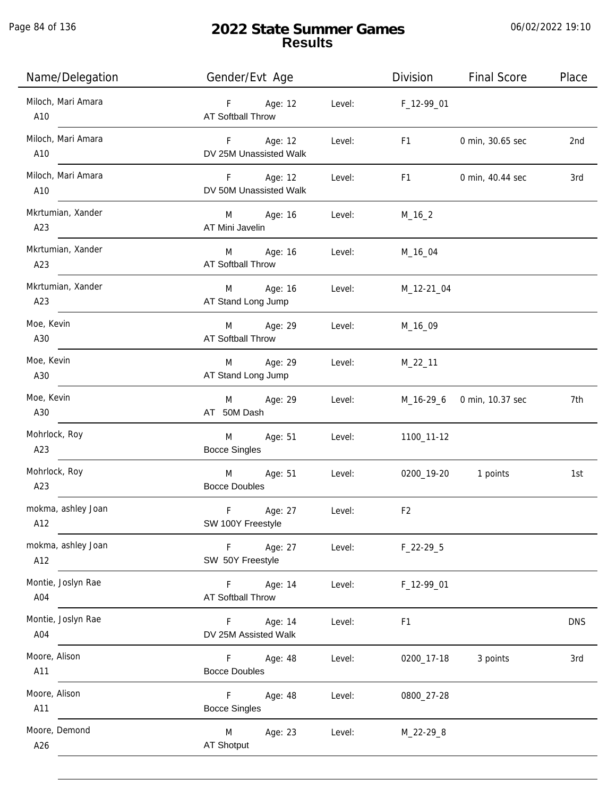Page 84 of 136

j.

# **2022 State Summer Games Results**

| Name/Delegation           | Gender/Evt Age                                 |        | Division       | <b>Final Score</b>         | Place      |
|---------------------------|------------------------------------------------|--------|----------------|----------------------------|------------|
| Miloch, Mari Amara<br>A10 | F Age: 12<br><b>AT Softball Throw</b>          | Level: | F_12-99_01     |                            |            |
| Miloch, Mari Amara<br>A10 | $F =$<br>Age: 12<br>DV 25M Unassisted Walk     | Level: | F1             | 0 min, 30.65 sec           | 2nd        |
| Miloch, Mari Amara<br>A10 | F<br>Age: 12<br>DV 50M Unassisted Walk         | Level: | F <sub>1</sub> | 0 min, 40.44 sec           | 3rd        |
| Mkrtumian, Xander<br>A23  | M Age: 16<br>AT Mini Javelin                   | Level: | $M_16_2$       |                            |            |
| Mkrtumian, Xander<br>A23  | M Age: 16<br><b>AT Softball Throw</b>          | Level: | M_16_04        |                            |            |
| Mkrtumian, Xander<br>A23  | Age: 16<br>M<br>AT Stand Long Jump             | Level: | M_12-21_04     |                            |            |
| Moe, Kevin<br>A30         | Age: 29<br>M<br><b>AT Softball Throw</b>       | Level: | M_16_09        |                            |            |
| Moe, Kevin<br>A30         | Age: 29<br>M<br>AT Stand Long Jump             | Level: | $M_22_11$      |                            |            |
| Moe, Kevin<br>A30         | Age: 29<br>M<br>AT 50M Dash                    | Level: |                | M_16-29_6 0 min, 10.37 sec | 7th        |
| Mohrlock, Roy<br>A23      | Age: 51<br>M<br><b>Bocce Singles</b>           | Level: | 1100_11-12     |                            |            |
| Mohrlock, Roy<br>A23      | $M \sim 1$<br>Age: 51<br><b>Bocce Doubles</b>  | Level: | 0200_19-20     | 1 points                   | 1st        |
| mokma, ashley Joan<br>A12 | F<br>Age: 27<br>SW 100Y Freestyle              | Level: | F <sub>2</sub> |                            |            |
| mokma, ashley Joan<br>A12 | F<br>Age: 27<br>SW 50Y Freestyle               | Level: | $F_22-295$     |                            |            |
| Montie, Joslyn Rae<br>A04 | Age: 14<br>F.<br>AT Softball Throw             | Level: | F_12-99_01     |                            |            |
| Montie, Joslyn Rae<br>A04 | Age: 14<br>F.<br>DV 25M Assisted Walk          | Level: | F <sub>1</sub> |                            | <b>DNS</b> |
| Moore, Alison<br>A11      | F.<br>Age: 48<br><b>Bocce Doubles</b>          | Level: | 0200_17-18     | 3 points                   | 3rd        |
| Moore, Alison<br>A11      | $\mathsf F$<br>Age: 48<br><b>Bocce Singles</b> | Level: | 0800_27-28     |                            |            |
| Moore, Demond<br>A26      | M<br>Age: 23<br>AT Shotput                     | Level: | M_22-29_8      |                            |            |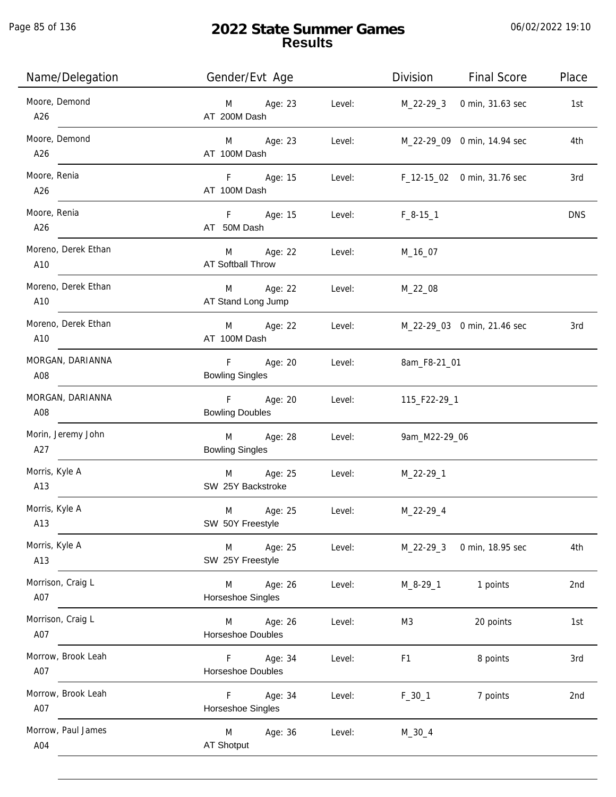Page 85 of 136

j.

| Name/Delegation            | Gender/Evt Age                                                  | Division<br><b>Final Score</b>  | Place      |
|----------------------------|-----------------------------------------------------------------|---------------------------------|------------|
| Moore, Demond<br>A26       | M Age: 23<br>Level:<br>AT 200M Dash                             | 0 min, 31.63 sec<br>M_22-29_3   | 1st        |
| Moore, Demond<br>A26       | M Age: 23<br>Level:<br>AT 100M Dash                             | M_22-29_09 0 min, 14.94 sec     | 4th        |
| Moore, Renia<br>A26        | F Age: 15<br>Level:<br>AT 100M Dash                             | F_12-15_02 0 min, 31.76 sec     | 3rd        |
| Moore, Renia<br>A26        | F Age: 15<br>Level:<br>AT 50M Dash                              | $F_8-15-1$                      | <b>DNS</b> |
| Moreno, Derek Ethan<br>A10 | M Age: 22<br>Level:<br>AT Softball Throw                        | M_16_07                         |            |
| Moreno, Derek Ethan<br>A10 | M Age: 22<br>Level:<br>AT Stand Long Jump                       | M_22_08                         |            |
| Moreno, Derek Ethan<br>A10 | M Age: 22<br>Level:<br>AT 100M Dash                             | M_22-29_03 0 min, 21.46 sec     | 3rd        |
| MORGAN, DARIANNA<br>A08    | F<br>Age: 20<br>Level:<br><b>Bowling Singles</b>                | 8am_F8-21_01                    |            |
| MORGAN, DARIANNA<br>A08    | F Age: 20<br>Level:<br><b>Bowling Doubles</b>                   | 115_F22-29_1                    |            |
| Morin, Jeremy John<br>A27  | M <sub>art</sub><br>Age: 28<br>Level:<br><b>Bowling Singles</b> | 9am_M22-29_06                   |            |
| Morris, Kyle A<br>A13      | M Age: 25<br>Level:<br>SW 25Y Backstroke                        | M_22-29_1                       |            |
| Morris, Kyle A<br>A13      | Age: 25<br>M<br>Level:<br>SW 50Y Freestyle                      | M_22-29_4                       |            |
| Morris, Kyle A<br>A13      | Age: 25<br>M<br>Level:<br>SW 25Y Freestyle                      | $M_22-29-3$<br>0 min, 18.95 sec | 4th        |
| Morrison, Craig L<br>A07   | Age: 26<br>M<br>Level:<br>Horseshoe Singles                     | 1 points<br>$M_8 - 29 - 1$      | 2nd        |
| Morrison, Craig L<br>A07   | M<br>Age: 26<br>Level:<br>Horseshoe Doubles                     | 20 points<br>M3                 | 1st        |
| Morrow, Brook Leah<br>A07  | F.<br>Age: 34<br>Level:<br>Horseshoe Doubles                    | F <sub>1</sub><br>8 points      | 3rd        |
| Morrow, Brook Leah<br>A07  | F.<br>Age: 34<br>Level:<br>Horseshoe Singles                    | $F_30_1$<br>7 points            | 2nd        |
| Morrow, Paul James<br>A04  | M<br>Age: 36<br>Level:<br>AT Shotput                            | $M_30_4$                        |            |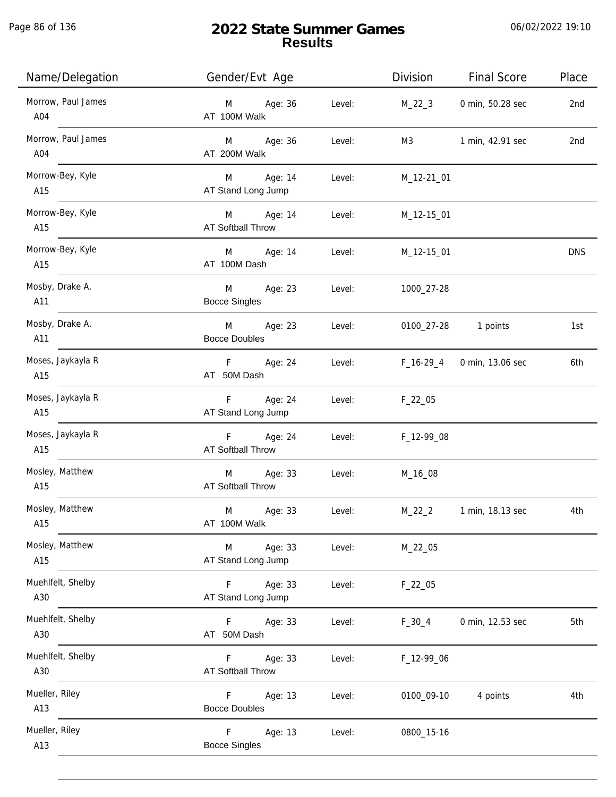Page 86 of 136

j.

| Name/Delegation           | Gender/Evt Age                         |        | Division    | <b>Final Score</b> | Place           |
|---------------------------|----------------------------------------|--------|-------------|--------------------|-----------------|
| Morrow, Paul James<br>A04 | Age: 36<br>M<br>AT 100M Walk           | Level: | $M_22_3$    | 0 min, 50.28 sec   | 2nd             |
| Morrow, Paul James<br>A04 | M Age: 36<br>AT 200M Walk              | Level: | M3          | 1 min, 42.91 sec   | 2 <sub>nd</sub> |
| Morrow-Bey, Kyle<br>A15   | M Age: 14<br>AT Stand Long Jump        | Level: | M_12-21_01  |                    |                 |
| Morrow-Bey, Kyle<br>A15   | M Age: 14<br>AT Softball Throw         | Level: | M_12-15_01  |                    |                 |
| Morrow-Bey, Kyle<br>A15   | M Age: 14<br>AT 100M Dash              | Level: | M_12-15_01  |                    | <b>DNS</b>      |
| Mosby, Drake A.<br>A11    | M<br>Age: 23<br><b>Bocce Singles</b>   | Level: | 1000_27-28  |                    |                 |
| Mosby, Drake A.<br>A11    | M<br>Age: 23<br><b>Bocce Doubles</b>   | Level: | 0100_27-28  | 1 points           | 1st             |
| Moses, Jaykayla R<br>A15  | F Age: 24<br>AT 50M Dash               | Level: | $F_16-29_4$ | 0 min, 13.06 sec   | 6th             |
| Moses, Jaykayla R<br>A15  | $F -$<br>Age: 24<br>AT Stand Long Jump | Level: | $F_22_05$   |                    |                 |
| Moses, Jaykayla R<br>A15  | F Age: 24<br>AT Softball Throw         | Level: | F_12-99_08  |                    |                 |
| Mosley, Matthew<br>A15    | M Age: 33<br>AT Softball Throw         | Level: | M_16_08     |                    |                 |
| Mosley, Matthew<br>A15    | M<br>Age: 33<br>AT 100M Walk           | Level: | $M_22_2$    | 1 min, 18.13 sec   | 4th             |
| Mosley, Matthew<br>A15    | Age: 33<br>M<br>AT Stand Long Jump     | Level: | M_22_05     |                    |                 |
| Muehlfelt, Shelby<br>A30  | Age: 33<br>F.<br>AT Stand Long Jump    | Level: | $F_22_05$   |                    |                 |
| Muehlfelt, Shelby<br>A30  | Age: 33<br>F.<br>AT 50M Dash           | Level: | $F_30_4$    | 0 min, 12.53 sec   | 5th             |
| Muehlfelt, Shelby<br>A30  | Age: 33<br>F.<br>AT Softball Throw     | Level: | F_12-99_06  |                    |                 |
| Mueller, Riley<br>A13     | Age: 13<br>F.<br><b>Bocce Doubles</b>  | Level: | 0100_09-10  | 4 points           | 4th             |
| Mueller, Riley<br>A13     | Age: 13<br>F.<br><b>Bocce Singles</b>  | Level: | 0800_15-16  |                    |                 |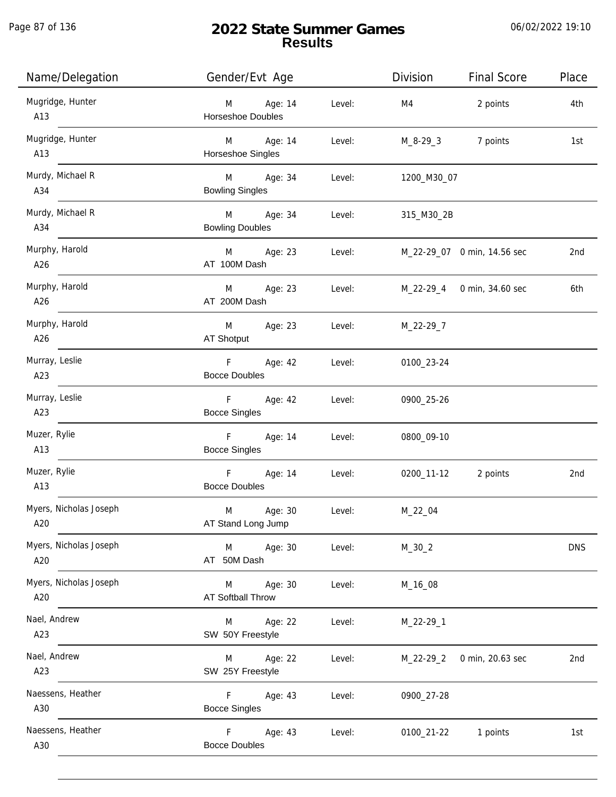Page 87 of 136

| Name/Delegation                      | Gender/Evt Age                           |        | Division                           | <b>Final Score</b>         | Place      |
|--------------------------------------|------------------------------------------|--------|------------------------------------|----------------------------|------------|
| Mugridge, Hunter<br>$\overline{A13}$ | M Age: 14<br><b>Horseshoe Doubles</b>    | Level: | M4                                 | 2 points                   | 4th        |
| Mugridge, Hunter<br>$\overline{A13}$ | M Age: 14<br>Horseshoe Singles           | Level: |                                    | M_8-29_3 7 points          | 1st        |
| Murdy, Michael R<br>A34              | M Age: 34<br><b>Bowling Singles</b>      | Level: | 1200_M30_07                        |                            |            |
| Murdy, Michael R<br>A34              | M Age: 34<br><b>Bowling Doubles</b>      | Level: | 315_M30_2B                         |                            |            |
| Murphy, Harold<br>A26                | M Age: 23<br>AT 100M Dash                |        | Level: M_22-29_07 0 min, 14.56 sec |                            | 2nd        |
| Murphy, Harold<br>A26                | M Age: 23 Level:<br>AT 200M Dash         |        |                                    | M_22-29_4 0 min, 34.60 sec | 6th        |
| Murphy, Harold<br>A26                | M Age: 23 Level: M_22-29_7<br>AT Shotput |        |                                    |                            |            |
| Murray, Leslie<br>A23                | F Age: 42 Level:<br><b>Bocce Doubles</b> |        | 0100_23-24                         |                            |            |
| Murray, Leslie<br>A23                | F Age: 42<br><b>Bocce Singles</b>        | Level: | 0900_25-26                         |                            |            |
| Muzer, Rylie<br>A13                  | F Age: 14<br><b>Bocce Singles</b>        | Level: | 0800_09-10                         |                            |            |
| Muzer, Rylie<br>A13                  | F Age: 14<br><b>Bocce Doubles</b>        | Level: |                                    | 0200_11-12 2 points        | 2nd        |
| Myers, Nicholas Joseph<br>A20        | M<br>Age: 30<br>AT Stand Long Jump       | Level: | M_22_04                            |                            |            |
| Myers, Nicholas Joseph<br>A20        | M<br>Age: 30<br>AT 50M Dash              | Level: | $M_30_2$                           |                            | <b>DNS</b> |
| Myers, Nicholas Joseph<br>A20        | Age: 30<br>M<br><b>AT Softball Throw</b> | Level: | M_16_08                            |                            |            |
| Nael, Andrew<br>A23                  | Age: 22<br>M<br>SW 50Y Freestyle         | Level: | M_22-29_1                          |                            |            |
| Nael, Andrew<br>A23                  | Age: 22<br>M<br>SW 25Y Freestyle         | Level: | M_22-29_2                          | 0 min, 20.63 sec           | 2nd        |
| Naessens, Heather<br>A30             | F.<br>Age: 43<br><b>Bocce Singles</b>    | Level: | 0900_27-28                         |                            |            |
| Naessens, Heather<br>A30             | F.<br>Age: 43<br><b>Bocce Doubles</b>    | Level: | 0100_21-22                         | 1 points                   | 1st        |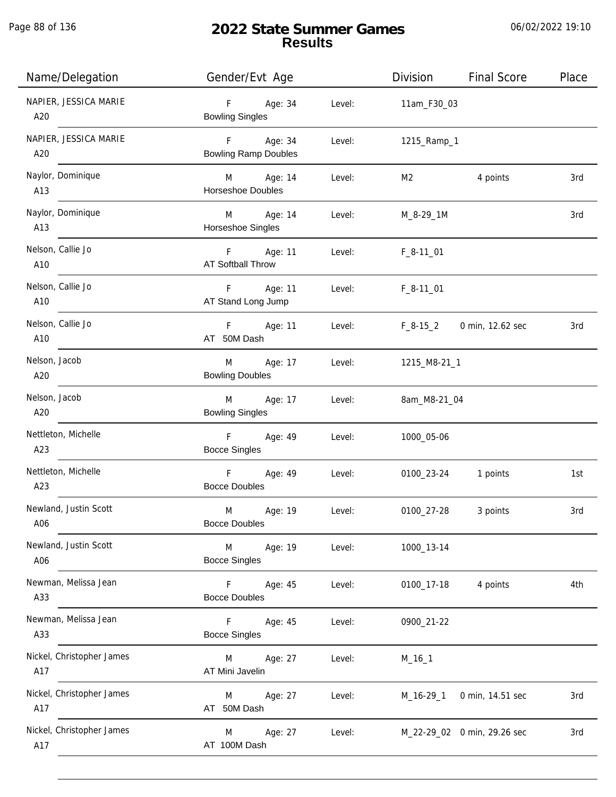Page 88 of 136

j.

# **2022 State Summer Games Results**

| Name/Delegation                  | Gender/Evt Age                                       |        | Division               | <b>Final Score</b>          | Place |
|----------------------------------|------------------------------------------------------|--------|------------------------|-----------------------------|-------|
| NAPIER, JESSICA MARIE<br>A20     | F<br>Age: 34<br><b>Bowling Singles</b>               | Level: | 11am_F30_03            |                             |       |
| NAPIER, JESSICA MARIE<br>A20     | F Age: 34<br><b>Bowling Ramp Doubles</b>             | Level: | 1215_Ramp_1            |                             |       |
| Naylor, Dominique<br>A13         | M Age: 14<br>Horseshoe Doubles                       | Level: | M2                     | 4 points                    | 3rd   |
| Naylor, Dominique<br>A13         | M Age: 14<br>Horseshoe Singles                       | Level: | M_8-29_1M              |                             | 3rd   |
| Nelson, Callie Jo<br>A10         | F Age: 11<br><b>AT Softball Throw</b>                | Level: | $F_8-11$ <sup>01</sup> |                             |       |
| Nelson, Callie Jo<br>A10         | F Age: 11<br>AT Stand Long Jump                      | Level: | $F_8 - 11$ 01          |                             |       |
| Nelson, Callie Jo<br>A10         | F Age: 11<br>AT 50M Dash                             | Level: | $F_8-15_2$             | 0 min, 12.62 sec            | 3rd   |
| Nelson, Jacob<br>A20             | Age: 17<br>M <sub>ar</sub><br><b>Bowling Doubles</b> | Level: | 1215_M8-21_1           |                             |       |
| Nelson, Jacob<br>A20             | Age: 17<br>M <sub>ar</sub><br><b>Bowling Singles</b> | Level: | 8am_M8-21_04           |                             |       |
| Nettleton, Michelle<br>A23       | F <sub>11</sub><br>Age: 49<br><b>Bocce Singles</b>   | Level: | 1000_05-06             |                             |       |
| Nettleton, Michelle<br>A23       | F Age: 49<br><b>Bocce Doubles</b>                    | Level: |                        | 0100_23-24 1 points         | 1st   |
| Newland, Justin Scott<br>A06     | M<br>Age: 19<br><b>Bocce Doubles</b>                 | Level: | 0100_27-28             | 3 points                    | 3rd   |
| Newland, Justin Scott<br>A06     | M<br>Age: 19<br><b>Bocce Singles</b>                 | Level: | 1000_13-14             |                             |       |
| Newman, Melissa Jean<br>A33      | F.<br>Age: 45<br><b>Bocce Doubles</b>                | Level: | 0100_17-18             | 4 points                    | 4th   |
| Newman, Melissa Jean<br>A33      | Age: 45<br>F.<br><b>Bocce Singles</b>                | Level: | 0900_21-22             |                             |       |
| Nickel, Christopher James<br>A17 | Age: 27<br>M<br>AT Mini Javelin                      | Level: | $M_16_1$               |                             |       |
| Nickel, Christopher James<br>A17 | Age: 27<br>M<br>AT 50M Dash                          | Level: | $M_16-29_1$            | 0 min, 14.51 sec            | 3rd   |
| Nickel, Christopher James<br>A17 | Age: 27<br>M<br>AT 100M Dash                         | Level: |                        | M_22-29_02 0 min, 29.26 sec | 3rd   |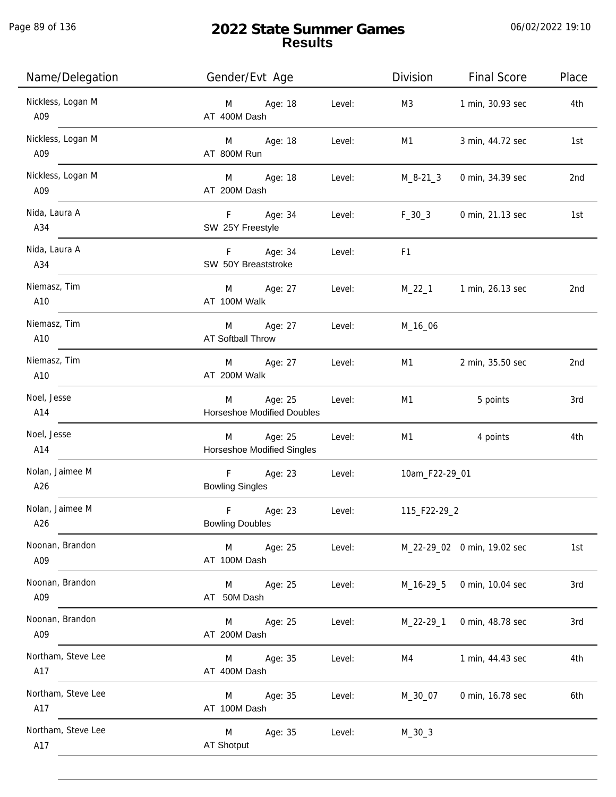Page 89 of 136

j.

| Name/Delegation           | Gender/Evt Age                                    |        | Division       | <b>Final Score</b>          | Place |
|---------------------------|---------------------------------------------------|--------|----------------|-----------------------------|-------|
| Nickless, Logan M<br>A09  | M Age: 18<br>AT 400M Dash                         | Level: | M3             | 1 min, 30.93 sec            | 4th   |
| Nickless, Logan M<br>A09  | M Age: 18<br>AT 800M Run                          | Level: | M1             | 3 min, 44.72 sec            | 1st   |
| Nickless, Logan M<br>A09  | M Age: 18<br>AT 200M Dash                         | Level: | M_8-21_3       | 0 min, 34.39 sec            | 2nd   |
| Nida, Laura A<br>A34      | F Age: 34<br>SW 25Y Freestyle                     | Level: | $F_30_3$       | 0 min, 21.13 sec            | 1st   |
| Nida, Laura A<br>A34      | F Age: 34<br>SW 50Y Breaststroke                  | Level: | F1             |                             |       |
| Niemasz, Tim<br>A10       | M Age: 27<br>AT 100M Walk                         | Level: |                | M_22_1 1 min, 26.13 sec     | 2nd   |
| Niemasz, Tim<br>A10       | M Age: 27<br>AT Softball Throw                    | Level: | M_16_06        |                             |       |
| Niemasz, Tim<br>A10       | M Age: 27<br>AT 200M Walk                         | Level: | M1             | 2 min, 35.50 sec            | 2nd   |
| Noel, Jesse<br>A14        | Age: 25<br>M<br><b>Horseshoe Modified Doubles</b> | Level: | M1             | 5 points                    | 3rd   |
| Noel, Jesse<br>A14        | M Age: 25<br>Horseshoe Modified Singles           | Level: | M1             | 4 points                    | 4th   |
| Nolan, Jaimee M<br>A26    | F Age: 23<br><b>Bowling Singles</b>               | Level: | 10am_F22-29_01 |                             |       |
| Nolan, Jaimee M<br>A26    | F<br>Age: 23<br><b>Bowling Doubles</b>            | Level: | 115_F22-29_2   |                             |       |
| Noonan, Brandon<br>A09    | M<br>Age: 25<br>AT 100M Dash                      | Level: |                | M_22-29_02 0 min, 19.02 sec | 1st   |
| Noonan, Brandon<br>A09    | M<br>Age: 25<br>AT 50M Dash                       | Level: | M_16-29_5      | 0 min, 10.04 sec            | 3rd   |
| Noonan, Brandon<br>A09    | Age: 25<br>M<br>AT 200M Dash                      | Level: | M_22-29_1      | 0 min, 48.78 sec            | 3rd   |
| Northam, Steve Lee<br>A17 | Age: 35<br>M<br>AT 400M Dash                      | Level: | M4             | 1 min, 44.43 sec            | 4th   |
| Northam, Steve Lee<br>A17 | Age: 35<br>M<br>AT 100M Dash                      | Level: | M_30_07        | 0 min, 16.78 sec            | 6th   |
| Northam, Steve Lee<br>A17 | M<br>Age: 35<br>AT Shotput                        | Level: | $M_30_3$       |                             |       |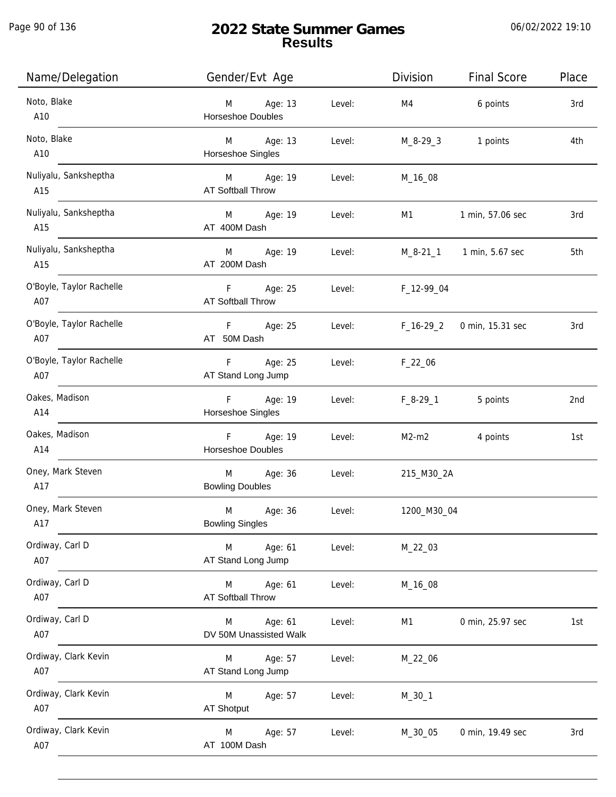Page 90 of 136

| Name/Delegation                 | Gender/Evt Age                           |        | Division    | <b>Final Score</b>       | Place |
|---------------------------------|------------------------------------------|--------|-------------|--------------------------|-------|
| Noto, Blake<br>A10              | Age: 13<br>M<br><b>Horseshoe Doubles</b> | Level: | M4          | 6 points                 | 3rd   |
| Noto, Blake<br>A10              | M<br>Age: 13<br>Horseshoe Singles        | Level: | M_8-29_3    | 1 points                 | 4th   |
| Nuliyalu, Sanksheptha<br>A15    | M Age: 19<br><b>AT Softball Throw</b>    | Level: | M_16_08     |                          |       |
| Nuliyalu, Sanksheptha<br>A15    | M Age: 19<br>AT 400M Dash                | Level: | M1          | 1 min, 57.06 sec         | 3rd   |
| Nuliyalu, Sanksheptha<br>A15    | M Age: 19<br>AT 200M Dash                | Level: |             | M_8-21_1 1 min, 5.67 sec | 5th   |
| O'Boyle, Taylor Rachelle<br>A07 | F Age: 25<br>AT Softball Throw           | Level: | F_12-99_04  |                          |       |
| O'Boyle, Taylor Rachelle<br>A07 | F Age: 25<br>AT 50M Dash                 | Level: | F_16-29_2   | 0 min, 15.31 sec         | 3rd   |
| O'Boyle, Taylor Rachelle<br>A07 | F<br>Age: 25<br>AT Stand Long Jump       | Level: | $F_22_06$   |                          |       |
| Oakes, Madison<br>A14           | F Age: 19<br>Horseshoe Singles           | Level: | $F_8-29_1$  | 5 points                 | 2nd   |
| Oakes, Madison<br>A14           | F Age: 19<br>Horseshoe Doubles           | Level: | $M2-m2$     | 4 points                 | 1st   |
| Oney, Mark Steven<br>A17        | Age: 36<br>M<br><b>Bowling Doubles</b>   | Level: | 215_M30_2A  |                          |       |
| Oney, Mark Steven<br>A17        | M<br>Age: 36<br><b>Bowling Singles</b>   | Level: | 1200_M30_04 |                          |       |
| Ordiway, Carl D<br>A07          | Age: 61<br>M<br>AT Stand Long Jump       | Level: | M_22_03     |                          |       |
| Ordiway, Carl D<br>A07          | Age: 61<br>M<br><b>AT Softball Throw</b> | Level: | M_16_08     |                          |       |
| Ordiway, Carl D<br>A07          | Age: 61<br>M<br>DV 50M Unassisted Walk   | Level: | M1          | 0 min, 25.97 sec         | 1st   |
| Ordiway, Clark Kevin<br>A07     | Age: 57<br>M<br>AT Stand Long Jump       | Level: | M_22_06     |                          |       |
| Ordiway, Clark Kevin<br>A07     | M<br>Age: 57<br>AT Shotput               | Level: | $M_30_1$    |                          |       |
| Ordiway, Clark Kevin<br>A07     | Age: 57<br>M<br>AT 100M Dash             | Level: | M_30_05     | 0 min, 19.49 sec         | 3rd   |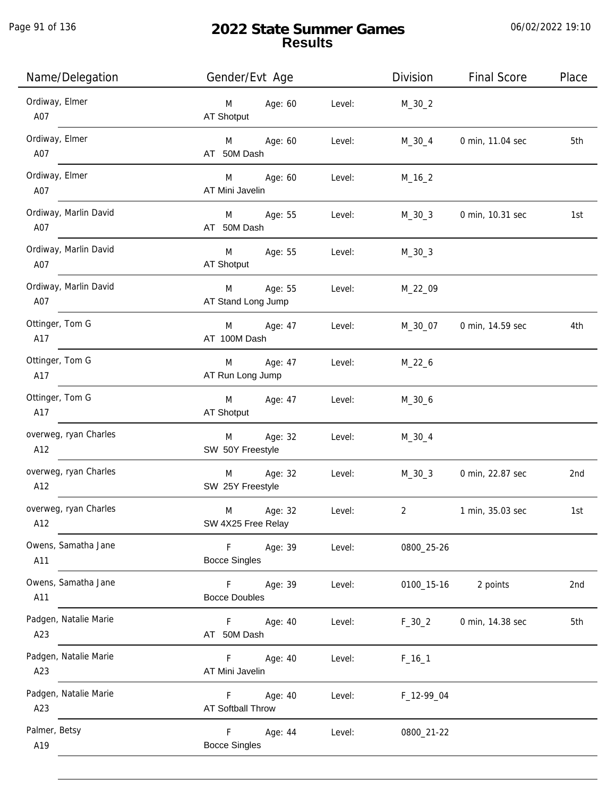# **2022 State Summer Games Results**

| Name/Delegation              | Gender/Evt Age                                           | Division       | <b>Final Score</b> | Place |
|------------------------------|----------------------------------------------------------|----------------|--------------------|-------|
| Ordiway, Elmer<br>A07        | Age: 60<br>M<br>Level:<br>AT Shotput                     | $M_30_2$       |                    |       |
| Ordiway, Elmer<br>A07        | Age: 60<br>M<br>Level:<br>AT 50M Dash                    | $M_30_4$       | 0 min, 11.04 sec   | 5th   |
| Ordiway, Elmer<br>A07        | Age: 60<br>M<br>Level:<br>AT Mini Javelin                | $M_16_2$       |                    |       |
| Ordiway, Marlin David<br>A07 | M<br>Age: 55<br>Level:<br>AT 50M Dash                    | $M_30_3$       | 0 min, 10.31 sec   | 1st   |
| Ordiway, Marlin David<br>A07 | M<br>Age: 55<br>Level:<br>AT Shotput                     | $M_30_3$       |                    |       |
| Ordiway, Marlin David<br>A07 | Age: 55<br>M<br>Level:<br>AT Stand Long Jump             | M_22_09        |                    |       |
| Ottinger, Tom G<br>A17       | Age: 47<br>M<br>Level:<br>AT 100M Dash                   | M_30_07        | 0 min, 14.59 sec   | 4th   |
| Ottinger, Tom G<br>A17       | M<br>Age: 47<br>Level:<br>AT Run Long Jump               | $M_22_6$       |                    |       |
| Ottinger, Tom G<br>A17       | Age: 47<br>M<br>Level:<br>AT Shotput                     | $M_30_6$       |                    |       |
| overweg, ryan Charles<br>A12 | Age: 32<br>M<br>Level:<br>SW 50Y Freestyle               | $M_30_4$       |                    |       |
| overweg, ryan Charles<br>A12 | Age: 32<br>M<br>Level:<br>SW 25Y Freestyle               | $M_30_3$       | 0 min, 22.87 sec   | 2nd   |
| overweg, ryan Charles<br>A12 | M<br>Age: 32<br>Level:<br>SW 4X25 Free Relay             | $\overline{2}$ | 1 min, 35.03 sec   | 1st   |
| Owens, Samatha Jane<br>A11   | F<br>Age: 39<br>Level:<br><b>Bocce Singles</b>           | 0800_25-26     |                    |       |
| Owens, Samatha Jane<br>A11   | $\mathsf F$<br>Age: 39<br>Level:<br><b>Bocce Doubles</b> | 0100_15-16     | 2 points           | 2nd   |
| Padgen, Natalie Marie<br>A23 | F.<br>Age: 40<br>Level:<br>AT 50M Dash                   | $F_30_2$       | 0 min, 14.38 sec   | 5th   |
| Padgen, Natalie Marie<br>A23 | F.<br>Age: 40<br>Level:<br>AT Mini Javelin               | $F_{16-1}$     |                    |       |
| Padgen, Natalie Marie<br>A23 | Age: 40<br>F.<br>Level:<br>AT Softball Throw             | F_12-99_04     |                    |       |
| Palmer, Betsy<br>A19         | F<br>Age: 44<br>Level:<br><b>Bocce Singles</b>           | 0800_21-22     |                    |       |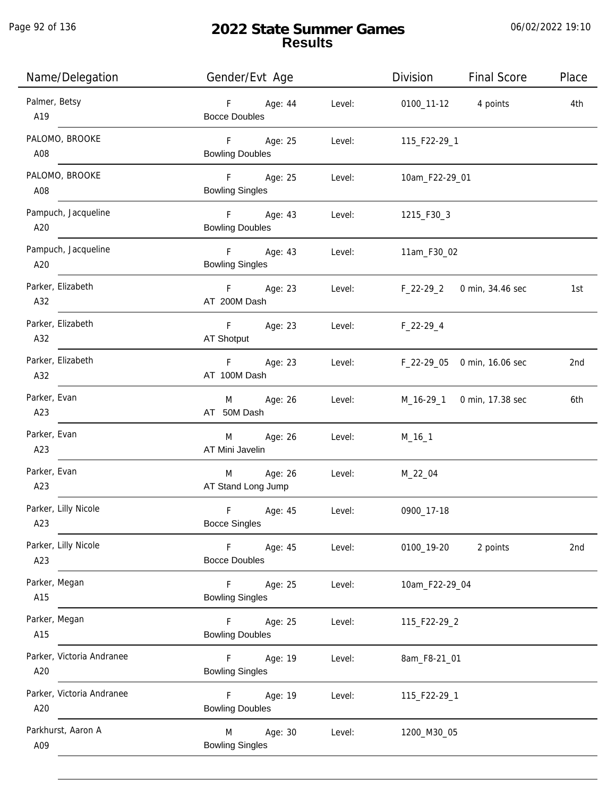Page 92 of 136

j.

# **2022 State Summer Games Results**

| Name/Delegation                  | Gender/Evt Age                                 |        | Division            | <b>Final Score</b>          | Place |
|----------------------------------|------------------------------------------------|--------|---------------------|-----------------------------|-------|
| Palmer, Betsy<br>A19             | F Age: 44<br><b>Bocce Doubles</b>              | Level: | 0100_11-12 4 points |                             | 4th   |
| PALOMO, BROOKE<br>A08            | F Age: 25<br><b>Bowling Doubles</b>            | Level: | 115_F22-29_1        |                             |       |
| PALOMO, BROOKE<br>A08            | F Age: 25<br><b>Bowling Singles</b>            | Level: | 10am_F22-29_01      |                             |       |
| Pampuch, Jacqueline<br>A20       | F Age: 43<br><b>Bowling Doubles</b>            | Level: | 1215_F30_3          |                             |       |
| Pampuch, Jacqueline<br>A20       | F Age: 43<br><b>Bowling Singles</b>            | Level: | 11am_F30_02         |                             |       |
| Parker, Elizabeth<br>A32         | F Age: 23<br>AT 200M Dash                      | Level: |                     | F_22-29_2 0 min, 34.46 sec  | 1st   |
| Parker, Elizabeth<br>A32         | F Age: 23<br>AT Shotput                        | Level: | $F_22-29-4$         |                             |       |
| Parker, Elizabeth<br>A32         | F<br>Age: 23<br>AT 100M Dash                   | Level: |                     | F_22-29_05 0 min, 16.06 sec | 2nd   |
| Parker, Evan<br>A23              | M Age: 26<br>AT 50M Dash                       | Level: | M_16-29_1           | 0 min, 17.38 sec            | 6th   |
| Parker, Evan<br>A23              | Age: 26<br>M<br>AT Mini Javelin                | Level: | $M_16_1$            |                             |       |
| Parker, Evan<br>A23              | Age: 26<br>M<br>AT Stand Long Jump             | Level: | $M_22_04$           |                             |       |
| Parker, Lilly Nicole<br>A23      | $\mathsf F$<br>Age: 45<br><b>Bocce Singles</b> | Level: | 0900_17-18          |                             |       |
| Parker, Lilly Nicole<br>A23      | F<br>Age: 45<br><b>Bocce Doubles</b>           | Level: | 0100_19-20          | 2 points                    | 2nd   |
| Parker, Megan<br>A15             | F<br>Age: 25<br><b>Bowling Singles</b>         | Level: | 10am_F22-29_04      |                             |       |
| Parker, Megan<br>A15             | F.<br>Age: 25<br><b>Bowling Doubles</b>        | Level: | 115_F22-29_2        |                             |       |
| Parker, Victoria Andranee<br>A20 | F<br>Age: 19<br><b>Bowling Singles</b>         | Level: | 8am_F8-21_01        |                             |       |
| Parker, Victoria Andranee<br>A20 | Age: 19<br>F.<br><b>Bowling Doubles</b>        | Level: | 115_F22-29_1        |                             |       |
| Parkhurst, Aaron A<br>A09        | Age: 30<br>M<br><b>Bowling Singles</b>         | Level: | 1200_M30_05         |                             |       |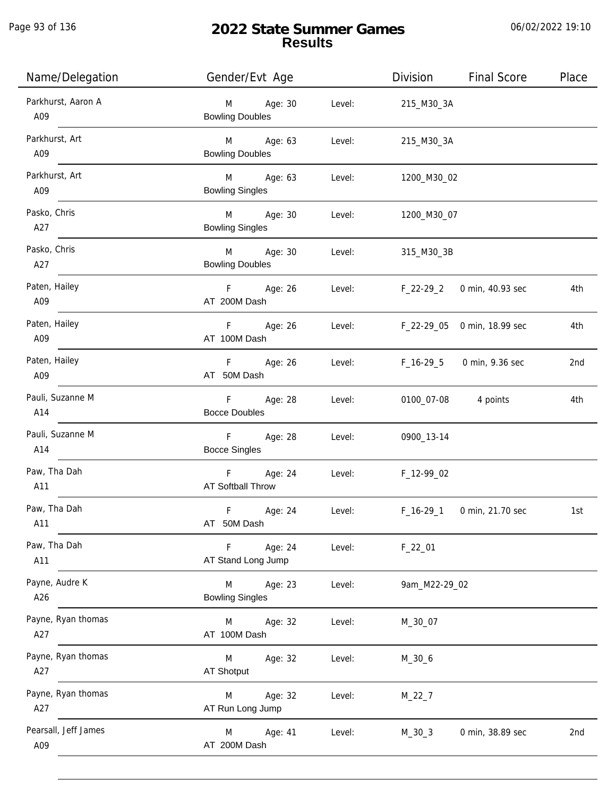j.

# **2022 State Summer Games Results**

| Name/Delegation             | Gender/Evt Age                                               | Division                          | <b>Final Score</b>          | Place |
|-----------------------------|--------------------------------------------------------------|-----------------------------------|-----------------------------|-------|
| Parkhurst, Aaron A<br>A09   | Age: 30<br>M<br><b>Bowling Doubles</b>                       | Level:<br>215_M30_3A              |                             |       |
| Parkhurst, Art<br>A09       | M Age: 63<br>Level:<br><b>Bowling Doubles</b>                | 215_M30_3A                        |                             |       |
| Parkhurst, Art<br>A09       | M Age: 63<br><b>Bowling Singles</b>                          | Level: 1200_M30_02                |                             |       |
| Pasko, Chris<br>A27         | M Age: 30<br><b>Bowling Singles</b>                          | Level: 1200_M30_07                |                             |       |
| Pasko, Chris<br>A27         | M Age: 30<br><b>Bowling Doubles</b>                          | Level:<br>315_M30_3B              |                             |       |
| Paten, Hailey<br>A09        | F Age: 26<br>AT 200M Dash                                    | Level: F_22-29_2 0 min, 40.93 sec |                             | 4th   |
| Paten, Hailey<br>A09        | F<br>Age: 26<br>AT 100M Dash                                 | Level:                            | F_22-29_05 0 min, 18.99 sec | 4th   |
| Paten, Hailey<br>A09        | F Age: 26<br>AT 50M Dash                                     | Level:                            | F_16-29_5 0 min, 9.36 sec   | 2nd   |
| Pauli, Suzanne M<br>A14     | F Age: 28<br>Level:<br><b>Bocce Doubles</b>                  |                                   | 0100_07-08 4 points         | 4th   |
| Pauli, Suzanne M<br>A14     | F <sub>11</sub><br>Age: 28<br>Level:<br><b>Bocce Singles</b> | 0900_13-14                        |                             |       |
| Paw, Tha Dah<br>A11         | F Age: 24<br>AT Softball Throw                               | Level: F_12-99_02                 |                             |       |
| Paw, Tha Dah<br>A11         | F.<br>Age: 24<br>Level:<br>AT 50M Dash                       | $F_16-29_1$                       | 0 min, 21.70 sec            | 1st   |
| Paw, Tha Dah<br>A11         | Age: 24<br>Level:<br>F.<br>AT Stand Long Jump                | $F_22_01$                         |                             |       |
| Payne, Audre K<br>A26       | M<br>Age: 23<br>Level:<br><b>Bowling Singles</b>             | 9am_M22-29_02                     |                             |       |
| Payne, Ryan thomas<br>A27   | M<br>Age: 32<br>Level:<br>AT 100M Dash                       | M_30_07                           |                             |       |
| Payne, Ryan thomas<br>A27   | M<br>Age: 32<br>Level:<br>AT Shotput                         | $M_30_6$                          |                             |       |
| Payne, Ryan thomas<br>A27   | Age: 32<br>Level:<br>M<br>AT Run Long Jump                   | $M_22_7$                          |                             |       |
| Pearsall, Jeff James<br>A09 | Age: 41<br>M<br>Level:<br>AT 200M Dash                       | $M_30_3$                          | 0 min, 38.89 sec            | 2nd   |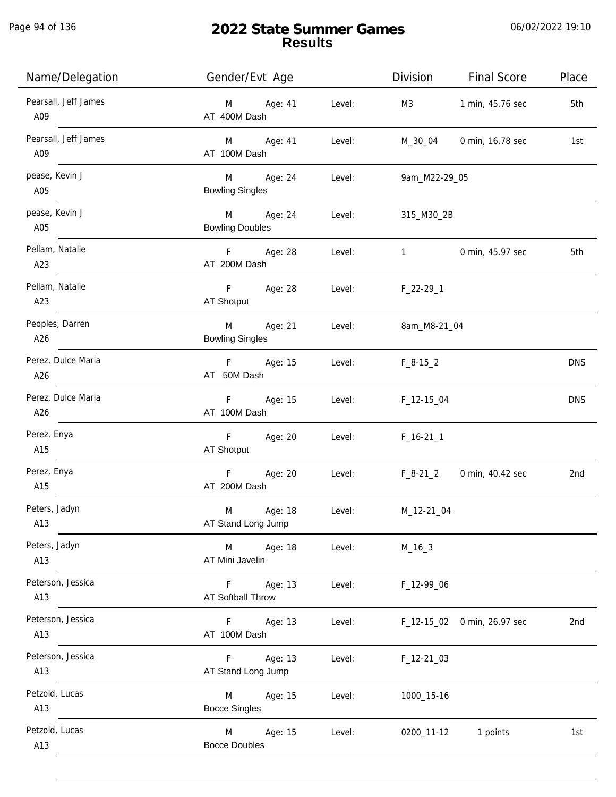Page 94 of 136

| Name/Delegation             | Gender/Evt Age                         |        | Division            | <b>Final Score</b>          | Place      |
|-----------------------------|----------------------------------------|--------|---------------------|-----------------------------|------------|
| Pearsall, Jeff James<br>A09 | M Age: 41<br>AT 400M Dash              | Level: | M3                  | 1 min, 45.76 sec            | 5th        |
| Pearsall, Jeff James<br>A09 | M Age: 41<br>AT 100M Dash              | Level: | M_30_04             | 0 min, 16.78 sec            | 1st        |
| pease, Kevin J<br>A05       | M Age: 24<br><b>Bowling Singles</b>    | Level: | 9am_M22-29_05       |                             |            |
| pease, Kevin J<br>A05       | M Age: 24<br><b>Bowling Doubles</b>    | Level: | 315_M30_2B          |                             |            |
| Pellam, Natalie<br>A23      | F Age: 28<br>AT 200M Dash              | Level: | $1 \quad \cdots$    | 0 min, 45.97 sec            | 5th        |
| Pellam, Natalie<br>A23      | F Age: 28<br>AT Shotput                | Level: | $F_22-29_1$         |                             |            |
| Peoples, Darren<br>A26      | M<br>Age: 21<br><b>Bowling Singles</b> | Level: | 8am_M8-21_04        |                             |            |
| Perez, Dulce Maria<br>A26   | F Age: 15<br>Level:<br>AT 50M Dash     |        | $F_8-15_2$          |                             | <b>DNS</b> |
| Perez, Dulce Maria<br>A26   | F Age: 15<br>AT 100M Dash              | Level: | $F_1$ 12-15 $_0$ 04 |                             | <b>DNS</b> |
| Perez, Enya<br>A15          | F<br>Age: 20<br>AT Shotput             | Level: | $F_16-211$          |                             |            |
| Perez, Enya<br>A15          | $F = 1$<br>Age: 20<br>AT 200M Dash     | Level: | $F_8-21_2$          | 0 min, 40.42 sec            | 2nd        |
| Peters, Jadyn<br>A13        | M<br>Age: 18<br>AT Stand Long Jump     | Level: | M_12-21_04          |                             |            |
| Peters, Jadyn<br>A13        | Age: 18<br>M<br>AT Mini Javelin        | Level: | $M_16_3$            |                             |            |
| Peterson, Jessica<br>A13    | F Age: 13<br><b>AT Softball Throw</b>  | Level: | F_12-99_06          |                             |            |
| Peterson, Jessica<br>A13    | F<br>Age: 13<br>AT 100M Dash           | Level: |                     | F_12-15_02 0 min, 26.97 sec | 2nd        |
| Peterson, Jessica<br>A13    | Age: 13<br>F.<br>AT Stand Long Jump    | Level: | $F_12-21_03$        |                             |            |
| Petzold, Lucas<br>A13       | Age: 15<br>M<br><b>Bocce Singles</b>   | Level: | 1000_15-16          |                             |            |
| Petzold, Lucas<br>A13       | Age: 15<br>M<br><b>Bocce Doubles</b>   | Level: | 0200_11-12          | 1 points                    | 1st        |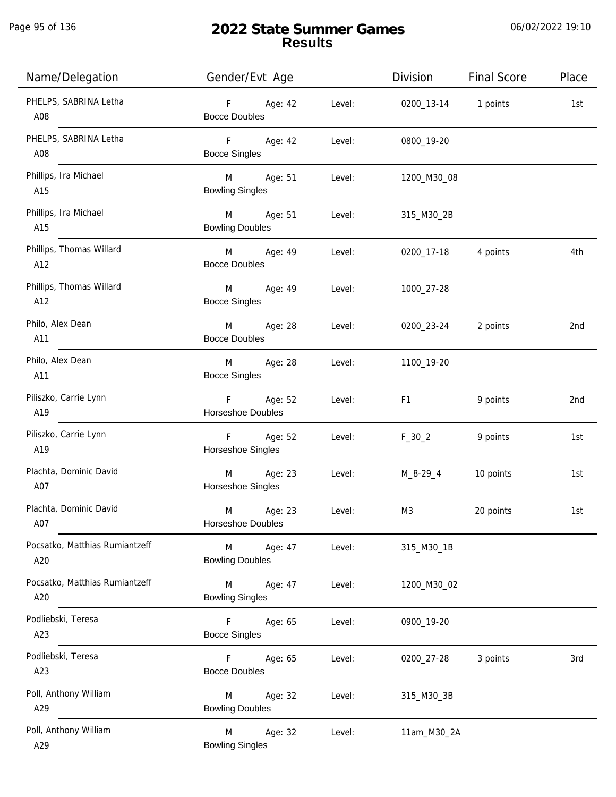Page 95 of 136

| Name/Delegation                       | Gender/Evt Age                           |        | Division            | <b>Final Score</b> | Place |
|---------------------------------------|------------------------------------------|--------|---------------------|--------------------|-------|
| PHELPS, SABRINA Letha<br>A08          | F Age: 42<br><b>Bocce Doubles</b>        | Level: | 0200_13-14 1 points |                    | 1st   |
| PHELPS, SABRINA Letha<br>A08          | F Age: 42<br><b>Bocce Singles</b>        | Level: | 0800_19-20          |                    |       |
| Phillips, Ira Michael<br>A15          | M Age: 51<br><b>Bowling Singles</b>      | Level: | 1200_M30_08         |                    |       |
| Phillips, Ira Michael<br>A15          | M Age: 51<br><b>Bowling Doubles</b>      | Level: | 315_M30_2B          |                    |       |
| Phillips, Thomas Willard<br>A12       | M Age: 49<br><b>Bocce Doubles</b>        | Level: | 0200_17-18 4 points |                    | 4th   |
| Phillips, Thomas Willard<br>A12       | M<br>Age: 49<br><b>Bocce Singles</b>     | Level: | 1000_27-28          |                    |       |
| Philo, Alex Dean<br>A11               | M Age: 28<br><b>Bocce Doubles</b>        | Level: | 0200_23-24          | 2 points           | 2nd   |
| Philo, Alex Dean<br>A11               | M<br>Age: 28<br><b>Bocce Singles</b>     | Level: | 1100_19-20          |                    |       |
| Piliszko, Carrie Lynn<br>A19          | F Age: 52<br>Horseshoe Doubles           | Level: | F <sub>1</sub>      | 9 points           | 2nd   |
| Piliszko, Carrie Lynn<br>A19          | F Age: 52<br>Horseshoe Singles           | Level: | $F_30_2$            | 9 points           | 1st   |
| Plachta, Dominic David<br>A07         | Age: 23<br>M<br>Horseshoe Singles        | Level: | M_8-29_4            | 10 points          | 1st   |
| Plachta, Dominic David<br>A07         | M<br>Age: 23<br><b>Horseshoe Doubles</b> | Level: | M3                  | 20 points          | 1st   |
| Pocsatko, Matthias Rumiantzeff<br>A20 | M<br>Age: 47<br><b>Bowling Doubles</b>   | Level: | 315_M30_1B          |                    |       |
| Pocsatko, Matthias Rumiantzeff<br>A20 | M<br>Age: 47<br><b>Bowling Singles</b>   | Level: | 1200_M30_02         |                    |       |
| Podliebski, Teresa<br>A23             | F.<br>Age: 65<br><b>Bocce Singles</b>    | Level: | 0900_19-20          |                    |       |
| Podliebski, Teresa<br>A23             | F.<br>Age: 65<br><b>Bocce Doubles</b>    | Level: | 0200_27-28          | 3 points           | 3rd   |
| Poll, Anthony William<br>A29          | Age: 32<br>M<br><b>Bowling Doubles</b>   | Level: | 315_M30_3B          |                    |       |
| Poll, Anthony William<br>A29          | Age: 32<br>M<br><b>Bowling Singles</b>   | Level: | 11am_M30_2A         |                    |       |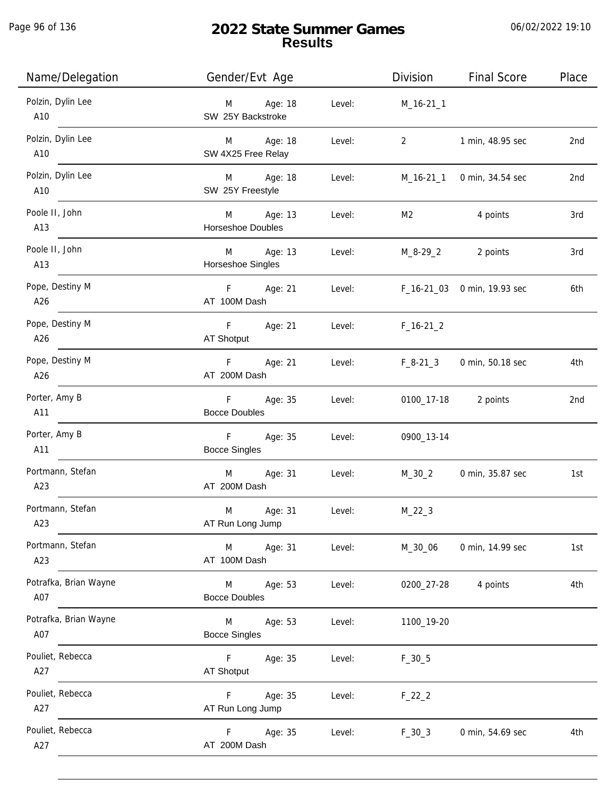Page 96 of 136

j.

# **2022 State Summer Games Results**

| Name/Delegation              | Gender/Evt Age                             |        | Division                       | <b>Final Score</b>          | Place |
|------------------------------|--------------------------------------------|--------|--------------------------------|-----------------------------|-------|
| Polzin, Dylin Lee<br>A10     | M Age: 18<br>SW 25Y Backstroke             | Level: | M_16-21_1                      |                             |       |
| Polzin, Dylin Lee<br>A10     | M Age: 18<br>SW 4X25 Free Relay            | Level: | $2 \left( \frac{1}{2} \right)$ | 1 min, 48.95 sec            | 2nd   |
| Polzin, Dylin Lee<br>A10     | M Age: 18<br>SW 25Y Freestyle              | Level: |                                | M_16-21_1 0 min, 34.54 sec  | 2nd   |
| Poole II, John<br>A13        | M Age: 13<br>Horseshoe Doubles             | Level: | M2                             | 4 points                    | 3rd   |
| Poole II, John<br>A13        | M Age: 13<br>Horseshoe Singles             | Level: |                                | M_8-29_2 2 points           | 3rd   |
| Pope, Destiny M<br>A26       | F Age: 21<br>AT 100M Dash                  | Level: |                                | F_16-21_03 0 min, 19.93 sec | 6th   |
| Pope, Destiny M<br>A26       | F Age: 21<br>AT Shotput                    | Level: | $F_16-21_2$                    |                             |       |
| Pope, Destiny M<br>A26       | F <sub>12</sub><br>Age: 21<br>AT 200M Dash | Level: | $F_8-21_3$                     | 0 min, 50.18 sec            | 4th   |
| Porter, Amy B<br>A11         | F Age: 35<br><b>Bocce Doubles</b>          | Level: |                                | 0100_17-18 2 points         | 2nd   |
| Porter, Amy B<br>A11         | $F =$<br>Age: 35<br><b>Bocce Singles</b>   | Level: | 0900_13-14                     |                             |       |
| Portmann, Stefan<br>A23      | Age: 31<br>M <sub>ar</sub><br>AT 200M Dash | Level: | M_30_2                         | 0 min, 35.87 sec            | 1st   |
| Portmann, Stefan<br>A23      | M<br>Age: 31<br>AT Run Long Jump           | Level: | $M_22_3$                       |                             |       |
| Portmann, Stefan<br>A23      | M<br>Age: 31<br>AT 100M Dash               | Level: | M_30_06                        | 0 min, 14.99 sec            | 1st   |
| Potrafka, Brian Wayne<br>A07 | M<br>Age: 53<br><b>Bocce Doubles</b>       | Level: | 0200_27-28                     | 4 points                    | 4th   |
| Potrafka, Brian Wayne<br>A07 | M<br>Age: 53<br><b>Bocce Singles</b>       | Level: | 1100_19-20                     |                             |       |
| Pouliet, Rebecca<br>A27      | F.<br>Age: 35<br>AT Shotput                | Level: | $F_30_5$                       |                             |       |
| Pouliet, Rebecca<br>A27      | Age: 35<br>F.<br>AT Run Long Jump          | Level: | $F_22_2$                       |                             |       |
| Pouliet, Rebecca<br>A27      | Age: 35<br>F.<br>AT 200M Dash              | Level: | $F_30_3$                       | 0 min, 54.69 sec            | 4th   |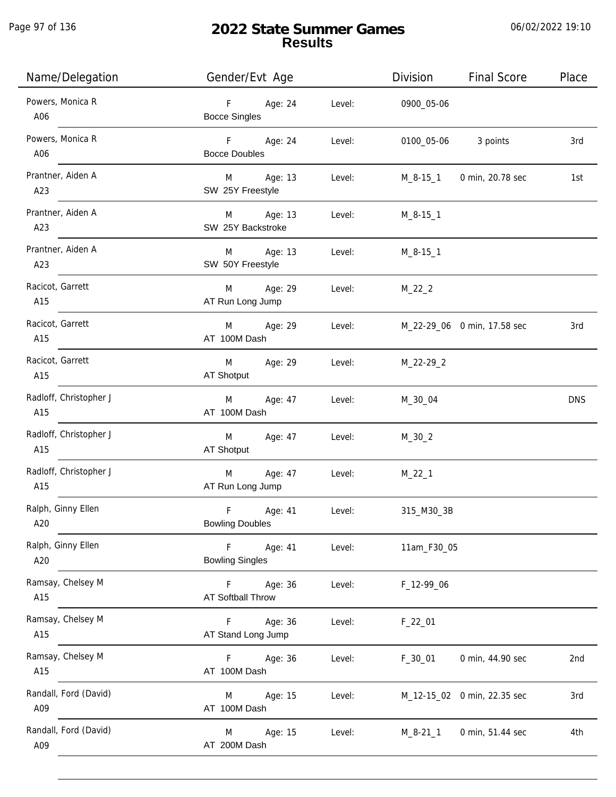Page 97 of 136

j.

# **2022 State Summer Games Results**

| Name/Delegation               | Gender/Evt Age                                             | <b>Final Score</b><br>Division   | Place      |
|-------------------------------|------------------------------------------------------------|----------------------------------|------------|
| Powers, Monica R<br>A06       | F<br>Age: 24<br>Level:<br><b>Bocce Singles</b>             | 0900_05-06                       |            |
| Powers, Monica R<br>A06       | F<br>Age: 24<br>Level:<br><b>Bocce Doubles</b>             | 3 points<br>0100_05-06           | 3rd        |
| Prantner, Aiden A<br>A23      | Age: 13<br>M<br>Level:<br>SW 25Y Freestyle                 | 0 min, 20.78 sec<br>M_8-15_1     | 1st        |
| Prantner, Aiden A<br>A23      | M Age: 13<br>Level:<br>SW 25Y Backstroke                   | $M_8-15-1$                       |            |
| Prantner, Aiden A<br>A23      | M Age: 13<br>Level:<br>SW 50Y Freestyle                    | $M_8-15-1$                       |            |
| Racicot, Garrett<br>A15       | M<br>Age: 29<br>Level:<br>AT Run Long Jump                 | $M_22_2$                         |            |
| Racicot, Garrett<br>A15       | M<br>Age: 29<br>Level:<br>AT 100M Dash                     | M_22-29_06 0 min, 17.58 sec      | 3rd        |
| Racicot, Garrett<br>A15       | M<br>Age: 29<br>Level:<br>AT Shotput                       | $M_22-29_2$                      |            |
| Radloff, Christopher J<br>A15 | Age: 47<br>Level:<br>M<br>AT 100M Dash                     | M_30_04                          | <b>DNS</b> |
| Radloff, Christopher J<br>A15 | M<br>Age: 47<br>Level:<br>AT Shotput                       | $M_30_2$                         |            |
| Radloff, Christopher J<br>A15 | Age: 47<br>M<br>Level:<br>AT Run Long Jump                 | $M_22_1$                         |            |
| Ralph, Ginny Ellen<br>A20     | $\mathsf F$<br>Age: 41<br>Level:<br><b>Bowling Doubles</b> | 315_M30_3B                       |            |
| Ralph, Ginny Ellen<br>A20     | F<br>Age: 41<br>Level:<br><b>Bowling Singles</b>           | 11am_F30_05                      |            |
| Ramsay, Chelsey M<br>A15      | F<br>Age: 36<br>Level:<br>AT Softball Throw                | F_12-99_06                       |            |
| Ramsay, Chelsey M<br>A15      | Age: 36<br>Level:<br>F.<br>AT Stand Long Jump              | $F_22_01$                        |            |
| Ramsay, Chelsey M<br>A15      | Age: 36<br>Level:<br>F.<br>AT 100M Dash                    | $F_30_01$<br>0 min, 44.90 sec    | 2nd        |
| Randall, Ford (David)<br>A09  | Age: 15<br>Level:<br>M<br>AT 100M Dash                     | M_12-15_02 0 min, 22.35 sec      | 3rd        |
| Randall, Ford (David)<br>A09  | Age: 15<br>Level:<br>M<br>AT 200M Dash                     | $M_8 - 21_1$<br>0 min, 51.44 sec | 4th        |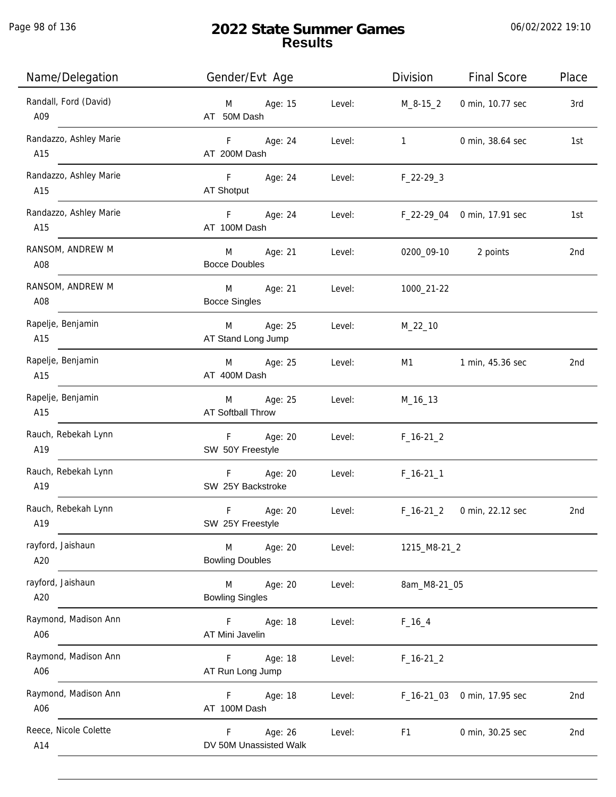j.

| Name/Delegation               | Gender/Evt Age                             |        | Division       | <b>Final Score</b>          | Place |
|-------------------------------|--------------------------------------------|--------|----------------|-----------------------------|-------|
| Randall, Ford (David)<br>A09  | Age: 15<br>M<br>AT 50M Dash                | Level: | M_8-15_2       | 0 min, 10.77 sec            | 3rd   |
| Randazzo, Ashley Marie<br>A15 | $F =$<br>Age: 24<br>AT 200M Dash           | Level: | $\mathbf{1}$   | 0 min, 38.64 sec            | 1st   |
| Randazzo, Ashley Marie<br>A15 | F Age: 24<br>AT Shotput                    | Level: | $F_22-293$     |                             |       |
| Randazzo, Ashley Marie<br>A15 | F <sub>11</sub><br>Age: 24<br>AT 100M Dash | Level: |                | F_22-29_04 0 min, 17.91 sec | 1st   |
| RANSOM, ANDREW M<br>A08       | M<br>Age: 21<br><b>Bocce Doubles</b>       | Level: |                | 0200_09-10 2 points         | 2nd   |
| RANSOM, ANDREW M<br>A08       | M<br>Age: 21<br><b>Bocce Singles</b>       | Level: | 1000_21-22     |                             |       |
| Rapelje, Benjamin<br>A15      | M<br>Age: 25<br>AT Stand Long Jump         | Level: | $M_22_10$      |                             |       |
| Rapelje, Benjamin<br>A15      | Age: 25<br>M<br>AT 400M Dash               | Level: | M1             | 1 min, 45.36 sec            | 2nd   |
| Rapelje, Benjamin<br>A15      | Age: 25<br>M<br>AT Softball Throw          | Level: | $M_16_13$      |                             |       |
| Rauch, Rebekah Lynn<br>A19    | $F -$<br>Age: 20<br>SW 50Y Freestyle       | Level: | $F_16-21_2$    |                             |       |
| Rauch, Rebekah Lynn<br>A19    | F Age: 20<br>SW 25Y Backstroke             | Level: | $F_16-21_1$    |                             |       |
| Rauch, Rebekah Lynn<br>A19    | F<br>Age: 20<br>SW 25Y Freestyle           | Level: | $F_16-21_2$    | 0 min, 22.12 sec            | 2nd   |
| rayford, Jaishaun<br>A20      | M<br>Age: 20<br><b>Bowling Doubles</b>     | Level: | 1215_M8-21_2   |                             |       |
| rayford, Jaishaun<br>A20      | M<br>Age: 20<br><b>Bowling Singles</b>     | Level: | 8am_M8-21_05   |                             |       |
| Raymond, Madison Ann<br>A06   | F.<br>Age: 18<br>AT Mini Javelin           | Level: | $F_16_4$       |                             |       |
| Raymond, Madison Ann<br>A06   | Age: 18<br>F<br>AT Run Long Jump           | Level: | $F_16-21_2$    |                             |       |
| Raymond, Madison Ann<br>A06   | Age: 18<br>F.<br>AT 100M Dash              | Level: | $F_16-2103$    | 0 min, 17.95 sec            | 2nd   |
| Reece, Nicole Colette<br>A14  | Age: 26<br>F<br>DV 50M Unassisted Walk     | Level: | F <sub>1</sub> | 0 min, 30.25 sec            | 2nd   |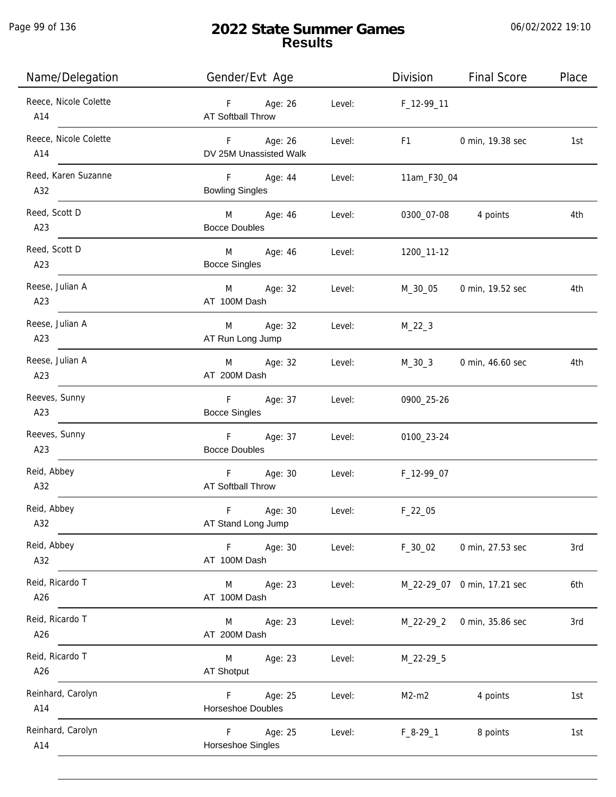Page 99 of 136

j.

# **2022 State Summer Games Results**

| Name/Delegation              | Gender/Evt Age                               |        | Division    | <b>Final Score</b>          | Place |
|------------------------------|----------------------------------------------|--------|-------------|-----------------------------|-------|
| Reece, Nicole Colette<br>A14 | $F =$<br>Age: 26<br><b>AT Softball Throw</b> | Level: | F_12-99_11  |                             |       |
| Reece, Nicole Colette<br>A14 | F Age: 26<br>DV 25M Unassisted Walk          | Level: | F1          | 0 min, 19.38 sec            | 1st   |
| Reed, Karen Suzanne<br>A32   | F Age: 44<br><b>Bowling Singles</b>          | Level: | 11am_F30_04 |                             |       |
| Reed, Scott D<br>A23         | M Age: 46<br><b>Bocce Doubles</b>            | Level: | 0300_07-08  | 4 points                    | 4th   |
| Reed, Scott D<br>A23         | M<br>Age: 46<br><b>Bocce Singles</b>         | Level: | 1200_11-12  |                             |       |
| Reese, Julian A<br>A23       | M<br>Age: 32<br>AT 100M Dash                 | Level: | M_30_05     | 0 min, 19.52 sec            | 4th   |
| Reese, Julian A<br>A23       | Age: 32<br>M<br>AT Run Long Jump             | Level: | $M_22_3$    |                             |       |
| Reese, Julian A<br>A23       | Age: 32<br>M<br>AT 200M Dash                 | Level: | $M_30_3$    | 0 min, 46.60 sec            | 4th   |
| Reeves, Sunny<br>A23         | F<br>Age: 37<br><b>Bocce Singles</b>         | Level: | 0900_25-26  |                             |       |
| Reeves, Sunny<br>A23         | $F =$<br>Age: 37<br><b>Bocce Doubles</b>     | Level: | 0100_23-24  |                             |       |
| Reid, Abbey<br>A32           | F Age: 30<br><b>AT Softball Throw</b>        | Level: | F_12-99_07  |                             |       |
| Reid, Abbey<br>A32           | F<br>Age: 30<br>AT Stand Long Jump           | Level: | $F_22_05$   |                             |       |
| Reid, Abbey<br>A32           | F<br>Age: 30<br>AT 100M Dash                 | Level: | $F_30_02$   | 0 min, 27.53 sec            | 3rd   |
| Reid, Ricardo T<br>A26       | Age: 23<br>M<br>AT 100M Dash                 | Level: |             | M_22-29_07 0 min, 17.21 sec | 6th   |
| Reid, Ricardo T<br>A26       | Age: 23<br>M<br>AT 200M Dash                 | Level: | $M_22-29_2$ | 0 min, 35.86 sec            | 3rd   |
| Reid, Ricardo T<br>A26       | Age: 23<br>M<br>AT Shotput                   | Level: | M_22-29_5   |                             |       |
| Reinhard, Carolyn<br>A14     | Age: 25<br>F.<br>Horseshoe Doubles           | Level: | $M2-m2$     | 4 points                    | 1st   |
| Reinhard, Carolyn<br>A14     | F<br>Age: 25<br>Horseshoe Singles            | Level: | $F_8-29-1$  | 8 points                    | 1st   |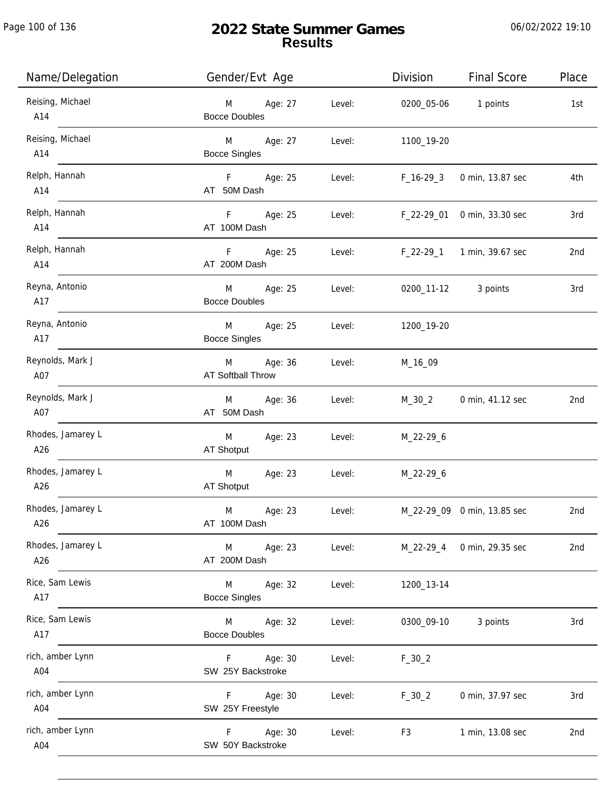| Name/Delegation          | Gender/Evt Age                       |        | Division                          | <b>Final Score</b>          | Place |
|--------------------------|--------------------------------------|--------|-----------------------------------|-----------------------------|-------|
| Reising, Michael<br>A14  | M Age: 27<br><b>Bocce Doubles</b>    | Level: | 0200_05-06 1 points               |                             | 1st   |
| Reising, Michael<br>A14  | M Age: 27<br><b>Bocce Singles</b>    | Level: | 1100_19-20                        |                             |       |
| Relph, Hannah<br>A14     | F Age: 25<br>AT 50M Dash             | Level: | F_16-29_3                         | 0 min, 13.87 sec            | 4th   |
| Relph, Hannah<br>A14     | F Age: 25<br>AT 100M Dash            | Level: |                                   | F_22-29_01 0 min, 33.30 sec | 3rd   |
| Relph, Hannah<br>A14     | F Age: 25<br>AT 200M Dash            |        | Level: F_22-29_1 1 min, 39.67 sec |                             | 2nd   |
| Reyna, Antonio<br>A17    | M<br>Age: 25<br><b>Bocce Doubles</b> | Level: |                                   | 0200_11-12 3 points         | 3rd   |
| Reyna, Antonio<br>A17    | M Age: 25<br><b>Bocce Singles</b>    |        | Level: 1200_19-20                 |                             |       |
| Reynolds, Mark J<br>A07  | M Age: 36<br>AT Softball Throw       | Level: | M_16_09                           |                             |       |
| Reynolds, Mark J<br>A07  | M Age: 36<br>AT 50M Dash             | Level: | M_30_2                            | 0 min, 41.12 sec            | 2nd   |
| Rhodes, Jamarey L<br>A26 | Age: 23<br>M<br>AT Shotput           | Level: | M_22-29_6                         |                             |       |
| Rhodes, Jamarey L<br>A26 | Age: 23<br>M<br>AT Shotput           |        | Level: M_22-29_6                  |                             |       |
| Rhodes, Jamarey L<br>A26 | M<br>Age: 23<br>AT 100M Dash         | Level: |                                   | M_22-29_09 0 min, 13.85 sec | 2nd   |
| Rhodes, Jamarey L<br>A26 | M Age: 23<br>AT 200M Dash            | Level: |                                   | M_22-29_4 0 min, 29.35 sec  | 2nd   |
| Rice, Sam Lewis<br>A17   | M<br>Age: 32<br><b>Bocce Singles</b> | Level: | 1200_13-14                        |                             |       |
| Rice, Sam Lewis<br>A17   | M Age: 32<br><b>Bocce Doubles</b>    | Level: | 0300_09-10                        | 3 points                    | 3rd   |
| rich, amber Lynn<br>A04  | F Age: 30<br>SW 25Y Backstroke       | Level: | $F_30_2$                          |                             |       |
| rich, amber Lynn<br>A04  | F Age: 30<br>SW 25Y Freestyle        | Level: | $F_30_2$                          | 0 min, 37.97 sec            | 3rd   |
| rich, amber Lynn<br>A04  | F Age: 30<br>SW 50Y Backstroke       | Level: | F <sub>3</sub>                    | 1 min, 13.08 sec            | 2nd   |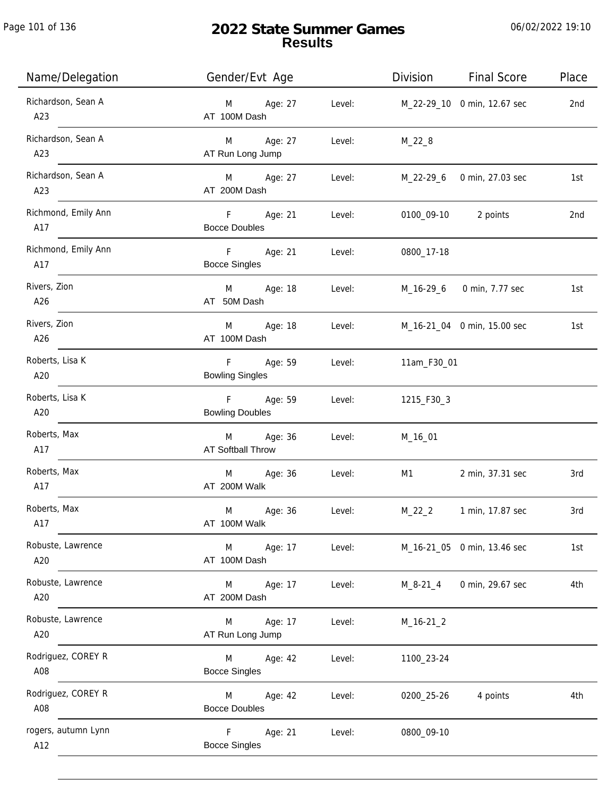Page 101 of 136

| Name/Delegation            | Gender/Evt Age                          |        | Division    | <b>Final Score</b>          | Place |
|----------------------------|-----------------------------------------|--------|-------------|-----------------------------|-------|
| Richardson, Sean A<br>A23  | Age: 27<br>M<br>AT 100M Dash            | Level: |             | M_22-29_10 0 min, 12.67 sec | 2nd   |
| Richardson, Sean A<br>A23  | Age: 27<br>M<br>AT Run Long Jump        | Level: | $M_22_8$    |                             |       |
| Richardson, Sean A<br>A23  | M Age: 27<br>AT 200M Dash               | Level: |             | M_22-29_6 0 min, 27.03 sec  | 1st   |
| Richmond, Emily Ann<br>A17 | F<br>Age: 21<br><b>Bocce Doubles</b>    | Level: |             | 0100_09-10 2 points         | 2nd   |
| Richmond, Emily Ann<br>A17 | F<br>Age: 21<br><b>Bocce Singles</b>    | Level: | 0800_17-18  |                             |       |
| Rivers, Zion<br>A26        | M Age: 18<br>AT 50M Dash                | Level: |             | M_16-29_6 0 min, 7.77 sec   | 1st   |
| Rivers, Zion<br>A26        | Age: 18<br>M<br>AT 100M Dash            | Level: |             | M_16-21_04 0 min, 15.00 sec | 1st   |
| Roberts, Lisa K<br>A20     | Age: 59<br>F.<br><b>Bowling Singles</b> | Level: | 11am_F30_01 |                             |       |
| Roberts, Lisa K<br>A20     | F<br>Age: 59<br><b>Bowling Doubles</b>  | Level: | 1215_F30_3  |                             |       |
| Roberts, Max<br>A17        | Age: 36<br>M<br>AT Softball Throw       | Level: | M_16_01     |                             |       |
| Roberts, Max<br>A17        | M<br>Age: 36<br>AT 200M Walk            | Level: | M1          | 2 min, 37.31 sec            | 3rd   |
| Roberts, Max<br>A17        | M<br>Age: 36<br>AT 100M Walk            | Level: | $M_22_2$    | 1 min, 17.87 sec            | 3rd   |
| Robuste, Lawrence<br>A20   | Age: 17<br>M<br>AT 100M Dash            | Level: |             | M_16-21_05 0 min, 13.46 sec | 1st   |
| Robuste, Lawrence<br>A20   | Age: 17<br>M<br>AT 200M Dash            | Level: | M_8-21_4    | 0 min, 29.67 sec            | 4th   |
| Robuste, Lawrence<br>A20   | Age: 17<br>M<br>AT Run Long Jump        | Level: | $M_16-21_2$ |                             |       |
| Rodriguez, COREY R<br>A08  | Age: 42<br>M<br><b>Bocce Singles</b>    | Level: | 1100_23-24  |                             |       |
| Rodriguez, COREY R<br>A08  | Age: 42<br>M<br><b>Bocce Doubles</b>    | Level: | 0200_25-26  | 4 points                    | 4th   |
| rogers, autumn Lynn<br>A12 | F<br>Age: 21<br><b>Bocce Singles</b>    | Level: | 0800_09-10  |                             |       |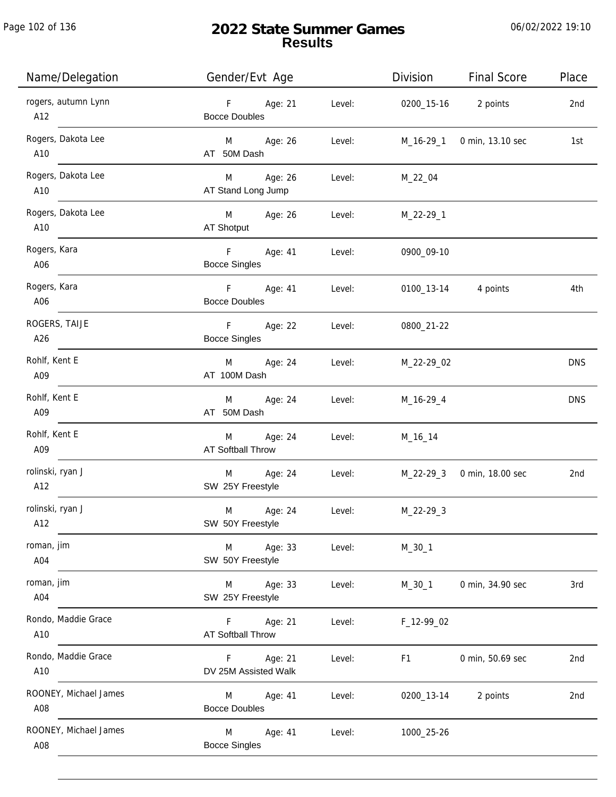Page 102 of 136

j.

## **2022 State Summer Games Results**

| Name/Delegation              | Gender/Evt Age                                          | Division       | <b>Final Score</b>         | Place      |
|------------------------------|---------------------------------------------------------|----------------|----------------------------|------------|
| rogers, autumn Lynn<br>A12   | $F = 1$<br>Age: 21<br>Level:<br><b>Bocce Doubles</b>    |                | 0200_15-16 2 points        | 2nd        |
| Rogers, Dakota Lee<br>A10    | M Age: 26<br>Level:<br>AT 50M Dash                      |                | M_16-29_1 0 min, 13.10 sec | 1st        |
| Rogers, Dakota Lee<br>A10    | M Age: 26<br>Level:<br>AT Stand Long Jump               | M_22_04        |                            |            |
| Rogers, Dakota Lee<br>A10    | M Age: 26<br>Level:<br>AT Shotput                       | M_22-29_1      |                            |            |
| Rogers, Kara<br>A06          | $-$ F $ -$<br>Age: 41<br>Level:<br><b>Bocce Singles</b> | 0900_09-10     |                            |            |
| Rogers, Kara<br>A06          | $F =$<br>Age: 41<br>Level:<br><b>Bocce Doubles</b>      |                | 0100_13-14 4 points        | 4th        |
| ROGERS, TAIJE<br>A26         | F Age: 22<br>Level:<br><b>Bocce Singles</b>             | 0800_21-22     |                            |            |
| Rohlf, Kent E<br>A09         | Age: 24<br>M <sub>art</sub><br>Level:<br>AT 100M Dash   | M_22-29_02     |                            | <b>DNS</b> |
| Rohlf, Kent E<br>A09         | M Age: 24<br>Level:<br>AT 50M Dash                      | M_16-29_4      |                            | <b>DNS</b> |
| Rohlf, Kent E<br>A09         | M Age: 24<br>Level:<br>AT Softball Throw                | M_16_14        |                            |            |
| rolinski, ryan J<br>A12      | M Age: 24<br>Level:<br>SW 25Y Freestyle                 |                | M_22-29_3 0 min, 18.00 sec | 2nd        |
| rolinski, ryan J<br>A12      | M<br>Age: 24<br>Level:<br>SW 50Y Freestyle              | $M_22-29-3$    |                            |            |
| roman, jim<br>A04            | Age: 33<br>M<br>Level:<br>SW 50Y Freestyle              | $M_30_1$       |                            |            |
| roman, jim<br>A04            | Age: 33<br>Level:<br>M<br>SW 25Y Freestyle              | $M_30_1$       | 0 min, 34.90 sec           | 3rd        |
| Rondo, Maddie Grace<br>A10   | Age: 21<br>Level:<br>F.<br>AT Softball Throw            | F_12-99_02     |                            |            |
| Rondo, Maddie Grace<br>A10   | Age: 21<br>Level:<br>F.<br>DV 25M Assisted Walk         | F <sub>1</sub> | 0 min, 50.69 sec           | 2nd        |
| ROONEY, Michael James<br>A08 | Age: 41<br>M<br>Level:<br><b>Bocce Doubles</b>          | 0200_13-14     | 2 points                   | 2nd        |
| ROONEY, Michael James<br>A08 | M<br>Age: 41<br>Level:<br><b>Bocce Singles</b>          | 1000_25-26     |                            |            |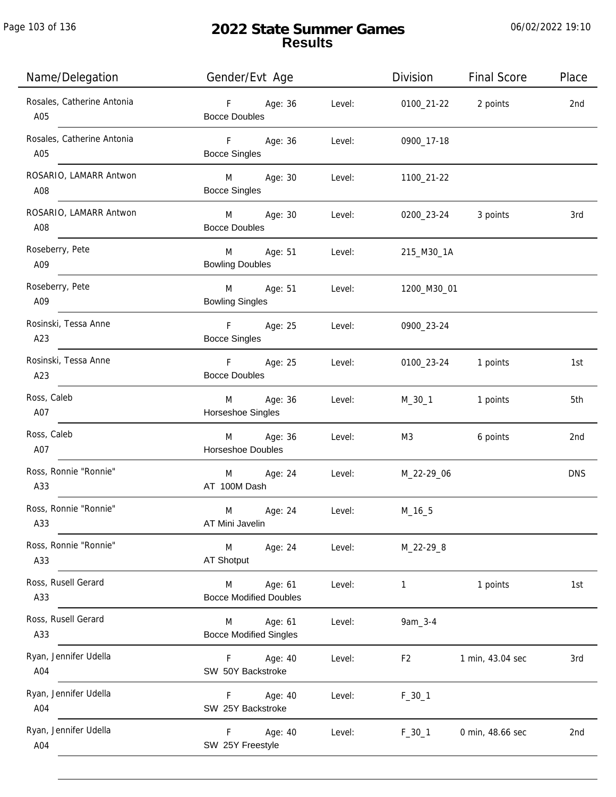| Name/Delegation                   | Gender/Evt Age                                                                                                                                                                                                                                                         |        | Division       | <b>Final Score</b> | Place           |
|-----------------------------------|------------------------------------------------------------------------------------------------------------------------------------------------------------------------------------------------------------------------------------------------------------------------|--------|----------------|--------------------|-----------------|
| Rosales, Catherine Antonia<br>A05 | F<br>Age: 36<br><b>Bocce Doubles</b>                                                                                                                                                                                                                                   | Level: | 0100_21-22     | 2 points           | 2nd             |
| Rosales, Catherine Antonia<br>A05 | F<br>Age: 36<br><b>Bocce Singles</b>                                                                                                                                                                                                                                   | Level: | 0900_17-18     |                    |                 |
| ROSARIO, LAMARR Antwon<br>A08     | Age: 30<br>M <sub>ar</sub><br><b>Bocce Singles</b>                                                                                                                                                                                                                     | Level: | 1100_21-22     |                    |                 |
| ROSARIO, LAMARR Antwon<br>A08     | <b>M</b> and the state of the state of the state of the state of the state of the state of the state of the state of the state of the state of the state of the state of the state of the state of the state of the state of the st<br>Age: 30<br><b>Bocce Doubles</b> | Level: | 0200_23-24     | 3 points           | 3rd             |
| Roseberry, Pete<br>A09            | M<br>Age: 51<br><b>Bowling Doubles</b>                                                                                                                                                                                                                                 | Level: | 215_M30_1A     |                    |                 |
| Roseberry, Pete<br>A09            | M<br>Age: 51<br><b>Bowling Singles</b>                                                                                                                                                                                                                                 | Level: | 1200_M30_01    |                    |                 |
| Rosinski, Tessa Anne<br>A23       | F<br>Age: 25<br><b>Bocce Singles</b>                                                                                                                                                                                                                                   | Level: | 0900_23-24     |                    |                 |
| Rosinski, Tessa Anne<br>A23       | F<br>Age: 25<br><b>Bocce Doubles</b>                                                                                                                                                                                                                                   | Level: | 0100_23-24     | 1 points           | 1st             |
| Ross, Caleb<br>A07                | Age: 36<br>M<br>Horseshoe Singles                                                                                                                                                                                                                                      | Level: | M_30_1         | 1 points           | 5th             |
| Ross, Caleb<br>A07                | Age: 36<br>M<br><b>Horseshoe Doubles</b>                                                                                                                                                                                                                               | Level: | M3             | 6 points           | 2 <sub>nd</sub> |
| Ross, Ronnie "Ronnie"<br>A33      | Age: 24<br>M<br>AT 100M Dash                                                                                                                                                                                                                                           | Level: | M_22-29_06     |                    | <b>DNS</b>      |
| Ross, Ronnie "Ronnie"<br>A33      | M<br>Age: 24<br>AT Mini Javelin                                                                                                                                                                                                                                        | Level: | $M_16_5$       |                    |                 |
| Ross, Ronnie "Ronnie"<br>A33      | M<br>Age: 24<br>AT Shotput                                                                                                                                                                                                                                             | Level: | M_22-29_8      |                    |                 |
| Ross, Rusell Gerard<br>A33        | Age: 61<br>M<br><b>Bocce Modified Doubles</b>                                                                                                                                                                                                                          | Level: | $\mathbf{1}$   | 1 points           | 1st             |
| Ross, Rusell Gerard<br>A33        | Age: 61<br>M<br><b>Bocce Modified Singles</b>                                                                                                                                                                                                                          | Level: | 9am_3-4        |                    |                 |
| Ryan, Jennifer Udella<br>A04      | Age: 40<br>F.<br>SW 50Y Backstroke                                                                                                                                                                                                                                     | Level: | F <sub>2</sub> | 1 min, 43.04 sec   | 3rd             |
| Ryan, Jennifer Udella<br>A04      | Age: 40<br>F.<br>SW 25Y Backstroke                                                                                                                                                                                                                                     | Level: | $F_30_1$       |                    |                 |
| Ryan, Jennifer Udella<br>A04      | Age: 40<br>F.<br>SW 25Y Freestyle                                                                                                                                                                                                                                      | Level: | $F_30_1$       | 0 min, 48.66 sec   | 2nd             |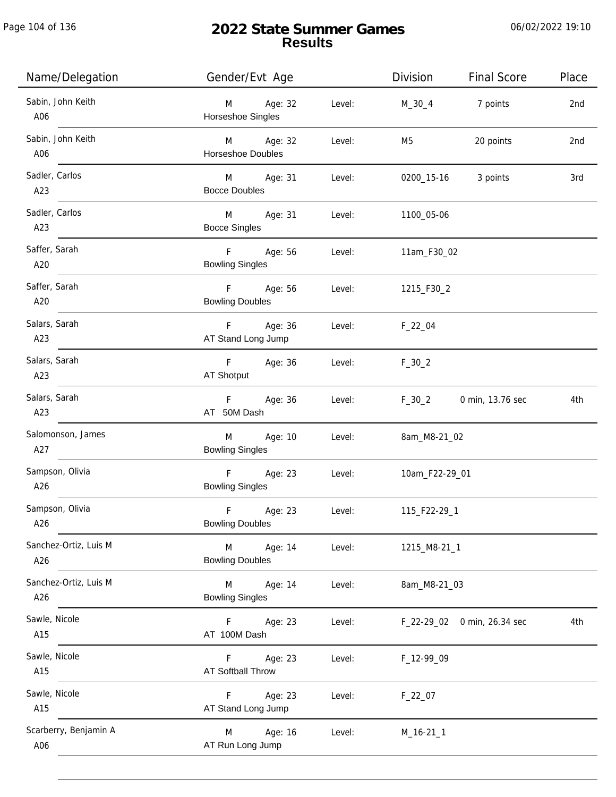Page 104 of 136

j.

## **2022 State Summer Games Results**

| Name/Delegation              | Gender/Evt Age                         |        | Division       | <b>Final Score</b> | Place |
|------------------------------|----------------------------------------|--------|----------------|--------------------|-------|
| Sabin, John Keith<br>A06     | M<br>Age: 32<br>Horseshoe Singles      | Level: | M_30_4         | 7 points           | 2nd   |
| Sabin, John Keith<br>A06     | M Age: 32<br>Horseshoe Doubles         | Level: | M5             | 20 points          | 2nd   |
| Sadler, Carlos<br>A23        | M Age: 31<br><b>Bocce Doubles</b>      | Level: | 0200_15-16     | 3 points           | 3rd   |
| Sadler, Carlos<br>A23        | M Age: 31<br><b>Bocce Singles</b>      | Level: | 1100_05-06     |                    |       |
| Saffer, Sarah<br>A20         | F Age: 56<br><b>Bowling Singles</b>    | Level: | 11am_F30_02    |                    |       |
| Saffer, Sarah<br>A20         | F<br>Age: 56<br><b>Bowling Doubles</b> | Level: | 1215_F30_2     |                    |       |
| Salars, Sarah<br>A23         | Age: 36<br>F<br>AT Stand Long Jump     | Level: | $F_22_04$      |                    |       |
| Salars, Sarah<br>A23         | Age: 36<br>F<br>AT Shotput             | Level: | $F_30_2$       |                    |       |
| Salars, Sarah<br>A23         | Age: 36<br>F<br>AT 50M Dash            | Level: | $F_30_2$       | 0 min, 13.76 sec   | 4th   |
| Salomonson, James<br>A27     | Age: 10<br>M<br><b>Bowling Singles</b> | Level: | 8am_M8-21_02   |                    |       |
| Sampson, Olivia<br>A26       | F<br>Age: 23<br><b>Bowling Singles</b> | Level: | 10am_F22-29_01 |                    |       |
| Sampson, Olivia<br>A26       | F<br>Age: 23<br><b>Bowling Doubles</b> | Level: | 115_F22-29_1   |                    |       |
| Sanchez-Ortiz, Luis M<br>A26 | M<br>Age: 14<br><b>Bowling Doubles</b> | Level: | 1215_M8-21_1   |                    |       |
| Sanchez-Ortiz, Luis M<br>A26 | M<br>Age: 14<br><b>Bowling Singles</b> | Level: | 8am_M8-21_03   |                    |       |
| Sawle, Nicole<br>A15         | Age: 23<br>F.<br>AT 100M Dash          | Level: | F_22-29_02     | 0 min, 26.34 sec   | 4th   |
| Sawle, Nicole<br>A15         | Age: 23<br>F<br>AT Softball Throw      | Level: | F_12-99_09     |                    |       |
| Sawle, Nicole<br>A15         | Age: 23<br>F.<br>AT Stand Long Jump    | Level: | $F_22_07$      |                    |       |
| Scarberry, Benjamin A<br>A06 | Age: 16<br>M<br>AT Run Long Jump       | Level: | $M_16-21_1$    |                    |       |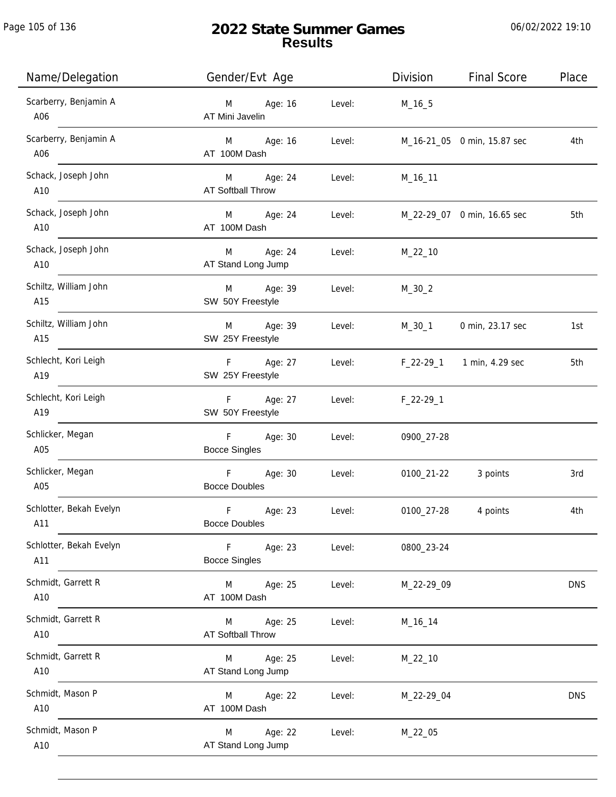Page 105 of 136

j.

# **2022 State Summer Games Results**

| Name/Delegation                | Gender/Evt Age                        |        | Division    | <b>Final Score</b>          | Place      |
|--------------------------------|---------------------------------------|--------|-------------|-----------------------------|------------|
| Scarberry, Benjamin A<br>A06   | Age: 16<br>M<br>AT Mini Javelin       | Level: | $M_16_5$    |                             |            |
| Scarberry, Benjamin A<br>A06   | M Age: 16<br>AT 100M Dash             | Level: |             | M_16-21_05 0 min, 15.87 sec | 4th        |
| Schack, Joseph John<br>A10     | M Age: 24<br><b>AT Softball Throw</b> | Level: | M_16_11     |                             |            |
| Schack, Joseph John<br>A10     | M Age: 24<br>AT 100M Dash             | Level: |             | M_22-29_07 0 min, 16.65 sec | 5th        |
| Schack, Joseph John<br>A10     | Age: 24<br>M<br>AT Stand Long Jump    | Level: | $M_22_10$   |                             |            |
| Schiltz, William John<br>A15   | M Age: 39<br>SW 50Y Freestyle         | Level: | $M_30_2$    |                             |            |
| Schiltz, William John<br>A15   | M Age: 39<br>SW 25Y Freestyle         | Level: | M_30_1      | 0 min, 23.17 sec            | 1st        |
| Schlecht, Kori Leigh<br>A19    | F Age: 27<br>SW 25Y Freestyle         | Level: |             | F_22-29_1 1 min, 4.29 sec   | 5th        |
| Schlecht, Kori Leigh<br>A19    | F Age: 27<br>SW 50Y Freestyle         | Level: | $F_22-29-1$ |                             |            |
| Schlicker, Megan<br>A05        | Age: 30<br>F<br><b>Bocce Singles</b>  | Level: | 0900_27-28  |                             |            |
| Schlicker, Megan<br>A05        | F<br>Age: 30<br><b>Bocce Doubles</b>  | Level: | 0100_21-22  | 3 points                    | 3rd        |
| Schlotter, Bekah Evelyn<br>A11 | F<br>Age: 23<br><b>Bocce Doubles</b>  | Level: | 0100_27-28  | 4 points                    | 4th        |
| Schlotter, Bekah Evelyn<br>A11 | Age: 23<br>F.<br><b>Bocce Singles</b> | Level: | 0800_23-24  |                             |            |
| Schmidt, Garrett R<br>A10      | Age: 25<br>M<br>AT 100M Dash          | Level: | M_22-29_09  |                             | <b>DNS</b> |
| Schmidt, Garrett R<br>A10      | Age: 25<br>M<br>AT Softball Throw     | Level: | M_16_14     |                             |            |
| Schmidt, Garrett R<br>A10      | Age: 25<br>M<br>AT Stand Long Jump    | Level: | $M_22_10$   |                             |            |
| Schmidt, Mason P<br>A10        | Age: 22<br>M<br>AT 100M Dash          | Level: | M_22-29_04  |                             | <b>DNS</b> |
| Schmidt, Mason P<br>A10        | Age: 22<br>M<br>AT Stand Long Jump    | Level: | M_22_05     |                             |            |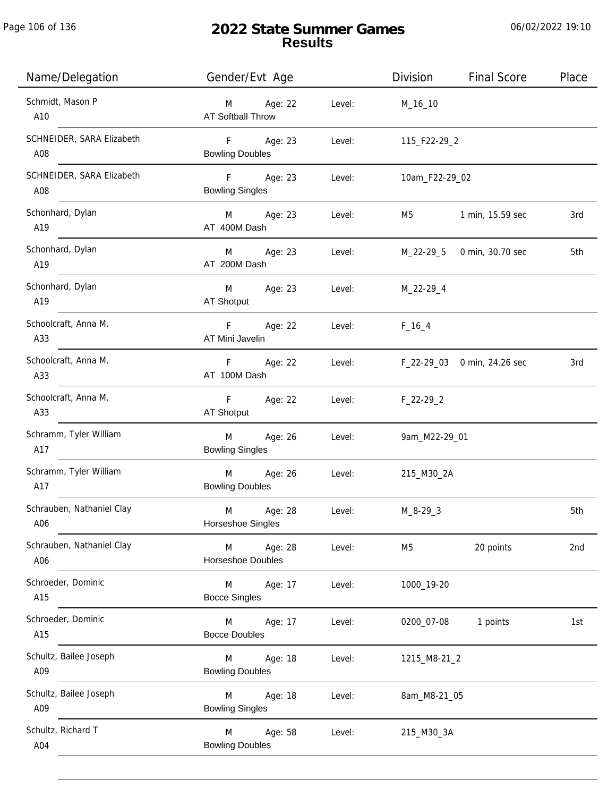Page 106 of 136

# **2022 State Summer Games Results**

| Name/Delegation                  | Gender/Evt Age                         |        | Division       | <b>Final Score</b>          | Place |
|----------------------------------|----------------------------------------|--------|----------------|-----------------------------|-------|
| Schmidt, Mason P<br>A10          | Age: 22<br>M<br>AT Softball Throw      | Level: | M_16_10        |                             |       |
| SCHNEIDER, SARA Elizabeth<br>A08 | F Age: 23<br><b>Bowling Doubles</b>    | Level: | 115_F22-29_2   |                             |       |
| SCHNEIDER, SARA Elizabeth<br>A08 | F Age: 23<br><b>Bowling Singles</b>    | Level: | 10am_F22-29_02 |                             |       |
| Schonhard, Dylan<br>A19          | M Age: 23<br>AT 400M Dash              | Level: | M5             | 1 min, 15.59 sec            | 3rd   |
| Schonhard, Dylan<br>A19          | Age: 23<br>M<br>AT 200M Dash           | Level: |                | M_22-29_5 0 min, 30.70 sec  | 5th   |
| Schonhard, Dylan<br>A19          | M<br>Age: 23<br>AT Shotput             | Level: | M_22-29_4      |                             |       |
| Schoolcraft, Anna M.<br>A33      | F<br>Age: 22<br>AT Mini Javelin        | Level: | $F_16_4$       |                             |       |
| Schoolcraft, Anna M.<br>A33      | F Age: 22<br>AT 100M Dash              | Level: |                | F_22-29_03 0 min, 24.26 sec | 3rd   |
| Schoolcraft, Anna M.<br>A33      | F<br>Age: 22<br>AT Shotput             | Level: | $F_22-29_2$    |                             |       |
| Schramm, Tyler William<br>A17    | M<br>Age: 26<br><b>Bowling Singles</b> | Level: | 9am_M22-29_01  |                             |       |
| Schramm, Tyler William<br>A17    | M<br>Age: 26<br><b>Bowling Doubles</b> | Level: | 215_M30_2A     |                             |       |
| Schrauben, Nathaniel Clay<br>A06 | M<br>Age: 28<br>Horseshoe Singles      | Level: | $M_8-29-3$     |                             | 5th   |
| Schrauben, Nathaniel Clay<br>A06 | Age: 28<br>M<br>Horseshoe Doubles      | Level: | M <sub>5</sub> | 20 points                   | 2nd   |
| Schroeder, Dominic<br>A15        | Age: 17<br>M<br><b>Bocce Singles</b>   | Level: | 1000_19-20     |                             |       |
| Schroeder, Dominic<br>A15        | Age: 17<br>M<br><b>Bocce Doubles</b>   | Level: | 0200_07-08     | 1 points                    | 1st   |
| Schultz, Bailee Joseph<br>A09    | Age: 18<br>M<br><b>Bowling Doubles</b> | Level: | 1215_M8-21_2   |                             |       |
| Schultz, Bailee Joseph<br>A09    | Age: 18<br>M<br><b>Bowling Singles</b> | Level: | 8am_M8-21_05   |                             |       |
| Schultz, Richard T<br>A04        | Age: 58<br>M<br><b>Bowling Doubles</b> | Level: | 215_M30_3A     |                             |       |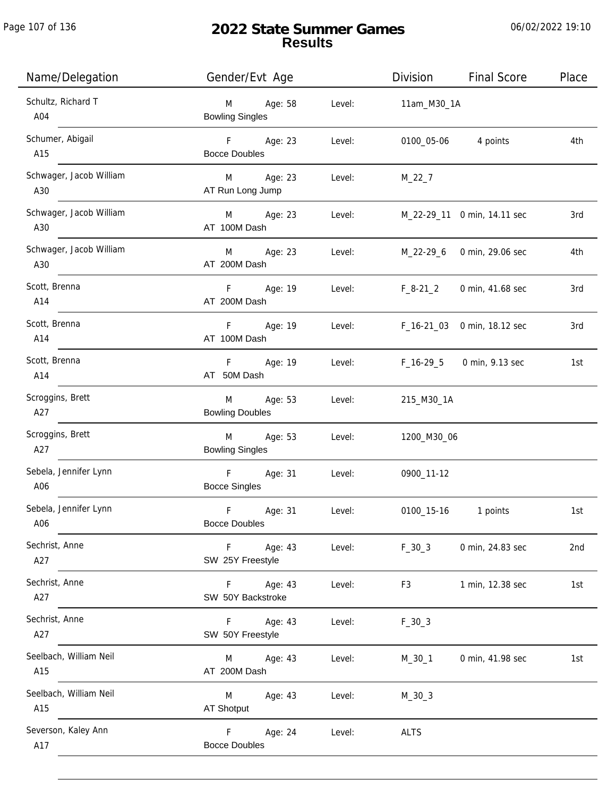| Name/Delegation                | Gender/Evt Age                                 |        | Division    | <b>Final Score</b>          | Place           |
|--------------------------------|------------------------------------------------|--------|-------------|-----------------------------|-----------------|
| Schultz, Richard T<br>A04      | Age: 58<br>M<br><b>Bowling Singles</b>         | Level: | 11am_M30_1A |                             |                 |
| Schumer, Abigail<br>A15        | F Age: 23<br><b>Bocce Doubles</b>              | Level: | 0100_05-06  | 4 points                    | 4th             |
| Schwager, Jacob William<br>A30 | M Age: 23<br>AT Run Long Jump                  | Level: | $M_22_7$    |                             |                 |
| Schwager, Jacob William<br>A30 | M Age: 23<br>AT 100M Dash                      | Level: |             | M_22-29_11 0 min, 14.11 sec | 3rd             |
| Schwager, Jacob William<br>A30 | Age: 23<br>M<br>AT 200M Dash                   | Level: |             | M_22-29_6 0 min, 29.06 sec  | 4th             |
| Scott, Brenna<br>A14           | F<br>Age: 19<br>AT 200M Dash                   | Level: | $F_8-21_2$  | 0 min, 41.68 sec            | 3rd             |
| Scott, Brenna<br>A14           | F<br>Age: 19<br>AT 100M Dash                   | Level: |             | F_16-21_03 0 min, 18.12 sec | 3rd             |
| Scott, Brenna<br>A14           | F Age: 19<br>AT 50M Dash                       | Level: | F_16-29_5   | 0 min, 9.13 sec             | 1st             |
| Scroggins, Brett<br>A27        | M<br>Age: 53<br><b>Bowling Doubles</b>         | Level: | 215_M30_1A  |                             |                 |
| Scroggins, Brett<br>A27        | Age: 53<br>M<br><b>Bowling Singles</b>         | Level: | 1200_M30_06 |                             |                 |
| Sebela, Jennifer Lynn<br>A06   | F<br>Age: 31<br><b>Bocce Singles</b>           | Level: | 0900_11-12  |                             |                 |
| Sebela, Jennifer Lynn<br>A06   | $\mathsf F$<br>Age: 31<br><b>Bocce Doubles</b> | Level: | 0100_15-16  | 1 points                    | 1st             |
| Sechrist, Anne<br>A27          | F<br>Age: 43<br>SW 25Y Freestyle               | Level: | $F_30_3$    | 0 min, 24.83 sec            | 2 <sub>nd</sub> |
| Sechrist, Anne<br>A27          | Age: 43<br>F<br>SW 50Y Backstroke              | Level: | F3          | 1 min, 12.38 sec            | 1st             |
| Sechrist, Anne<br>A27          | Age: 43<br>F<br>SW 50Y Freestyle               | Level: | $F_30_3$    |                             |                 |
| Seelbach, William Neil<br>A15  | Age: 43<br>M<br>AT 200M Dash                   | Level: | M_30_1      | 0 min, 41.98 sec            | 1st             |
| Seelbach, William Neil<br>A15  | Age: 43<br>M<br>AT Shotput                     | Level: | $M_30_3$    |                             |                 |
| Severson, Kaley Ann<br>A17     | Age: 24<br>F.<br><b>Bocce Doubles</b>          | Level: | <b>ALTS</b> |                             |                 |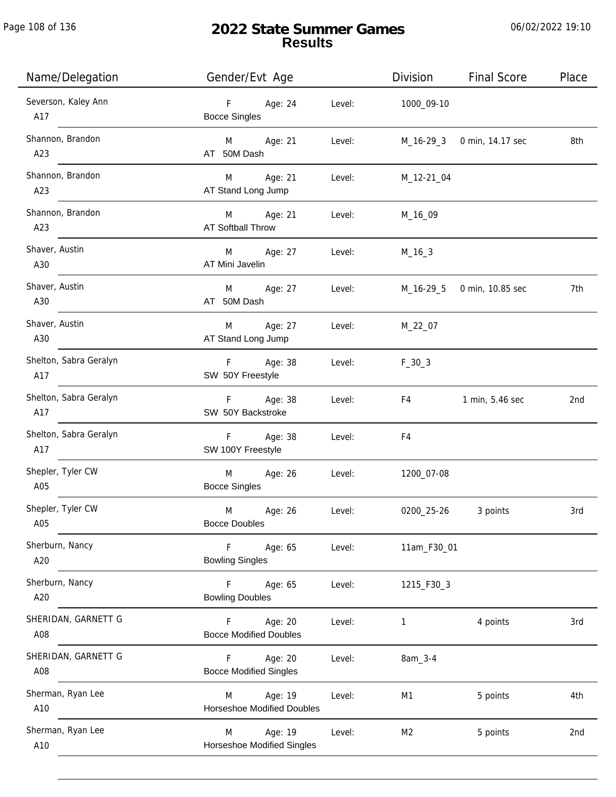Page 108 of 136

j.

# **2022 State Summer Games Results**

| Name/Delegation               | Gender/Evt Age                                    |        | Division       | <b>Final Score</b> | Place |
|-------------------------------|---------------------------------------------------|--------|----------------|--------------------|-------|
| Severson, Kaley Ann<br>A17    | F<br>Age: 24<br><b>Bocce Singles</b>              | Level: | 1000_09-10     |                    |       |
| Shannon, Brandon<br>A23       | M Age: 21<br>AT 50M Dash                          | Level: | M_16-29_3      | 0 min, 14.17 sec   | 8th   |
| Shannon, Brandon<br>A23       | M Age: 21<br>AT Stand Long Jump                   | Level: | M_12-21_04     |                    |       |
| Shannon, Brandon<br>A23       | M<br>Age: 21<br><b>AT Softball Throw</b>          | Level: | M_16_09        |                    |       |
| Shaver, Austin<br>A30         | Age: 27<br>M<br>AT Mini Javelin                   | Level: | $M_16_3$       |                    |       |
| Shaver, Austin<br>A30         | Age: 27<br>M<br>AT 50M Dash                       | Level: | M_16-29_5      | 0 min, 10.85 sec   | 7th   |
| Shaver, Austin<br>A30         | Age: 27<br>M<br>AT Stand Long Jump                | Level: | M_22_07        |                    |       |
| Shelton, Sabra Geralyn<br>A17 | F Age: 38<br>SW 50Y Freestyle                     | Level: | $F_30_3$       |                    |       |
| Shelton, Sabra Geralyn<br>A17 | F Age: 38<br>SW 50Y Backstroke                    | Level: | F4             | 1 min, 5.46 sec    | 2nd   |
| Shelton, Sabra Geralyn<br>A17 | F Age: 38<br>SW 100Y Freestyle                    | Level: | F4             |                    |       |
| Shepler, Tyler CW<br>A05      | M<br>Age: 26<br><b>Bocce Singles</b>              | Level: | 1200_07-08     |                    |       |
| Shepler, Tyler CW<br>A05      | M<br>Age: 26<br><b>Bocce Doubles</b>              | Level: | 0200_25-26     | 3 points           | 3rd   |
| Sherburn, Nancy<br>A20        | Age: 65<br>F.<br><b>Bowling Singles</b>           | Level: | 11am_F30_01    |                    |       |
| Sherburn, Nancy<br>A20        | Age: 65<br>F.<br><b>Bowling Doubles</b>           | Level: | 1215_F30_3     |                    |       |
| SHERIDAN, GARNETT G<br>A08    | Age: 20<br>F.<br><b>Bocce Modified Doubles</b>    | Level: | 1              | 4 points           | 3rd   |
| SHERIDAN, GARNETT G<br>A08    | Age: 20<br>F.<br><b>Bocce Modified Singles</b>    | Level: | 8am_3-4        |                    |       |
| Sherman, Ryan Lee<br>A10      | Age: 19<br>M<br><b>Horseshoe Modified Doubles</b> | Level: | M1             | 5 points           | 4th   |
| Sherman, Ryan Lee<br>A10      | Age: 19<br>M<br>Horseshoe Modified Singles        | Level: | M <sub>2</sub> | 5 points           | 2nd   |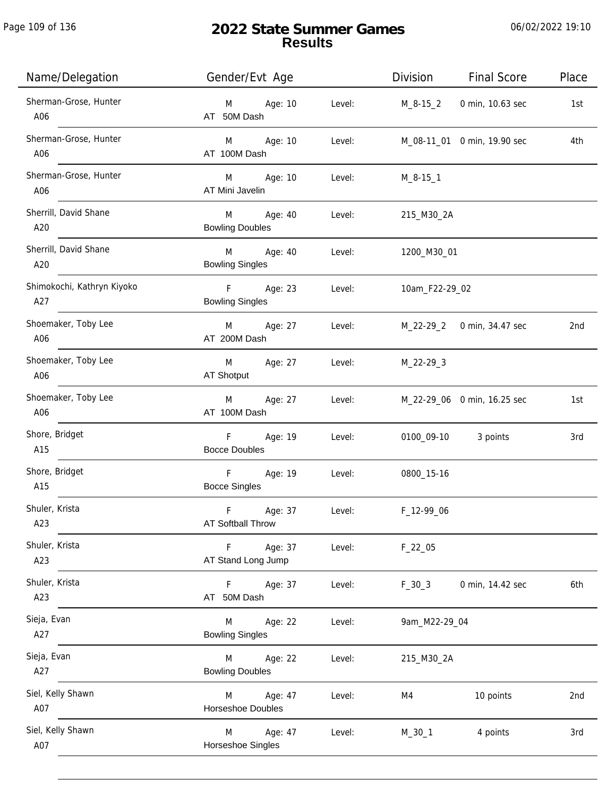| Name/Delegation                   | Gender/Evt Age                               |        | Division       | <b>Final Score</b>          | Place |
|-----------------------------------|----------------------------------------------|--------|----------------|-----------------------------|-------|
| Sherman-Grose, Hunter<br>A06      | Age: 10<br>M<br>AT 50M Dash                  | Level: | M_8-15_2       | 0 min, 10.63 sec            | 1st   |
| Sherman-Grose, Hunter<br>A06      | M Age: 10<br>AT 100M Dash                    | Level: |                | M_08-11_01 0 min, 19.90 sec | 4th   |
| Sherman-Grose, Hunter<br>A06      | M Age: 10<br>AT Mini Javelin                 | Level: | M_8-15_1       |                             |       |
| Sherrill, David Shane<br>A20      | M Age: 40<br><b>Bowling Doubles</b>          | Level: | 215_M30_2A     |                             |       |
| Sherrill, David Shane<br>A20      | M Age: 40<br><b>Bowling Singles</b>          | Level: | 1200_M30_01    |                             |       |
| Shimokochi, Kathryn Kiyoko<br>A27 | F Age: 23<br><b>Bowling Singles</b>          | Level: | 10am_F22-29_02 |                             |       |
| Shoemaker, Toby Lee<br>A06        | Age: 27<br>M<br>AT 200M Dash                 | Level: |                | M_22-29_2 0 min, 34.47 sec  | 2nd   |
| Shoemaker, Toby Lee<br>A06        | Age: 27<br>M<br>AT Shotput                   | Level: | M_22-29_3      |                             |       |
| Shoemaker, Toby Lee<br>A06        | Age: 27<br>M<br>AT 100M Dash                 | Level: |                | M_22-29_06 0 min, 16.25 sec | 1st   |
| Shore, Bridget<br>A15             | F<br>Age: 19<br><b>Bocce Doubles</b>         | Level: |                | 0100_09-10 3 points         | 3rd   |
| Shore, Bridget<br>A15             | F<br>Age: 19<br><b>Bocce Singles</b>         | Level: | 0800_15-16     |                             |       |
| Shuler, Krista<br>A23             | $\mathsf F$<br>Age: 37<br>AT Softball Throw  | Level: | F_12-99_06     |                             |       |
| Shuler, Krista<br>A23             | Age: 37<br>$\mathsf F$<br>AT Stand Long Jump | Level: | $F_22_05$      |                             |       |
| Shuler, Krista<br>A23             | Age: 37<br>F.<br>AT 50M Dash                 | Level: | $F_30_3$       | 0 min, 14.42 sec            | 6th   |
| Sieja, Evan<br>A27                | Age: 22<br>M<br><b>Bowling Singles</b>       | Level: | 9am_M22-29_04  |                             |       |
| Sieja, Evan<br>A27                | Age: 22<br>M<br><b>Bowling Doubles</b>       | Level: | 215_M30_2A     |                             |       |
| Siel, Kelly Shawn<br>A07          | Age: 47<br>M<br><b>Horseshoe Doubles</b>     | Level: | M4             | 10 points                   | 2nd   |
| Siel, Kelly Shawn<br>A07          | Age: 47<br>M<br>Horseshoe Singles            | Level: | $M_30_1$       | 4 points                    | 3rd   |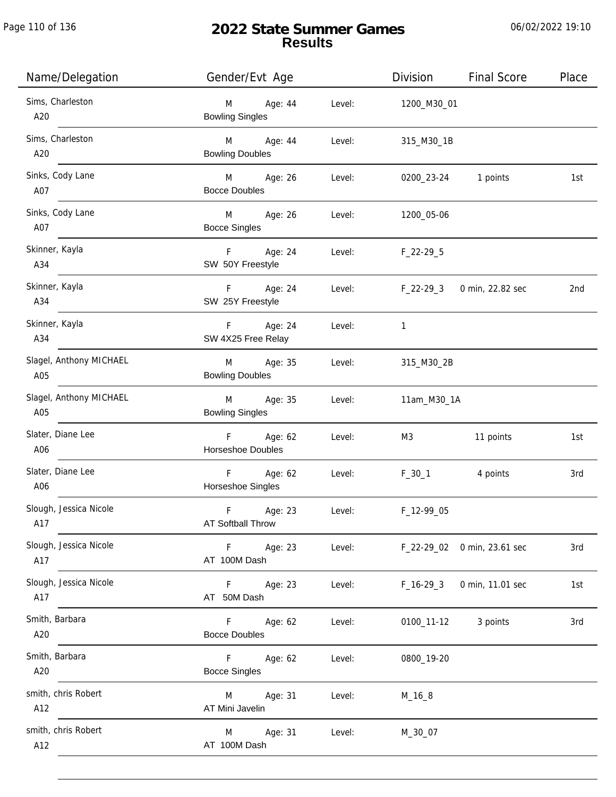| Name/Delegation                | Gender/Evt Age                                     |        | Division     | <b>Final Score</b>          | Place |
|--------------------------------|----------------------------------------------------|--------|--------------|-----------------------------|-------|
| Sims, Charleston<br>A20        | Age: 44<br>M<br><b>Bowling Singles</b>             | Level: | 1200_M30_01  |                             |       |
| Sims, Charleston<br>A20        | M<br>Age: 44<br><b>Bowling Doubles</b>             | Level: | 315_M30_1B   |                             |       |
| Sinks, Cody Lane<br>A07        | M Age: 26<br><b>Bocce Doubles</b>                  | Level: |              | 0200_23-24 1 points         | 1st   |
| Sinks, Cody Lane<br>A07        | M Age: 26<br><b>Bocce Singles</b>                  | Level: | 1200_05-06   |                             |       |
| Skinner, Kayla<br>A34          | F Age: 24<br>SW 50Y Freestyle                      | Level: | $F_22-29-5$  |                             |       |
| Skinner, Kayla<br>A34          | F Age: 24<br>SW 25Y Freestyle                      | Level: | $F_22-29-3$  | 0 min, 22.82 sec            | 2nd   |
| Skinner, Kayla<br>A34          | F Age: 24<br>SW 4X25 Free Relay                    | Level: | $\mathbf{1}$ |                             |       |
| Slagel, Anthony MICHAEL<br>A05 | Age: 35<br>M<br><b>Bowling Doubles</b>             | Level: | 315_M30_2B   |                             |       |
| Slagel, Anthony MICHAEL<br>A05 | M<br>Age: 35<br><b>Bowling Singles</b>             | Level: | 11am_M30_1A  |                             |       |
| Slater, Diane Lee<br>A06       | F Age: 62<br>Horseshoe Doubles                     | Level: | M3           | 11 points                   | 1st   |
| Slater, Diane Lee<br>A06       | Age: 62<br>F<br>Horseshoe Singles                  | Level: | $F_30_1$     | 4 points                    | 3rd   |
| Slough, Jessica Nicole<br>A17  | $\mathsf F$<br>Age: 23<br>AT Softball Throw        | Level: | F_12-99_05   |                             |       |
| Slough, Jessica Nicole<br>A17  | F Age: 23<br>AT 100M Dash                          | Level: |              | F_22-29_02 0 min, 23.61 sec | 3rd   |
| Slough, Jessica Nicole<br>A17  | F Age: 23<br>AT 50M Dash                           | Level: | $F_16-293$   | 0 min, 11.01 sec            | 1st   |
| Smith, Barbara<br>A20          | F<br>Age: 62<br><b>Bocce Doubles</b>               | Level: |              | 0100_11-12 3 points         | 3rd   |
| Smith, Barbara<br>A20          | F <sub>12</sub><br>Age: 62<br><b>Bocce Singles</b> | Level: | 0800_19-20   |                             |       |
| smith, chris Robert<br>A12     | Age: 31<br>M<br>AT Mini Javelin                    | Level: | M_16_8       |                             |       |
| smith, chris Robert<br>A12     | Age: 31<br>M<br>AT 100M Dash                       | Level: | M_30_07      |                             |       |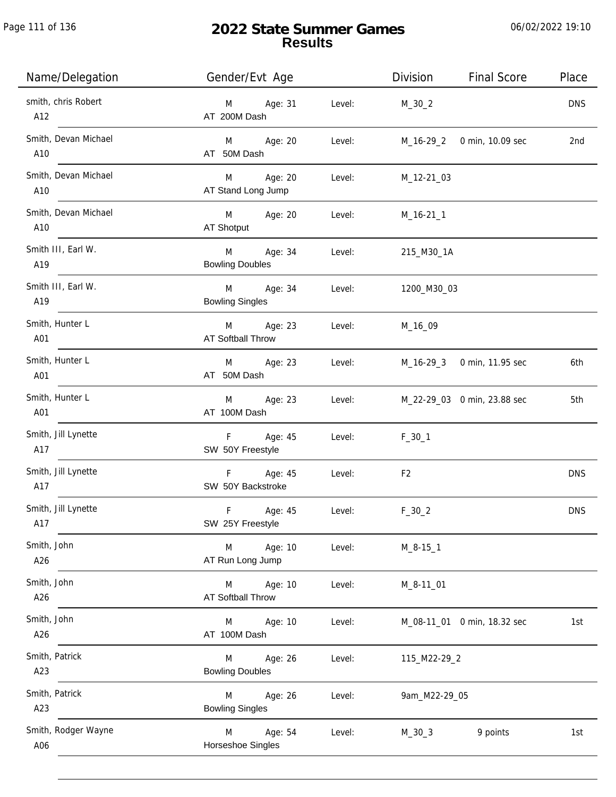Page 111 of 136

# **2022 State Summer Games Results**

| Name/Delegation             | Gender/Evt Age                         |        | Division<br><b>Final Score</b> | Place      |
|-----------------------------|----------------------------------------|--------|--------------------------------|------------|
| smith, chris Robert<br>A12  | Age: 31<br>M<br>AT 200M Dash           | Level: | $M_30_2$                       | <b>DNS</b> |
| Smith, Devan Michael<br>A10 | M Age: 20<br>AT 50M Dash               | Level: | M_16-29_2 0 min, 10.09 sec     | 2nd        |
| Smith, Devan Michael<br>A10 | Age: 20<br>M<br>AT Stand Long Jump     | Level: | M_12-21_03                     |            |
| Smith, Devan Michael<br>A10 | M Age: 20<br>AT Shotput                | Level: | M_16-21_1                      |            |
| Smith III, Earl W.<br>A19   | M<br>Age: 34<br><b>Bowling Doubles</b> | Level: | 215_M30_1A                     |            |
| Smith III, Earl W.<br>A19   | M<br>Age: 34<br><b>Bowling Singles</b> | Level: | 1200_M30_03                    |            |
| Smith, Hunter L<br>A01      | Age: 23<br>M<br>AT Softball Throw      | Level: | M_16_09                        |            |
| Smith, Hunter L<br>A01      | Age: 23<br>M<br>AT 50M Dash            | Level: | M_16-29_3 0 min, 11.95 sec     | 6th        |
| Smith, Hunter L<br>A01      | Age: 23<br>M<br>AT 100M Dash           | Level: | M_22-29_03 0 min, 23.88 sec    | 5th        |
| Smith, Jill Lynette<br>A17  | F<br>Age: 45<br>SW 50Y Freestyle       | Level: | $F_30_1$                       |            |
| Smith, Jill Lynette<br>A17  | F Age: 45<br>SW 50Y Backstroke         | Level: | F <sub>2</sub>                 | <b>DNS</b> |
| Smith, Jill Lynette<br>A17  | F<br>Age: 45<br>SW 25Y Freestyle       | Level: | $F_30_2$                       | <b>DNS</b> |
| Smith, John<br>A26          | M<br>Age: 10<br>AT Run Long Jump       | Level: | $M_8 - 15 - 1$                 |            |
| Smith, John<br>A26          | Age: 10<br>M<br>AT Softball Throw      | Level: | $M_8 - 11_0$                   |            |
| Smith, John<br>A26          | Age: 10<br>M<br>AT 100M Dash           | Level: | M_08-11_01 0 min, 18.32 sec    | 1st        |
| Smith, Patrick<br>A23       | Age: 26<br>M<br><b>Bowling Doubles</b> | Level: | 115_M22-29_2                   |            |
| Smith, Patrick<br>A23       | Age: 26<br>M<br><b>Bowling Singles</b> | Level: | 9am_M22-29_05                  |            |
| Smith, Rodger Wayne<br>A06  | M<br>Age: 54<br>Horseshoe Singles      | Level: | $M_30_3$<br>9 points           | 1st        |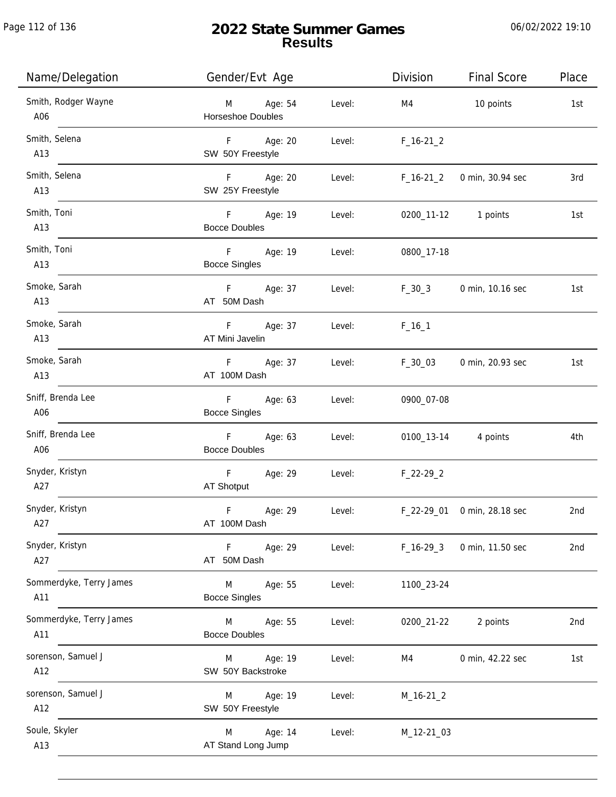Page 112 of 136

j.

# **2022 State Summer Games Results**

| Name/Delegation                | Gender/Evt Age                                     |        | Division    | <b>Final Score</b>          | Place |
|--------------------------------|----------------------------------------------------|--------|-------------|-----------------------------|-------|
| Smith, Rodger Wayne<br>A06     | M Age: 54<br><b>Horseshoe Doubles</b>              | Level: | M4          | 10 points                   | 1st   |
| Smith, Selena<br>A13           | F Age: 20<br>SW 50Y Freestyle                      | Level: | $F_16-21_2$ |                             |       |
| Smith, Selena<br>A13           | F Age: 20<br>SW 25Y Freestyle                      | Level: | $F_16-21_2$ | 0 min, 30.94 sec            | 3rd   |
| Smith, Toni<br>A13             | F Age: 19<br><b>Bocce Doubles</b>                  | Level: |             | 0200_11-12 1 points         | 1st   |
| Smith, Toni<br>A13             | F Age: 19<br><b>Bocce Singles</b>                  | Level: | 0800_17-18  |                             |       |
| Smoke, Sarah<br>A13            | F Age: 37<br>AT 50M Dash                           | Level: | $F_30_3$    | 0 min, 10.16 sec            | 1st   |
| Smoke, Sarah<br>A13            | F<br>Age: 37<br>AT Mini Javelin                    | Level: | $F_{16}$ 1  |                             |       |
| Smoke, Sarah<br>A13            | F Age: 37<br>AT 100M Dash                          | Level: | $F_30_03$   | 0 min, 20.93 sec            | 1st   |
| Sniff, Brenda Lee<br>A06       | F <sub>12</sub><br>Age: 63<br><b>Bocce Singles</b> | Level: | 0900_07-08  |                             |       |
| Sniff, Brenda Lee<br>A06       | F<br>Age: 63<br><b>Bocce Doubles</b>               | Level: |             | 0100_13-14 4 points         | 4th   |
| Snyder, Kristyn<br>A27         | F<br>Age: 29<br>AT Shotput                         | Level: | $F_22-29_2$ |                             |       |
| Snyder, Kristyn<br>A27         | $\mathsf F$<br>Age: 29<br>AT 100M Dash             | Level: |             | F_22-29_01 0 min, 28.18 sec | 2nd   |
| Snyder, Kristyn<br>A27         | F<br>Age: 29<br>AT 50M Dash                        | Level: | $F_16-293$  | 0 min, 11.50 sec            | 2nd   |
| Sommerdyke, Terry James<br>A11 | M<br>Age: 55<br><b>Bocce Singles</b>               | Level: | 1100_23-24  |                             |       |
| Sommerdyke, Terry James<br>A11 | M<br>Age: 55<br><b>Bocce Doubles</b>               | Level: | 0200_21-22  | 2 points                    | 2nd   |
| sorenson, Samuel J<br>A12      | Age: 19<br>M<br>SW 50Y Backstroke                  | Level: | M4          | 0 min, 42.22 sec            | 1st   |
| sorenson, Samuel J<br>A12      | Age: 19<br>M<br>SW 50Y Freestyle                   | Level: | $M_16-21_2$ |                             |       |
| Soule, Skyler<br>A13           | Age: 14<br>M<br>AT Stand Long Jump                 | Level: | M_12-21_03  |                             |       |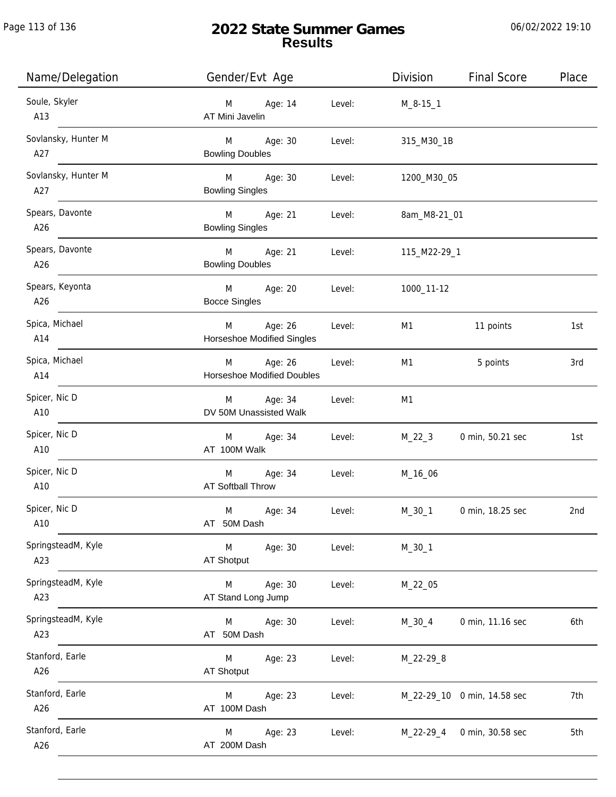Page 113 of 136

j.

# **2022 State Summer Games Results**

| Name/Delegation            | Gender/Evt Age                             |        | Division       | <b>Final Score</b>          | Place |
|----------------------------|--------------------------------------------|--------|----------------|-----------------------------|-------|
| Soule, Skyler<br>A13       | Age: 14<br>M<br>AT Mini Javelin            | Level: | $M_8-15-1$     |                             |       |
| Sovlansky, Hunter M<br>A27 | M<br>Age: 30<br><b>Bowling Doubles</b>     | Level: | 315_M30_1B     |                             |       |
| Sovlansky, Hunter M<br>A27 | M<br>Age: 30<br><b>Bowling Singles</b>     | Level: | 1200_M30_05    |                             |       |
| Spears, Davonte<br>A26     | M Age: 21<br><b>Bowling Singles</b>        | Level: | 8am_M8-21_01   |                             |       |
| Spears, Davonte<br>A26     | M<br>Age: 21<br><b>Bowling Doubles</b>     | Level: | 115_M22-29_1   |                             |       |
| Spears, Keyonta<br>A26     | M<br>Age: 20<br><b>Bocce Singles</b>       | Level: | 1000_11-12     |                             |       |
| Spica, Michael<br>A14      | Age: 26<br>M<br>Horseshoe Modified Singles | Level: | M1             | 11 points                   | 1st   |
| Spica, Michael<br>A14      | Age: 26<br>M<br>Horseshoe Modified Doubles | Level: | M1             | 5 points                    | 3rd   |
| Spicer, Nic D<br>A10       | M Age: 34<br>DV 50M Unassisted Walk        | Level: | M <sub>1</sub> |                             |       |
| Spicer, Nic D<br>A10       | Age: 34<br>M<br>AT 100M Walk               | Level: | $M_22_3$       | 0 min, 50.21 sec            | 1st   |
| Spicer, Nic D<br>A10       | M Age: 34<br><b>AT Softball Throw</b>      | Level: | M_16_06        |                             |       |
| Spicer, Nic D<br>A10       | M<br>Age: 34<br>AT 50M Dash                | Level: | M_30_1         | 0 min, 18.25 sec            | 2nd   |
| SpringsteadM, Kyle<br>A23  | M<br>Age: 30<br><b>AT Shotput</b>          | Level: | $M_30_1$       |                             |       |
| SpringsteadM, Kyle<br>A23  | Age: 30<br>M<br>AT Stand Long Jump         | Level: | M_22_05        |                             |       |
| SpringsteadM, Kyle<br>A23  | Age: 30<br>M<br>AT 50M Dash                | Level: | $M_30_4$       | 0 min, 11.16 sec            | 6th   |
| Stanford, Earle<br>A26     | Age: 23<br>M<br>AT Shotput                 | Level: | M_22-29_8      |                             |       |
| Stanford, Earle<br>A26     | Age: 23<br>M<br>AT 100M Dash               | Level: |                | M_22-29_10 0 min, 14.58 sec | 7th   |
| Stanford, Earle<br>A26     | Age: 23<br>M<br>AT 200M Dash               | Level: | M_22-29_4      | 0 min, 30.58 sec            | 5th   |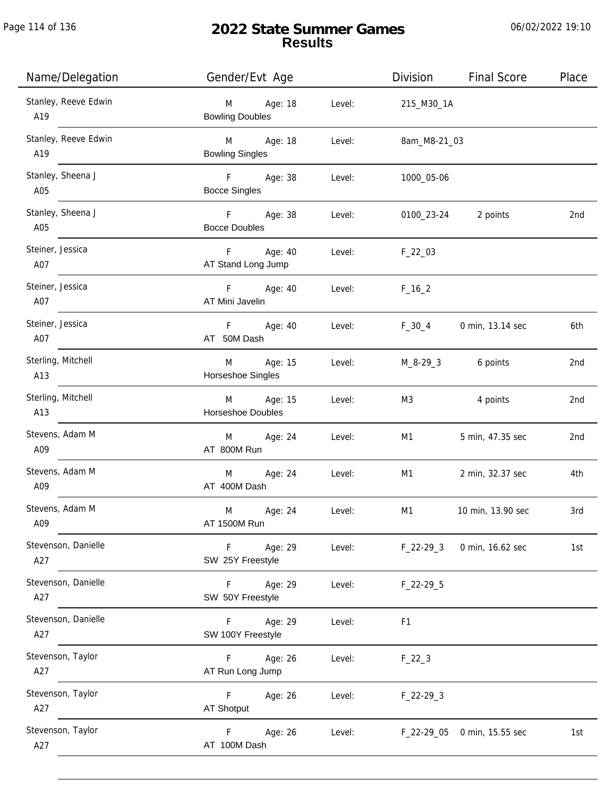# **2022 State Summer Games Results**

| Name/Delegation             | Gender/Evt Age                         |        | Division       | <b>Final Score</b>                         | Place |
|-----------------------------|----------------------------------------|--------|----------------|--------------------------------------------|-------|
| Stanley, Reeve Edwin<br>A19 | Age: 18<br>M<br><b>Bowling Doubles</b> | Level: | 215_M30_1A     |                                            |       |
| Stanley, Reeve Edwin<br>A19 | M Age: 18<br><b>Bowling Singles</b>    | Level: | 8am_M8-21_03   |                                            |       |
| Stanley, Sheena J<br>A05    | F Age: 38<br><b>Bocce Singles</b>      | Level: | 1000_05-06     |                                            |       |
| Stanley, Sheena J<br>A05    | F Age: 38<br><b>Bocce Doubles</b>      | Level: | 0100_23-24     | 2 points                                   | 2nd   |
| Steiner, Jessica<br>A07     | F<br>Age: 40<br>AT Stand Long Jump     | Level: | $F_22_03$      |                                            |       |
| Steiner, Jessica<br>A07     | F Age: 40<br>AT Mini Javelin           | Level: | $F_{16-2}$     |                                            |       |
| Steiner, Jessica<br>A07     | F Age: 40<br>AT 50M Dash               | Level: | $F_30_4$       | 0 min, 13.14 sec                           | 6th   |
| Sterling, Mitchell<br>A13   | M Age: 15<br>Horseshoe Singles         | Level: |                | M <sub>-</sub> 8-29 <sub>-3</sub> 6 points | 2nd   |
| Sterling, Mitchell<br>A13   | M Age: 15<br>Horseshoe Doubles         | Level: | M3             | 4 points                                   | 2nd   |
| Stevens, Adam M<br>A09      | M Age: 24<br>AT 800M Run               | Level: | M1             | 5 min, 47.35 sec                           | 2nd   |
| Stevens, Adam M<br>A09      | M Age: 24<br>AT 400M Dash              | Level: | M1             | 2 min, 32.37 sec                           | 4th   |
| Stevens, Adam M<br>A09      | M<br>Age: 24<br>AT 1500M Run           | Level: | M1             | 10 min, 13.90 sec                          | 3rd   |
| Stevenson, Danielle<br>A27  | F<br>Age: 29<br>SW 25Y Freestyle       | Level: | $F_22-293$     | 0 min, 16.62 sec                           | 1st   |
| Stevenson, Danielle<br>A27  | F<br>Age: 29<br>SW 50Y Freestyle       | Level: | $F_22-29-5$    |                                            |       |
| Stevenson, Danielle<br>A27  | Age: 29<br>F.<br>SW 100Y Freestyle     | Level: | F <sub>1</sub> |                                            |       |
| Stevenson, Taylor<br>A27    | Age: 26<br>F.<br>AT Run Long Jump      | Level: | $F_22_3$       |                                            |       |
| Stevenson, Taylor<br>A27    | F<br>Age: 26<br>AT Shotput             | Level: | $F_22-293$     |                                            |       |
| Stevenson, Taylor<br>A27    | Age: 26<br>F.<br>AT 100M Dash          | Level: |                | F_22-29_05 0 min, 15.55 sec                | 1st   |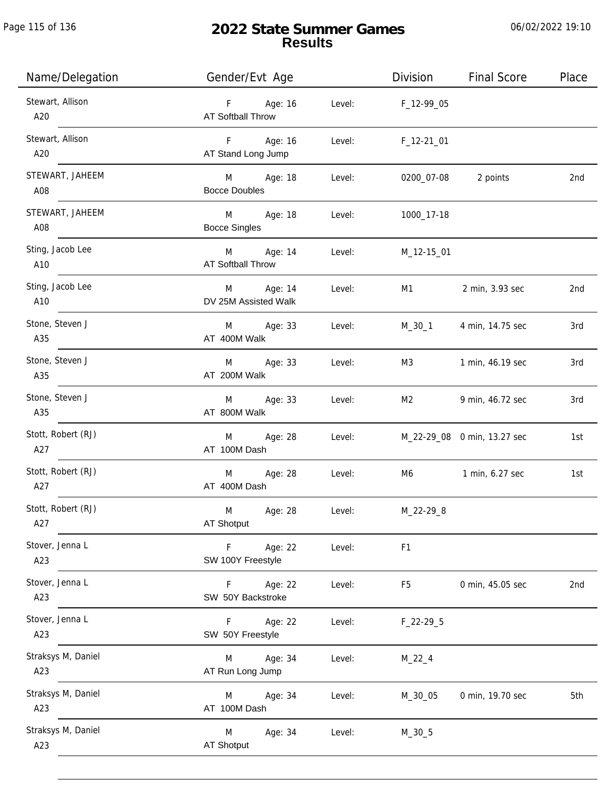Page 115 of 136

# **2022 State Summer Games Results**

| Name/Delegation           | Gender/Evt Age                       |        | Division       | <b>Final Score</b>          | Place |
|---------------------------|--------------------------------------|--------|----------------|-----------------------------|-------|
| Stewart, Allison<br>A20   | F Age: 16<br>AT Softball Throw       | Level: | $F_1$ 12-99_05 |                             |       |
| Stewart, Allison<br>A20   | Age: 16<br>F<br>AT Stand Long Jump   | Level: | F_12-21_01     |                             |       |
| STEWART, JAHEEM<br>A08    | M Age: 18<br><b>Bocce Doubles</b>    | Level: | 0200_07-08     | 2 points                    | 2nd   |
| STEWART, JAHEEM<br>A08    | M<br>Age: 18<br><b>Bocce Singles</b> | Level: | 1000_17-18     |                             |       |
| Sting, Jacob Lee<br>A10   | M Age: 14<br>AT Softball Throw       | Level: | M_12-15_01     |                             |       |
| Sting, Jacob Lee<br>A10   | Age: 14<br>M<br>DV 25M Assisted Walk | Level: | M1             | 2 min, 3.93 sec             | 2nd   |
| Stone, Steven J<br>A35    | M Age: 33<br>AT 400M Walk            | Level: | M_30_1         | 4 min, 14.75 sec            | 3rd   |
| Stone, Steven J<br>A35    | Age: 33<br>M<br>AT 200M Walk         | Level: | M3             | 1 min, 46.19 sec            | 3rd   |
| Stone, Steven J<br>A35    | Age: 33<br>M<br>AT 800M Walk         | Level: | M2             | 9 min, 46.72 sec            | 3rd   |
| Stott, Robert (RJ)<br>A27 | Age: 28<br>M<br>AT 100M Dash         | Level: |                | M_22-29_08 0 min, 13.27 sec | 1st   |
| Stott, Robert (RJ)<br>A27 | Age: 28<br>M<br>AT 400M Dash         | Level: |                | M6 1 min, 6.27 sec          | 1st   |
| Stott, Robert (RJ)<br>A27 | M<br>Age: 28<br>AT Shotput           | Level: | M_22-29_8      |                             |       |
| Stover, Jenna L<br>A23    | Age: 22<br>F.<br>SW 100Y Freestyle   | Level: | F1             |                             |       |
| Stover, Jenna L<br>A23    | Age: 22<br>F.<br>SW 50Y Backstroke   | Level: | F <sub>5</sub> | 0 min, 45.05 sec            | 2nd   |
| Stover, Jenna L<br>A23    | Age: 22<br>F<br>SW 50Y Freestyle     | Level: | $F_22-29-5$    |                             |       |
| Straksys M, Daniel<br>A23 | Age: 34<br>M<br>AT Run Long Jump     | Level: | $M_22_4$       |                             |       |
| Straksys M, Daniel<br>A23 | Age: 34<br>M<br>AT 100M Dash         | Level: | M_30_05        | 0 min, 19.70 sec            | 5th   |
| Straksys M, Daniel<br>A23 | M<br>Age: 34<br><b>AT Shotput</b>    | Level: | $M_30_5$       |                             |       |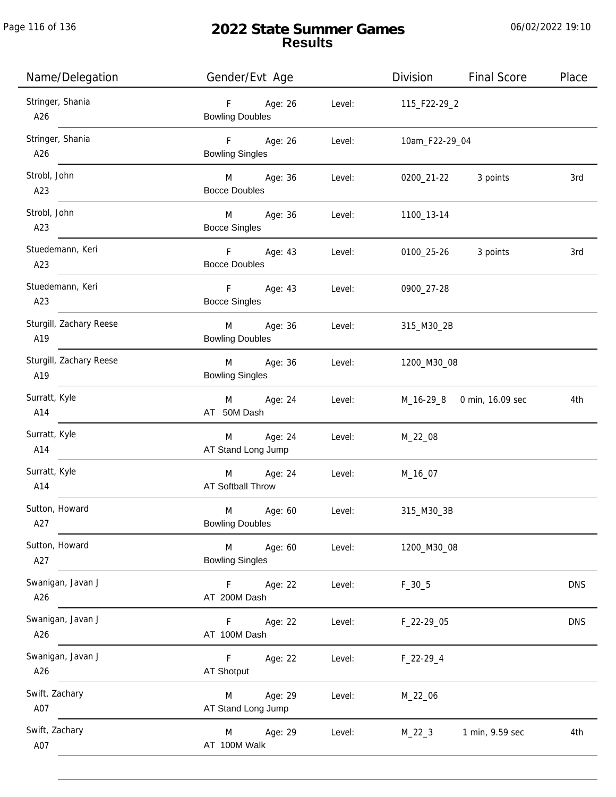# **2022 State Summer Games Results**

| Name/Delegation                | Gender/Evt Age                                               | <b>Final Score</b><br>Division | Place      |
|--------------------------------|--------------------------------------------------------------|--------------------------------|------------|
| Stringer, Shania<br>A26        | $F =$<br>Age: 26<br>Level:<br><b>Bowling Doubles</b>         | 115_F22-29_2                   |            |
| Stringer, Shania<br>A26        | $F = 1$<br>Age: 26<br>Level:<br><b>Bowling Singles</b>       | 10am_F22-29_04                 |            |
| Strobl, John<br>A23            | M <sub>ar</sub><br>Age: 36<br>Level:<br><b>Bocce Doubles</b> | 0200_21-22 3 points            | 3rd        |
| Strobl, John<br>A23            | M <sub>ar</sub><br>Age: 36<br>Level:<br><b>Bocce Singles</b> | 1100_13-14                     |            |
| Stuedemann, Keri<br>A23        | F Age: 43<br>Level:<br><b>Bocce Doubles</b>                  | 0100_25-26<br>3 points         | 3rd        |
| Stuedemann, Keri<br>A23        | F Age: 43<br>Level:<br><b>Bocce Singles</b>                  | 0900_27-28                     |            |
| Sturgill, Zachary Reese<br>A19 | M<br>Age: 36<br>Level:<br><b>Bowling Doubles</b>             | 315_M30_2B                     |            |
| Sturgill, Zachary Reese<br>A19 | M<br>Age: 36<br>Level:<br><b>Bowling Singles</b>             | 1200_M30_08                    |            |
| Surratt, Kyle<br>A14           | Age: 24<br>M<br>Level:<br>AT 50M Dash                        | M_16-29_8<br>0 min, 16.09 sec  | 4th        |
| Surratt, Kyle<br>A14           | Age: 24<br>M<br>Level:<br>AT Stand Long Jump                 | M_22_08                        |            |
| Surratt, Kyle<br>A14           | M Age: 24<br>Level:<br><b>AT Softball Throw</b>              | M_16_07                        |            |
| Sutton, Howard<br>A27          | M<br>Age: 60<br>Level:<br><b>Bowling Doubles</b>             | 315_M30_3B                     |            |
| Sutton, Howard<br>A27          | M<br>Age: 60<br>Level:<br><b>Bowling Singles</b>             | 1200_M30_08                    |            |
| Swanigan, Javan J<br>A26       | $\mathsf F$<br>Age: 22<br>Level:<br>AT 200M Dash             | $F_30_5$                       | <b>DNS</b> |
| Swanigan, Javan J<br>A26       | Level:<br>F<br>Age: 22<br>AT 100M Dash                       | F_22-29_05                     | <b>DNS</b> |
| Swanigan, Javan J<br>A26       | Age: 22<br>Level:<br>F.<br><b>AT Shotput</b>                 | $F_22-29-4$                    |            |
| Swift, Zachary<br>A07          | Age: 29<br>Level:<br>M<br>AT Stand Long Jump                 | M_22_06                        |            |
| Swift, Zachary<br>A07          | Age: 29<br>Level:<br>M<br>AT 100M Walk                       | 1 min, 9.59 sec<br>$M_22_3$    | 4th        |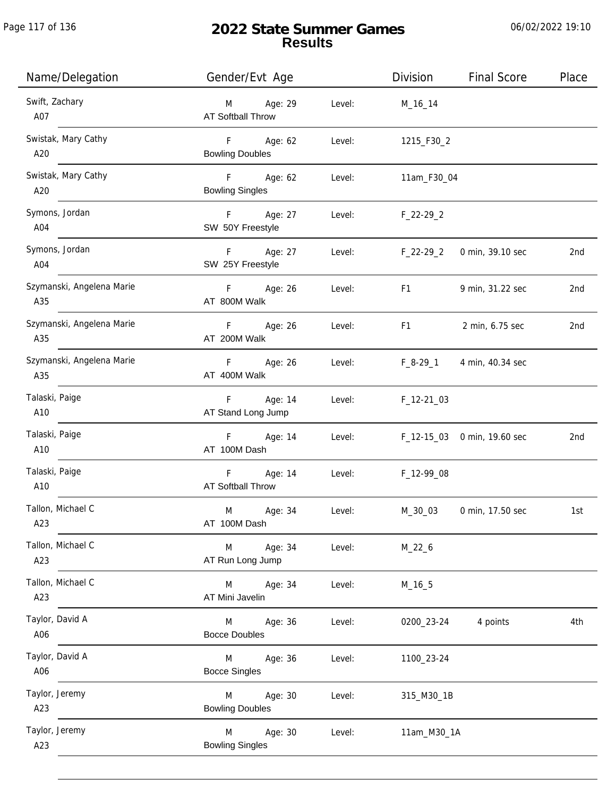| Name/Delegation                  | Gender/Evt Age                         |        | Division       | <b>Final Score</b>          | Place |
|----------------------------------|----------------------------------------|--------|----------------|-----------------------------|-------|
| Swift, Zachary<br>A07            | Age: 29<br>M<br>AT Softball Throw      | Level: | M_16_14        |                             |       |
| Swistak, Mary Cathy<br>A20       | F<br>Age: 62<br><b>Bowling Doubles</b> | Level: | 1215_F30_2     |                             |       |
| Swistak, Mary Cathy<br>A20       | F<br>Age: 62<br><b>Bowling Singles</b> | Level: | 11am_F30_04    |                             |       |
| Symons, Jordan<br>A04            | F<br>Age: 27<br>SW 50Y Freestyle       | Level: | $F_22-29_2$    |                             |       |
| Symons, Jordan<br>A04            | F<br>Age: 27<br>SW 25Y Freestyle       | Level: | $F_22-29_2$    | 0 min, 39.10 sec            | 2nd   |
| Szymanski, Angelena Marie<br>A35 | F<br>Age: 26<br>AT 800M Walk           | Level: | F <sub>1</sub> | 9 min, 31.22 sec            | 2nd   |
| Szymanski, Angelena Marie<br>A35 | Age: 26<br>F<br>AT 200M Walk           | Level: | F <sub>1</sub> | 2 min, 6.75 sec             | 2nd   |
| Szymanski, Angelena Marie<br>A35 | Age: 26<br>F<br>AT 400M Walk           | Level: | $F_8-29_1$     | 4 min, 40.34 sec            |       |
| Talaski, Paige<br>A10            | F<br>Age: 14<br>AT Stand Long Jump     | Level: | $F_12-2103$    |                             |       |
| Talaski, Paige<br>A10            | F<br>Age: 14<br>AT 100M Dash           | Level: |                | F_12-15_03 0 min, 19.60 sec | 2nd   |
| Talaski, Paige<br>A10            | Age: 14<br>F<br>AT Softball Throw      | Level: | F_12-99_08     |                             |       |
| Tallon, Michael C<br>A23         | M<br>Age: 34<br>AT 100M Dash           | Level: | M_30_03        | 0 min, 17.50 sec            | 1st   |
| Tallon, Michael C<br>A23         | Age: 34<br>M<br>AT Run Long Jump       | Level: | $M_22_6$       |                             |       |
| Tallon, Michael C<br>A23         | Age: 34<br>M<br>AT Mini Javelin        | Level: | $M_16_5$       |                             |       |
| Taylor, David A<br>A06           | Age: 36<br>M<br><b>Bocce Doubles</b>   | Level: | 0200_23-24     | 4 points                    | 4th   |
| Taylor, David A<br>A06           | Age: 36<br>M<br><b>Bocce Singles</b>   | Level: | 1100_23-24     |                             |       |
| Taylor, Jeremy<br>A23            | Age: 30<br>M<br><b>Bowling Doubles</b> | Level: | 315_M30_1B     |                             |       |
| Taylor, Jeremy<br>A23            | Age: 30<br>M<br><b>Bowling Singles</b> | Level: | 11am_M30_1A    |                             |       |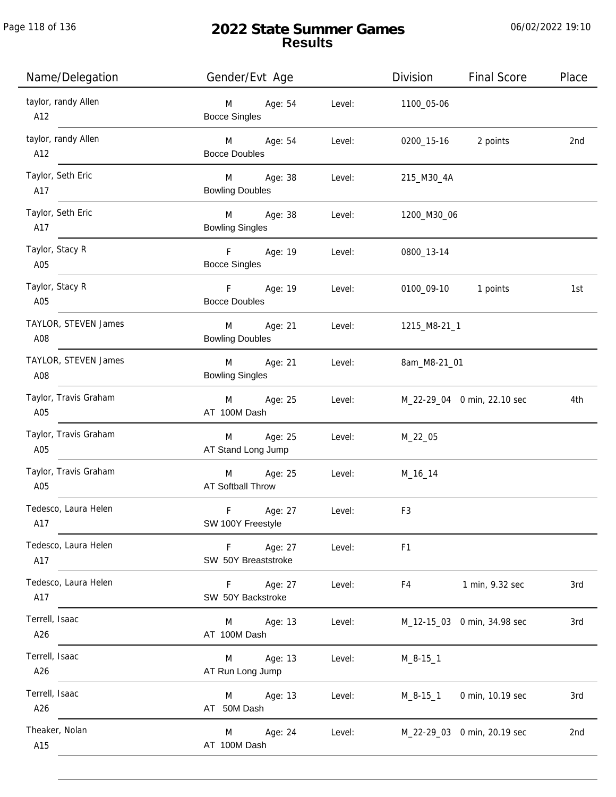## **2022 State Summer Games Results**

| Name/Delegation              | Gender/Evt Age                                      |        | Division       | <b>Final Score</b>          | Place |
|------------------------------|-----------------------------------------------------|--------|----------------|-----------------------------|-------|
| taylor, randy Allen<br>A12   | M<br>Age: 54<br><b>Bocce Singles</b>                | Level: | 1100_05-06     |                             |       |
| taylor, randy Allen<br>A12   | M <sub>art</sub><br>Age: 54<br><b>Bocce Doubles</b> | Level: | 0200_15-16     | 2 points                    | 2nd   |
| Taylor, Seth Eric<br>A17     | M<br>Age: 38<br><b>Bowling Doubles</b>              | Level: | 215_M30_4A     |                             |       |
| Taylor, Seth Eric<br>A17     | M<br>Age: 38<br><b>Bowling Singles</b>              | Level: | 1200_M30_06    |                             |       |
| Taylor, Stacy R<br>A05       | F <sub>11</sub><br>Age: 19<br><b>Bocce Singles</b>  | Level: | 0800_13-14     |                             |       |
| Taylor, Stacy R<br>A05       | Age: 19<br>F.<br><b>Bocce Doubles</b>               | Level: | 0100_09-10     | 1 points                    | 1st   |
| TAYLOR, STEVEN James<br>A08  | Age: 21<br>M<br><b>Bowling Doubles</b>              | Level: | 1215_M8-21_1   |                             |       |
| TAYLOR, STEVEN James<br>A08  | Age: 21<br>M<br><b>Bowling Singles</b>              | Level: | 8am_M8-21_01   |                             |       |
| Taylor, Travis Graham<br>A05 | Age: 25<br>M<br>AT 100M Dash                        | Level: |                | M_22-29_04 0 min, 22.10 sec | 4th   |
| Taylor, Travis Graham<br>A05 | Age: 25<br>M<br>AT Stand Long Jump                  | Level: | $M_22_05$      |                             |       |
| Taylor, Travis Graham<br>A05 | M Age: 25<br><b>AT Softball Throw</b>               | Level: | M_16_14        |                             |       |
| Tedesco, Laura Helen<br>A17  | F<br>Age: 27<br>SW 100Y Freestyle                   | Level: | F <sub>3</sub> |                             |       |
| Tedesco, Laura Helen<br>A17  | $\mathsf F$<br>Age: 27<br>SW 50Y Breaststroke       | Level: | F <sub>1</sub> |                             |       |
| Tedesco, Laura Helen<br>A17  | F.<br>Age: 27<br>SW 50Y Backstroke                  | Level: | F4             | 1 min, 9.32 sec             | 3rd   |
| Terrell, Isaac<br>A26        | Age: 13<br>M<br>AT 100M Dash                        | Level: |                | M_12-15_03 0 min, 34.98 sec | 3rd   |
| Terrell, Isaac<br>A26        | Age: 13<br>M<br>AT Run Long Jump                    | Level: | $M_8 - 15 - 1$ |                             |       |
| Terrell, Isaac<br>A26        | Age: 13<br>M<br>AT 50M Dash                         | Level: | $M_8-15-1$     | 0 min, 10.19 sec            | 3rd   |
| Theaker, Nolan<br>A15        | Age: 24<br>M<br>AT 100M Dash                        | Level: |                | M_22-29_03 0 min, 20.19 sec | 2nd   |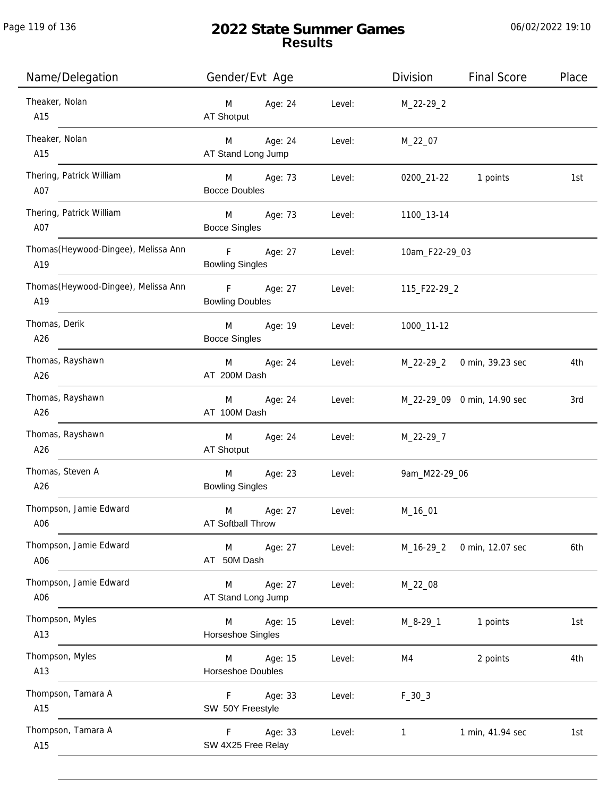# **2022 State Summer Games Results**

| Name/Delegation                             | Gender/Evt Age                                          |         |        | Division       | <b>Final Score</b>          | Place |
|---------------------------------------------|---------------------------------------------------------|---------|--------|----------------|-----------------------------|-------|
| Theaker, Nolan<br>A15                       | M<br>AT Shotput                                         | Age: 24 | Level: | M_22-29_2      |                             |       |
| Theaker, Nolan<br>A15                       | M<br>AT Stand Long Jump                                 | Age: 24 | Level: | M_22_07        |                             |       |
| Thering, Patrick William<br>A07             | M Age: 73<br><b>Bocce Doubles</b>                       |         | Level: | 0200_21-22     | 1 points                    | 1st   |
| Thering, Patrick William<br>A07             | M <sub>11</sub><br><b>Bocce Singles</b>                 | Age: 73 | Level: | 1100_13-14     |                             |       |
| Thomas (Heywood-Dingee), Melissa Ann<br>A19 | $\mathbf{F}$ and $\mathbf{F}$<br><b>Bowling Singles</b> | Age: 27 | Level: | 10am_F22-29_03 |                             |       |
| Thomas (Heywood-Dingee), Melissa Ann<br>A19 | $-$ F<br><b>Bowling Doubles</b>                         | Age: 27 | Level: | 115_F22-29_2   |                             |       |
| Thomas, Derik<br>A26                        | M<br><b>Bocce Singles</b>                               | Age: 19 | Level: | 1000_11-12     |                             |       |
| Thomas, Rayshawn<br>A26                     | M<br>AT 200M Dash                                       | Age: 24 | Level: | M_22-29_2      | 0 min, 39.23 sec            | 4th   |
| Thomas, Rayshawn<br>A26                     | M<br>AT 100M Dash                                       | Age: 24 | Level: |                | M_22-29_09 0 min, 14.90 sec | 3rd   |
| Thomas, Rayshawn<br>A26                     | M<br>AT Shotput                                         | Age: 24 | Level: | M_22-29_7      |                             |       |
| Thomas, Steven A<br>A26                     | M<br><b>Bowling Singles</b>                             | Age: 23 | Level: | 9am_M22-29_06  |                             |       |
| Thompson, Jamie Edward<br>A06               | M<br>AT Softball Throw                                  | Age: 27 | Level: | M_16_01        |                             |       |
| Thompson, Jamie Edward<br>A06               | M<br>AT 50M Dash                                        | Age: 27 | Level: | $M_16-29_2$    | 0 min, 12.07 sec            | 6th   |
| Thompson, Jamie Edward<br>A06               | M<br>AT Stand Long Jump                                 | Age: 27 | Level: | M_22_08        |                             |       |
| Thompson, Myles<br>A13                      | M<br>Horseshoe Singles                                  | Age: 15 | Level: | $M_8 - 29 - 1$ | 1 points                    | 1st   |
| Thompson, Myles<br>A13                      | M<br>Horseshoe Doubles                                  | Age: 15 | Level: | M4             | 2 points                    | 4th   |
| Thompson, Tamara A<br>A15                   | F.<br>SW 50Y Freestyle                                  | Age: 33 | Level: | $F_30_3$       |                             |       |
| Thompson, Tamara A<br>A15                   | F<br>SW 4X25 Free Relay                                 | Age: 33 | Level: | 1              | 1 min, 41.94 sec            | 1st   |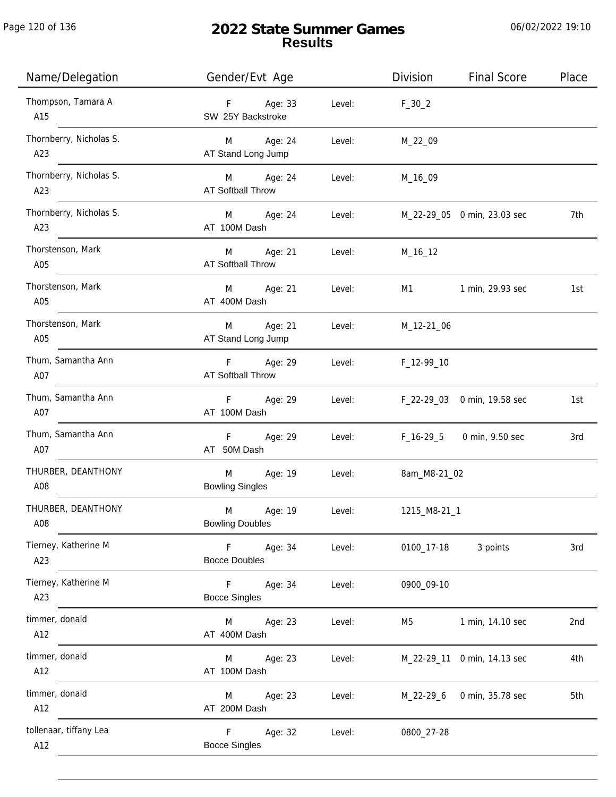# **2022 State Summer Games Results**

| Name/Delegation                | Gender/Evt Age                         | Division               | <b>Final Score</b>          | Place |
|--------------------------------|----------------------------------------|------------------------|-----------------------------|-------|
| Thompson, Tamara A<br>A15      | F Age: 33<br>SW 25Y Backstroke         | Level:<br>$F_30_2$     |                             |       |
| Thornberry, Nicholas S.<br>A23 | M Age: 24<br>AT Stand Long Jump        | M_22_09<br>Level:      |                             |       |
| Thornberry, Nicholas S.<br>A23 | M Age: 24<br><b>AT Softball Throw</b>  | Level:<br>M_16_09      |                             |       |
| Thornberry, Nicholas S.<br>A23 | M Age: 24<br>AT 100M Dash              | Level:                 | M_22-29_05 0 min, 23.03 sec | 7th   |
| Thorstenson, Mark<br>A05       | M<br>Age: 21<br>AT Softball Throw      | Level:<br>M_16_12      |                             |       |
| Thorstenson, Mark<br>A05       | M<br>Age: 21<br>AT 400M Dash           | Level:<br>M1           | 1 min, 29.93 sec            | 1st   |
| Thorstenson, Mark<br>A05       | Age: 21<br>M<br>AT Stand Long Jump     | Level:<br>M_12-21_06   |                             |       |
| Thum, Samantha Ann<br>A07      | Age: 29<br>$F =$<br>AT Softball Throw  | Level:<br>F_12-99_10   |                             |       |
| Thum, Samantha Ann<br>A07      | F Age: 29<br>AT 100M Dash              | Level:                 | F_22-29_03 0 min, 19.58 sec | 1st   |
| Thum, Samantha Ann<br>A07      | $F =$<br>Age: 29<br>AT 50M Dash        | Level:                 | F_16-29_5 0 min, 9.50 sec   | 3rd   |
| THURBER, DEANTHONY<br>A08      | M<br>Age: 19<br><b>Bowling Singles</b> | Level:<br>8am_M8-21_02 |                             |       |
| THURBER, DEANTHONY<br>A08      | M<br>Age: 19<br><b>Bowling Doubles</b> | Level:<br>1215_M8-21_1 |                             |       |
| Tierney, Katherine M<br>A23    | Age: 34<br>F<br><b>Bocce Doubles</b>   | Level:<br>0100_17-18   | 3 points                    | 3rd   |
| Tierney, Katherine M<br>A23    | F.<br>Age: 34<br><b>Bocce Singles</b>  | Level:<br>0900_09-10   |                             |       |
| timmer, donald<br>A12          | Age: 23<br>M<br>AT 400M Dash           | Level:<br>M5           | 1 min, 14.10 sec            | 2nd   |
| timmer, donald<br>A12          | Age: 23<br>M<br>AT 100M Dash           | Level:                 | M_22-29_11 0 min, 14.13 sec | 4th   |
| timmer, donald<br>A12          | Age: 23<br>M<br>AT 200M Dash           | Level:<br>M_22-29_6    | 0 min, 35.78 sec            | 5th   |
| tollenaar, tiffany Lea<br>A12  | F<br>Age: 32<br><b>Bocce Singles</b>   | Level:<br>0800_27-28   |                             |       |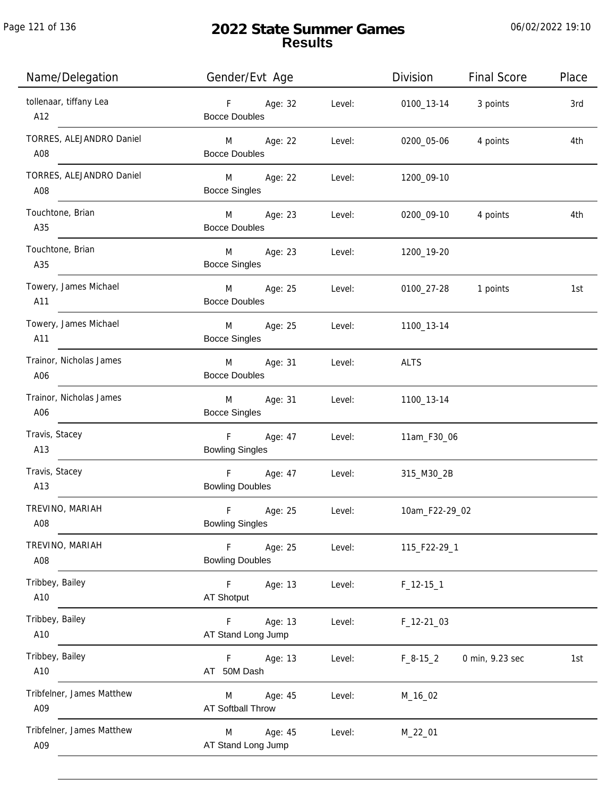| Name/Delegation                  | Gender/Evt Age                                               | Division<br><b>Final Score</b> | Place |
|----------------------------------|--------------------------------------------------------------|--------------------------------|-------|
| tollenaar, tiffany Lea<br>A12    | $F =$<br>Age: 32<br>Level:<br><b>Bocce Doubles</b>           | 3 points<br>0100_13-14         | 3rd   |
| TORRES, ALEJANDRO Daniel<br>A08  | Age: 22<br>Level:<br>M <sub>ar</sub><br><b>Bocce Doubles</b> | 0200_05-06<br>4 points         | 4th   |
| TORRES, ALEJANDRO Daniel<br>A08  | M <sub>ar</sub><br>Age: 22<br>Level:<br><b>Bocce Singles</b> | 1200_09-10                     |       |
| Touchtone, Brian<br>A35          | $M \sim 1$<br>Age: 23<br>Level:<br><b>Bocce Doubles</b>      | 0200_09-10<br>4 points         | 4th   |
| Touchtone, Brian<br>A35          | <b>M</b><br>Age: 23<br>Level:<br><b>Bocce Singles</b>        | 1200_19-20                     |       |
| Towery, James Michael<br>A11     | M<br>Age: 25<br>Level:<br><b>Bocce Doubles</b>               | 0100_27-28<br>1 points         | 1st   |
| Towery, James Michael<br>A11     | M<br>Age: 25<br>Level:<br><b>Bocce Singles</b>               | 1100_13-14                     |       |
| Trainor, Nicholas James<br>A06   | M<br>Age: 31<br>Level:<br><b>Bocce Doubles</b>               | <b>ALTS</b>                    |       |
| Trainor, Nicholas James<br>A06   | Age: 31<br>M<br>Level:<br><b>Bocce Singles</b>               | 1100_13-14                     |       |
| Travis, Stacey<br>A13            | F<br>Age: 47<br>Level:<br><b>Bowling Singles</b>             | 11am_F30_06                    |       |
| Travis, Stacey<br>A13            | F<br>Age: 47<br>Level:<br><b>Bowling Doubles</b>             | 315_M30_2B                     |       |
| TREVINO, MARIAH<br>A08           | F<br>Age: 25<br>Level:<br><b>Bowling Singles</b>             | 10am_F22-29_02                 |       |
| TREVINO, MARIAH<br>A08           | Age: 25<br>F.<br>Level:<br><b>Bowling Doubles</b>            | 115_F22-29_1                   |       |
| Tribbey, Bailey<br>A10           | $\mathsf F$<br>Age: 13<br>Level:<br><b>AT Shotput</b>        | $F_12-151$                     |       |
| Tribbey, Bailey<br>A10           | Age: 13<br>Level:<br>F.<br>AT Stand Long Jump                | F_12-21_03                     |       |
| Tribbey, Bailey<br>A10           | Age: 13<br>Level:<br>F.<br>AT 50M Dash                       | 0 min, 9.23 sec<br>$F_8-15_2$  | 1st   |
| Tribfelner, James Matthew<br>A09 | Age: 45<br>Level:<br>M<br>AT Softball Throw                  | M_16_02                        |       |
| Tribfelner, James Matthew<br>A09 | Age: 45<br>M<br>Level:<br>AT Stand Long Jump                 | M_22_01                        |       |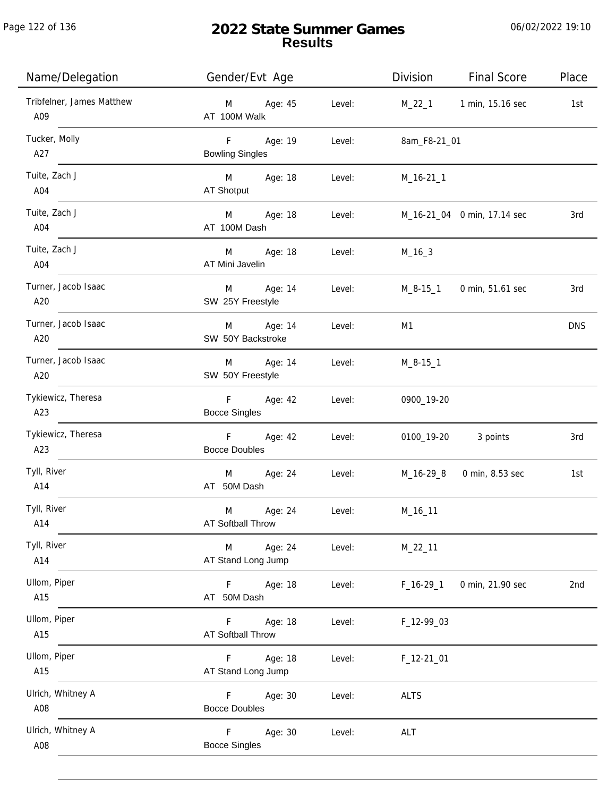Page 122 of 136

j.

# **2022 State Summer Games Results**

| Name/Delegation                  | Gender/Evt Age                       |        | Division     | <b>Final Score</b>          | Place      |
|----------------------------------|--------------------------------------|--------|--------------|-----------------------------|------------|
| Tribfelner, James Matthew<br>A09 | M Age: 45<br>AT 100M Walk            | Level: |              | M_22_1 1 min, 15.16 sec     | 1st        |
| Tucker, Molly<br>A27             | F Age: 19<br><b>Bowling Singles</b>  | Level: | 8am_F8-21_01 |                             |            |
| Tuite, Zach J<br>A04             | M Age: 18<br>AT Shotput              | Level: | $M_16-21_1$  |                             |            |
| Tuite, Zach J<br>A04             | M Age: 18<br>AT 100M Dash            | Level: |              | M_16-21_04 0 min, 17.14 sec | 3rd        |
| Tuite, Zach J<br>A04             | M Age: 18<br>AT Mini Javelin         | Level: | M_16_3       |                             |            |
| Turner, Jacob Isaac<br>A20       | M Age: 14<br>SW 25Y Freestyle        | Level: |              | M_8-15_1 0 min, 51.61 sec   | 3rd        |
| Turner, Jacob Isaac<br>A20       | M Age: 14<br>SW 50Y Backstroke       | Level: | M1           |                             | <b>DNS</b> |
| Turner, Jacob Isaac<br>A20       | M Age: 14<br>SW 50Y Freestyle        | Level: | $M_8-15-1$   |                             |            |
| Tykiewicz, Theresa<br>A23        | F<br>Age: 42<br><b>Bocce Singles</b> | Level: | 0900_19-20   |                             |            |
| Tykiewicz, Theresa<br>A23        | F Age: 42<br><b>Bocce Doubles</b>    | Level: |              | 0100_19-20 3 points         | 3rd        |
| Tyll, River<br>A14               | M Age: 24<br>AT 50M Dash             | Level: |              | M_16-29_8 0 min, 8.53 sec   | 1st        |
| Tyll, River<br>A14               | M<br>Age: 24<br>AT Softball Throw    | Level: | M_16_11      |                             |            |
| Tyll, River<br>A14               | Age: 24<br>M<br>AT Stand Long Jump   | Level: | $M_22_11$    |                             |            |
| Ullom, Piper<br>A15              | Age: 18<br>F.<br>AT 50M Dash         | Level: | $F_16-29_1$  | 0 min, 21.90 sec            | 2nd        |
| Ullom, Piper<br>A15              | Age: 18<br>F.<br>AT Softball Throw   | Level: | F_12-99_03   |                             |            |
| Ullom, Piper<br>A15              | Age: 18<br>F.<br>AT Stand Long Jump  | Level: | F_12-21_01   |                             |            |
| Ulrich, Whitney A<br>A08         | Age: 30<br>F<br><b>Bocce Doubles</b> | Level: | <b>ALTS</b>  |                             |            |
| Ulrich, Whitney A<br>A08         | F<br>Age: 30<br><b>Bocce Singles</b> | Level: | ALT          |                             |            |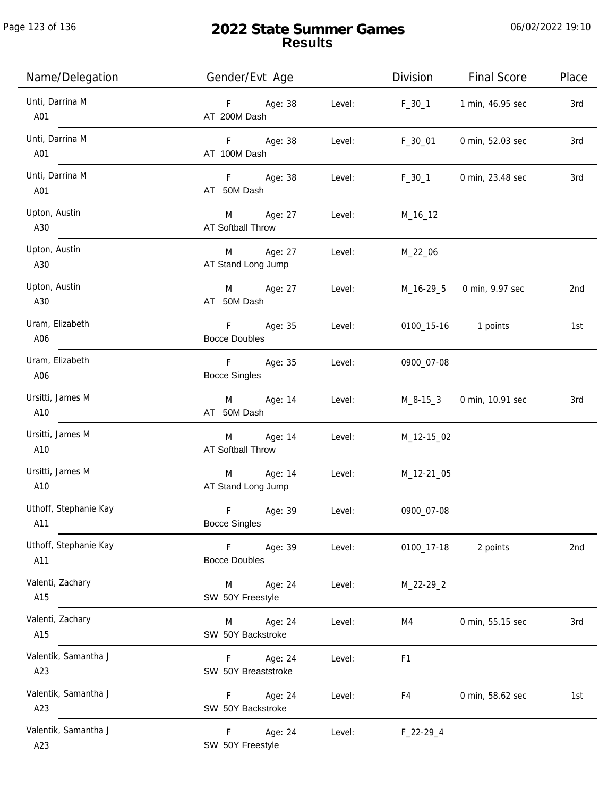Page 123 of 136

j.

| Name/Delegation              | Gender/Evt Age                                  | Division       | <b>Final Score</b>        | Place |
|------------------------------|-------------------------------------------------|----------------|---------------------------|-------|
| Unti, Darrina M<br>A01       | F Age: 38<br>Level:<br>AT 200M Dash             | $F_30_1$       | 1 min, 46.95 sec          | 3rd   |
| Unti, Darrina M<br>A01       | F Age: 38<br>Level:<br>AT 100M Dash             | F_30_01        | 0 min, 52.03 sec          | 3rd   |
| Unti, Darrina M<br>A01       | F Age: 38<br>Level:<br>AT 50M Dash              | $F_30_1$       | 0 min, 23.48 sec          | 3rd   |
| Upton, Austin<br>A30         | M Age: 27<br>Level:<br>AT Softball Throw        | M_16_12        |                           |       |
| Upton, Austin<br>A30         | M Age: 27<br>Level:<br>AT Stand Long Jump       | M_22_06        |                           |       |
| Upton, Austin<br>A30         | M Age: 27<br>Level:<br>AT 50M Dash              |                | M_16-29_5 0 min, 9.97 sec | 2nd   |
| Uram, Elizabeth<br>A06       | Age: 35<br>F.<br>Level:<br><b>Bocce Doubles</b> |                | 0100_15-16 1 points       | 1st   |
| Uram, Elizabeth<br>A06       | F Age: 35<br>Level:<br><b>Bocce Singles</b>     | 0900_07-08     |                           |       |
| Ursitti, James M<br>A10      | M Age: 14<br>Level:<br>AT 50M Dash              | M_8-15_3       | 0 min, 10.91 sec          | 3rd   |
| Ursitti, James M<br>A10      | M Age: 14<br>Level:<br>AT Softball Throw        | M_12-15_02     |                           |       |
| Ursitti, James M<br>A10      | M Age: 14<br>Level:<br>AT Stand Long Jump       | M_12-21_05     |                           |       |
| Uthoff, Stephanie Kay<br>A11 | F<br>Age: 39<br>Level:<br><b>Bocce Singles</b>  | 0900_07-08     |                           |       |
| Uthoff, Stephanie Kay<br>A11 | Age: 39<br>F<br>Level:<br><b>Bocce Doubles</b>  | 0100_17-18     | 2 points                  | 2nd   |
| Valenti, Zachary<br>A15      | Age: 24<br>M<br>Level:<br>SW 50Y Freestyle      | M_22-29_2      |                           |       |
| Valenti, Zachary<br>A15      | Age: 24<br>Level:<br>M<br>SW 50Y Backstroke     | M4             | 0 min, 55.15 sec          | 3rd   |
| Valentik, Samantha J<br>A23  | Age: 24<br>F.<br>Level:<br>SW 50Y Breaststroke  | F <sub>1</sub> |                           |       |
| Valentik, Samantha J<br>A23  | F.<br>Age: 24<br>Level:<br>SW 50Y Backstroke    | F4             | 0 min, 58.62 sec          | 1st   |
| Valentik, Samantha J<br>A23  | F.<br>Age: 24<br>Level:<br>SW 50Y Freestyle     | $F_22-29-4$    |                           |       |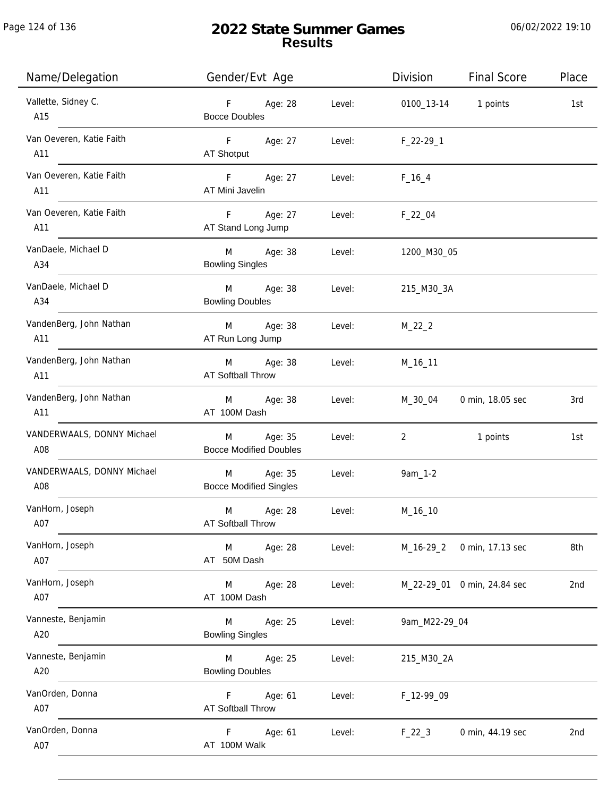| Name/Delegation                   | Gender/Evt Age                                |        | Division               | <b>Final Score</b>          | Place           |
|-----------------------------------|-----------------------------------------------|--------|------------------------|-----------------------------|-----------------|
| Vallette, Sidney C.<br>A15        | F Age: 28<br><b>Bocce Doubles</b>             | Level: |                        | 0100_13-14 1 points         | 1st             |
| Van Oeveren, Katie Faith<br>A11   | F Age: 27<br>AT Shotput                       | Level: | $F_22-29-1$            |                             |                 |
| Van Oeveren, Katie Faith<br>A11   | $F = 1$<br>Age: 27<br>AT Mini Javelin         | Level: | $F_{16-4}$             |                             |                 |
| Van Oeveren, Katie Faith<br>A11   | F Age: 27<br>AT Stand Long Jump               | Level: | $F_22_04$              |                             |                 |
| VanDaele, Michael D<br>A34        | M Age: 38<br><b>Bowling Singles</b>           | Level: | 1200_M30_05            |                             |                 |
| VanDaele, Michael D<br>A34        | M Age: 38<br><b>Bowling Doubles</b>           | Level: | 215_M30_3A             |                             |                 |
| VandenBerg, John Nathan<br>A11    | M Age: 38<br>AT Run Long Jump                 | Level: | $M_22_2$               |                             |                 |
| VandenBerg, John Nathan<br>A11    | M Age: 38<br>AT Softball Throw                | Level: | M_16_11                |                             |                 |
| VandenBerg, John Nathan<br>A11    | M Age: 38<br>AT 100M Dash                     | Level: | M_30_04                | 0 min, 18.05 sec            | 3rd             |
| VANDERWAALS, DONNY Michael<br>A08 | Age: 35<br>M<br><b>Bocce Modified Doubles</b> | Level: | 2                      | 1 points                    | 1st             |
| VANDERWAALS, DONNY Michael<br>A08 | M Age: 35<br><b>Bocce Modified Singles</b>    | Level: | 9am_1-2                |                             |                 |
| VanHorn, Joseph<br>A07            | Age: 28<br>M<br><b>AT Softball Throw</b>      | Level: | M_16_10                |                             |                 |
| VanHorn, Joseph<br>A07            | M<br>Age: 28<br>AT 50M Dash                   | Level: |                        | M_16-29_2 0 min, 17.13 sec  | 8th             |
| VanHorn, Joseph<br>A07            | M Age: 28<br>AT 100M Dash                     | Level: |                        | M_22-29_01 0 min, 24.84 sec | 2 <sub>nd</sub> |
| Vanneste, Benjamin<br>A20         | M<br>Age: 25<br><b>Bowling Singles</b>        | Level: | 9am_M22-29_04          |                             |                 |
| Vanneste, Benjamin<br>A20         | M<br>Age: 25<br><b>Bowling Doubles</b>        | Level: | 215_M30_2A             |                             |                 |
| VanOrden, Donna<br>A07            | F<br>Age: 61<br><b>AT Softball Throw</b>      | Level: | F <sub>12-99</sub> _09 |                             |                 |
| VanOrden, Donna<br>A07            | Age: 61<br>F.<br>AT 100M Walk                 | Level: | $F_22_3$               | 0 min, 44.19 sec            | 2nd             |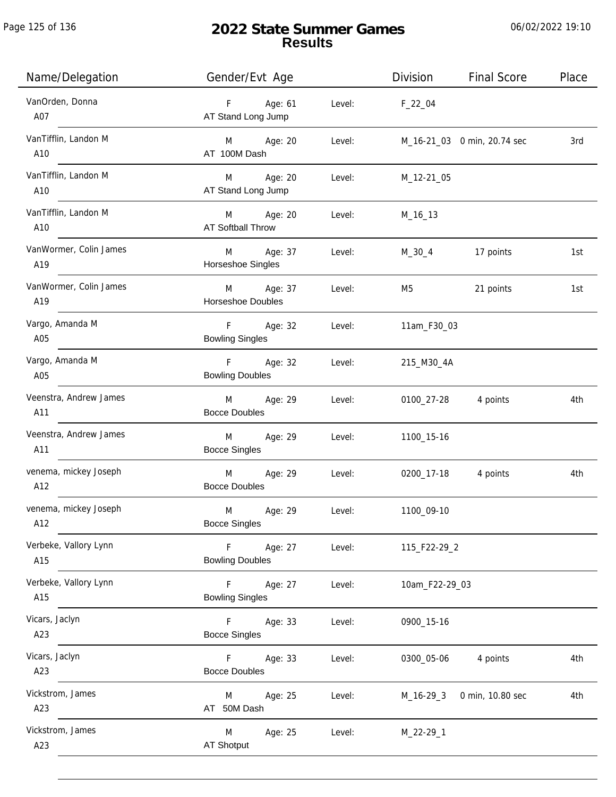# **2022 State Summer Games Results**

| Name/Delegation               | Gender/Evt Age                                    | <b>Final Score</b><br>Division<br>Place |
|-------------------------------|---------------------------------------------------|-----------------------------------------|
| VanOrden, Donna<br>A07        | F<br>Age: 61<br>Level:<br>AT Stand Long Jump      | $F_22_04$                               |
| VanTifflin, Landon M<br>A10   | Age: 20<br>Level:<br>M<br>AT 100M Dash            | M_16-21_03 0 min, 20.74 sec<br>3rd      |
| VanTifflin, Landon M<br>A10   | Age: 20<br>M<br>Level:<br>AT Stand Long Jump      | M_12-21_05                              |
| VanTifflin, Landon M<br>A10   | M Age: 20<br>Level:<br>AT Softball Throw          | M_16_13                                 |
| VanWormer, Colin James<br>A19 | M<br>Age: 37<br>Level:<br>Horseshoe Singles       | 17 points<br>M_30_4<br>1st              |
| VanWormer, Colin James<br>A19 | M<br>Age: 37<br>Level:<br>Horseshoe Doubles       | 21 points<br>M5<br>1st                  |
| Vargo, Amanda M<br>A05        | F<br>Age: 32<br>Level:<br><b>Bowling Singles</b>  | 11am_F30_03                             |
| Vargo, Amanda M<br>A05        | F<br>Age: 32<br>Level:<br><b>Bowling Doubles</b>  | 215_M30_4A                              |
| Veenstra, Andrew James<br>A11 | Age: 29<br>M<br>Level:<br><b>Bocce Doubles</b>    | 4 points<br>0100_27-28<br>4th           |
| Veenstra, Andrew James<br>A11 | M<br>Age: 29<br>Level:<br><b>Bocce Singles</b>    | 1100_15-16                              |
| venema, mickey Joseph<br>A12  | M<br>Age: 29<br>Level:<br><b>Bocce Doubles</b>    | 0200_17-18<br>4 points<br>4th           |
| venema, mickey Joseph<br>A12  | M<br>Age: 29<br>Level:<br><b>Bocce Singles</b>    | 1100_09-10                              |
| Verbeke, Vallory Lynn<br>A15  | Age: 27<br>Level:<br>F.<br><b>Bowling Doubles</b> | 115_F22-29_2                            |
| Verbeke, Vallory Lynn<br>A15  | F<br>Age: 27<br>Level:<br><b>Bowling Singles</b>  | 10am_F22-29_03                          |
| Vicars, Jaclyn<br>A23         | Age: 33<br>F.<br>Level:<br><b>Bocce Singles</b>   | 0900_15-16                              |
| Vicars, Jaclyn<br>A23         | Age: 33<br>Level:<br>F<br><b>Bocce Doubles</b>    | 0300_05-06<br>4 points<br>4th           |
| Vickstrom, James<br>A23       | Age: 25<br>Level:<br>M<br>AT 50M Dash             | $M_16-29-3$<br>0 min, 10.80 sec<br>4th  |
| Vickstrom, James<br>A23       | M<br>Age: 25<br>Level:<br><b>AT Shotput</b>       | M_22-29_1                               |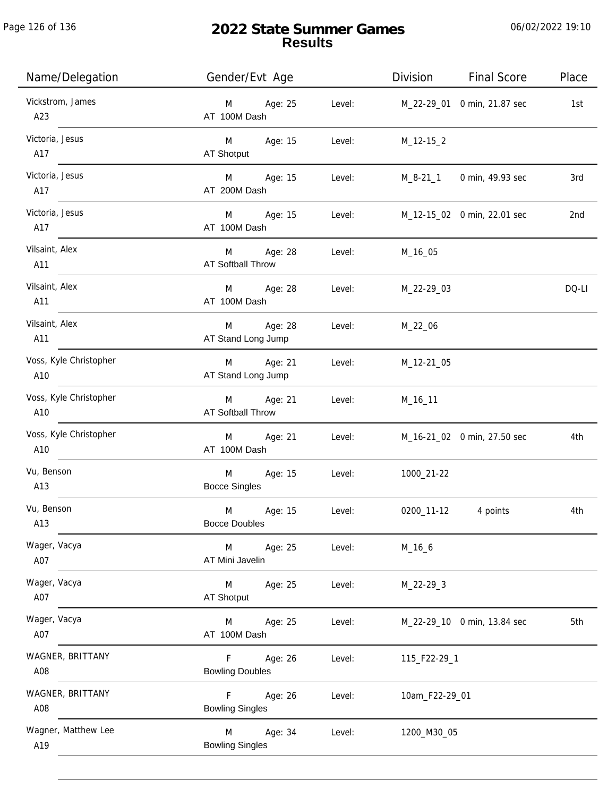| Name/Delegation               | Gender/Evt Age                           |        | Division       | <b>Final Score</b>          | Place |
|-------------------------------|------------------------------------------|--------|----------------|-----------------------------|-------|
| Vickstrom, James<br>A23       | Age: 25<br>M<br>AT 100M Dash             | Level: |                | M_22-29_01 0 min, 21.87 sec | 1st   |
| Victoria, Jesus<br>A17        | M<br>Age: 15<br>AT Shotput               | Level: | $M_12-15_2$    |                             |       |
| Victoria, Jesus<br>A17        | M<br>Age: 15<br>AT 200M Dash             | Level: | M_8-21_1       | 0 min, 49.93 sec            | 3rd   |
| Victoria, Jesus<br>A17        | M<br>Age: 15<br>AT 100M Dash             | Level: |                | M_12-15_02 0 min, 22.01 sec | 2nd   |
| Vilsaint, Alex<br>A11         | M<br>Age: 28<br><b>AT Softball Throw</b> | Level: | M_16_05        |                             |       |
| Vilsaint, Alex<br>A11         | Age: 28<br>M<br>AT 100M Dash             | Level: | M_22-29_03     |                             | DQ-LI |
| Vilsaint, Alex<br>A11         | Age: 28<br>M<br>AT Stand Long Jump       | Level: | M_22_06        |                             |       |
| Voss, Kyle Christopher<br>A10 | Age: 21<br>M<br>AT Stand Long Jump       | Level: | M_12-21_05     |                             |       |
| Voss, Kyle Christopher<br>A10 | Age: 21<br>M<br><b>AT Softball Throw</b> | Level: | $M_16_11$      |                             |       |
| Voss, Kyle Christopher<br>A10 | M<br>Age: 21<br>AT 100M Dash             | Level: |                | M_16-21_02 0 min, 27.50 sec | 4th   |
| Vu, Benson<br>A13             | Age: 15<br>M<br><b>Bocce Singles</b>     | Level: | 1000_21-22     |                             |       |
| Vu, Benson<br>A13             | M<br>Age: 15<br><b>Bocce Doubles</b>     | Level: | 0200_11-12     | 4 points                    | 4th   |
| Wager, Vacya<br>A07           | M<br>Age: 25<br>AT Mini Javelin          | Level: | M_16_6         |                             |       |
| Wager, Vacya<br>A07           | Age: 25<br>M<br><b>AT Shotput</b>        | Level: | $M_22-29-3$    |                             |       |
| Wager, Vacya<br>A07           | Age: 25<br>M<br>AT 100M Dash             | Level: |                | M_22-29_10 0 min, 13.84 sec | 5th   |
| WAGNER, BRITTANY<br>A08       | Age: 26<br>F.<br><b>Bowling Doubles</b>  | Level: | 115_F22-29_1   |                             |       |
| WAGNER, BRITTANY<br>A08       | F<br>Age: 26<br><b>Bowling Singles</b>   | Level: | 10am_F22-29_01 |                             |       |
| Wagner, Matthew Lee<br>A19    | M<br>Age: 34<br><b>Bowling Singles</b>   | Level: | 1200_M30_05    |                             |       |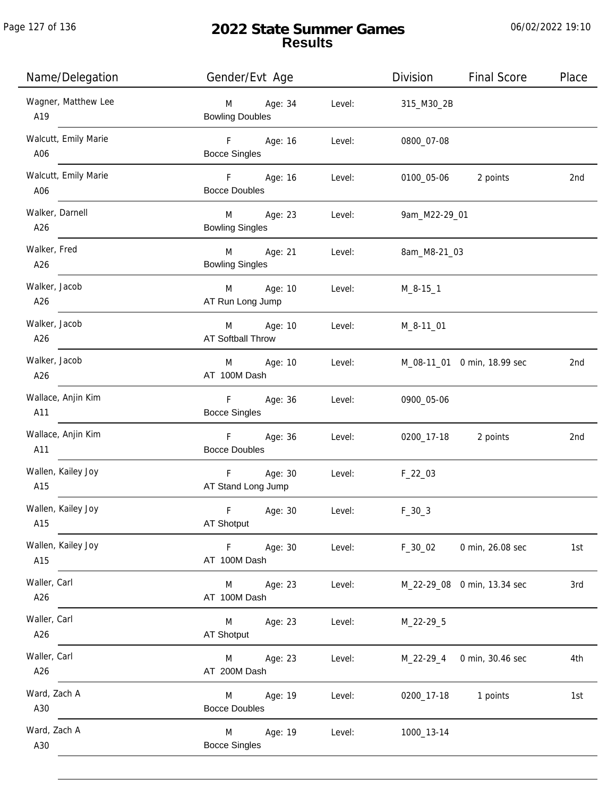Page 127 of 136

# **2022 State Summer Games Results**

| Name/Delegation             | Gender/Evt Age                                         | <b>Final Score</b><br>Division<br>Place |
|-----------------------------|--------------------------------------------------------|-----------------------------------------|
| Wagner, Matthew Lee<br>A19  | Age: 34<br>Level:<br>M<br><b>Bowling Doubles</b>       | 315_M30_2B                              |
| Walcutt, Emily Marie<br>A06 | F Age: 16<br>Level:<br><b>Bocce Singles</b>            | 0800_07-08                              |
| Walcutt, Emily Marie<br>A06 | F Age: 16<br>Level:<br><b>Bocce Doubles</b>            | 0100_05-06 2 points<br>2nd              |
| Walker, Darnell<br>A26      | M<br>Age: 23<br>Level:<br><b>Bowling Singles</b>       | 9am_M22-29_01                           |
| Walker, Fred<br>A26         | M<br>Age: 21<br>Level:<br><b>Bowling Singles</b>       | 8am_M8-21_03                            |
| Walker, Jacob<br>A26        | M Age: 10<br>Level:<br>AT Run Long Jump                | $M_8 - 15 - 1$                          |
| Walker, Jacob<br>A26        | Age: 10<br>M<br>Level:<br>AT Softball Throw            | M_8-11_01                               |
| Walker, Jacob<br>A26        | Age: 10<br>M<br>Level:<br>AT 100M Dash                 | M_08-11_01 0 min, 18.99 sec<br>2nd      |
| Wallace, Anjin Kim<br>A11   | F<br>Age: 36<br>Level:<br><b>Bocce Singles</b>         | 0900_05-06                              |
| Wallace, Anjin Kim<br>A11   | F<br>Age: 36<br>Level:<br><b>Bocce Doubles</b>         | 0200_17-18 2 points<br>2nd              |
| Wallen, Kailey Joy<br>A15   | $\mathsf F$<br>Age: 30<br>Level:<br>AT Stand Long Jump | $F_22_03$                               |
| Wallen, Kailey Joy<br>A15   | F<br>Age: 30<br>Level:<br>AT Shotput                   | $F_30_3$                                |
| Wallen, Kailey Joy<br>A15   | Age: 30<br>Level:<br>F<br>AT 100M Dash                 | $F_30_02$<br>0 min, 26.08 sec<br>1st    |
| Waller, Carl<br>A26         | Age: 23<br>Level:<br>M<br>AT 100M Dash                 | 3rd<br>M_22-29_08 0 min, 13.34 sec      |
| Waller, Carl<br>A26         | Age: 23<br>Level:<br>M<br>AT Shotput                   | M_22-29_5                               |
| Waller, Carl<br>A26         | Age: 23<br>Level:<br>M<br>AT 200M Dash                 | 4th<br>M_22-29_4<br>0 min, 30.46 sec    |
| Ward, Zach A<br>A30         | Age: 19<br>Level:<br>M<br><b>Bocce Doubles</b>         | 0200_17-18<br>1 points<br>1st           |
| Ward, Zach A<br>A30         | M<br>Age: 19<br>Level:<br><b>Bocce Singles</b>         | 1000_13-14                              |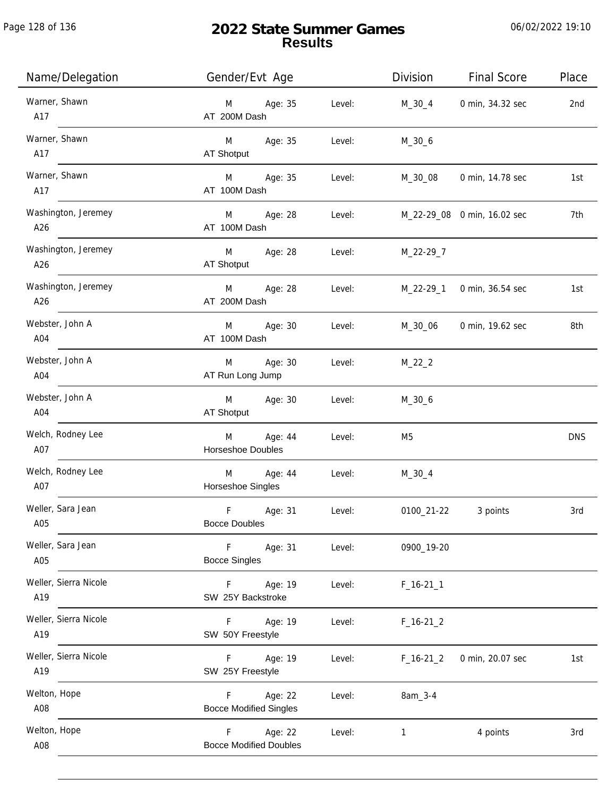| Name/Delegation              | Gender/Evt Age                                           | Division       | <b>Final Score</b>          | Place      |
|------------------------------|----------------------------------------------------------|----------------|-----------------------------|------------|
| Warner, Shawn<br>A17         | M Age: 35<br>Level:<br>AT 200M Dash                      | M_30_4         | 0 min, 34.32 sec            | 2nd        |
| Warner, Shawn<br>A17         | M Age: 35<br>Level:<br>AT Shotput                        | $M_30_6$       |                             |            |
| Warner, Shawn<br>A17         | Age: 35<br>Level:<br>M <sub>ar</sub><br>AT 100M Dash     |                | M_30_08 0 min, 14.78 sec    | 1st        |
| Washington, Jeremey<br>A26   | Age: 28<br>Level:<br>M <sub>ar</sub><br>AT 100M Dash     |                | M_22-29_08 0 min, 16.02 sec | 7th        |
| Washington, Jeremey<br>A26   | M Age: 28<br>Level:<br>AT Shotput                        | M_22-29_7      |                             |            |
| Washington, Jeremey<br>A26   | M Age: 28<br>Level:<br>AT 200M Dash                      | M_22-29_1      | 0 min, 36.54 sec            | 1st        |
| Webster, John A<br>A04       | M Age: 30<br>Level:<br>AT 100M Dash                      | M_30_06        | 0 min, 19.62 sec            | 8th        |
| Webster, John A<br>A04       | Age: 30<br>M<br>Level:<br>AT Run Long Jump               | $M_22_2$       |                             |            |
| Webster, John A<br>A04       | M<br>Age: 30<br>Level:<br>AT Shotput                     | $M_30_6$       |                             |            |
| Welch, Rodney Lee<br>A07     | Age: 44<br>Level:<br>M<br>Horseshoe Doubles              | M <sub>5</sub> |                             | <b>DNS</b> |
| Welch, Rodney Lee<br>A07     | M Age: 44<br>Level:<br>Horseshoe Singles                 | $M_30_4$       |                             |            |
| Weller, Sara Jean<br>A05     | $\mathsf F$<br>Age: 31<br>Level:<br><b>Bocce Doubles</b> | 0100_21-22     | 3 points                    | 3rd        |
| Weller, Sara Jean<br>A05     | F<br>Age: 31<br>Level:<br><b>Bocce Singles</b>           | 0900_19-20     |                             |            |
| Weller, Sierra Nicole<br>A19 | Age: 19<br>F<br>Level:<br>SW 25Y Backstroke              | $F_16-211$     |                             |            |
| Weller, Sierra Nicole<br>A19 | Age: 19<br>Level:<br>F.<br>SW 50Y Freestyle              | $F_16-21_2$    |                             |            |
| Weller, Sierra Nicole<br>A19 | Age: 19<br>Level:<br>F.<br>SW 25Y Freestyle              | $F_16-21_2$    | 0 min, 20.07 sec            | 1st        |
| Welton, Hope<br>A08          | Age: 22<br>Level:<br>F.<br><b>Bocce Modified Singles</b> | 8am_3-4        |                             |            |
| Welton, Hope<br>A08          | Age: 22<br>F.<br>Level:<br><b>Bocce Modified Doubles</b> | 1              | 4 points                    | 3rd        |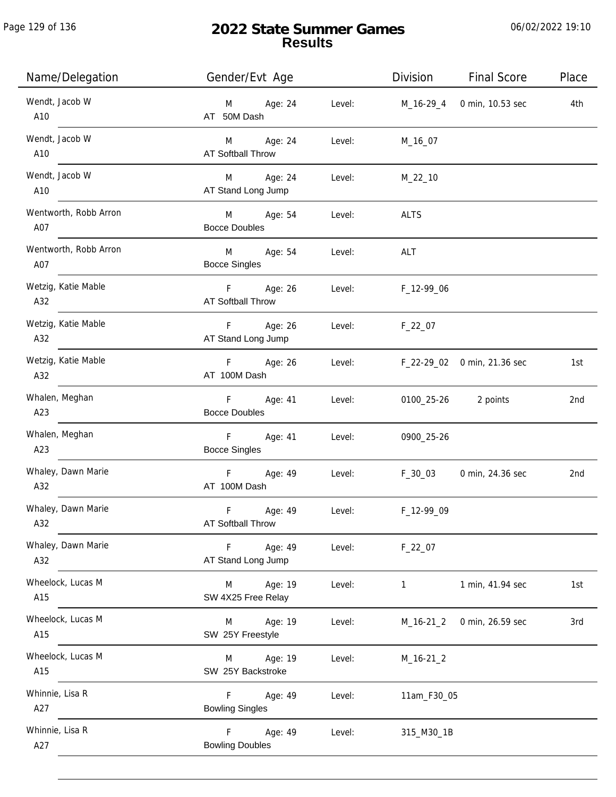| Name/Delegation              | Gender/Evt Age                                       | Division                           | <b>Final Score</b>       | Place |
|------------------------------|------------------------------------------------------|------------------------------------|--------------------------|-------|
| Wendt, Jacob W<br>A10        | Age: 24<br>Level:<br>M<br>AT 50M Dash                | M_16-29_4                          | 0 min, 10.53 sec         | 4th   |
| Wendt, Jacob W<br>A10        | M Age: 24<br>Level:<br><b>AT Softball Throw</b>      | M_16_07                            |                          |       |
| Wendt, Jacob W<br>A10        | M Age: 24<br>Level:<br>AT Stand Long Jump            | $M_22_10$                          |                          |       |
| Wentworth, Robb Arron<br>A07 | M Age: 54<br>Level:<br><b>Bocce Doubles</b>          | ALTS                               |                          |       |
| Wentworth, Robb Arron<br>A07 | M Age: 54<br>Level:<br><b>Bocce Singles</b>          | ALT                                |                          |       |
| Wetzig, Katie Mable<br>A32   | F Age: 26<br>AT Softball Throw                       | Level: F_12-99_06                  |                          |       |
| Wetzig, Katie Mable<br>A32   | F Age: 26<br>AT Stand Long Jump                      | Level: F_22_07                     |                          |       |
| Wetzig, Katie Mable<br>A32   | F Age: 26<br>AT 100M Dash                            | Level: F_22-29_02 0 min, 21.36 sec |                          | 1st   |
| Whalen, Meghan<br>A23        | F Age: 41<br>Level:<br><b>Bocce Doubles</b>          |                                    | 0100_25-26 2 points      | 2nd   |
| Whalen, Meghan<br>A23        | $F = 1$<br>Age: 41<br>Level:<br><b>Bocce Singles</b> | 0900_25-26                         |                          |       |
| Whaley, Dawn Marie<br>A32    | F Age: 49<br>Level:<br>AT 100M Dash                  |                                    | F_30_03 0 min, 24.36 sec | 2nd   |
| Whaley, Dawn Marie<br>A32    | F<br>Age: 49<br>Level:<br>AT Softball Throw          | F_12-99_09                         |                          |       |
| Whaley, Dawn Marie<br>A32    | Age: 49<br>F<br>Level:<br>AT Stand Long Jump         | $F_22_07$                          |                          |       |
| Wheelock, Lucas M<br>A15     | Age: 19<br>M<br>Level:<br>SW 4X25 Free Relay         | $\mathbf{1}$                       | 1 min, 41.94 sec         | 1st   |
| Wheelock, Lucas M<br>A15     | Age: 19<br>M<br>Level:<br>SW 25Y Freestyle           | M_16-21_2                          | 0 min, 26.59 sec         | 3rd   |
| Wheelock, Lucas M<br>A15     | Age: 19<br>Level:<br>M<br>SW 25Y Backstroke          | $M_16-21_2$                        |                          |       |
| Whinnie, Lisa R<br>A27       | Age: 49<br>F<br>Level:<br><b>Bowling Singles</b>     | 11am_F30_05                        |                          |       |
| Whinnie, Lisa R<br>A27       | F<br>Age: 49<br>Level:<br><b>Bowling Doubles</b>     | 315_M30_1B                         |                          |       |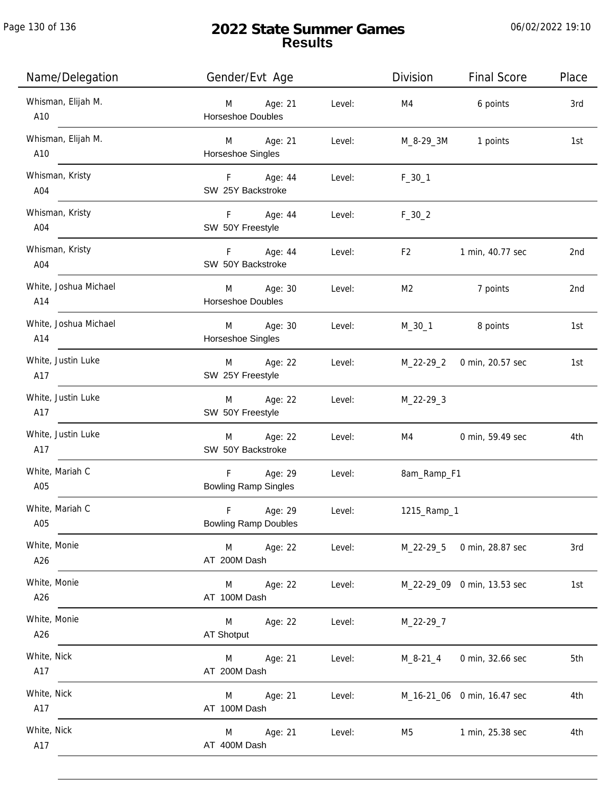Page 130 of 136

j.

# **2022 State Summer Games Results**

| Name/Delegation              | Gender/Evt Age                                        |        | Division       | <b>Final Score</b>          | Place |
|------------------------------|-------------------------------------------------------|--------|----------------|-----------------------------|-------|
| Whisman, Elijah M.<br>A10    | M Age: 21<br><b>Horseshoe Doubles</b>                 | Level: | M4             | 6 points                    | 3rd   |
| Whisman, Elijah M.<br>A10    | M Age: 21<br>Horseshoe Singles                        | Level: |                | M_8-29_3M 1 points          | 1st   |
| Whisman, Kristy<br>A04       | F Age: 44<br>SW 25Y Backstroke                        | Level: | $F_30_1$       |                             |       |
| Whisman, Kristy<br>A04       | F Age: 44<br>SW 50Y Freestyle                         | Level: | $F_30_2$       |                             |       |
| Whisman, Kristy<br>A04       | F Age: 44<br>SW 50Y Backstroke                        | Level: | F <sub>2</sub> | 1 min, 40.77 sec            | 2nd   |
| White, Joshua Michael<br>A14 | M Age: 30<br>Horseshoe Doubles                        | Level: | M2             | 7 points                    | 2nd   |
| White, Joshua Michael<br>A14 | M Age: 30<br>Horseshoe Singles                        | Level: |                | M_30_1 8 points             | 1st   |
| White, Justin Luke<br>A17    | M Age: 22<br>SW 25Y Freestyle                         | Level: | M_22-29_2      | 0 min, 20.57 sec            | 1st   |
| White, Justin Luke<br>A17    | M Age: 22<br>SW 50Y Freestyle                         | Level: | M_22-29_3      |                             |       |
| White, Justin Luke<br>A17    | M Age: 22<br>SW 50Y Backstroke                        | Level: | M4             | 0 min, 59.49 sec            | 4th   |
| White, Mariah C<br>A05       | F Age: 29<br><b>Bowling Ramp Singles</b>              | Level: | 8am_Ramp_F1    |                             |       |
| White, Mariah C<br>A05       | $\mathsf F$<br>Age: 29<br><b>Bowling Ramp Doubles</b> | Level: | 1215_Ramp_1    |                             |       |
| White, Monie<br>A26          | M<br>Age: 22<br>AT 200M Dash                          | Level: | M_22-29_5      | 0 min, 28.87 sec            | 3rd   |
| White, Monie<br>A26          | Age: 22<br>M<br>AT 100M Dash                          | Level: |                | M_22-29_09 0 min, 13.53 sec | 1st   |
| White, Monie<br>A26          | M<br>Age: 22<br><b>AT Shotput</b>                     | Level: | M_22-29_7      |                             |       |
| White, Nick<br>A17           | Age: 21<br>M<br>AT 200M Dash                          | Level: | $M_8 - 21 - 4$ | 0 min, 32.66 sec            | 5th   |
| White, Nick<br>A17           | Age: 21<br>M<br>AT 100M Dash                          | Level: |                | M_16-21_06 0 min, 16.47 sec | 4th   |
| White, Nick<br>A17           | Age: 21<br>M<br>AT 400M Dash                          | Level: | M <sub>5</sub> | 1 min, 25.38 sec            | 4th   |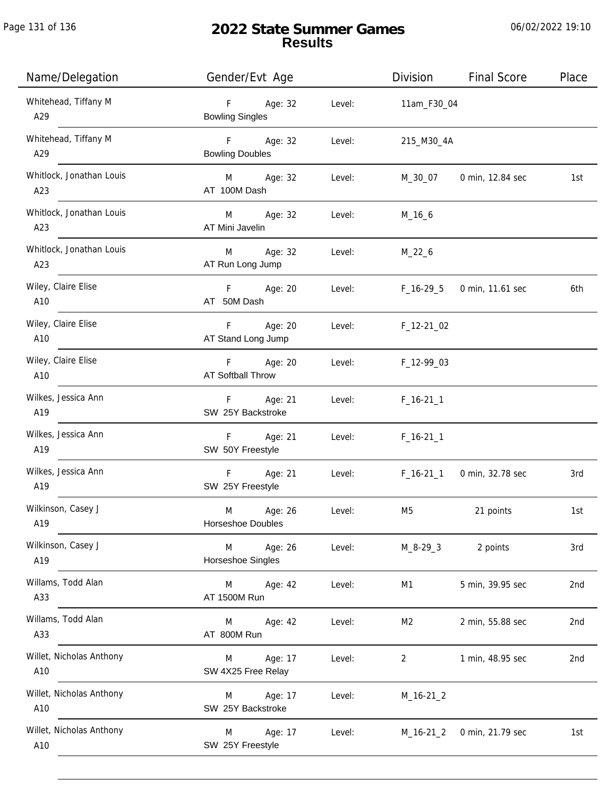| Name/Delegation                 | Gender/Evt Age                         |        | Division          | <b>Final Score</b>       | Place           |
|---------------------------------|----------------------------------------|--------|-------------------|--------------------------|-----------------|
| Whitehead, Tiffany M<br>A29     | Age: 32<br>F<br><b>Bowling Singles</b> | Level: | 11am_F30_04       |                          |                 |
| Whitehead, Tiffany M<br>A29     | F Age: 32<br><b>Bowling Doubles</b>    | Level: | 215_M30_4A        |                          |                 |
| Whitlock, Jonathan Louis<br>A23 | M Age: 32<br>AT 100M Dash              | Level: |                   | M_30_07 0 min, 12.84 sec | 1st             |
| Whitlock, Jonathan Louis<br>A23 | M Age: 32<br>AT Mini Javelin           | Level: | $M_16_6$          |                          |                 |
| Whitlock, Jonathan Louis<br>A23 | M<br>Age: 32<br>AT Run Long Jump       | Level: | $M_22_6$          |                          |                 |
| Wiley, Claire Elise<br>A10      | F Age: 20<br>AT 50M Dash               | Level: | F_16-29_5         | 0 min, 11.61 sec         | 6th             |
| Wiley, Claire Elise<br>A10      | F Age: 20<br>AT Stand Long Jump        |        | Level: F_12-21_02 |                          |                 |
| Wiley, Claire Elise<br>A10      | F Age: 20<br><b>AT Softball Throw</b>  | Level: | F_12-99_03        |                          |                 |
| Wilkes, Jessica Ann<br>A19      | F Age: 21<br>SW 25Y Backstroke         | Level: | $F_16-211$        |                          |                 |
| Wilkes, Jessica Ann<br>A19      | Age: 21<br>F<br>SW 50Y Freestyle       | Level: | $F_16-211$        |                          |                 |
| Wilkes, Jessica Ann<br>A19      | Age: 21<br>F<br>SW 25Y Freestyle       | Level: | $F_16-21_1$       | 0 min, 32.78 sec         | 3rd             |
| Wilkinson, Casey J<br>A19       | M<br>Age: 26<br>Horseshoe Doubles      | Level: | M5                | 21 points                | 1st             |
| Wilkinson, Casey J<br>A19       | Age: 26<br>M<br>Horseshoe Singles      | Level: | M_8-29_3          | 2 points                 | 3rd             |
| Willams, Todd Alan<br>A33       | M Age: 42<br>AT 1500M Run              | Level: | M1                | 5 min, 39.95 sec         | 2nd             |
| Willams, Todd Alan<br>A33       | Age: 42<br>M<br>AT 800M Run            | Level: | M2                | 2 min, 55.88 sec         | 2 <sub>nd</sub> |
| Willet, Nicholas Anthony<br>A10 | Age: 17<br>M<br>SW 4X25 Free Relay     | Level: | $\overline{2}$    | 1 min, 48.95 sec         | 2nd             |
| Willet, Nicholas Anthony<br>A10 | Age: 17<br>M<br>SW 25Y Backstroke      | Level: | $M_16-21_2$       |                          |                 |
| Willet, Nicholas Anthony<br>A10 | Age: 17<br>M<br>SW 25Y Freestyle       | Level: | M_16-21_2         | 0 min, 21.79 sec         | 1st             |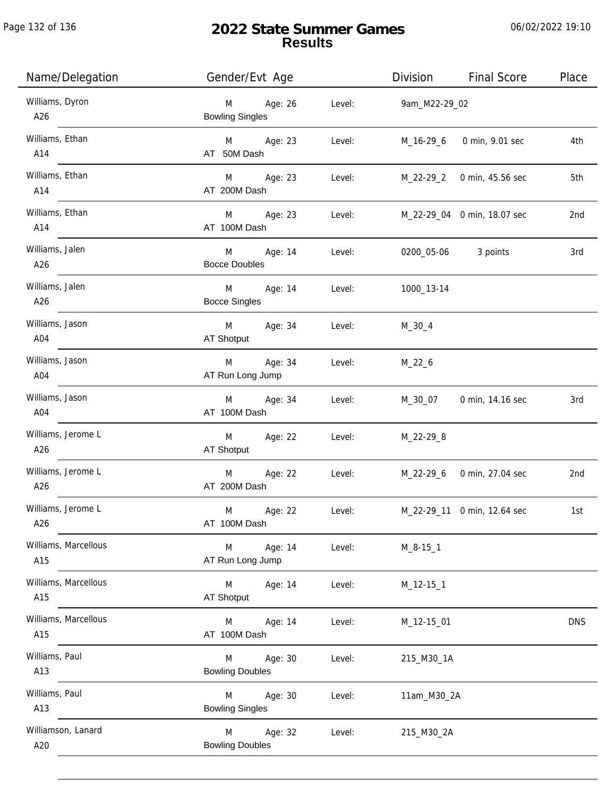| Name/Delegation             | Gender/Evt Age                         |         |        | Division            | <b>Final Score</b>          | Place      |
|-----------------------------|----------------------------------------|---------|--------|---------------------|-----------------------------|------------|
| Williams, Dyron<br>A26      | Age: 26<br>M<br><b>Bowling Singles</b> |         | Level: | 9am_M22-29_02       |                             |            |
| Williams, Ethan<br>A14      | M Age: 23<br>AT 50M Dash               |         | Level: | M_16-29_6           | 0 min, 9.01 sec             | 4th        |
| Williams, Ethan<br>A14      | M Age: 23<br>AT 200M Dash              |         | Level: |                     | M_22-29_2 0 min, 45.56 sec  | 5th        |
| Williams, Ethan<br>A14      | M Age: 23<br>AT 100M Dash              |         | Level: |                     | M_22-29_04 0 min, 18.07 sec | 2nd        |
| Williams, Jalen<br>A26      | M<br>Age: 14<br><b>Bocce Doubles</b>   |         | Level: | 0200_05-06 3 points |                             | 3rd        |
| Williams, Jalen<br>A26      | M<br>Age: 14<br><b>Bocce Singles</b>   |         | Level: | 1000_13-14          |                             |            |
| Williams, Jason<br>A04      | M Age: 34<br>AT Shotput                |         | Level: | M_30_4              |                             |            |
| Williams, Jason<br>A04      | M<br>AT Run Long Jump                  | Age: 34 | Level: | $M_22_6$            |                             |            |
| Williams, Jason<br>A04      | Age: 34<br>M<br>AT 100M Dash           |         | Level: | M_30_07             | 0 min, 14.16 sec            | 3rd        |
| Williams, Jerome L<br>A26   | M<br>AT Shotput                        | Age: 22 | Level: | M_22-29_8           |                             |            |
| Williams, Jerome L<br>A26   | M<br>AT 200M Dash                      | Age: 22 | Level: |                     | M_22-29_6 0 min, 27.04 sec  | 2nd        |
| Williams, Jerome L<br>A26   | M<br>AT 100M Dash                      | Age: 22 | Level: |                     | M_22-29_11 0 min, 12.64 sec | 1st        |
| Williams, Marcellous<br>A15 | Age: 14<br>M<br>AT Run Long Jump       |         | Level: | $M_8 - 15 - 1$      |                             |            |
| Williams, Marcellous<br>A15 | M<br>AT Shotput                        | Age: 14 | Level: | M_12-15_1           |                             |            |
| Williams, Marcellous<br>A15 | M<br>AT 100M Dash                      | Age: 14 | Level: | M_12-15_01          |                             | <b>DNS</b> |
| Williams, Paul<br>A13       | M<br><b>Bowling Doubles</b>            | Age: 30 | Level: | 215_M30_1A          |                             |            |
| Williams, Paul<br>A13       | M<br><b>Bowling Singles</b>            | Age: 30 | Level: | 11am_M30_2A         |                             |            |
| Williamson, Lanard<br>A20   | M<br><b>Bowling Doubles</b>            | Age: 32 | Level: | 215_M30_2A          |                             |            |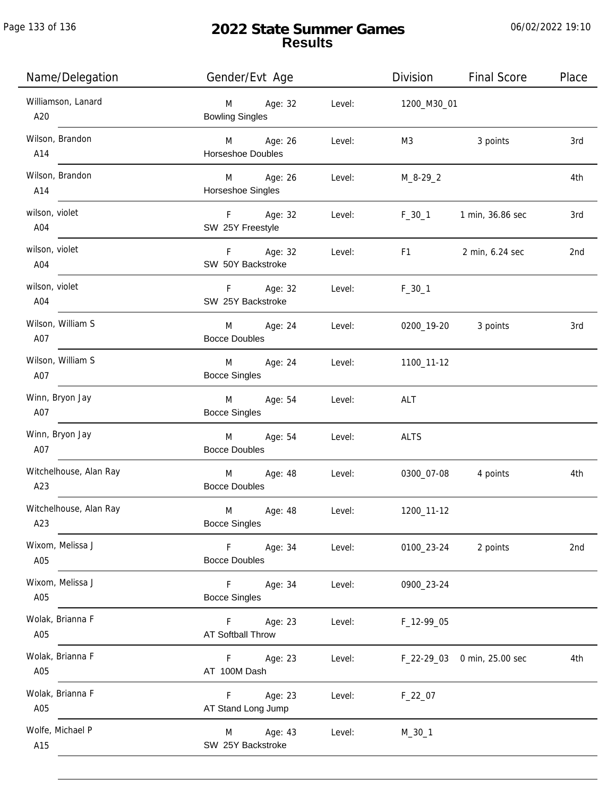Page 133 of 136

j.

# **2022 State Summer Games Results**

| Name/Delegation               | Gender/Evt Age                         |        | Division       | <b>Final Score</b>          | Place |
|-------------------------------|----------------------------------------|--------|----------------|-----------------------------|-------|
| Williamson, Lanard<br>A20     | M<br>Age: 32<br><b>Bowling Singles</b> | Level: | 1200_M30_01    |                             |       |
| Wilson, Brandon<br>A14        | M Age: 26<br><b>Horseshoe Doubles</b>  | Level: | M3             | 3 points                    | 3rd   |
| Wilson, Brandon<br>A14        | M Age: 26<br>Horseshoe Singles         | Level: | $M_8 - 29 - 2$ |                             | 4th   |
| wilson, violet<br>A04         | F Age: 32<br>SW 25Y Freestyle          | Level: | $F_30_1$       | 1 min, 36.86 sec            | 3rd   |
| wilson, violet<br>A04         | F Age: 32<br>SW 50Y Backstroke         | Level: | F1             | 2 min, 6.24 sec             | 2nd   |
| wilson, violet<br>A04         | $F =$<br>Age: 32<br>SW 25Y Backstroke  | Level: | $F_30_1$       |                             |       |
| Wilson, William S<br>A07      | M<br>Age: 24<br><b>Bocce Doubles</b>   | Level: | 0200_19-20     | 3 points                    | 3rd   |
| Wilson, William S<br>A07      | Age: 24<br>M<br><b>Bocce Singles</b>   | Level: | 1100_11-12     |                             |       |
| Winn, Bryon Jay<br>A07        | M<br>Age: 54<br><b>Bocce Singles</b>   | Level: | ALT            |                             |       |
| Winn, Bryon Jay<br>A07        | Age: 54<br>M<br><b>Bocce Doubles</b>   | Level: | <b>ALTS</b>    |                             |       |
| Witchelhouse, Alan Ray<br>A23 | M Age: 48<br><b>Bocce Doubles</b>      | Level: | 0300_07-08     | 4 points                    | 4th   |
| Witchelhouse, Alan Ray<br>A23 | M<br>Age: 48<br><b>Bocce Singles</b>   | Level: | 1200_11-12     |                             |       |
| Wixom, Melissa J<br>A05       | F<br>Age: 34<br><b>Bocce Doubles</b>   | Level: | 0100_23-24     | 2 points                    | 2nd   |
| Wixom, Melissa J<br>A05       | Age: 34<br>F.<br><b>Bocce Singles</b>  | Level: | 0900_23-24     |                             |       |
| Wolak, Brianna F<br>A05       | Age: 23<br>F.<br>AT Softball Throw     | Level: | F_12-99_05     |                             |       |
| Wolak, Brianna F<br>A05       | Age: 23<br>F.<br>AT 100M Dash          | Level: |                | F_22-29_03 0 min, 25.00 sec | 4th   |
| Wolak, Brianna F<br>A05       | Age: 23<br>F.<br>AT Stand Long Jump    | Level: | $F_22_07$      |                             |       |
| Wolfe, Michael P<br>A15       | Age: 43<br>M<br>SW 25Y Backstroke      | Level: | $M_30_1$       |                             |       |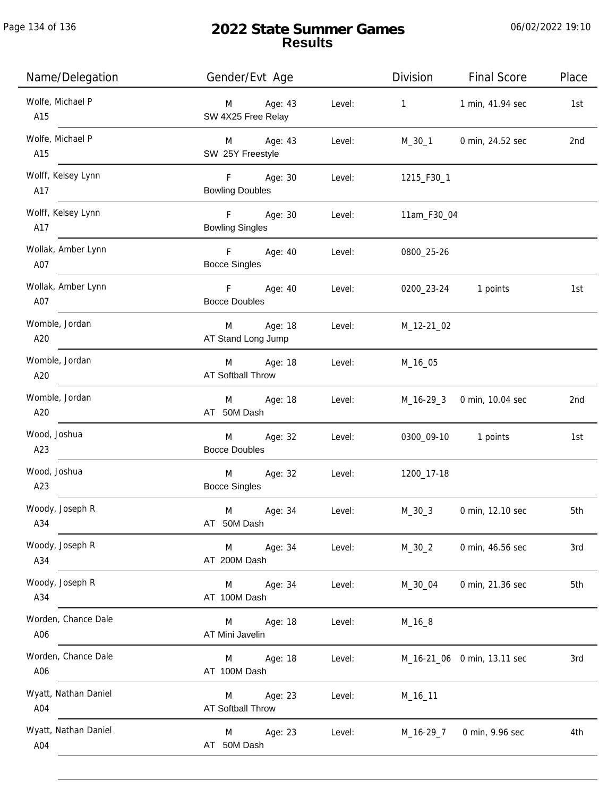Page 134 of 136

| Name/Delegation             | Gender/Evt Age                           |        | Division     | <b>Final Score</b>          | Place |
|-----------------------------|------------------------------------------|--------|--------------|-----------------------------|-------|
| Wolfe, Michael P<br>A15     | Age: 43<br>M<br>SW 4X25 Free Relay       | Level: | $\mathbf{1}$ | 1 min, 41.94 sec            | 1st   |
| Wolfe, Michael P<br>A15     | M Age: 43<br>SW 25Y Freestyle            | Level: | M_30_1       | 0 min, 24.52 sec            | 2nd   |
| Wolff, Kelsey Lynn<br>A17   | F Age: 30<br><b>Bowling Doubles</b>      | Level: | 1215_F30_1   |                             |       |
| Wolff, Kelsey Lynn<br>A17   | F Age: 30<br><b>Bowling Singles</b>      | Level: | 11am_F30_04  |                             |       |
| Wollak, Amber Lynn<br>A07   | F Age: 40<br><b>Bocce Singles</b>        | Level: | 0800_25-26   |                             |       |
| Wollak, Amber Lynn<br>A07   | F Age: 40<br><b>Bocce Doubles</b>        | Level: | 0200_23-24   | 1 points                    | 1st   |
| Womble, Jordan<br>A20       | Age: 18<br>M<br>AT Stand Long Jump       | Level: | M_12-21_02   |                             |       |
| Womble, Jordan<br>A20       | Age: 18<br>M<br><b>AT Softball Throw</b> | Level: | M_16_05      |                             |       |
| Womble, Jordan<br>A20       | Age: 18<br>M<br>AT 50M Dash              | Level: |              | M_16-29_3 0 min, 10.04 sec  | 2nd   |
| Wood, Joshua<br>A23         | Age: 32<br>M<br><b>Bocce Doubles</b>     | Level: |              | 0300_09-10 1 points         | 1st   |
| Wood, Joshua<br>A23         | Age: 32<br>M<br><b>Bocce Singles</b>     | Level: | 1200_17-18   |                             |       |
| Woody, Joseph R<br>A34      | M<br>Age: 34<br>AT 50M Dash              | Level: | $M_30_3$     | 0 min, 12.10 sec            | 5th   |
| Woody, Joseph R<br>A34      | Age: 34<br>M<br>AT 200M Dash             | Level: | $M_30_2$     | 0 min, 46.56 sec            | 3rd   |
| Woody, Joseph R<br>A34      | Age: 34<br>M<br>AT 100M Dash             | Level: | M_30_04      | 0 min, 21.36 sec            | 5th   |
| Worden, Chance Dale<br>A06  | Age: 18<br>M<br>AT Mini Javelin          | Level: | $M_16_8$     |                             |       |
| Worden, Chance Dale<br>A06  | Age: 18<br>M<br>AT 100M Dash             | Level: |              | M_16-21_06 0 min, 13.11 sec | 3rd   |
| Wyatt, Nathan Daniel<br>A04 | Age: 23<br>M<br>AT Softball Throw        | Level: | M_16_11      |                             |       |
| Wyatt, Nathan Daniel<br>A04 | Age: 23<br>M<br>AT 50M Dash              | Level: | M_16-29_7    | 0 min, 9.96 sec             | 4th   |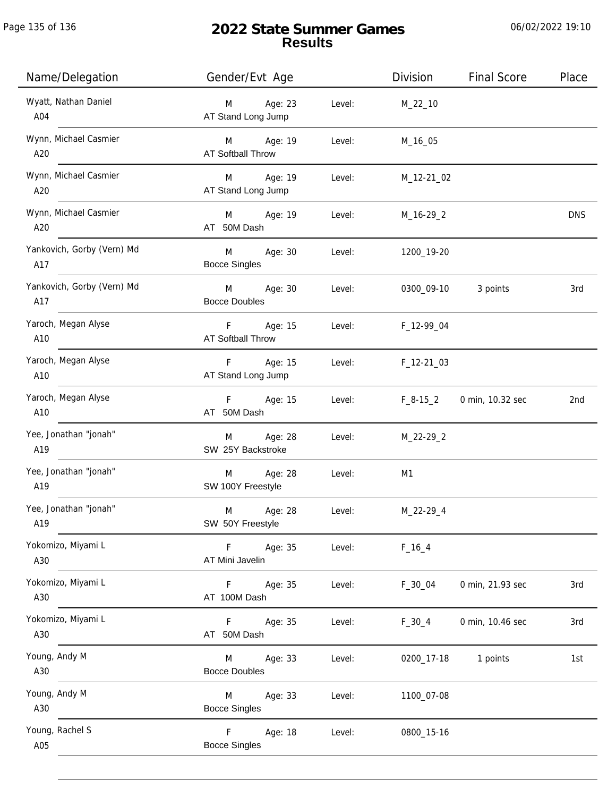# **2022 State Summer Games Results**

| Name/Delegation                   | Gender/Evt Age                                            | Division       | <b>Final Score</b> | Place      |
|-----------------------------------|-----------------------------------------------------------|----------------|--------------------|------------|
| Wyatt, Nathan Daniel<br>A04       | M<br>Age: 23<br>Level:<br>AT Stand Long Jump              | $M_22_10$      |                    |            |
| Wynn, Michael Casmier<br>A20      | Age: 19<br>M<br>Level:<br><b>AT Softball Throw</b>        | M_16_05        |                    |            |
| Wynn, Michael Casmier<br>A20      | Age: 19<br>M<br>Level:<br>AT Stand Long Jump              | M_12-21_02     |                    |            |
| Wynn, Michael Casmier<br>A20      | M<br>Age: 19<br>Level:<br>AT 50M Dash                     | M_16-29_2      |                    | <b>DNS</b> |
| Yankovich, Gorby (Vern) Md<br>A17 | M<br>Age: 30<br>Level:<br><b>Bocce Singles</b>            | 1200_19-20     |                    |            |
| Yankovich, Gorby (Vern) Md<br>A17 | M<br>Age: 30<br>Level:<br><b>Bocce Doubles</b>            | 0300_09-10     | 3 points           | 3rd        |
| Yaroch, Megan Alyse<br>A10        | F.<br>Age: 15<br>Level:<br><b>AT Softball Throw</b>       | F_12-99_04     |                    |            |
| Yaroch, Megan Alyse<br>A10        | Age: 15<br>Level:<br>F.<br>AT Stand Long Jump             | $F_12-2103$    |                    |            |
| Yaroch, Megan Alyse<br>A10        | Age: 15<br>$F -$<br>Level:<br>AT 50M Dash                 | $F_8-15_2$     | 0 min, 10.32 sec   | 2nd        |
| Yee, Jonathan "jonah"<br>A19      | Age: 28<br>M<br>Level:<br>SW 25Y Backstroke               | M_22-29_2      |                    |            |
| Yee, Jonathan "jonah"<br>A19      | Age: 28<br>M<br>Level:<br>SW 100Y Freestyle               | M <sub>1</sub> |                    |            |
| Yee, Jonathan "jonah"<br>A19      | M<br>Age: 28<br>Level:<br>SW 50Y Freestyle                | M_22-29_4      |                    |            |
| Yokomizo, Miyami L<br>A30         | F<br>Age: 35<br>Level:<br>AT Mini Javelin                 | $F_{16-4}$     |                    |            |
| Yokomizo, Miyami L<br>A30         | Age: 35<br>Level:<br>F.<br>AT 100M Dash                   | $F_30_04$      | 0 min, 21.93 sec   | 3rd        |
| Yokomizo, Miyami L<br>A30         | Age: 35<br>Level:<br>F.<br>AT 50M Dash                    | $F_30_4$       | 0 min, 10.46 sec   | 3rd        |
| Young, Andy M<br>A30              | Age: 33<br>Level:<br>M<br><b>Bocce Doubles</b>            | 0200_17-18     | 1 points           | 1st        |
| Young, Andy M<br>A30              | Age: 33<br>Level:<br>M<br><b>Bocce Singles</b>            | 1100_07-08     |                    |            |
| Young, Rachel S<br>A05            | $\mathsf{F}$<br>Age: 18<br>Level:<br><b>Bocce Singles</b> | 0800_15-16     |                    |            |